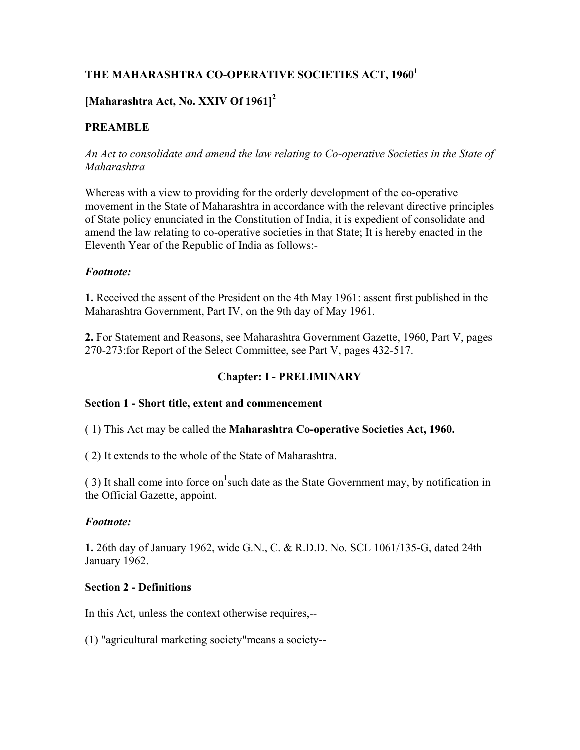# THE MAHARASHTRA CO-OPERATIVE SOCIETIES ACT, 1960<sup>1</sup>

# **[Maharashtra Act, No. XXIV Of 1961]<sup>2</sup>**

## **PREAMBLE**

*An Act to consolidate and amend the law relating to Co-operative Societies in the State of Maharashtra*

Whereas with a view to providing for the orderly development of the co-operative movement in the State of Maharashtra in accordance with the relevant directive principles of State policy enunciated in the Constitution of India, it is expedient of consolidate and amend the law relating to co-operative societies in that State; It is hereby enacted in the Eleventh Year of the Republic of India as follows:-

#### *Footnote:*

**1.** Received the assent of the President on the 4th May 1961: assent first published in the Maharashtra Government, Part IV, on the 9th day of May 1961.

**2.** For Statement and Reasons, see Maharashtra Government Gazette, 1960, Part V, pages 270-273:for Report of the Select Committee, see Part V, pages 432-517.

## **Chapter: I - PRELIMINARY**

## **Section 1 - Short title, extent and commencement**

( 1) This Act may be called the **Maharashtra Co-operative Societies Act, 1960.**

( 2) It extends to the whole of the State of Maharashtra.

(3) It shall come into force on such date as the State Government may, by notification in the Official Gazette, appoint.

#### *Footnote:*

**1.** 26th day of January 1962, wide G.N., C. & R.D.D. No. SCL 1061/135-G, dated 24th January 1962.

#### **Section 2 - Definitions**

In this Act, unless the context otherwise requires,--

(1) "agricultural marketing society"means a society--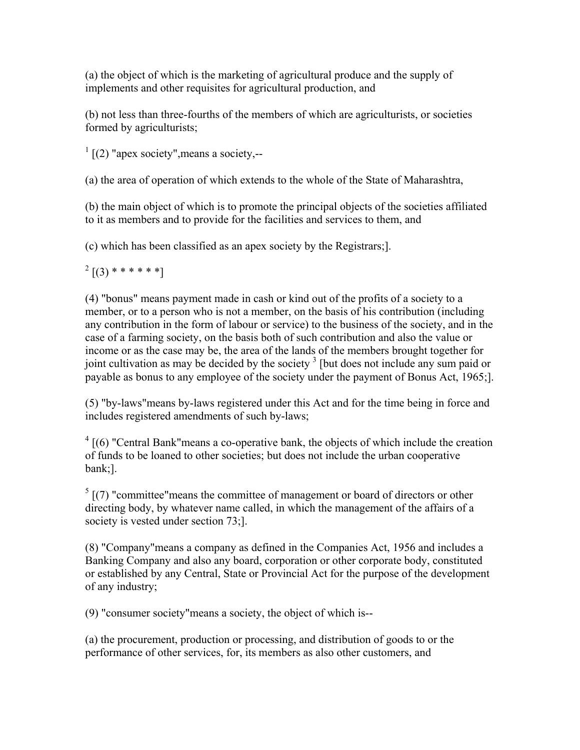(a) the object of which is the marketing of agricultural produce and the supply of implements and other requisites for agricultural production, and

(b) not less than three-fourths of the members of which are agriculturists, or societies formed by agriculturists;

 $\frac{1}{1}$  [(2) "apex society", means a society,--

(a) the area of operation of which extends to the whole of the State of Maharashtra,

(b) the main object of which is to promote the principal objects of the societies affiliated to it as members and to provide for the facilities and services to them, and

(c) which has been classified as an apex society by the Registrars;].

 $2$  [(3) \* \* \* \* \* \*]

(4) "bonus" means payment made in cash or kind out of the profits of a society to a member, or to a person who is not a member, on the basis of his contribution (including any contribution in the form of labour or service) to the business of the society, and in the case of a farming society, on the basis both of such contribution and also the value or income or as the case may be, the area of the lands of the members brought together for joint cultivation as may be decided by the society  $3$  [but does not include any sum paid or payable as bonus to any employee of the society under the payment of Bonus Act, 1965;].

(5) "by-laws"means by-laws registered under this Act and for the time being in force and includes registered amendments of such by-laws;

 $4 \mid (6)$  "Central Bank" means a co-operative bank, the objects of which include the creation of funds to be loaned to other societies; but does not include the urban cooperative bank;].

 $<sup>5</sup>$  [(7) "committee" means the committee of management or board of directors or other</sup> directing body, by whatever name called, in which the management of the affairs of a society is vested under section 73;].

(8) "Company"means a company as defined in the Companies Act, 1956 and includes a Banking Company and also any board, corporation or other corporate body, constituted or established by any Central, State or Provincial Act for the purpose of the development of any industry;

(9) "consumer society"means a society, the object of which is--

(a) the procurement, production or processing, and distribution of goods to or the performance of other services, for, its members as also other customers, and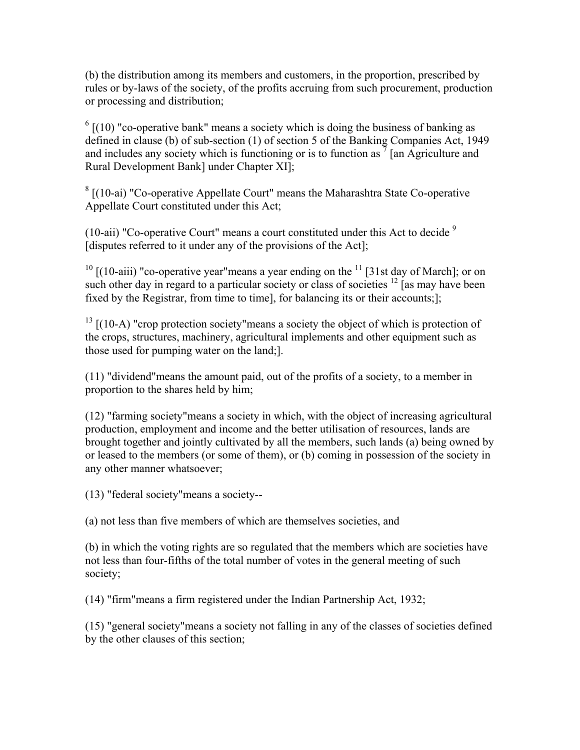(b) the distribution among its members and customers, in the proportion, prescribed by rules or by-laws of the society, of the profits accruing from such procurement, production or processing and distribution;

 $<sup>6</sup>$  [(10) "co-operative bank" means a society which is doing the business of banking as</sup> defined in clause (b) of sub-section (1) of section 5 of the Banking Companies Act, 1949 and includes any society which is functioning or is to function as  $\frac{7}{7}$  [an Agriculture and Rural Development Bank] under Chapter XI];

 $8$  [(10-ai) "Co-operative Appellate Court" means the Maharashtra State Co-operative Appellate Court constituted under this Act;

(10-aii) "Co-operative Court" means a court constituted under this Act to decide  $9$ [disputes referred to it under any of the provisions of the Act];

 $10$  [(10-aiii) "co-operative year" means a year ending on the  $11$  [31st day of March]; or on such other day in regard to a particular society or class of societies  $\frac{12}{12}$  [as may have been fixed by the Registrar, from time to time], for balancing its or their accounts;];

 $13$  [(10-A) "crop protection society" means a society the object of which is protection of the crops, structures, machinery, agricultural implements and other equipment such as those used for pumping water on the land;].

(11) "dividend"means the amount paid, out of the profits of a society, to a member in proportion to the shares held by him;

(12) "farming society"means a society in which, with the object of increasing agricultural production, employment and income and the better utilisation of resources, lands are brought together and jointly cultivated by all the members, such lands (a) being owned by or leased to the members (or some of them), or (b) coming in possession of the society in any other manner whatsoever;

(13) "federal society"means a society--

(a) not less than five members of which are themselves societies, and

(b) in which the voting rights are so regulated that the members which are societies have not less than four-fifths of the total number of votes in the general meeting of such society;

(14) "firm"means a firm registered under the Indian Partnership Act, 1932;

(15) "general society"means a society not falling in any of the classes of societies defined by the other clauses of this section;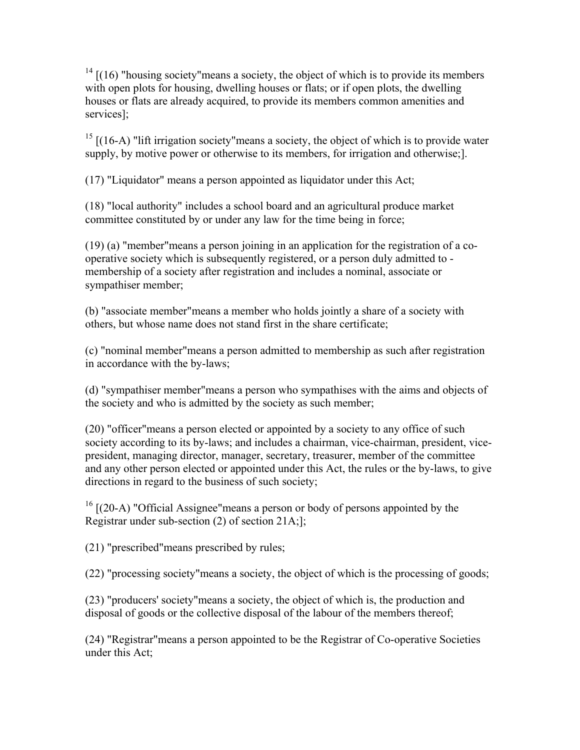$14$  [(16) "housing society" means a society, the object of which is to provide its members with open plots for housing, dwelling houses or flats; or if open plots, the dwelling houses or flats are already acquired, to provide its members common amenities and services];

 $15$  [(16-A) "lift irrigation society" means a society, the object of which is to provide water supply, by motive power or otherwise to its members, for irrigation and otherwise;].

(17) "Liquidator" means a person appointed as liquidator under this Act;

(18) "local authority" includes a school board and an agricultural produce market committee constituted by or under any law for the time being in force;

(19) (a) "member"means a person joining in an application for the registration of a cooperative society which is subsequently registered, or a person duly admitted to membership of a society after registration and includes a nominal, associate or sympathiser member;

(b) "associate member"means a member who holds jointly a share of a society with others, but whose name does not stand first in the share certificate;

(c) "nominal member"means a person admitted to membership as such after registration in accordance with the by-laws;

(d) "sympathiser member"means a person who sympathises with the aims and objects of the society and who is admitted by the society as such member;

(20) "officer"means a person elected or appointed by a society to any office of such society according to its by-laws; and includes a chairman, vice-chairman, president, vicepresident, managing director, manager, secretary, treasurer, member of the committee and any other person elected or appointed under this Act, the rules or the by-laws, to give directions in regard to the business of such society;

 $16$  [(20-A) "Official Assignee" means a person or body of persons appointed by the Registrar under sub-section (2) of section 21A;];

(21) "prescribed"means prescribed by rules;

(22) "processing society"means a society, the object of which is the processing of goods;

(23) "producers' society"means a society, the object of which is, the production and disposal of goods or the collective disposal of the labour of the members thereof;

(24) "Registrar"means a person appointed to be the Registrar of Co-operative Societies under this Act: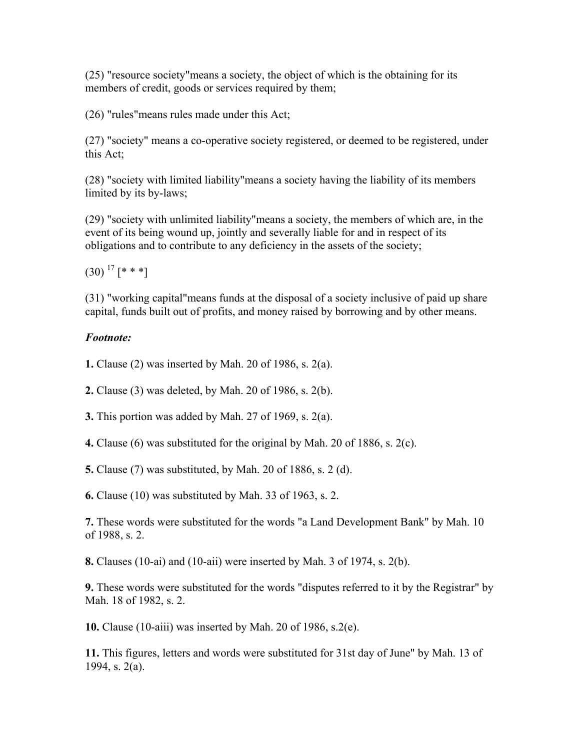(25) "resource society"means a society, the object of which is the obtaining for its members of credit, goods or services required by them;

(26) "rules"means rules made under this Act;

(27) "society" means a co-operative society registered, or deemed to be registered, under this Act;

(28) "society with limited liability"means a society having the liability of its members limited by its by-laws;

(29) "society with unlimited liability"means a society, the members of which are, in the event of its being wound up, jointly and severally liable for and in respect of its obligations and to contribute to any deficiency in the assets of the society;

 $(30)$ <sup>17</sup> [\* \* \*]

(31) "working capital"means funds at the disposal of a society inclusive of paid up share capital, funds built out of profits, and money raised by borrowing and by other means.

## *Footnote:*

**1.** Clause (2) was inserted by Mah. 20 of 1986, s. 2(a).

- **2.** Clause (3) was deleted, by Mah. 20 of 1986, s. 2(b).
- **3.** This portion was added by Mah. 27 of 1969, s. 2(a).
- **4.** Clause (6) was substituted for the original by Mah. 20 of 1886, s. 2(c).

**5.** Clause (7) was substituted, by Mah. 20 of 1886, s. 2 (d).

**6.** Clause (10) was substituted by Mah. 33 of 1963, s. 2.

**7.** These words were substituted for the words "a Land Development Bank" by Mah. 10 of 1988, s. 2.

**8.** Clauses (10-ai) and (10-aii) were inserted by Mah. 3 of 1974, s. 2(b).

**9.** These words were substituted for the words "disputes referred to it by the Registrar" by Mah. 18 of 1982, s. 2.

**10.** Clause (10-aiii) was inserted by Mah. 20 of 1986, s.2(e).

**11.** This figures, letters and words were substituted for 31st day of June" by Mah. 13 of 1994, s. 2(a).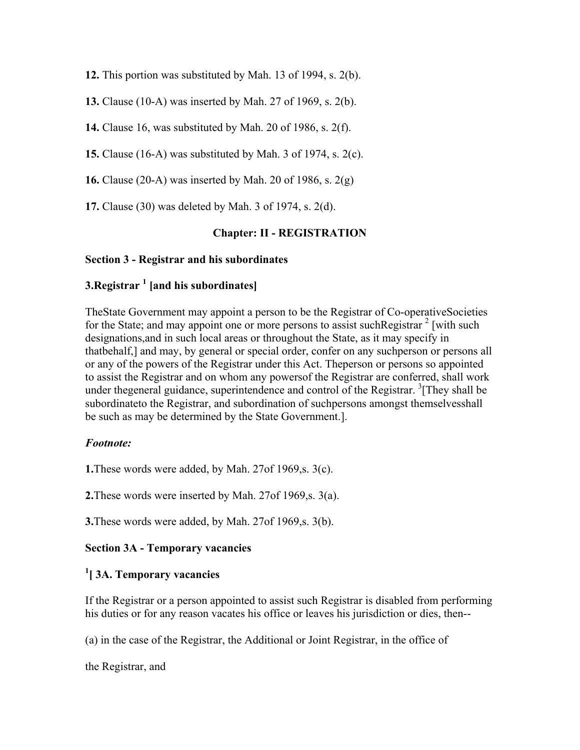**12.** This portion was substituted by Mah. 13 of 1994, s. 2(b).

**13.** Clause (10-A) was inserted by Mah. 27 of 1969, s. 2(b).

**14.** Clause 16, was substituted by Mah. 20 of 1986, s. 2(f).

**15.** Clause (16-A) was substituted by Mah. 3 of 1974, s. 2(c).

**16.** Clause (20-A) was inserted by Mah. 20 of 1986, s. 2(g)

**17.** Clause (30) was deleted by Mah. 3 of 1974, s. 2(d).

#### **Chapter: II - REGISTRATION**

#### **Section 3 - Registrar and his subordinates**

# **3.Registrar 1 [and his subordinates]**

TheState Government may appoint a person to be the Registrar of Co-operativeSocieties for the State; and may appoint one or more persons to assist such Registrar  $2$  [with such designations,and in such local areas or throughout the State, as it may specify in thatbehalf,] and may, by general or special order, confer on any suchperson or persons all or any of the powers of the Registrar under this Act. Theperson or persons so appointed to assist the Registrar and on whom any powersof the Registrar are conferred, shall work under thegeneral guidance, superintendence and control of the Registrar. <sup>3</sup>[They shall be subordinateto the Registrar, and subordination of suchpersons amongst themselvesshall be such as may be determined by the State Government.].

#### *Footnote:*

**1.**These words were added, by Mah. 27of 1969,s. 3(c).

**2.**These words were inserted by Mah. 27of 1969,s. 3(a).

**3.**These words were added, by Mah. 27of 1969,s. 3(b).

#### **Section 3A - Temporary vacancies**

## **1 [ 3A. Temporary vacancies**

If the Registrar or a person appointed to assist such Registrar is disabled from performing his duties or for any reason vacates his office or leaves his jurisdiction or dies, then--

(a) in the case of the Registrar, the Additional or Joint Registrar, in the office of

the Registrar, and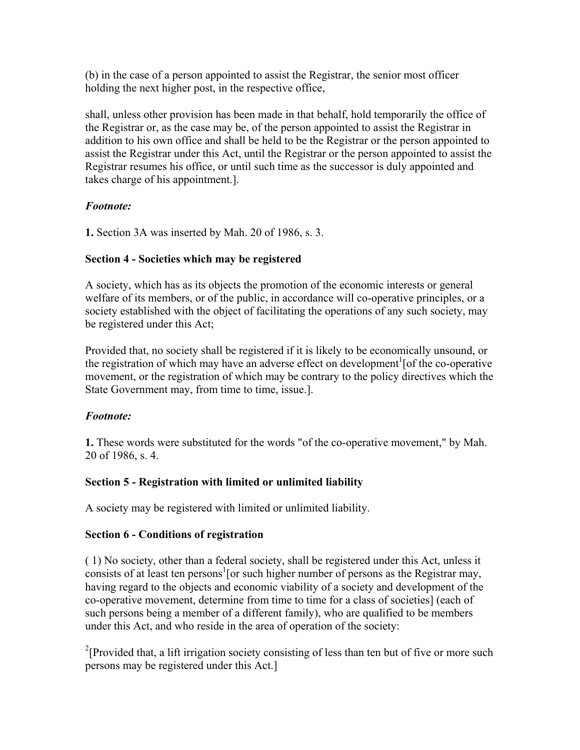(b) in the case of a person appointed to assist the Registrar, the senior most officer holding the next higher post, in the respective office,

shall, unless other provision has been made in that behalf, hold temporarily the office of the Registrar or, as the case may be, of the person appointed to assist the Registrar in addition to his own office and shall be held to be the Registrar or the person appointed to assist the Registrar under this Act, until the Registrar or the person appointed to assist the Registrar resumes his office, or until such time as the successor is duly appointed and takes charge of his appointment.].

## *Footnote:*

**1.** Section 3A was inserted by Mah. 20 of 1986, s. 3.

## **Section 4 - Societies which may be registered**

A society, which has as its objects the promotion of the economic interests or general welfare of its members, or of the public, in accordance will co-operative principles, or a society established with the object of facilitating the operations of any such society, may be registered under this Act;

Provided that, no society shall be registered if it is likely to be economically unsound, or the registration of which may have an adverse effect on development<sup>1</sup> [of the co-operative movement, or the registration of which may be contrary to the policy directives which the State Government may, from time to time, issue.].

## *Footnote:*

**1.** These words were substituted for the words "of the co-operative movement," by Mah. 20 of 1986, s. 4.

## **Section 5 - Registration with limited or unlimited liability**

A society may be registered with limited or unlimited liability.

## **Section 6 - Conditions of registration**

( 1) No society, other than a federal society, shall be registered under this Act, unless it consists of at least ten persons<sup>1</sup> [or such higher number of persons as the Registrar may, having regard to the objects and economic viability of a society and development of the co-operative movement, determine from time to time for a class of societies] (each of such persons being a member of a different family), who are qualified to be members under this Act, and who reside in the area of operation of the society:

<sup>2</sup>[Provided that, a lift irrigation society consisting of less than ten but of five or more such persons may be registered under this Act.]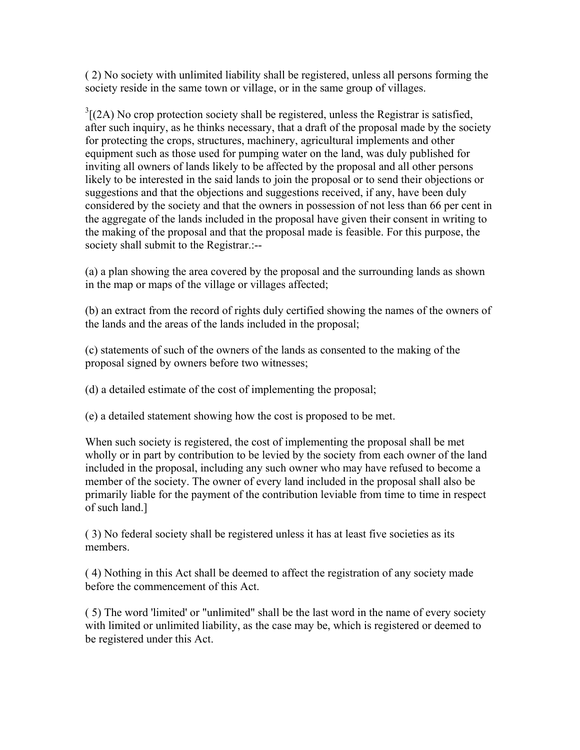( 2) No society with unlimited liability shall be registered, unless all persons forming the society reside in the same town or village, or in the same group of villages.

 $3[(2A)$  No crop protection society shall be registered, unless the Registrar is satisfied, after such inquiry, as he thinks necessary, that a draft of the proposal made by the society for protecting the crops, structures, machinery, agricultural implements and other equipment such as those used for pumping water on the land, was duly published for inviting all owners of lands likely to be affected by the proposal and all other persons likely to be interested in the said lands to join the proposal or to send their objections or suggestions and that the objections and suggestions received, if any, have been duly considered by the society and that the owners in possession of not less than 66 per cent in the aggregate of the lands included in the proposal have given their consent in writing to the making of the proposal and that the proposal made is feasible. For this purpose, the society shall submit to the Registrar.:--

(a) a plan showing the area covered by the proposal and the surrounding lands as shown in the map or maps of the village or villages affected;

(b) an extract from the record of rights duly certified showing the names of the owners of the lands and the areas of the lands included in the proposal;

(c) statements of such of the owners of the lands as consented to the making of the proposal signed by owners before two witnesses;

(d) a detailed estimate of the cost of implementing the proposal;

(e) a detailed statement showing how the cost is proposed to be met.

When such society is registered, the cost of implementing the proposal shall be met wholly or in part by contribution to be levied by the society from each owner of the land included in the proposal, including any such owner who may have refused to become a member of the society. The owner of every land included in the proposal shall also be primarily liable for the payment of the contribution leviable from time to time in respect of such land.]

( 3) No federal society shall be registered unless it has at least five societies as its members.

( 4) Nothing in this Act shall be deemed to affect the registration of any society made before the commencement of this Act.

( 5) The word 'limited' or "unlimited" shall be the last word in the name of every society with limited or unlimited liability, as the case may be, which is registered or deemed to be registered under this Act.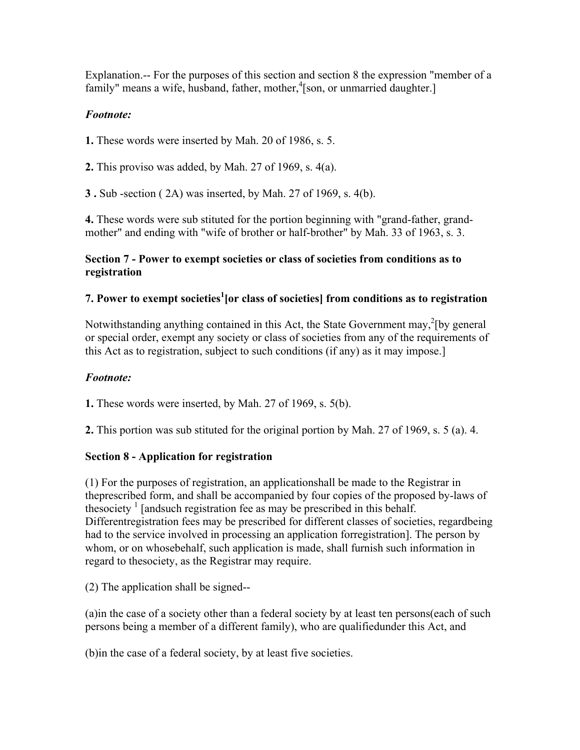Explanation.-- For the purposes of this section and section 8 the expression "member of a family" means a wife, husband, father, mother,<sup>4</sup>[son, or unmarried daughter.]

# *Footnote:*

**1.** These words were inserted by Mah. 20 of 1986, s. 5.

**2.** This proviso was added, by Mah. 27 of 1969, s. 4(a).

**3 .** Sub -section ( 2A) was inserted, by Mah. 27 of 1969, s. 4(b).

**4.** These words were sub stituted for the portion beginning with "grand-father, grandmother" and ending with "wife of brother or half-brother" by Mah. 33 of 1963, s. 3.

# **Section 7 - Power to exempt societies or class of societies from conditions as to registration**

# **7. Power to exempt societies1 [or class of societies] from conditions as to registration**

Notwithstanding anything contained in this Act, the State Government may, ${}^{2}$ [by general or special order, exempt any society or class of societies from any of the requirements of this Act as to registration, subject to such conditions (if any) as it may impose.]

# *Footnote:*

**1.** These words were inserted, by Mah. 27 of 1969, s. 5(b).

**2.** This portion was sub stituted for the original portion by Mah. 27 of 1969, s. 5 (a). 4.

# **Section 8 - Application for registration**

(1) For the purposes of registration, an applicationshall be made to the Registrar in theprescribed form, and shall be accompanied by four copies of the proposed by-laws of thesociety  $\frac{1}{1}$  [andsuch registration fee as may be prescribed in this behalf. Differentregistration fees may be prescribed for different classes of societies, regardbeing had to the service involved in processing an application forregistration]. The person by whom, or on whosebehalf, such application is made, shall furnish such information in regard to thesociety, as the Registrar may require.

(2) The application shall be signed--

(a)in the case of a society other than a federal society by at least ten persons(each of such persons being a member of a different family), who are qualifiedunder this Act, and

(b)in the case of a federal society, by at least five societies.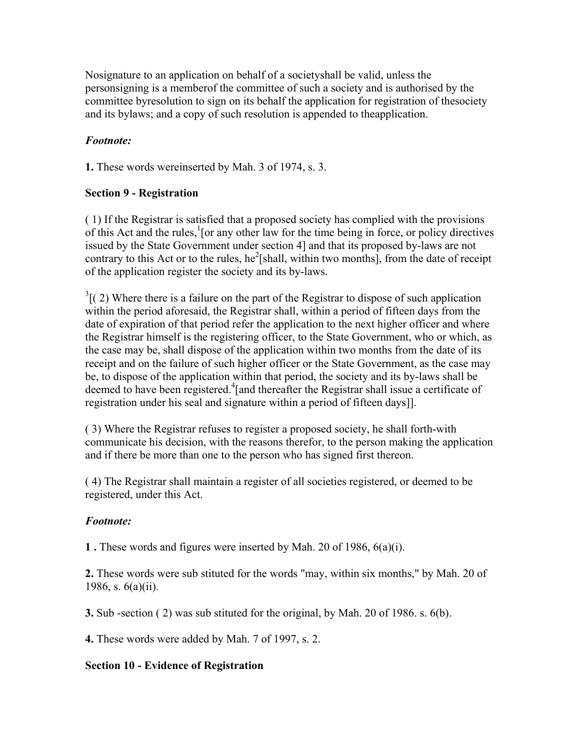Nosignature to an application on behalf of a societyshall be valid, unless the personsigning is a memberof the committee of such a society and is authorised by the committee byresolution to sign on its behalf the application for registration of thesociety and its bylaws; and a copy of such resolution is appended to theapplication.

## *Footnote:*

**1.** These words wereinserted by Mah. 3 of 1974, s. 3.

## **Section 9 - Registration**

( 1) If the Registrar is satisfied that a proposed society has complied with the provisions of this Act and the rules, $\frac{1}{1}$  [or any other law for the time being in force, or policy directives issued by the State Government under section 4] and that its proposed by-laws are not contrary to this Act or to the rules,  $he^2$ [shall, within two months], from the date of receipt of the application register the society and its by-laws.

 $3(2)$  Where there is a failure on the part of the Registrar to dispose of such application within the period aforesaid, the Registrar shall, within a period of fifteen days from the date of expiration of that period refer the application to the next higher officer and where the Registrar himself is the registering officer, to the State Government, who or which, as the case may be, shall dispose of the application within two months from the date of its receipt and on the failure of such higher officer or the State Government, as the case may be, to dispose of the application within that period, the society and its by-laws shall be deemed to have been registered.<sup>4</sup>[and thereafter the Registrar shall issue a certificate of registration under his seal and signature within a period of fifteen days]].

( 3) Where the Registrar refuses to register a proposed society, he shall forth-with communicate his decision, with the reasons therefor, to the person making the application and if there be more than one to the person who has signed first thereon.

( 4) The Registrar shall maintain a register of all societies registered, or deemed to be registered, under this Act.

## *Footnote:*

**1 .** These words and figures were inserted by Mah. 20 of 1986, 6(a)(i).

**2.** These words were sub stituted for the words "may, within six months," by Mah. 20 of 1986, s. 6(a)(ii).

**3.** Sub -section ( 2) was sub stituted for the original, by Mah. 20 of 1986. s. 6(b).

**4.** These words were added by Mah. 7 of 1997, s. 2.

## **Section 10 - Evidence of Registration**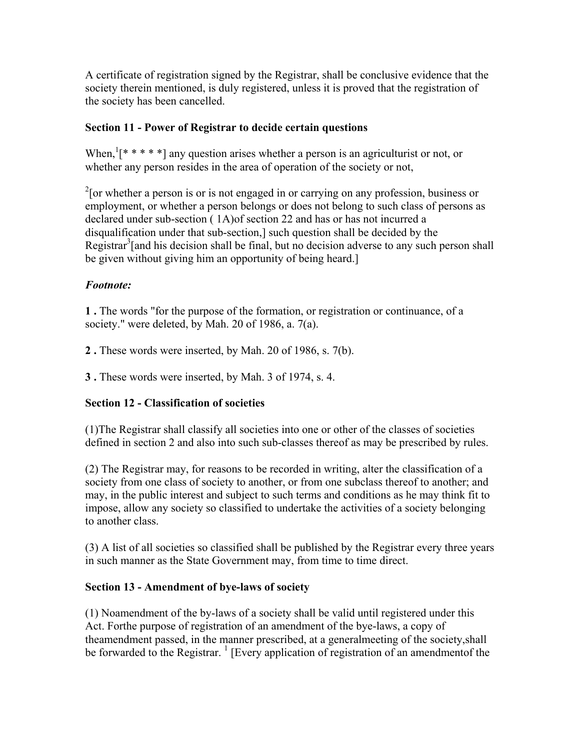A certificate of registration signed by the Registrar, shall be conclusive evidence that the society therein mentioned, is duly registered, unless it is proved that the registration of the society has been cancelled.

## **Section 11 - Power of Registrar to decide certain questions**

When,  $[\ast \ast \ast \ast]$  any question arises whether a person is an agriculturist or not, or whether any person resides in the area of operation of the society or not,

 $2$ [or whether a person is or is not engaged in or carrying on any profession, business or employment, or whether a person belongs or does not belong to such class of persons as declared under sub-section ( 1A)of section 22 and has or has not incurred a disqualification under that sub-section,] such question shall be decided by the Registrar<sup>3</sup>[and his decision shall be final, but no decision adverse to any such person shall be given without giving him an opportunity of being heard.]

## *Footnote:*

**1 .** The words "for the purpose of the formation, or registration or continuance, of a society." were deleted, by Mah. 20 of 1986, a. 7(a).

**2 .** These words were inserted, by Mah. 20 of 1986, s. 7(b).

**3 .** These words were inserted, by Mah. 3 of 1974, s. 4.

# **Section 12 - Classification of societies**

(1)The Registrar shall classify all societies into one or other of the classes of societies defined in section 2 and also into such sub-classes thereof as may be prescribed by rules.

(2) The Registrar may, for reasons to be recorded in writing, alter the classification of a society from one class of society to another, or from one subclass thereof to another; and may, in the public interest and subject to such terms and conditions as he may think fit to impose, allow any society so classified to undertake the activities of a society belonging to another class.

(3) A list of all societies so classified shall be published by the Registrar every three years in such manner as the State Government may, from time to time direct.

## **Section 13 - Amendment of bye-laws of society**

(1) Noamendment of the by-laws of a society shall be valid until registered under this Act. Forthe purpose of registration of an amendment of the bye-laws, a copy of theamendment passed, in the manner prescribed, at a generalmeeting of the society,shall be forwarded to the Registrar.  $\frac{1}{1}$  [Every application of registration of an amendmentof the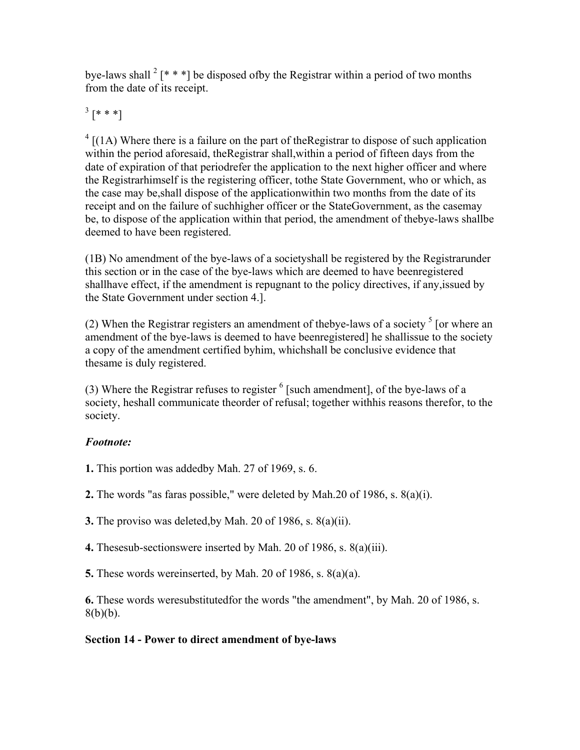bye-laws shall  $2$  [\* \* \*] be disposed of by the Registrar within a period of two months from the date of its receipt.

 $^{3}$  [\* \* \*]

 $4 \left[ (1A)$  Where there is a failure on the part of the Registrar to dispose of such application within the period aforesaid, theRegistrar shall,within a period of fifteen days from the date of expiration of that periodrefer the application to the next higher officer and where the Registrarhimself is the registering officer, tothe State Government, who or which, as the case may be,shall dispose of the applicationwithin two months from the date of its receipt and on the failure of suchhigher officer or the StateGovernment, as the casemay be, to dispose of the application within that period, the amendment of thebye-laws shallbe deemed to have been registered.

(1B) No amendment of the bye-laws of a societyshall be registered by the Registrarunder this section or in the case of the bye-laws which are deemed to have beenregistered shallhave effect, if the amendment is repugnant to the policy directives, if any,issued by the State Government under section 4.].

(2) When the Registrar registers an amendment of the bye-laws of a society  $\frac{1}{2}$  [or where an amendment of the bye-laws is deemed to have beenregistered] he shallissue to the society a copy of the amendment certified byhim, whichshall be conclusive evidence that thesame is duly registered.

(3) Where the Registrar refuses to register  $<sup>6</sup>$  [such amendment], of the bye-laws of a</sup> society, heshall communicate theorder of refusal; together withhis reasons therefor, to the society.

# *Footnote:*

**1.** This portion was addedby Mah. 27 of 1969, s. 6.

**2.** The words "as faras possible," were deleted by Mah.20 of 1986, s. 8(a)(i).

**3.** The proviso was deleted,by Mah. 20 of 1986, s. 8(a)(ii).

**4.** Thesesub-sectionswere inserted by Mah. 20 of 1986, s. 8(a)(iii).

**5.** These words wereinserted, by Mah. 20 of 1986, s. 8(a)(a).

**6.** These words weresubstitutedfor the words "the amendment", by Mah. 20 of 1986, s.  $8(b)(b)$ .

# **Section 14 - Power to direct amendment of bye-laws**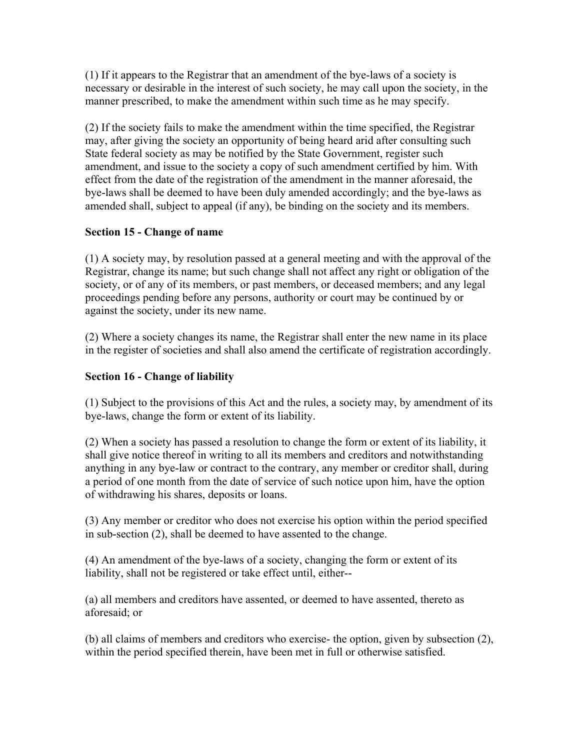(1) If it appears to the Registrar that an amendment of the bye-laws of a society is necessary or desirable in the interest of such society, he may call upon the society, in the manner prescribed, to make the amendment within such time as he may specify.

(2) If the society fails to make the amendment within the time specified, the Registrar may, after giving the society an opportunity of being heard arid after consulting such State federal society as may be notified by the State Government, register such amendment, and issue to the society a copy of such amendment certified by him. With effect from the date of the registration of the amendment in the manner aforesaid, the bye-laws shall be deemed to have been duly amended accordingly; and the bye-laws as amended shall, subject to appeal (if any), be binding on the society and its members.

# **Section 15 - Change of name**

(1) A society may, by resolution passed at a general meeting and with the approval of the Registrar, change its name; but such change shall not affect any right or obligation of the society, or of any of its members, or past members, or deceased members; and any legal proceedings pending before any persons, authority or court may be continued by or against the society, under its new name.

(2) Where a society changes its name, the Registrar shall enter the new name in its place in the register of societies and shall also amend the certificate of registration accordingly.

## **Section 16 - Change of liability**

(1) Subject to the provisions of this Act and the rules, a society may, by amendment of its bye-laws, change the form or extent of its liability.

(2) When a society has passed a resolution to change the form or extent of its liability, it shall give notice thereof in writing to all its members and creditors and notwithstanding anything in any bye-law or contract to the contrary, any member or creditor shall, during a period of one month from the date of service of such notice upon him, have the option of withdrawing his shares, deposits or loans.

(3) Any member or creditor who does not exercise his option within the period specified in sub-section (2), shall be deemed to have assented to the change.

(4) An amendment of the bye-laws of a society, changing the form or extent of its liability, shall not be registered or take effect until, either--

(a) all members and creditors have assented, or deemed to have assented, thereto as aforesaid; or

(b) all claims of members and creditors who exercise- the option, given by subsection (2), within the period specified therein, have been met in full or otherwise satisfied.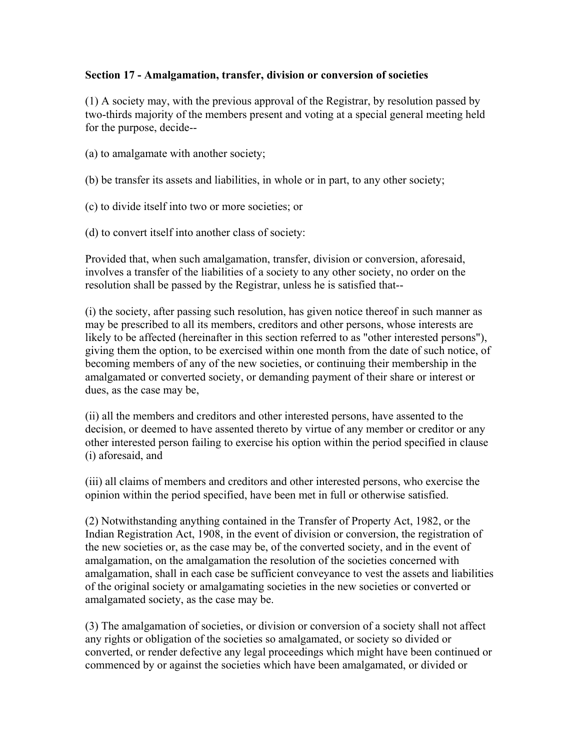#### **Section 17 - Amalgamation, transfer, division or conversion of societies**

(1) A society may, with the previous approval of the Registrar, by resolution passed by two-thirds majority of the members present and voting at a special general meeting held for the purpose, decide--

- (a) to amalgamate with another society;
- (b) be transfer its assets and liabilities, in whole or in part, to any other society;
- (c) to divide itself into two or more societies; or
- (d) to convert itself into another class of society:

Provided that, when such amalgamation, transfer, division or conversion, aforesaid, involves a transfer of the liabilities of a society to any other society, no order on the resolution shall be passed by the Registrar, unless he is satisfied that--

(i) the society, after passing such resolution, has given notice thereof in such manner as may be prescribed to all its members, creditors and other persons, whose interests are likely to be affected (hereinafter in this section referred to as "other interested persons"), giving them the option, to be exercised within one month from the date of such notice, of becoming members of any of the new societies, or continuing their membership in the amalgamated or converted society, or demanding payment of their share or interest or dues, as the case may be,

(ii) all the members and creditors and other interested persons, have assented to the decision, or deemed to have assented thereto by virtue of any member or creditor or any other interested person failing to exercise his option within the period specified in clause (i) aforesaid, and

(iii) all claims of members and creditors and other interested persons, who exercise the opinion within the period specified, have been met in full or otherwise satisfied.

(2) Notwithstanding anything contained in the Transfer of Property Act, 1982, or the Indian Registration Act, 1908, in the event of division or conversion, the registration of the new societies or, as the case may be, of the converted society, and in the event of amalgamation, on the amalgamation the resolution of the societies concerned with amalgamation, shall in each case be sufficient conveyance to vest the assets and liabilities of the original society or amalgamating societies in the new societies or converted or amalgamated society, as the case may be.

(3) The amalgamation of societies, or division or conversion of a society shall not affect any rights or obligation of the societies so amalgamated, or society so divided or converted, or render defective any legal proceedings which might have been continued or commenced by or against the societies which have been amalgamated, or divided or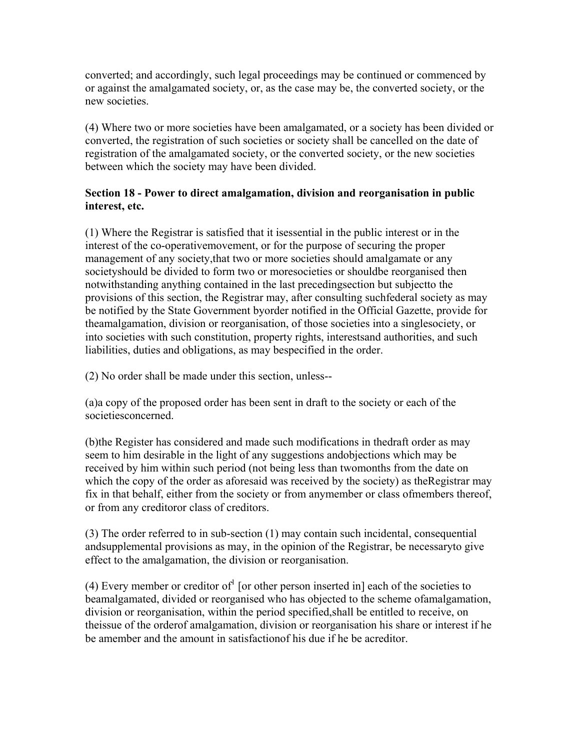converted; and accordingly, such legal proceedings may be continued or commenced by or against the amalgamated society, or, as the case may be, the converted society, or the new societies.

(4) Where two or more societies have been amalgamated, or a society has been divided or converted, the registration of such societies or society shall be cancelled on the date of registration of the amalgamated society, or the converted society, or the new societies between which the society may have been divided.

## **Section 18 - Power to direct amalgamation, division and reorganisation in public interest, etc.**

(1) Where the Registrar is satisfied that it isessential in the public interest or in the interest of the co-operativemovement, or for the purpose of securing the proper management of any society,that two or more societies should amalgamate or any societyshould be divided to form two or moresocieties or shouldbe reorganised then notwithstanding anything contained in the last precedingsection but subjectto the provisions of this section, the Registrar may, after consulting suchfederal society as may be notified by the State Government byorder notified in the Official Gazette, provide for theamalgamation, division or reorganisation, of those societies into a singlesociety, or into societies with such constitution, property rights, interestsand authorities, and such liabilities, duties and obligations, as may bespecified in the order.

(2) No order shall be made under this section, unless--

(a)a copy of the proposed order has been sent in draft to the society or each of the societiesconcerned.

(b)the Register has considered and made such modifications in thedraft order as may seem to him desirable in the light of any suggestions andobjections which may be received by him within such period (not being less than twomonths from the date on which the copy of the order as aforesaid was received by the society) as theRegistrar may fix in that behalf, either from the society or from anymember or class ofmembers thereof, or from any creditoror class of creditors.

(3) The order referred to in sub-section (1) may contain such incidental, consequential andsupplemental provisions as may, in the opinion of the Registrar, be necessaryto give effect to the amalgamation, the division or reorganisation.

(4) Every member or creditor of [or other person inserted in] each of the societies to beamalgamated, divided or reorganised who has objected to the scheme ofamalgamation, division or reorganisation, within the period specified,shall be entitled to receive, on theissue of the orderof amalgamation, division or reorganisation his share or interest if he be amember and the amount in satisfactionof his due if he be acreditor.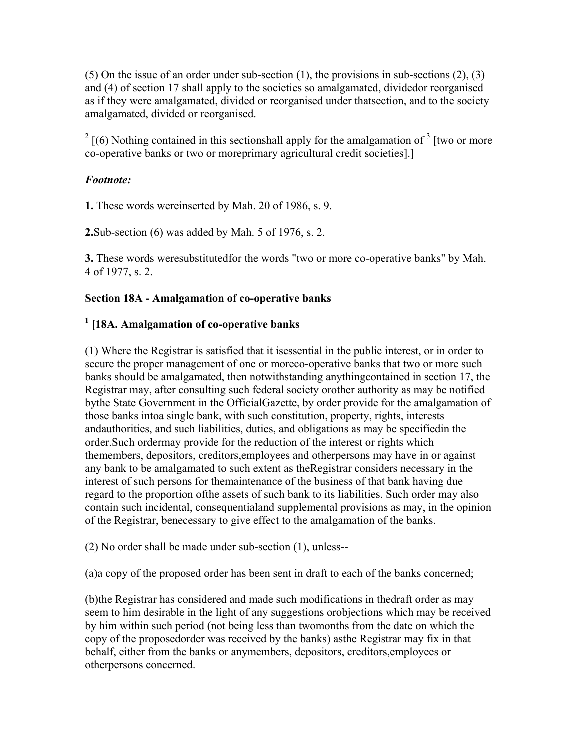(5) On the issue of an order under sub-section  $(1)$ , the provisions in sub-sections  $(2)$ ,  $(3)$ and (4) of section 17 shall apply to the societies so amalgamated, dividedor reorganised as if they were amalgamated, divided or reorganised under thatsection, and to the society amalgamated, divided or reorganised.

 $2\left[(6)$  Nothing contained in this sectionshall apply for the amalgamation of  $3\left[$  two or more co-operative banks or two or moreprimary agricultural credit societies].]

#### *Footnote:*

**1.** These words wereinserted by Mah. 20 of 1986, s. 9.

**2.**Sub-section (6) was added by Mah. 5 of 1976, s. 2.

**3.** These words weresubstitutedfor the words "two or more co-operative banks" by Mah. 4 of 1977, s. 2.

#### **Section 18A - Amalgamation of co-operative banks**

## **1 [18A. Amalgamation of co-operative banks**

(1) Where the Registrar is satisfied that it isessential in the public interest, or in order to secure the proper management of one or moreco-operative banks that two or more such banks should be amalgamated, then notwithstanding anythingcontained in section 17, the Registrar may, after consulting such federal society orother authority as may be notified bythe State Government in the OfficialGazette, by order provide for the amalgamation of those banks intoa single bank, with such constitution, property, rights, interests andauthorities, and such liabilities, duties, and obligations as may be specifiedin the order.Such ordermay provide for the reduction of the interest or rights which themembers, depositors, creditors,employees and otherpersons may have in or against any bank to be amalgamated to such extent as theRegistrar considers necessary in the interest of such persons for themaintenance of the business of that bank having due regard to the proportion ofthe assets of such bank to its liabilities. Such order may also contain such incidental, consequentialand supplemental provisions as may, in the opinion of the Registrar, benecessary to give effect to the amalgamation of the banks.

(2) No order shall be made under sub-section (1), unless--

(a)a copy of the proposed order has been sent in draft to each of the banks concerned;

(b)the Registrar has considered and made such modifications in thedraft order as may seem to him desirable in the light of any suggestions orobjections which may be received by him within such period (not being less than twomonths from the date on which the copy of the proposedorder was received by the banks) asthe Registrar may fix in that behalf, either from the banks or anymembers, depositors, creditors,employees or otherpersons concerned.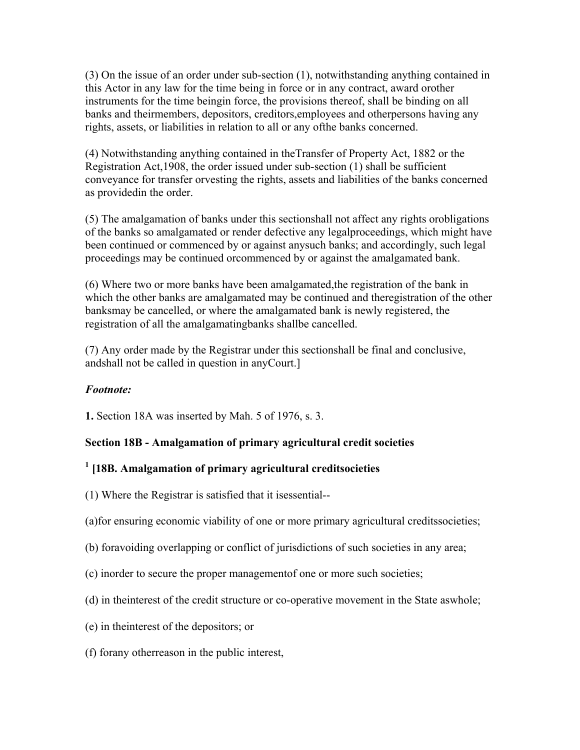(3) On the issue of an order under sub-section (1), notwithstanding anything contained in this Actor in any law for the time being in force or in any contract, award orother instruments for the time beingin force, the provisions thereof, shall be binding on all banks and theirmembers, depositors, creditors,employees and otherpersons having any rights, assets, or liabilities in relation to all or any ofthe banks concerned.

(4) Notwithstanding anything contained in theTransfer of Property Act, 1882 or the Registration Act,1908, the order issued under sub-section (1) shall be sufficient conveyance for transfer orvesting the rights, assets and liabilities of the banks concerned as providedin the order.

(5) The amalgamation of banks under this sectionshall not affect any rights orobligations of the banks so amalgamated or render defective any legalproceedings, which might have been continued or commenced by or against anysuch banks; and accordingly, such legal proceedings may be continued orcommenced by or against the amalgamated bank.

(6) Where two or more banks have been amalgamated,the registration of the bank in which the other banks are amalgamated may be continued and theregistration of the other banksmay be cancelled, or where the amalgamated bank is newly registered, the registration of all the amalgamatingbanks shallbe cancelled.

(7) Any order made by the Registrar under this sectionshall be final and conclusive, andshall not be called in question in anyCourt.]

# *Footnote:*

**1.** Section 18A was inserted by Mah. 5 of 1976, s. 3.

# **Section 18B - Amalgamation of primary agricultural credit societies**

# **1 [18B. Amalgamation of primary agricultural creditsocieties**

- (1) Where the Registrar is satisfied that it isessential--
- (a)for ensuring economic viability of one or more primary agricultural creditssocieties;
- (b) foravoiding overlapping or conflict of jurisdictions of such societies in any area;
- (c) inorder to secure the proper managementof one or more such societies;
- (d) in theinterest of the credit structure or co-operative movement in the State aswhole;
- (e) in theinterest of the depositors; or
- (f) forany otherreason in the public interest,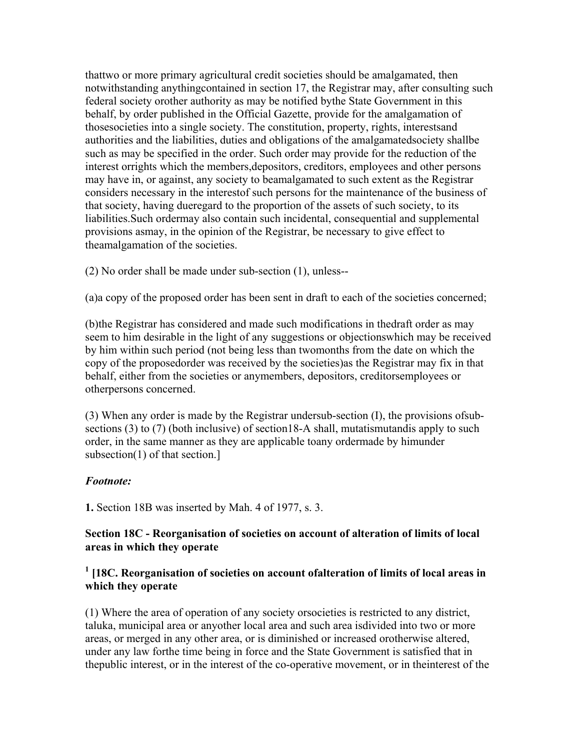thattwo or more primary agricultural credit societies should be amalgamated, then notwithstanding anythingcontained in section 17, the Registrar may, after consulting such federal society orother authority as may be notified bythe State Government in this behalf, by order published in the Official Gazette, provide for the amalgamation of thosesocieties into a single society. The constitution, property, rights, interestsand authorities and the liabilities, duties and obligations of the amalgamatedsociety shallbe such as may be specified in the order. Such order may provide for the reduction of the interest orrights which the members,depositors, creditors, employees and other persons may have in, or against, any society to beamalgamated to such extent as the Registrar considers necessary in the interestof such persons for the maintenance of the business of that society, having dueregard to the proportion of the assets of such society, to its liabilities.Such ordermay also contain such incidental, consequential and supplemental provisions asmay, in the opinion of the Registrar, be necessary to give effect to theamalgamation of the societies.

(2) No order shall be made under sub-section (1), unless--

(a)a copy of the proposed order has been sent in draft to each of the societies concerned;

(b)the Registrar has considered and made such modifications in thedraft order as may seem to him desirable in the light of any suggestions or objectionswhich may be received by him within such period (not being less than twomonths from the date on which the copy of the proposedorder was received by the societies)as the Registrar may fix in that behalf, either from the societies or anymembers, depositors, creditorsemployees or otherpersons concerned.

(3) When any order is made by the Registrar undersub-section (I), the provisions ofsubsections (3) to (7) (both inclusive) of section 18-A shall, mutatismutandis apply to such order, in the same manner as they are applicable toany ordermade by himunder subsection(1) of that section.]

#### *Footnote:*

**1.** Section 18B was inserted by Mah. 4 of 1977, s. 3.

#### **Section 18C - Reorganisation of societies on account of alteration of limits of local areas in which they operate**

## <sup>1</sup> [18C. Reorganisation of societies on account ofalteration of limits of local areas in **which they operate**

(1) Where the area of operation of any society orsocieties is restricted to any district, taluka, municipal area or anyother local area and such area isdivided into two or more areas, or merged in any other area, or is diminished or increased orotherwise altered, under any law forthe time being in force and the State Government is satisfied that in thepublic interest, or in the interest of the co-operative movement, or in theinterest of the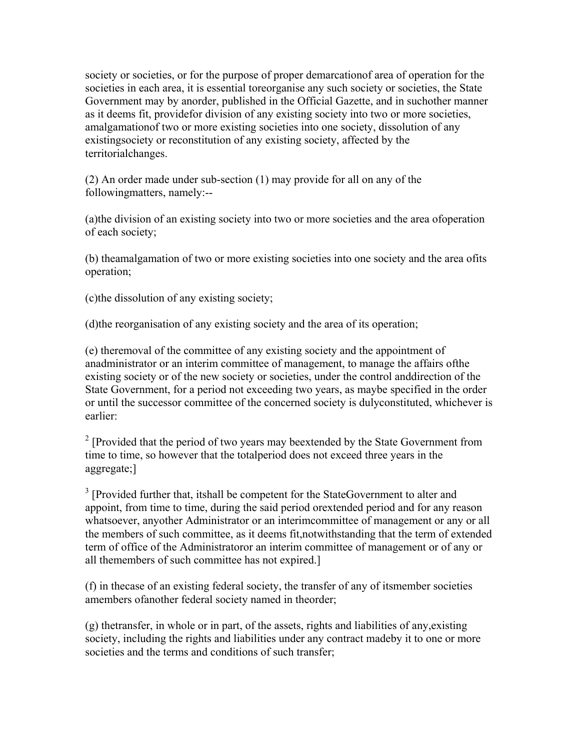society or societies, or for the purpose of proper demarcationof area of operation for the societies in each area, it is essential toreorganise any such society or societies, the State Government may by anorder, published in the Official Gazette, and in suchother manner as it deems fit, providefor division of any existing society into two or more societies, amalgamationof two or more existing societies into one society, dissolution of any existingsociety or reconstitution of any existing society, affected by the territorialchanges.

(2) An order made under sub-section (1) may provide for all on any of the followingmatters, namely:--

(a)the division of an existing society into two or more societies and the area ofoperation of each society;

(b) theamalgamation of two or more existing societies into one society and the area ofits operation;

(c)the dissolution of any existing society;

(d)the reorganisation of any existing society and the area of its operation;

(e) theremoval of the committee of any existing society and the appointment of anadministrator or an interim committee of management, to manage the affairs ofthe existing society or of the new society or societies, under the control anddirection of the State Government, for a period not exceeding two years, as maybe specified in the order or until the successor committee of the concerned society is dulyconstituted, whichever is earlier:

<sup>2</sup> [Provided that the period of two years may beextended by the State Government from time to time, so however that the totalperiod does not exceed three years in the aggregate;]

<sup>3</sup> [Provided further that, itshall be competent for the StateGovernment to alter and appoint, from time to time, during the said period orextended period and for any reason whatsoever, anyother Administrator or an interimcommittee of management or any or all the members of such committee, as it deems fit,notwithstanding that the term of extended term of office of the Administratoror an interim committee of management or of any or all themembers of such committee has not expired.]

(f) in thecase of an existing federal society, the transfer of any of itsmember societies amembers ofanother federal society named in theorder;

 $(g)$  thetransfer, in whole or in part, of the assets, rights and liabilities of any, existing society, including the rights and liabilities under any contract madeby it to one or more societies and the terms and conditions of such transfer;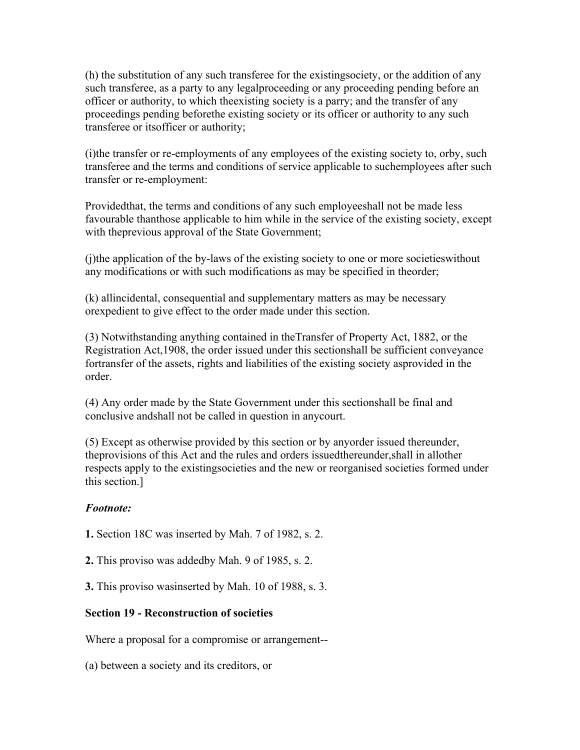(h) the substitution of any such transferee for the existingsociety, or the addition of any such transferee, as a party to any legalproceeding or any proceeding pending before an officer or authority, to which theexisting society is a parry; and the transfer of any proceedings pending beforethe existing society or its officer or authority to any such transferee or itsofficer or authority;

(i)the transfer or re-employments of any employees of the existing society to, orby, such transferee and the terms and conditions of service applicable to suchemployees after such transfer or re-employment:

Providedthat, the terms and conditions of any such employeeshall not be made less favourable thanthose applicable to him while in the service of the existing society, except with theprevious approval of the State Government;

(j)the application of the by-laws of the existing society to one or more societieswithout any modifications or with such modifications as may be specified in theorder;

(k) allincidental, consequential and supplementary matters as may be necessary orexpedient to give effect to the order made under this section.

(3) Notwithstanding anything contained in theTransfer of Property Act, 1882, or the Registration Act,1908, the order issued under this sectionshall be sufficient conveyance fortransfer of the assets, rights and liabilities of the existing society asprovided in the order.

(4) Any order made by the State Government under this sectionshall be final and conclusive andshall not be called in question in anycourt.

(5) Except as otherwise provided by this section or by anyorder issued thereunder, theprovisions of this Act and the rules and orders issuedthereunder,shall in allother respects apply to the existingsocieties and the new or reorganised societies formed under this section.]

## *Footnote:*

**1.** Section 18C was inserted by Mah. 7 of 1982, s. 2.

**2.** This proviso was addedby Mah. 9 of 1985, s. 2.

**3.** This proviso wasinserted by Mah. 10 of 1988, s. 3.

## **Section 19 - Reconstruction of societies**

Where a proposal for a compromise or arrangement--

(a) between a society and its creditors, or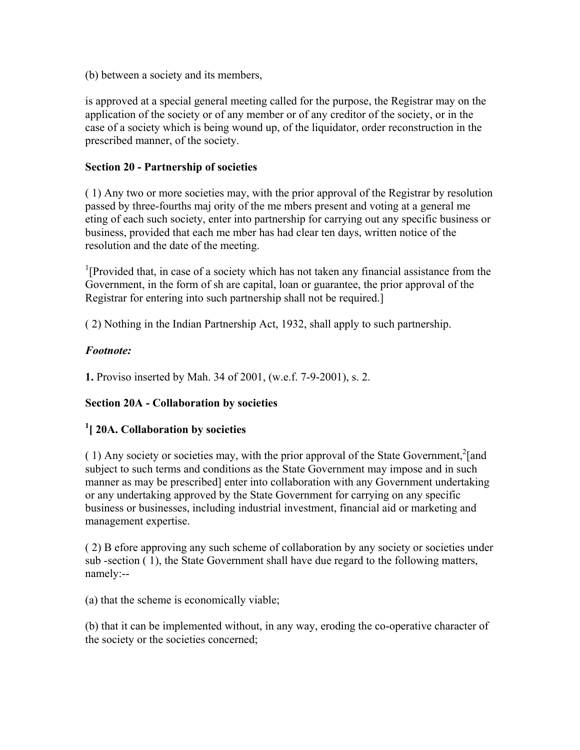(b) between a society and its members,

is approved at a special general meeting called for the purpose, the Registrar may on the application of the society or of any member or of any creditor of the society, or in the case of a society which is being wound up, of the liquidator, order reconstruction in the prescribed manner, of the society.

#### **Section 20 - Partnership of societies**

( 1) Any two or more societies may, with the prior approval of the Registrar by resolution passed by three-fourths maj ority of the me mbers present and voting at a general me eting of each such society, enter into partnership for carrying out any specific business or business, provided that each me mber has had clear ten days, written notice of the resolution and the date of the meeting.

<sup>1</sup>[Provided that, in case of a society which has not taken any financial assistance from the Government, in the form of sh are capital, loan or guarantee, the prior approval of the Registrar for entering into such partnership shall not be required.]

( 2) Nothing in the Indian Partnership Act, 1932, shall apply to such partnership.

## *Footnote:*

**1.** Proviso inserted by Mah. 34 of 2001, (w.e.f. 7-9-2001), s. 2.

## **Section 20A - Collaboration by societies**

## **1 [ 20A. Collaboration by societies**

(1) Any society or societies may, with the prior approval of the State Government,<sup>2</sup>[and subject to such terms and conditions as the State Government may impose and in such manner as may be prescribed] enter into collaboration with any Government undertaking or any undertaking approved by the State Government for carrying on any specific business or businesses, including industrial investment, financial aid or marketing and management expertise.

( 2) B efore approving any such scheme of collaboration by any society or societies under sub -section ( 1), the State Government shall have due regard to the following matters, namely:--

(a) that the scheme is economically viable;

(b) that it can be implemented without, in any way, eroding the co-operative character of the society or the societies concerned;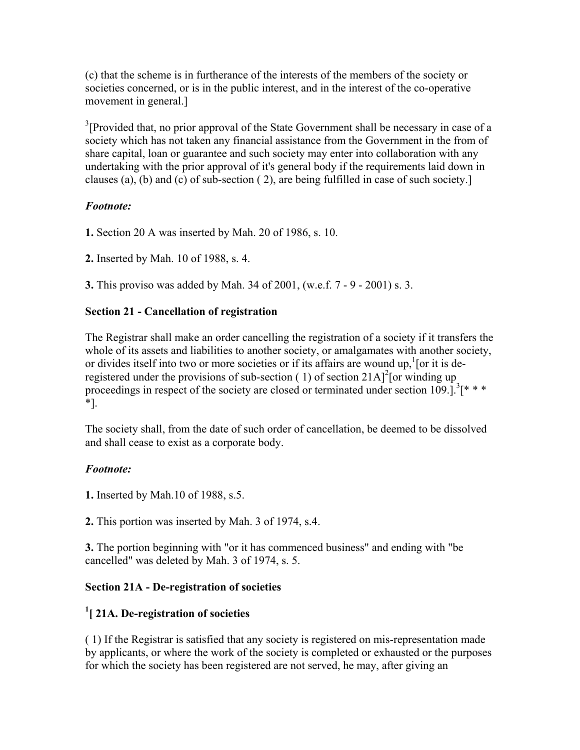(c) that the scheme is in furtherance of the interests of the members of the society or societies concerned, or is in the public interest, and in the interest of the co-operative movement in general.]

 $3$ [Provided that, no prior approval of the State Government shall be necessary in case of a society which has not taken any financial assistance from the Government in the from of share capital, loan or guarantee and such society may enter into collaboration with any undertaking with the prior approval of it's general body if the requirements laid down in clauses (a), (b) and (c) of sub-section ( 2), are being fulfilled in case of such society.]

## *Footnote:*

**1.** Section 20 A was inserted by Mah. 20 of 1986, s. 10.

**2.** Inserted by Mah. 10 of 1988, s. 4.

**3.** This proviso was added by Mah. 34 of 2001, (w.e.f. 7 - 9 - 2001) s. 3.

## **Section 21 - Cancellation of registration**

The Registrar shall make an order cancelling the registration of a society if it transfers the whole of its assets and liabilities to another society, or amalgamates with another society, or divides itself into two or more societies or if its affairs are wound up,  $\frac{1}{1}$  or it is deregistered under the provisions of sub-section (1) of section  $21A$ <sup>2</sup> [or winding up proceedings in respect of the society are closed or terminated under section  $109$ .]<sup>3</sup>[\* \* \* \*].

The society shall, from the date of such order of cancellation, be deemed to be dissolved and shall cease to exist as a corporate body.

# *Footnote:*

**1.** Inserted by Mah.10 of 1988, s.5.

**2.** This portion was inserted by Mah. 3 of 1974, s.4.

**3.** The portion beginning with "or it has commenced business" and ending with "be cancelled" was deleted by Mah. 3 of 1974, s. 5.

## **Section 21A - De-registration of societies**

# **1 [ 21A. De-registration of societies**

( 1) If the Registrar is satisfied that any society is registered on mis-representation made by applicants, or where the work of the society is completed or exhausted or the purposes for which the society has been registered are not served, he may, after giving an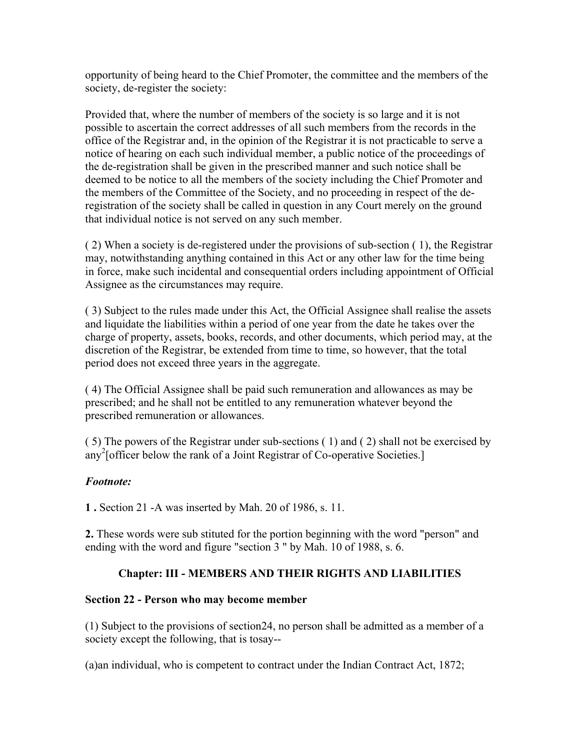opportunity of being heard to the Chief Promoter, the committee and the members of the society, de-register the society:

Provided that, where the number of members of the society is so large and it is not possible to ascertain the correct addresses of all such members from the records in the office of the Registrar and, in the opinion of the Registrar it is not practicable to serve a notice of hearing on each such individual member, a public notice of the proceedings of the de-registration shall be given in the prescribed manner and such notice shall be deemed to be notice to all the members of the society including the Chief Promoter and the members of the Committee of the Society, and no proceeding in respect of the deregistration of the society shall be called in question in any Court merely on the ground that individual notice is not served on any such member.

( 2) When a society is de-registered under the provisions of sub-section ( 1), the Registrar may, notwithstanding anything contained in this Act or any other law for the time being in force, make such incidental and consequential orders including appointment of Official Assignee as the circumstances may require.

( 3) Subject to the rules made under this Act, the Official Assignee shall realise the assets and liquidate the liabilities within a period of one year from the date he takes over the charge of property, assets, books, records, and other documents, which period may, at the discretion of the Registrar, be extended from time to time, so however, that the total period does not exceed three years in the aggregate.

( 4) The Official Assignee shall be paid such remuneration and allowances as may be prescribed; and he shall not be entitled to any remuneration whatever beyond the prescribed remuneration or allowances.

( 5) The powers of the Registrar under sub-sections ( 1) and ( 2) shall not be exercised by any2 [officer below the rank of a Joint Registrar of Co-operative Societies.]

## *Footnote:*

**1 .** Section 21 -A was inserted by Mah. 20 of 1986, s. 11.

**2.** These words were sub stituted for the portion beginning with the word "person" and ending with the word and figure "section 3 " by Mah. 10 of 1988, s. 6.

# **Chapter: III - MEMBERS AND THEIR RIGHTS AND LIABILITIES**

#### **Section 22 - Person who may become member**

(1) Subject to the provisions of section24, no person shall be admitted as a member of a society except the following, that is tosay--

(a)an individual, who is competent to contract under the Indian Contract Act, 1872;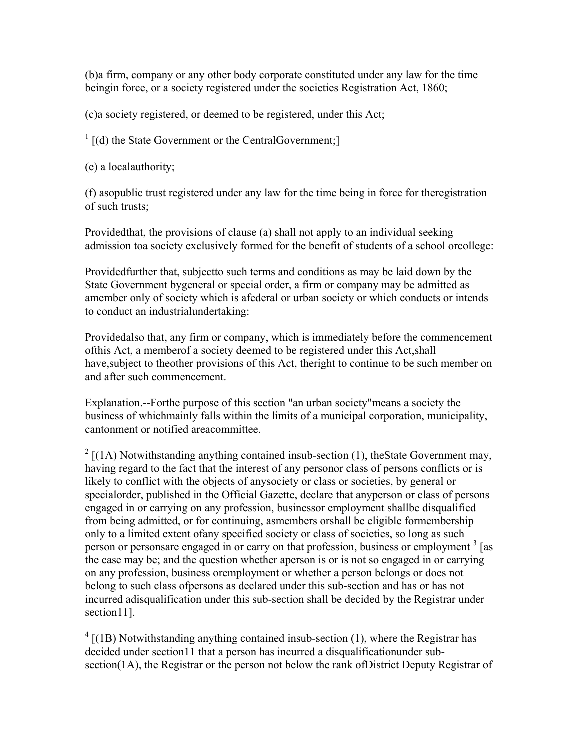(b)a firm, company or any other body corporate constituted under any law for the time beingin force, or a society registered under the societies Registration Act, 1860;

(c)a society registered, or deemed to be registered, under this Act;

 $\frac{1}{1}$  [(d) the State Government or the CentralGovernment;]

(e) a localauthority;

(f) asopublic trust registered under any law for the time being in force for theregistration of such trusts;

Providedthat, the provisions of clause (a) shall not apply to an individual seeking admission toa society exclusively formed for the benefit of students of a school orcollege:

Providedfurther that, subjectto such terms and conditions as may be laid down by the State Government bygeneral or special order, a firm or company may be admitted as amember only of society which is afederal or urban society or which conducts or intends to conduct an industrialundertaking:

Providedalso that, any firm or company, which is immediately before the commencement ofthis Act, a memberof a society deemed to be registered under this Act,shall have,subject to theother provisions of this Act, theright to continue to be such member on and after such commencement.

Explanation.--Forthe purpose of this section "an urban society"means a society the business of whichmainly falls within the limits of a municipal corporation, municipality, cantonment or notified areacommittee.

 $2 \left[ (1A)$  Notwithstanding anything contained insub-section (1), the State Government may, having regard to the fact that the interest of any personor class of persons conflicts or is likely to conflict with the objects of anysociety or class or societies, by general or specialorder, published in the Official Gazette, declare that anyperson or class of persons engaged in or carrying on any profession, businessor employment shallbe disqualified from being admitted, or for continuing, asmembers orshall be eligible formembership only to a limited extent ofany specified society or class of societies, so long as such person or personsare engaged in or carry on that profession, business or employment<sup>3</sup> [as the case may be; and the question whether aperson is or is not so engaged in or carrying on any profession, business oremployment or whether a person belongs or does not belong to such class ofpersons as declared under this sub-section and has or has not incurred adisqualification under this sub-section shall be decided by the Registrar under section<sub>11</sub>.

 $4$  [(1B) Notwithstanding anything contained insub-section (1), where the Registrar has decided under section11 that a person has incurred a disqualificationunder subsection(1A), the Registrar or the person not below the rank ofDistrict Deputy Registrar of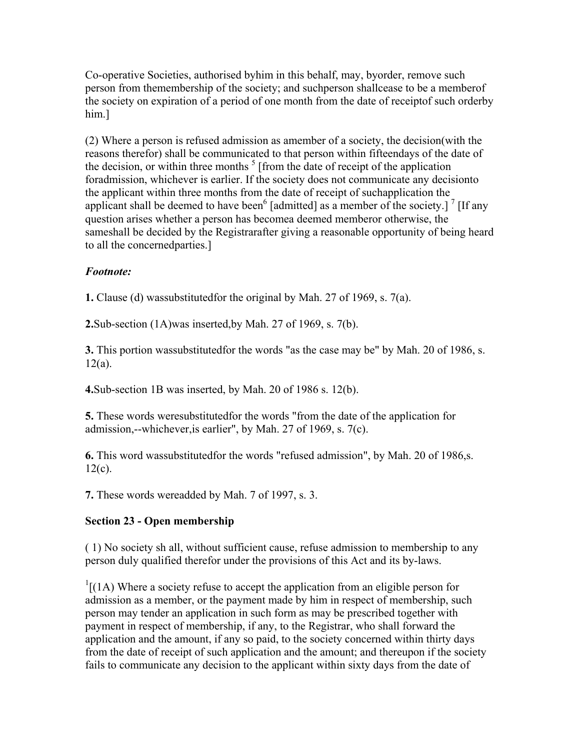Co-operative Societies, authorised byhim in this behalf, may, byorder, remove such person from themembership of the society; and suchperson shallcease to be a memberof the society on expiration of a period of one month from the date of receiptof such orderby him.]

(2) Where a person is refused admission as amember of a society, the decision(with the reasons therefor) shall be communicated to that person within fifteendays of the date of the decision, or within three months  $<sup>5</sup>$  [from the date of receipt of the application</sup> foradmission, whichever is earlier. If the society does not communicate any decisionto the applicant within three months from the date of receipt of suchapplication the applicant shall be deemed to have been<sup>6</sup> [admitted] as a member of the society.]  $\frac{7}{1}$  [If any question arises whether a person has becomea deemed memberor otherwise, the sameshall be decided by the Registrarafter giving a reasonable opportunity of being heard to all the concernedparties.]

## *Footnote:*

**1.** Clause (d) wassubstitutedfor the original by Mah. 27 of 1969, s. 7(a).

**2.**Sub-section (1A)was inserted,by Mah. 27 of 1969, s. 7(b).

**3.** This portion wassubstitutedfor the words "as the case may be" by Mah. 20 of 1986, s.  $12(a)$ .

**4.**Sub-section 1B was inserted, by Mah. 20 of 1986 s. 12(b).

**5.** These words weresubstitutedfor the words "from the date of the application for admission,--whichever,is earlier", by Mah. 27 of 1969, s. 7(c).

**6.** This word wassubstitutedfor the words "refused admission", by Mah. 20 of 1986,s.  $12(c)$ .

**7.** These words wereadded by Mah. 7 of 1997, s. 3.

# **Section 23 - Open membership**

( 1) No society sh all, without sufficient cause, refuse admission to membership to any person duly qualified therefor under the provisions of this Act and its by-laws.

 $\frac{1}{1}$ [(1A) Where a society refuse to accept the application from an eligible person for admission as a member, or the payment made by him in respect of membership, such person may tender an application in such form as may be prescribed together with payment in respect of membership, if any, to the Registrar, who shall forward the application and the amount, if any so paid, to the society concerned within thirty days from the date of receipt of such application and the amount; and thereupon if the society fails to communicate any decision to the applicant within sixty days from the date of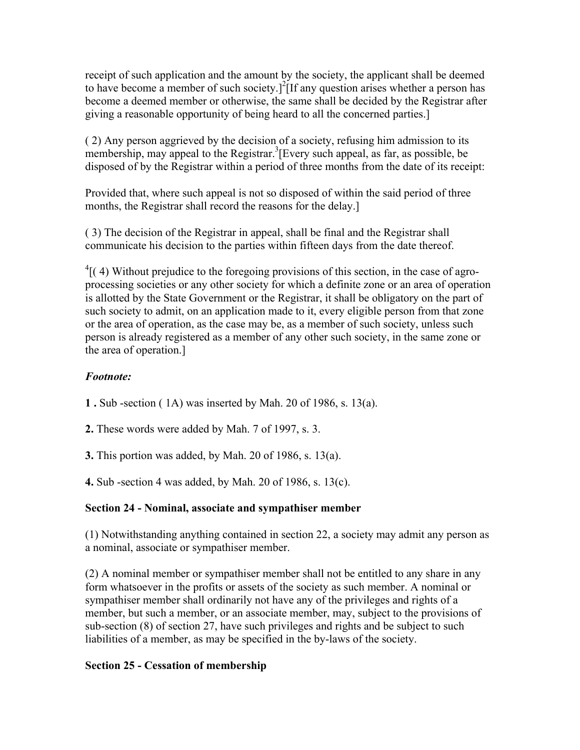receipt of such application and the amount by the society, the applicant shall be deemed to have become a member of such society.<sup>[2]</sup>[If any question arises whether a person has become a deemed member or otherwise, the same shall be decided by the Registrar after giving a reasonable opportunity of being heard to all the concerned parties.]

( 2) Any person aggrieved by the decision of a society, refusing him admission to its membership, may appeal to the Registrar.<sup>3</sup> [Every such appeal, as far, as possible, be disposed of by the Registrar within a period of three months from the date of its receipt:

Provided that, where such appeal is not so disposed of within the said period of three months, the Registrar shall record the reasons for the delay.]

( 3) The decision of the Registrar in appeal, shall be final and the Registrar shall communicate his decision to the parties within fifteen days from the date thereof.

 ${}^{4}$ [(4) Without prejudice to the foregoing provisions of this section, in the case of agroprocessing societies or any other society for which a definite zone or an area of operation is allotted by the State Government or the Registrar, it shall be obligatory on the part of such society to admit, on an application made to it, every eligible person from that zone or the area of operation, as the case may be, as a member of such society, unless such person is already registered as a member of any other such society, in the same zone or the area of operation.]

# *Footnote:*

**1 .** Sub -section ( 1A) was inserted by Mah. 20 of 1986, s. 13(a).

**2.** These words were added by Mah. 7 of 1997, s. 3.

**3.** This portion was added, by Mah. 20 of 1986, s. 13(a).

**4.** Sub -section 4 was added, by Mah. 20 of 1986, s. 13(c).

# **Section 24 - Nominal, associate and sympathiser member**

(1) Notwithstanding anything contained in section 22, a society may admit any person as a nominal, associate or sympathiser member.

(2) A nominal member or sympathiser member shall not be entitled to any share in any form whatsoever in the profits or assets of the society as such member. A nominal or sympathiser member shall ordinarily not have any of the privileges and rights of a member, but such a member, or an associate member, may, subject to the provisions of sub-section (8) of section 27, have such privileges and rights and be subject to such liabilities of a member, as may be specified in the by-laws of the society.

# **Section 25 - Cessation of membership**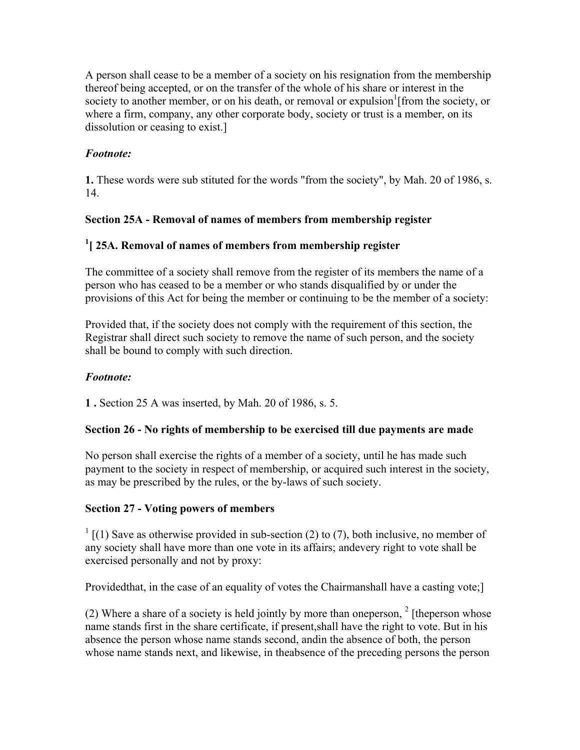A person shall cease to be a member of a society on his resignation from the membership thereof being accepted, or on the transfer of the whole of his share or interest in the society to another member, or on his death, or removal or expulsion<sup>1</sup> [from the society, or where a firm, company, any other corporate body, society or trust is a member, on its dissolution or ceasing to exist.]

# *Footnote:*

**1.** These words were sub stituted for the words "from the society", by Mah. 20 of 1986, s. 14.

## **Section 25A - Removal of names of members from membership register**

# **1 [ 25A. Removal of names of members from membership register**

The committee of a society shall remove from the register of its members the name of a person who has ceased to be a member or who stands disqualified by or under the provisions of this Act for being the member or continuing to be the member of a society:

Provided that, if the society does not comply with the requirement of this section, the Registrar shall direct such society to remove the name of such person, and the society shall be bound to comply with such direction.

## *Footnote:*

**1 .** Section 25 A was inserted, by Mah. 20 of 1986, s. 5.

## **Section 26 - No rights of membership to be exercised till due payments are made**

No person shall exercise the rights of a member of a society, until he has made such payment to the society in respect of membership, or acquired such interest in the society, as may be prescribed by the rules, or the by-laws of such society.

## **Section 27 - Voting powers of members**

 $1$  [(1) Save as otherwise provided in sub-section (2) to (7), both inclusive, no member of any society shall have more than one vote in its affairs; andevery right to vote shall be exercised personally and not by proxy:

Providedthat, in the case of an equality of votes the Chairmanshall have a casting vote;]

(2) Where a share of a society is held jointly by more than one person,  $2 \int$  [the person whose name stands first in the share certificate, if present,shall have the right to vote. But in his absence the person whose name stands second, andin the absence of both, the person whose name stands next, and likewise, in theabsence of the preceding persons the person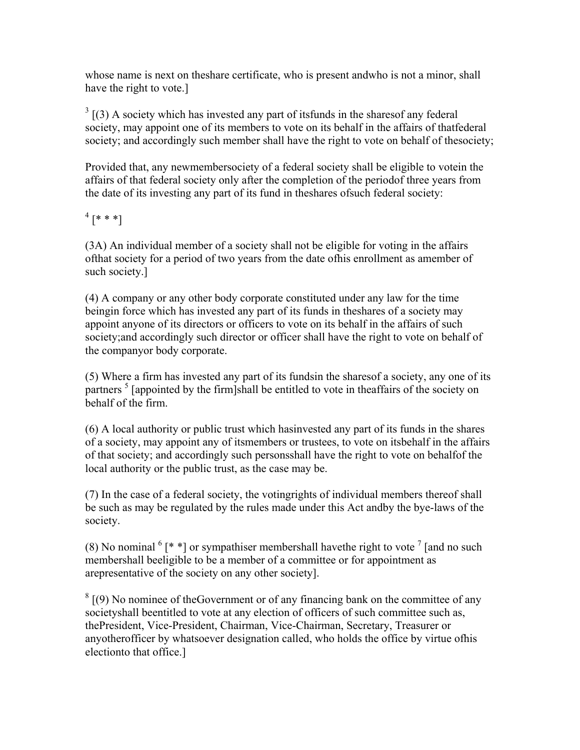whose name is next on theshare certificate, who is present andwho is not a minor, shall have the right to vote.]

 $3$  [(3) A society which has invested any part of its funds in the shares of any federal society, may appoint one of its members to vote on its behalf in the affairs of thatfederal society; and accordingly such member shall have the right to vote on behalf of thesociety;

Provided that, any newmembersociety of a federal society shall be eligible to votein the affairs of that federal society only after the completion of the periodof three years from the date of its investing any part of its fund in theshares ofsuch federal society:

 $^{4}$  [\* \* \*]

(3A) An individual member of a society shall not be eligible for voting in the affairs ofthat society for a period of two years from the date ofhis enrollment as amember of such society.]

(4) A company or any other body corporate constituted under any law for the time beingin force which has invested any part of its funds in theshares of a society may appoint anyone of its directors or officers to vote on its behalf in the affairs of such society;and accordingly such director or officer shall have the right to vote on behalf of the companyor body corporate.

(5) Where a firm has invested any part of its fundsin the sharesof a society, any one of its partners<sup>5</sup> [appointed by the firm]shall be entitled to vote in theaffairs of the society on behalf of the firm.

(6) A local authority or public trust which hasinvested any part of its funds in the shares of a society, may appoint any of itsmembers or trustees, to vote on itsbehalf in the affairs of that society; and accordingly such personsshall have the right to vote on behalfof the local authority or the public trust, as the case may be.

(7) In the case of a federal society, the votingrights of individual members thereof shall be such as may be regulated by the rules made under this Act andby the bye-laws of the society.

(8) No nominal  $\binom{6}{1}$  \* ] or sympathiser membershall have the right to vote  $\binom{7}{1}$  [and no such membershall beeligible to be a member of a committee or for appointment as arepresentative of the society on any other society].

 $8 \mid (9)$  No nominee of the Government or of any financing bank on the committee of any societyshall beentitled to vote at any election of officers of such committee such as, thePresident, Vice-President, Chairman, Vice-Chairman, Secretary, Treasurer or anyotherofficer by whatsoever designation called, who holds the office by virtue ofhis electionto that office.]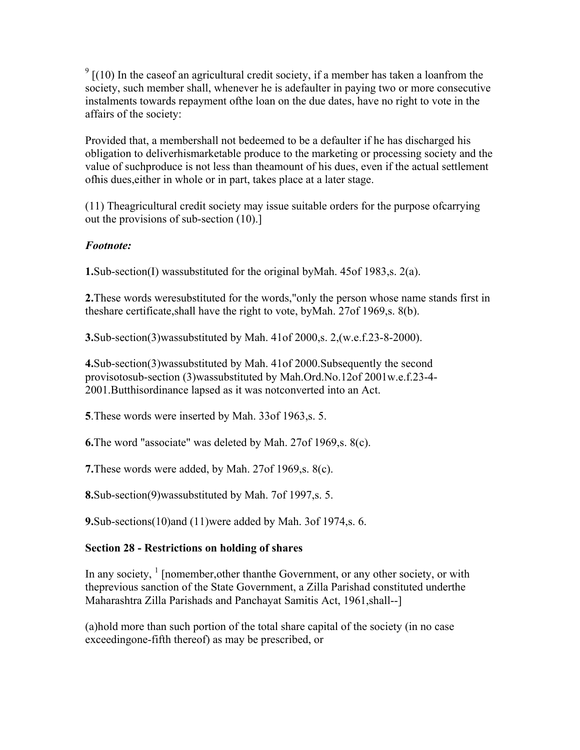$9 \left[ (10) \right]$  In the case of an agricultural credit society, if a member has taken a loanfrom the society, such member shall, whenever he is adefaulter in paying two or more consecutive instalments towards repayment ofthe loan on the due dates, have no right to vote in the affairs of the society:

Provided that, a membershall not bedeemed to be a defaulter if he has discharged his obligation to deliverhismarketable produce to the marketing or processing society and the value of suchproduce is not less than theamount of his dues, even if the actual settlement ofhis dues,either in whole or in part, takes place at a later stage.

(11) Theagricultural credit society may issue suitable orders for the purpose ofcarrying out the provisions of sub-section (10).]

## *Footnote:*

**1.**Sub-section(I) wassubstituted for the original byMah. 45of 1983,s. 2(a).

**2.**These words weresubstituted for the words,"only the person whose name stands first in theshare certificate,shall have the right to vote, byMah. 27of 1969,s. 8(b).

**3.**Sub-section(3)wassubstituted by Mah. 41of 2000,s. 2,(w.e.f.23-8-2000).

**4.**Sub-section(3)wassubstituted by Mah. 41of 2000.Subsequently the second provisotosub-section (3)wassubstituted by Mah.Ord.No.12of 2001w.e.f.23-4- 2001.Butthisordinance lapsed as it was notconverted into an Act.

**5**.These words were inserted by Mah. 33of 1963,s. 5.

**6.**The word "associate" was deleted by Mah. 27of 1969,s. 8(c).

**7.**These words were added, by Mah. 27of 1969,s. 8(c).

**8.**Sub-section(9)wassubstituted by Mah. 7of 1997,s. 5.

**9.**Sub-sections(10)and (11)were added by Mah. 3of 1974,s. 6.

## **Section 28 - Restrictions on holding of shares**

In any society,  $\frac{1}{1}$  [nomember, other than the Government, or any other society, or with theprevious sanction of the State Government, a Zilla Parishad constituted underthe Maharashtra Zilla Parishads and Panchayat Samitis Act, 1961,shall--]

(a)hold more than such portion of the total share capital of the society (in no case exceedingone-fifth thereof) as may be prescribed, or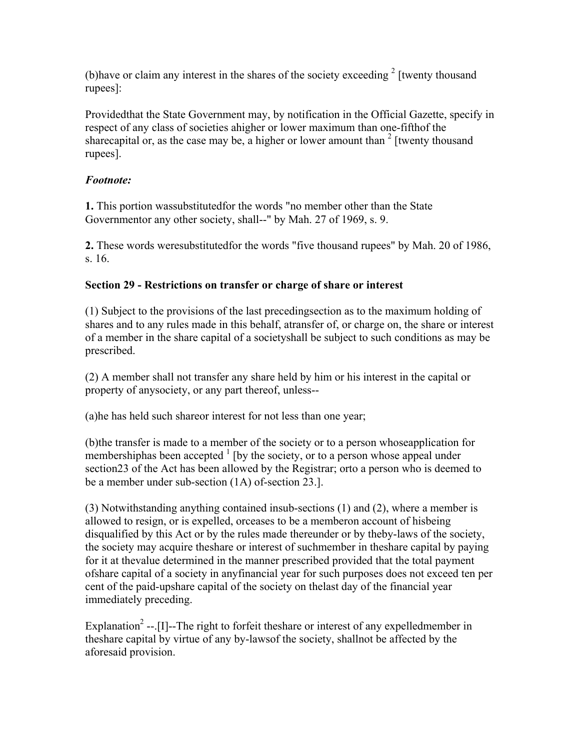(b) have or claim any interest in the shares of the society exceeding  $2$  [twenty thousand rupees]:

Providedthat the State Government may, by notification in the Official Gazette, specify in respect of any class of societies ahigher or lower maximum than one-fifthof the sharecapital or, as the case may be, a higher or lower amount than  $2$  [twenty thousand rupees].

## *Footnote:*

**1.** This portion wassubstitutedfor the words "no member other than the State Governmentor any other society, shall--" by Mah. 27 of 1969, s. 9.

**2.** These words weresubstitutedfor the words "five thousand rupees" by Mah. 20 of 1986, s. 16.

## **Section 29 - Restrictions on transfer or charge of share or interest**

(1) Subject to the provisions of the last precedingsection as to the maximum holding of shares and to any rules made in this behalf, atransfer of, or charge on, the share or interest of a member in the share capital of a societyshall be subject to such conditions as may be prescribed.

(2) A member shall not transfer any share held by him or his interest in the capital or property of anysociety, or any part thereof, unless--

(a)he has held such shareor interest for not less than one year;

(b)the transfer is made to a member of the society or to a person whoseapplication for membershiphas been accepted  $<sup>1</sup>$  [by the society, or to a person whose appeal under</sup> section23 of the Act has been allowed by the Registrar; orto a person who is deemed to be a member under sub-section (1A) of-section 23.].

(3) Notwithstanding anything contained insub-sections (1) and (2), where a member is allowed to resign, or is expelled, orceases to be a memberon account of hisbeing disqualified by this Act or by the rules made thereunder or by theby-laws of the society, the society may acquire theshare or interest of suchmember in theshare capital by paying for it at thevalue determined in the manner prescribed provided that the total payment ofshare capital of a society in anyfinancial year for such purposes does not exceed ten per cent of the paid-upshare capital of the society on thelast day of the financial year immediately preceding.

Explanation<sup>2</sup> --.[I]--The right to forfeit theshare or interest of any expelledmember in theshare capital by virtue of any by-lawsof the society, shallnot be affected by the aforesaid provision.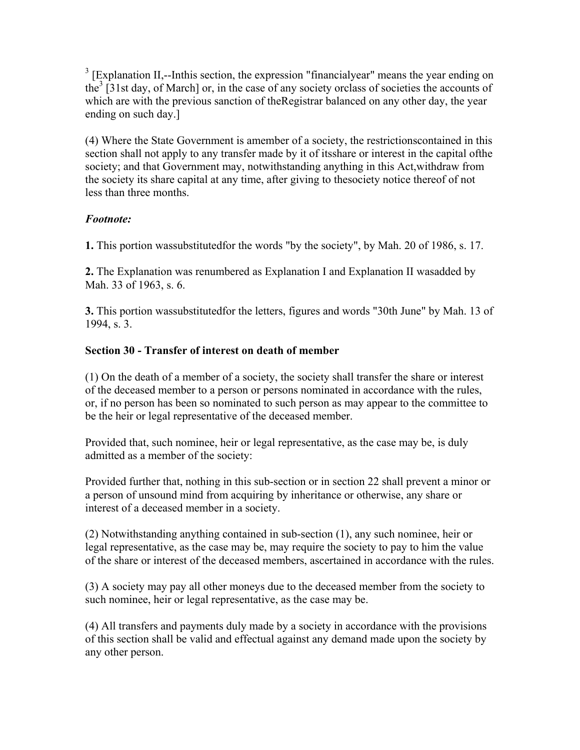$3$  [Explanation II,--Inthis section, the expression "financialyear" means the year ending on the<sup>3</sup> [31st day, of March] or, in the case of any society orclass of societies the accounts of which are with the previous sanction of the Registrar balanced on any other day, the year ending on such day.]

(4) Where the State Government is amember of a society, the restrictionscontained in this section shall not apply to any transfer made by it of itsshare or interest in the capital ofthe society; and that Government may, notwithstanding anything in this Act,withdraw from the society its share capital at any time, after giving to thesociety notice thereof of not less than three months.

# *Footnote:*

**1.** This portion wassubstitutedfor the words "by the society", by Mah. 20 of 1986, s. 17.

**2.** The Explanation was renumbered as Explanation I and Explanation II wasadded by Mah. 33 of 1963, s. 6.

**3.** This portion wassubstitutedfor the letters, figures and words "30th June" by Mah. 13 of 1994, s. 3.

# **Section 30 - Transfer of interest on death of member**

(1) On the death of a member of a society, the society shall transfer the share or interest of the deceased member to a person or persons nominated in accordance with the rules, or, if no person has been so nominated to such person as may appear to the committee to be the heir or legal representative of the deceased member.

Provided that, such nominee, heir or legal representative, as the case may be, is duly admitted as a member of the society:

Provided further that, nothing in this sub-section or in section 22 shall prevent a minor or a person of unsound mind from acquiring by inheritance or otherwise, any share or interest of a deceased member in a society.

(2) Notwithstanding anything contained in sub-section (1), any such nominee, heir or legal representative, as the case may be, may require the society to pay to him the value of the share or interest of the deceased members, ascertained in accordance with the rules.

(3) A society may pay all other moneys due to the deceased member from the society to such nominee, heir or legal representative, as the case may be.

(4) All transfers and payments duly made by a society in accordance with the provisions of this section shall be valid and effectual against any demand made upon the society by any other person.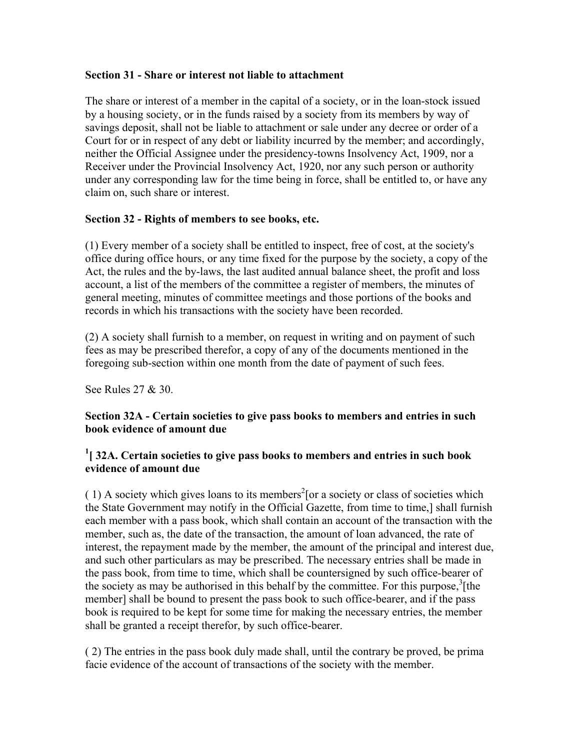#### **Section 31 - Share or interest not liable to attachment**

The share or interest of a member in the capital of a society, or in the loan-stock issued by a housing society, or in the funds raised by a society from its members by way of savings deposit, shall not be liable to attachment or sale under any decree or order of a Court for or in respect of any debt or liability incurred by the member; and accordingly, neither the Official Assignee under the presidency-towns Insolvency Act, 1909, nor a Receiver under the Provincial Insolvency Act, 1920, nor any such person or authority under any corresponding law for the time being in force, shall be entitled to, or have any claim on, such share or interest.

## **Section 32 - Rights of members to see books, etc.**

(1) Every member of a society shall be entitled to inspect, free of cost, at the society's office during office hours, or any time fixed for the purpose by the society, a copy of the Act, the rules and the by-laws, the last audited annual balance sheet, the profit and loss account, a list of the members of the committee a register of members, the minutes of general meeting, minutes of committee meetings and those portions of the books and records in which his transactions with the society have been recorded.

(2) A society shall furnish to a member, on request in writing and on payment of such fees as may be prescribed therefor, a copy of any of the documents mentioned in the foregoing sub-section within one month from the date of payment of such fees.

See Rules 27 & 30.

## **Section 32A - Certain societies to give pass books to members and entries in such book evidence of amount due**

## <sup>1</sup> [ 32A. Certain societies to give pass books to members and entries in such book **evidence of amount due**

 $(1)$  A society which gives loans to its members<sup>2</sup> [or a society or class of societies which the State Government may notify in the Official Gazette, from time to time,] shall furnish each member with a pass book, which shall contain an account of the transaction with the member, such as, the date of the transaction, the amount of loan advanced, the rate of interest, the repayment made by the member, the amount of the principal and interest due, and such other particulars as may be prescribed. The necessary entries shall be made in the pass book, from time to time, which shall be countersigned by such office-bearer of the society as may be authorised in this behalf by the committee. For this purpose, ${}^{3}$ [the member] shall be bound to present the pass book to such office-bearer, and if the pass book is required to be kept for some time for making the necessary entries, the member shall be granted a receipt therefor, by such office-bearer.

( 2) The entries in the pass book duly made shall, until the contrary be proved, be prima facie evidence of the account of transactions of the society with the member.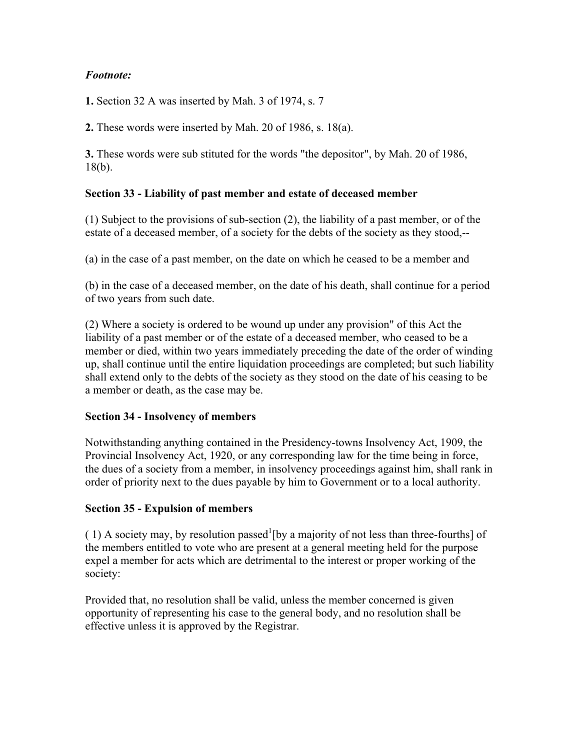## *Footnote:*

**1.** Section 32 A was inserted by Mah. 3 of 1974, s. 7

**2.** These words were inserted by Mah. 20 of 1986, s. 18(a).

**3.** These words were sub stituted for the words "the depositor", by Mah. 20 of 1986, 18(b).

## **Section 33 - Liability of past member and estate of deceased member**

(1) Subject to the provisions of sub-section (2), the liability of a past member, or of the estate of a deceased member, of a society for the debts of the society as they stood,--

(a) in the case of a past member, on the date on which he ceased to be a member and

(b) in the case of a deceased member, on the date of his death, shall continue for a period of two years from such date.

(2) Where a society is ordered to be wound up under any provision" of this Act the liability of a past member or of the estate of a deceased member, who ceased to be a member or died, within two years immediately preceding the date of the order of winding up, shall continue until the entire liquidation proceedings are completed; but such liability shall extend only to the debts of the society as they stood on the date of his ceasing to be a member or death, as the case may be.

## **Section 34 - Insolvency of members**

Notwithstanding anything contained in the Presidency-towns Insolvency Act, 1909, the Provincial Insolvency Act, 1920, or any corresponding law for the time being in force, the dues of a society from a member, in insolvency proceedings against him, shall rank in order of priority next to the dues payable by him to Government or to a local authority.

## **Section 35 - Expulsion of members**

(1) A society may, by resolution passed [by a majority of not less than three-fourths] of the members entitled to vote who are present at a general meeting held for the purpose expel a member for acts which are detrimental to the interest or proper working of the society:

Provided that, no resolution shall be valid, unless the member concerned is given opportunity of representing his case to the general body, and no resolution shall be effective unless it is approved by the Registrar.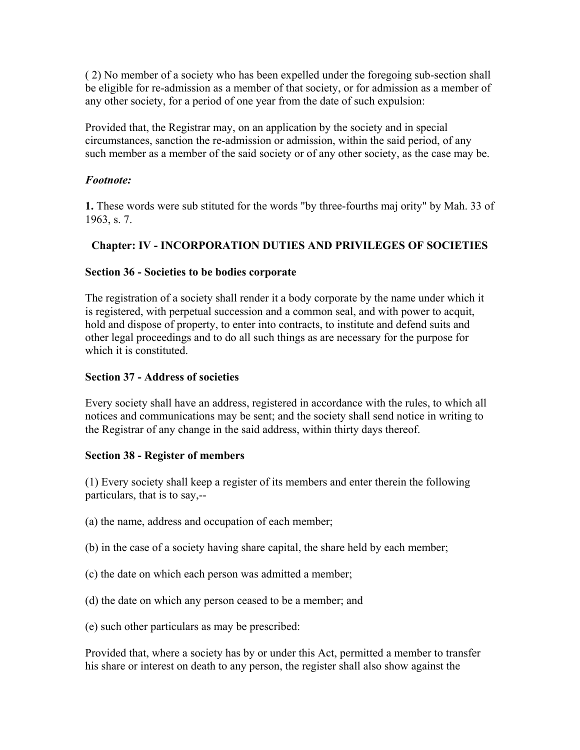( 2) No member of a society who has been expelled under the foregoing sub-section shall be eligible for re-admission as a member of that society, or for admission as a member of any other society, for a period of one year from the date of such expulsion:

Provided that, the Registrar may, on an application by the society and in special circumstances, sanction the re-admission or admission, within the said period, of any such member as a member of the said society or of any other society, as the case may be.

#### *Footnote:*

**1.** These words were sub stituted for the words "by three-fourths maj ority" by Mah. 33 of 1963, s. 7.

## **Chapter: IV - INCORPORATION DUTIES AND PRIVILEGES OF SOCIETIES**

#### **Section 36 - Societies to be bodies corporate**

The registration of a society shall render it a body corporate by the name under which it is registered, with perpetual succession and a common seal, and with power to acquit, hold and dispose of property, to enter into contracts, to institute and defend suits and other legal proceedings and to do all such things as are necessary for the purpose for which it is constituted.

#### **Section 37 - Address of societies**

Every society shall have an address, registered in accordance with the rules, to which all notices and communications may be sent; and the society shall send notice in writing to the Registrar of any change in the said address, within thirty days thereof.

#### **Section 38 - Register of members**

(1) Every society shall keep a register of its members and enter therein the following particulars, that is to say,--

- (a) the name, address and occupation of each member;
- (b) in the case of a society having share capital, the share held by each member;
- (c) the date on which each person was admitted a member;
- (d) the date on which any person ceased to be a member; and
- (e) such other particulars as may be prescribed:

Provided that, where a society has by or under this Act, permitted a member to transfer his share or interest on death to any person, the register shall also show against the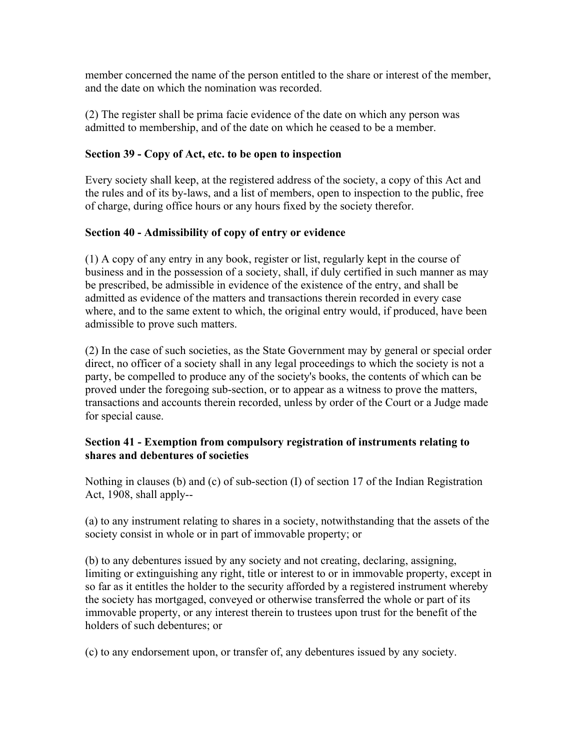member concerned the name of the person entitled to the share or interest of the member, and the date on which the nomination was recorded.

(2) The register shall be prima facie evidence of the date on which any person was admitted to membership, and of the date on which he ceased to be a member.

## **Section 39 - Copy of Act, etc. to be open to inspection**

Every society shall keep, at the registered address of the society, a copy of this Act and the rules and of its by-laws, and a list of members, open to inspection to the public, free of charge, during office hours or any hours fixed by the society therefor.

## **Section 40 - Admissibility of copy of entry or evidence**

(1) A copy of any entry in any book, register or list, regularly kept in the course of business and in the possession of a society, shall, if duly certified in such manner as may be prescribed, be admissible in evidence of the existence of the entry, and shall be admitted as evidence of the matters and transactions therein recorded in every case where, and to the same extent to which, the original entry would, if produced, have been admissible to prove such matters.

(2) In the case of such societies, as the State Government may by general or special order direct, no officer of a society shall in any legal proceedings to which the society is not a party, be compelled to produce any of the society's books, the contents of which can be proved under the foregoing sub-section, or to appear as a witness to prove the matters, transactions and accounts therein recorded, unless by order of the Court or a Judge made for special cause.

## **Section 41 - Exemption from compulsory registration of instruments relating to shares and debentures of societies**

Nothing in clauses (b) and (c) of sub-section (I) of section 17 of the Indian Registration Act, 1908, shall apply--

(a) to any instrument relating to shares in a society, notwithstanding that the assets of the society consist in whole or in part of immovable property; or

(b) to any debentures issued by any society and not creating, declaring, assigning, limiting or extinguishing any right, title or interest to or in immovable property, except in so far as it entitles the holder to the security afforded by a registered instrument whereby the society has mortgaged, conveyed or otherwise transferred the whole or part of its immovable property, or any interest therein to trustees upon trust for the benefit of the holders of such debentures; or

(c) to any endorsement upon, or transfer of, any debentures issued by any society.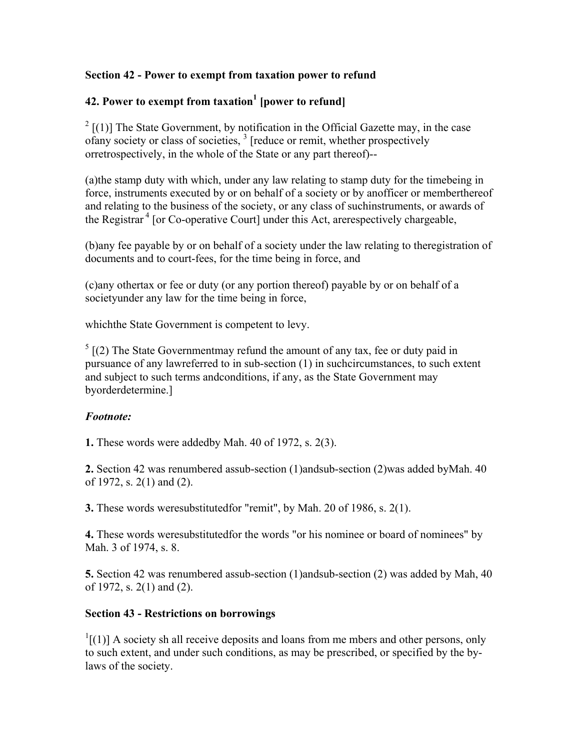## **Section 42 - Power to exempt from taxation power to refund**

# **42. Power to exempt from taxation<sup>1</sup> [power to refund]**

 $2$  [(1)] The State Government, by notification in the Official Gazette may, in the case of any society or class of societies, <sup>3</sup> [reduce or remit, whether prospectively orretrospectively, in the whole of the State or any part thereof)--

(a)the stamp duty with which, under any law relating to stamp duty for the timebeing in force, instruments executed by or on behalf of a society or by anofficer or memberthereof and relating to the business of the society, or any class of suchinstruments, or awards of the Registrar<sup> $4$ </sup> [or Co-operative Court] under this Act, are respectively chargeable,

(b)any fee payable by or on behalf of a society under the law relating to theregistration of documents and to court-fees, for the time being in force, and

(c)any othertax or fee or duty (or any portion thereof) payable by or on behalf of a societyunder any law for the time being in force,

whichthe State Government is competent to levy.

 $5$  [(2) The State Governmentmay refund the amount of any tax, fee or duty paid in pursuance of any lawreferred to in sub-section (1) in suchcircumstances, to such extent and subject to such terms andconditions, if any, as the State Government may byorderdetermine.]

#### *Footnote:*

**1.** These words were addedby Mah. 40 of 1972, s. 2(3).

**2.** Section 42 was renumbered assub-section (1)andsub-section (2)was added byMah. 40 of 1972, s. 2(1) and (2).

**3.** These words weresubstitutedfor "remit", by Mah. 20 of 1986, s. 2(1).

**4.** These words weresubstitutedfor the words "or his nominee or board of nominees" by Mah. 3 of 1974, s. 8.

**5.** Section 42 was renumbered assub-section (1)andsub-section (2) was added by Mah, 40 of 1972, s. 2(1) and (2).

## **Section 43 - Restrictions on borrowings**

 $\frac{1}{1}$ [(1)] A society sh all receive deposits and loans from me mbers and other persons, only to such extent, and under such conditions, as may be prescribed, or specified by the bylaws of the society.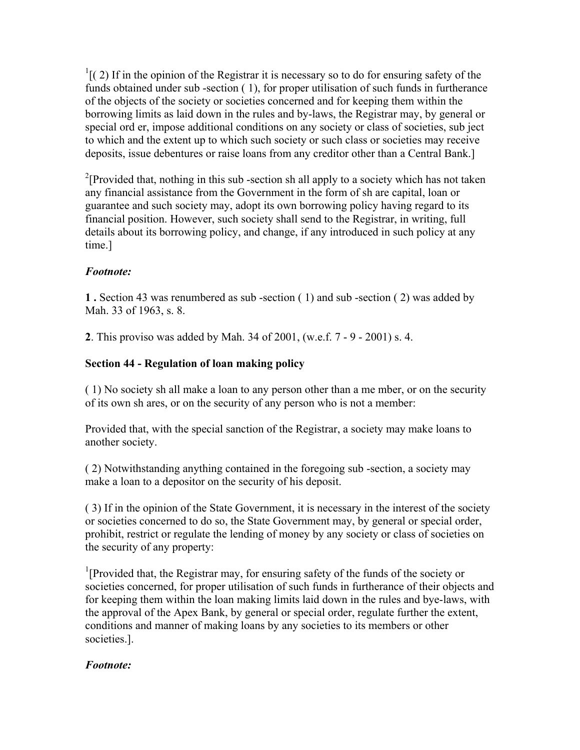$<sup>1</sup>$ [(2) If in the opinion of the Registrar it is necessary so to do for ensuring safety of the</sup> funds obtained under sub -section ( 1), for proper utilisation of such funds in furtherance of the objects of the society or societies concerned and for keeping them within the borrowing limits as laid down in the rules and by-laws, the Registrar may, by general or special ord er, impose additional conditions on any society or class of societies, sub ject to which and the extent up to which such society or such class or societies may receive deposits, issue debentures or raise loans from any creditor other than a Central Bank.]

<sup>2</sup>[Provided that, nothing in this sub-section sh all apply to a society which has not taken any financial assistance from the Government in the form of sh are capital, loan or guarantee and such society may, adopt its own borrowing policy having regard to its financial position. However, such society shall send to the Registrar, in writing, full details about its borrowing policy, and change, if any introduced in such policy at any time.]

# *Footnote:*

**1 .** Section 43 was renumbered as sub -section ( 1) and sub -section ( 2) was added by Mah. 33 of 1963, s. 8.

**2**. This proviso was added by Mah. 34 of 2001, (w.e.f. 7 - 9 - 2001) s. 4.

# **Section 44 - Regulation of loan making policy**

( 1) No society sh all make a loan to any person other than a me mber, or on the security of its own sh ares, or on the security of any person who is not a member:

Provided that, with the special sanction of the Registrar, a society may make loans to another society.

( 2) Notwithstanding anything contained in the foregoing sub -section, a society may make a loan to a depositor on the security of his deposit.

( 3) If in the opinion of the State Government, it is necessary in the interest of the society or societies concerned to do so, the State Government may, by general or special order, prohibit, restrict or regulate the lending of money by any society or class of societies on the security of any property:

<sup>1</sup>[Provided that, the Registrar may, for ensuring safety of the funds of the society or societies concerned, for proper utilisation of such funds in furtherance of their objects and for keeping them within the loan making limits laid down in the rules and bye-laws, with the approval of the Apex Bank, by general or special order, regulate further the extent, conditions and manner of making loans by any societies to its members or other societies.].

# *Footnote:*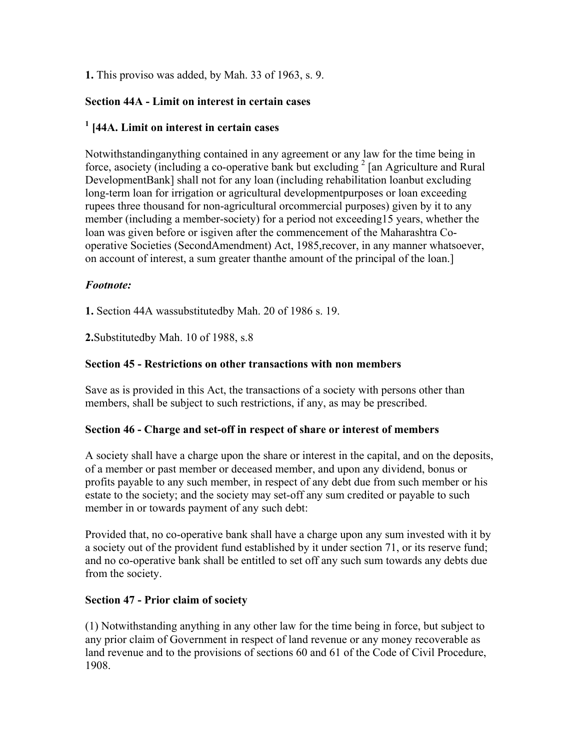**1.** This proviso was added, by Mah. 33 of 1963, s. 9.

## **Section 44A - Limit on interest in certain cases**

# **1 [44A. Limit on interest in certain cases**

Notwithstandinganything contained in any agreement or any law for the time being in force, asociety (including a co-operative bank but excluding  $2 \tan A$  Agriculture and Rural DevelopmentBank] shall not for any loan (including rehabilitation loanbut excluding long-term loan for irrigation or agricultural developmentpurposes or loan exceeding rupees three thousand for non-agricultural orcommercial purposes) given by it to any member (including a member-society) for a period not exceeding15 years, whether the loan was given before or isgiven after the commencement of the Maharashtra Cooperative Societies (SecondAmendment) Act, 1985,recover, in any manner whatsoever, on account of interest, a sum greater thanthe amount of the principal of the loan.]

### *Footnote:*

**1.** Section 44A wassubstitutedby Mah. 20 of 1986 s. 19.

**2.**Substitutedby Mah. 10 of 1988, s.8

### **Section 45 - Restrictions on other transactions with non members**

Save as is provided in this Act, the transactions of a society with persons other than members, shall be subject to such restrictions, if any, as may be prescribed.

### **Section 46 - Charge and set-off in respect of share or interest of members**

A society shall have a charge upon the share or interest in the capital, and on the deposits, of a member or past member or deceased member, and upon any dividend, bonus or profits payable to any such member, in respect of any debt due from such member or his estate to the society; and the society may set-off any sum credited or payable to such member in or towards payment of any such debt:

Provided that, no co-operative bank shall have a charge upon any sum invested with it by a society out of the provident fund established by it under section 71, or its reserve fund; and no co-operative bank shall be entitled to set off any such sum towards any debts due from the society.

### **Section 47 - Prior claim of society**

(1) Notwithstanding anything in any other law for the time being in force, but subject to any prior claim of Government in respect of land revenue or any money recoverable as land revenue and to the provisions of sections 60 and 61 of the Code of Civil Procedure, 1908.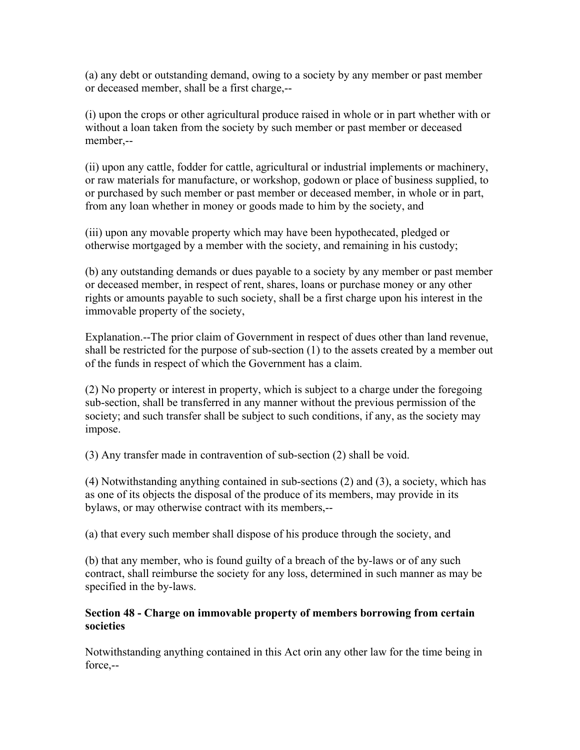(a) any debt or outstanding demand, owing to a society by any member or past member or deceased member, shall be a first charge,--

(i) upon the crops or other agricultural produce raised in whole or in part whether with or without a loan taken from the society by such member or past member or deceased member,--

(ii) upon any cattle, fodder for cattle, agricultural or industrial implements or machinery, or raw materials for manufacture, or workshop, godown or place of business supplied, to or purchased by such member or past member or deceased member, in whole or in part, from any loan whether in money or goods made to him by the society, and

(iii) upon any movable property which may have been hypothecated, pledged or otherwise mortgaged by a member with the society, and remaining in his custody;

(b) any outstanding demands or dues payable to a society by any member or past member or deceased member, in respect of rent, shares, loans or purchase money or any other rights or amounts payable to such society, shall be a first charge upon his interest in the immovable property of the society,

Explanation.--The prior claim of Government in respect of dues other than land revenue, shall be restricted for the purpose of sub-section (1) to the assets created by a member out of the funds in respect of which the Government has a claim.

(2) No property or interest in property, which is subject to a charge under the foregoing sub-section, shall be transferred in any manner without the previous permission of the society; and such transfer shall be subject to such conditions, if any, as the society may impose.

(3) Any transfer made in contravention of sub-section (2) shall be void.

(4) Notwithstanding anything contained in sub-sections (2) and (3), a society, which has as one of its objects the disposal of the produce of its members, may provide in its bylaws, or may otherwise contract with its members,--

(a) that every such member shall dispose of his produce through the society, and

(b) that any member, who is found guilty of a breach of the by-laws or of any such contract, shall reimburse the society for any loss, determined in such manner as may be specified in the by-laws.

### **Section 48 - Charge on immovable property of members borrowing from certain societies**

Notwithstanding anything contained in this Act orin any other law for the time being in force,--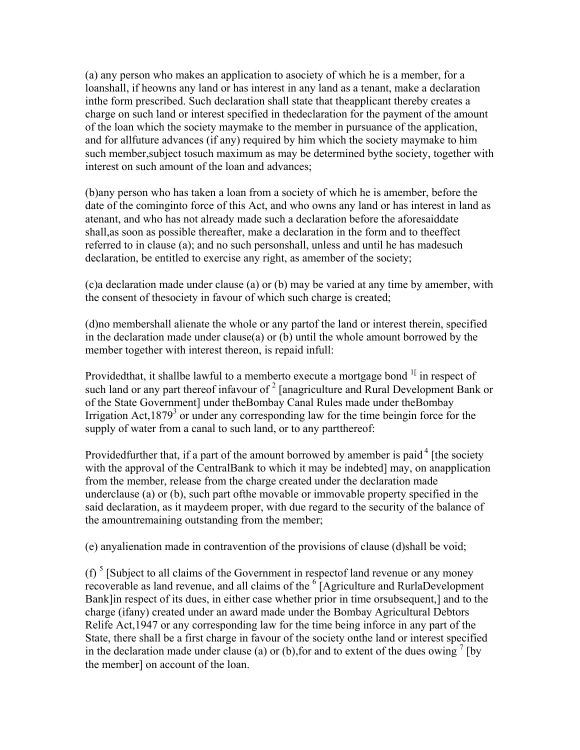(a) any person who makes an application to asociety of which he is a member, for a loanshall, if heowns any land or has interest in any land as a tenant, make a declaration inthe form prescribed. Such declaration shall state that theapplicant thereby creates a charge on such land or interest specified in thedeclaration for the payment of the amount of the loan which the society maymake to the member in pursuance of the application, and for allfuture advances (if any) required by him which the society maymake to him such member,subject tosuch maximum as may be determined bythe society, together with interest on such amount of the loan and advances;

(b)any person who has taken a loan from a society of which he is amember, before the date of the cominginto force of this Act, and who owns any land or has interest in land as atenant, and who has not already made such a declaration before the aforesaiddate shall,as soon as possible thereafter, make a declaration in the form and to theeffect referred to in clause (a); and no such personshall, unless and until he has madesuch declaration, be entitled to exercise any right, as amember of the society;

(c)a declaration made under clause (a) or (b) may be varied at any time by amember, with the consent of thesociety in favour of which such charge is created;

(d)no membershall alienate the whole or any partof the land or interest therein, specified in the declaration made under clause(a) or (b) until the whole amount borrowed by the member together with interest thereon, is repaid infull:

Providedthat, it shallbe lawful to a memberto execute a mortgage bond <sup>1[</sup> in respect of such land or any part thereof infavour of  $2 \frac{2}{\pi}$  [anagriculture and Rural Development Bank or of the State Government] under theBombay Canal Rules made under theBombay Irrigation Act,  $1879<sup>3</sup>$  or under any corresponding law for the time beingin force for the supply of water from a canal to such land, or to any partthereof:

Provided further that, if a part of the amount borrowed by amember is paid  $4$  [the society with the approval of the CentralBank to which it may be indebted] may, on anapplication from the member, release from the charge created under the declaration made underclause (a) or (b), such part ofthe movable or immovable property specified in the said declaration, as it maydeem proper, with due regard to the security of the balance of the amountremaining outstanding from the member;

(e) anyalienation made in contravention of the provisions of clause (d)shall be void;

(f)  $<sup>5</sup>$  [Subject to all claims of the Government in respectof land revenue or any money</sup> recoverable as land revenue, and all claims of the  $6$  [Agriculture and RurlaDevelopment Bank]in respect of its dues, in either case whether prior in time orsubsequent,] and to the charge (ifany) created under an award made under the Bombay Agricultural Debtors Relife Act,1947 or any corresponding law for the time being inforce in any part of the State, there shall be a first charge in favour of the society onthe land or interest specified in the declaration made under clause (a) or (b), for and to extent of the dues owing  $\frac{7}{1}$  [by the member] on account of the loan.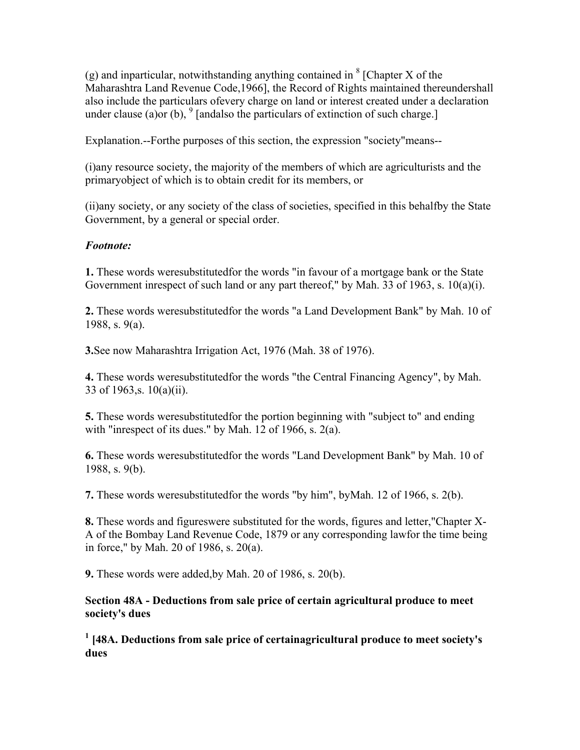(g) and inparticular, notwithstanding anything contained in  $8$  [Chapter X of the Maharashtra Land Revenue Code,1966], the Record of Rights maintained thereundershall also include the particulars ofevery charge on land or interest created under a declaration under clause (a)or (b),  $^{9}$  [andalso the particulars of extinction of such charge.]

Explanation.--Forthe purposes of this section, the expression "society"means--

(i)any resource society, the majority of the members of which are agriculturists and the primaryobject of which is to obtain credit for its members, or

(ii)any society, or any society of the class of societies, specified in this behalfby the State Government, by a general or special order.

#### *Footnote:*

**1.** These words weresubstitutedfor the words "in favour of a mortgage bank or the State Government inrespect of such land or any part thereof," by Mah. 33 of 1963, s. 10(a)(i).

**2.** These words weresubstitutedfor the words "a Land Development Bank" by Mah. 10 of 1988, s. 9(a).

**3.**See now Maharashtra Irrigation Act, 1976 (Mah. 38 of 1976).

**4.** These words weresubstitutedfor the words "the Central Financing Agency", by Mah. 33 of 1963,s. 10(a)(ii).

**5.** These words weresubstitutedfor the portion beginning with "subject to" and ending with "inrespect of its dues." by Mah. 12 of 1966, s. 2(a).

**6.** These words weresubstitutedfor the words "Land Development Bank" by Mah. 10 of 1988, s. 9(b).

**7.** These words weresubstitutedfor the words "by him", byMah. 12 of 1966, s. 2(b).

**8.** These words and figureswere substituted for the words, figures and letter,"Chapter X-A of the Bombay Land Revenue Code, 1879 or any corresponding lawfor the time being in force," by Mah. 20 of 1986, s. 20(a).

**9.** These words were added,by Mah. 20 of 1986, s. 20(b).

**Section 48A - Deductions from sale price of certain agricultural produce to meet society's dues**

<sup>1</sup> [48A. Deductions from sale price of certainagricultural produce to meet society's **dues**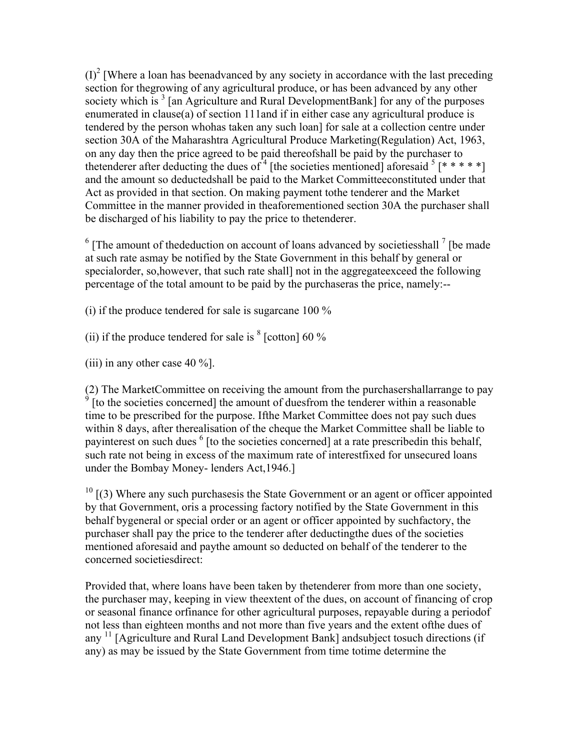$(I)^2$  [Where a loan has beenadvanced by any society in accordance with the last preceding section for thegrowing of any agricultural produce, or has been advanced by any other society which is  $3 \text{ [an Agriculture and Rural DevelopmentBank]}$  for any of the purposes enumerated in clause(a) of section 111and if in either case any agricultural produce is tendered by the person whohas taken any such loan] for sale at a collection centre under section 30A of the Maharashtra Agricultural Produce Marketing(Regulation) Act, 1963, on any day then the price agreed to be paid thereofshall be paid by the purchaser to thetenderer after deducting the dues of  $4$  [the societies mentioned] aforesaid  $5$  [\* \* \* \* \*] and the amount so deductedshall be paid to the Market Committeeconstituted under that Act as provided in that section. On making payment tothe tenderer and the Market Committee in the manner provided in theaforementioned section 30A the purchaser shall be discharged of his liability to pay the price to thetenderer.

 $6$  [The amount of thededuction on account of loans advanced by societiesshall  $<sup>7</sup>$  [be made</sup> at such rate asmay be notified by the State Government in this behalf by general or specialorder, so,however, that such rate shall] not in the aggregateexceed the following percentage of the total amount to be paid by the purchaseras the price, namely:--

(i) if the produce tendered for sale is sugarcane 100 %

(ii) if the produce tendered for sale is  $8$  [cotton] 60 %

(iii) in any other case  $40\%$ ].

(2) The MarketCommittee on receiving the amount from the purchasershallarrange to pay  $\frac{9}{2}$  Ito the societies concerned the amount of duce from the tondorer within a reasonable [to the societies concerned] the amount of duesfrom the tenderer within a reasonable time to be prescribed for the purpose. Ifthe Market Committee does not pay such dues within 8 days, after therealisation of the cheque the Market Committee shall be liable to payinterest on such dues <sup>6</sup> [to the societies concerned] at a rate prescribedin this behalf, such rate not being in excess of the maximum rate of interestfixed for unsecured loans under the Bombay Money- lenders Act,1946.]

 $10$  [(3) Where any such purchases the State Government or an agent or officer appointed by that Government, oris a processing factory notified by the State Government in this behalf bygeneral or special order or an agent or officer appointed by suchfactory, the purchaser shall pay the price to the tenderer after deductingthe dues of the societies mentioned aforesaid and paythe amount so deducted on behalf of the tenderer to the concerned societiesdirect:

Provided that, where loans have been taken by thetenderer from more than one society, the purchaser may, keeping in view theextent of the dues, on account of financing of crop or seasonal finance orfinance for other agricultural purposes, repayable during a periodof not less than eighteen months and not more than five years and the extent ofthe dues of any 11 [Agriculture and Rural Land Development Bank] andsubject tosuch directions (if any) as may be issued by the State Government from time totime determine the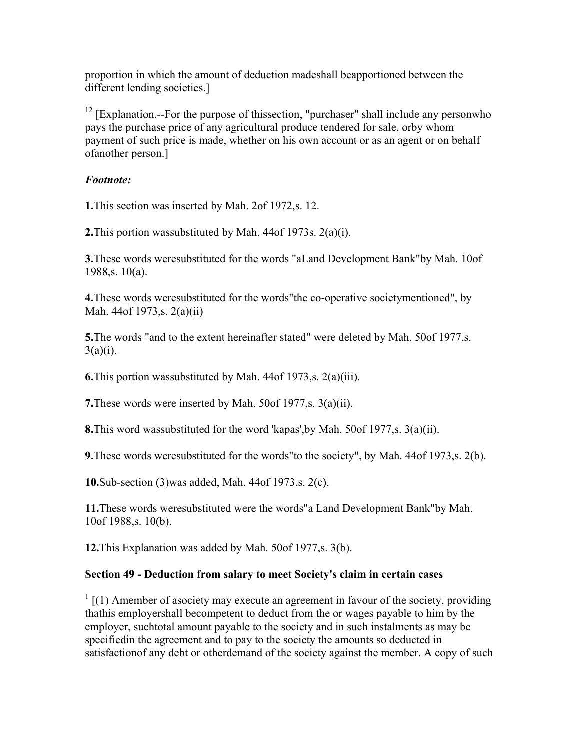proportion in which the amount of deduction madeshall beapportioned between the different lending societies.]

<sup>12</sup> [Explanation.--For the purpose of thissection, "purchaser" shall include any personwho pays the purchase price of any agricultural produce tendered for sale, orby whom payment of such price is made, whether on his own account or as an agent or on behalf ofanother person.]

#### *Footnote:*

**1.**This section was inserted by Mah. 2of 1972,s. 12.

**2.**This portion wassubstituted by Mah. 44of 1973s. 2(a)(i).

**3.**These words weresubstituted for the words "aLand Development Bank"by Mah. 10of 1988,s. 10(a).

**4.**These words weresubstituted for the words"the co-operative societymentioned", by Mah. 44of 1973,s. 2(a)(ii)

**5.** The words "and to the extent hereinafter stated" were deleted by Mah. 50of 1977, s.  $3(a)(i)$ .

**6.**This portion wassubstituted by Mah. 44of 1973,s. 2(a)(iii).

**7.**These words were inserted by Mah. 50of 1977,s. 3(a)(ii).

**8.**This word wassubstituted for the word 'kapas',by Mah. 50of 1977,s. 3(a)(ii).

**9.**These words weresubstituted for the words"to the society", by Mah. 44of 1973,s. 2(b).

**10.**Sub-section (3)was added, Mah. 44of 1973,s. 2(c).

**11.**These words weresubstituted were the words"a Land Development Bank"by Mah. 10of 1988,s. 10(b).

**12.**This Explanation was added by Mah. 50of 1977,s. 3(b).

#### **Section 49 - Deduction from salary to meet Society's claim in certain cases**

 $1$  [(1) Amember of asociety may execute an agreement in favour of the society, providing thathis employershall becompetent to deduct from the or wages payable to him by the employer, suchtotal amount payable to the society and in such instalments as may be specifiedin the agreement and to pay to the society the amounts so deducted in satisfactionof any debt or otherdemand of the society against the member. A copy of such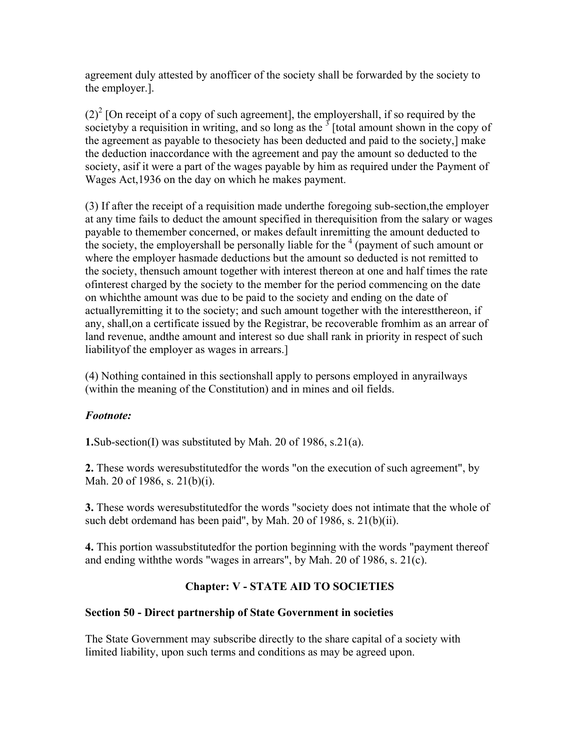agreement duly attested by anofficer of the society shall be forwarded by the society to the employer.].

 $(2)^{2}$  [On receipt of a copy of such agreement], the employershall, if so required by the societyby a requisition in writing, and so long as the  $3$  [total amount shown in the copy of the agreement as payable to thesociety has been deducted and paid to the society,] make the deduction inaccordance with the agreement and pay the amount so deducted to the society, asif it were a part of the wages payable by him as required under the Payment of Wages Act,1936 on the day on which he makes payment.

(3) If after the receipt of a requisition made underthe foregoing sub-section,the employer at any time fails to deduct the amount specified in therequisition from the salary or wages payable to themember concerned, or makes default inremitting the amount deducted to the society, the employershall be personally liable for the  $4$  (payment of such amount or where the employer hasmade deductions but the amount so deducted is not remitted to the society, thensuch amount together with interest thereon at one and half times the rate ofinterest charged by the society to the member for the period commencing on the date on whichthe amount was due to be paid to the society and ending on the date of actuallyremitting it to the society; and such amount together with the interestthereon, if any, shall,on a certificate issued by the Registrar, be recoverable fromhim as an arrear of land revenue, andthe amount and interest so due shall rank in priority in respect of such liabilityof the employer as wages in arrears.]

(4) Nothing contained in this sectionshall apply to persons employed in anyrailways (within the meaning of the Constitution) and in mines and oil fields.

### *Footnote:*

**1.**Sub-section(I) was substituted by Mah. 20 of 1986, s.21(a).

**2.** These words weresubstitutedfor the words "on the execution of such agreement", by Mah. 20 of 1986, s. 21(b)(i).

**3.** These words weresubstitutedfor the words "society does not intimate that the whole of such debt ordemand has been paid", by Mah. 20 of 1986, s. 21(b)(ii).

**4.** This portion wassubstitutedfor the portion beginning with the words "payment thereof and ending withthe words "wages in arrears", by Mah. 20 of 1986, s. 21(c).

### **Chapter: V - STATE AID TO SOCIETIES**

### **Section 50 - Direct partnership of State Government in societies**

The State Government may subscribe directly to the share capital of a society with limited liability, upon such terms and conditions as may be agreed upon.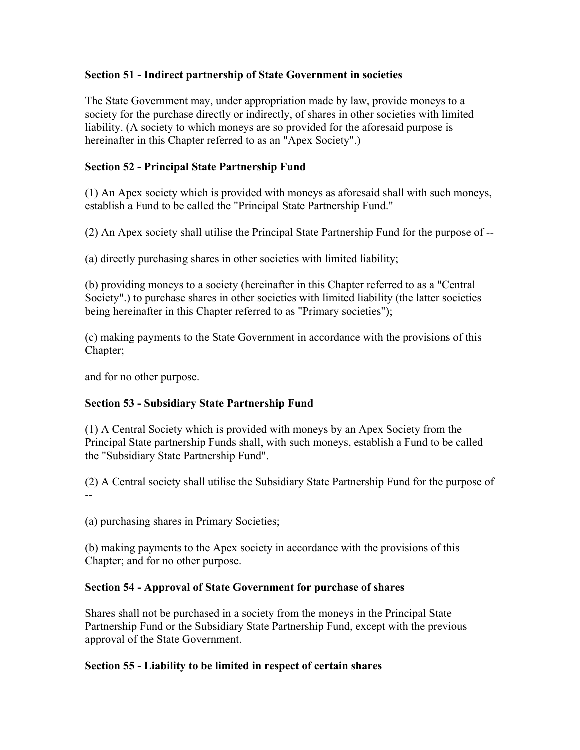### **Section 51 - Indirect partnership of State Government in societies**

The State Government may, under appropriation made by law, provide moneys to a society for the purchase directly or indirectly, of shares in other societies with limited liability. (A society to which moneys are so provided for the aforesaid purpose is hereinafter in this Chapter referred to as an "Apex Society".)

### **Section 52 - Principal State Partnership Fund**

(1) An Apex society which is provided with moneys as aforesaid shall with such moneys, establish a Fund to be called the "Principal State Partnership Fund."

(2) An Apex society shall utilise the Principal State Partnership Fund for the purpose of --

(a) directly purchasing shares in other societies with limited liability;

(b) providing moneys to a society (hereinafter in this Chapter referred to as a "Central Society".) to purchase shares in other societies with limited liability (the latter societies being hereinafter in this Chapter referred to as "Primary societies");

(c) making payments to the State Government in accordance with the provisions of this Chapter;

and for no other purpose.

# **Section 53 - Subsidiary State Partnership Fund**

(1) A Central Society which is provided with moneys by an Apex Society from the Principal State partnership Funds shall, with such moneys, establish a Fund to be called the "Subsidiary State Partnership Fund".

(2) A Central society shall utilise the Subsidiary State Partnership Fund for the purpose of --

(a) purchasing shares in Primary Societies;

(b) making payments to the Apex society in accordance with the provisions of this Chapter; and for no other purpose.

### **Section 54 - Approval of State Government for purchase of shares**

Shares shall not be purchased in a society from the moneys in the Principal State Partnership Fund or the Subsidiary State Partnership Fund, except with the previous approval of the State Government.

### **Section 55 - Liability to be limited in respect of certain shares**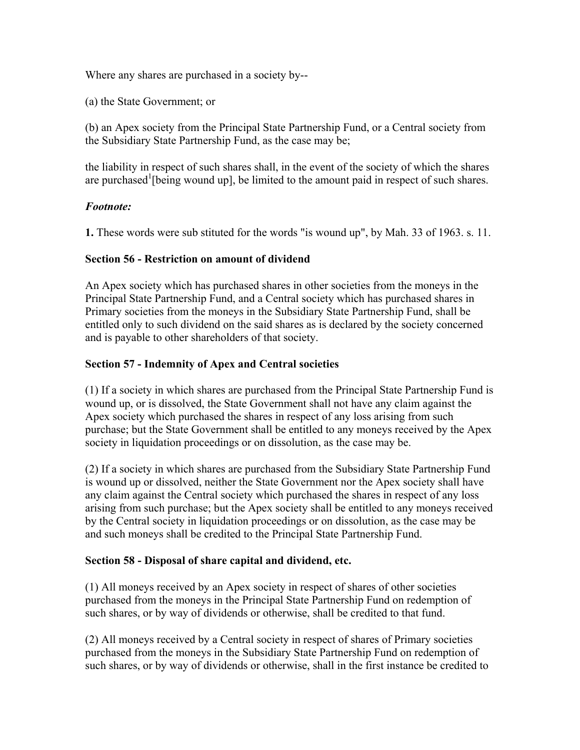Where any shares are purchased in a society by--

(a) the State Government; or

(b) an Apex society from the Principal State Partnership Fund, or a Central society from the Subsidiary State Partnership Fund, as the case may be;

the liability in respect of such shares shall, in the event of the society of which the shares are purchased<sup>1</sup> [being wound up], be limited to the amount paid in respect of such shares.

### *Footnote:*

**1.** These words were sub stituted for the words "is wound up", by Mah. 33 of 1963. s. 11.

### **Section 56 - Restriction on amount of dividend**

An Apex society which has purchased shares in other societies from the moneys in the Principal State Partnership Fund, and a Central society which has purchased shares in Primary societies from the moneys in the Subsidiary State Partnership Fund, shall be entitled only to such dividend on the said shares as is declared by the society concerned and is payable to other shareholders of that society.

### **Section 57 - Indemnity of Apex and Central societies**

(1) If a society in which shares are purchased from the Principal State Partnership Fund is wound up, or is dissolved, the State Government shall not have any claim against the Apex society which purchased the shares in respect of any loss arising from such purchase; but the State Government shall be entitled to any moneys received by the Apex society in liquidation proceedings or on dissolution, as the case may be.

(2) If a society in which shares are purchased from the Subsidiary State Partnership Fund is wound up or dissolved, neither the State Government nor the Apex society shall have any claim against the Central society which purchased the shares in respect of any loss arising from such purchase; but the Apex society shall be entitled to any moneys received by the Central society in liquidation proceedings or on dissolution, as the case may be and such moneys shall be credited to the Principal State Partnership Fund.

### **Section 58 - Disposal of share capital and dividend, etc.**

(1) All moneys received by an Apex society in respect of shares of other societies purchased from the moneys in the Principal State Partnership Fund on redemption of such shares, or by way of dividends or otherwise, shall be credited to that fund.

(2) All moneys received by a Central society in respect of shares of Primary societies purchased from the moneys in the Subsidiary State Partnership Fund on redemption of such shares, or by way of dividends or otherwise, shall in the first instance be credited to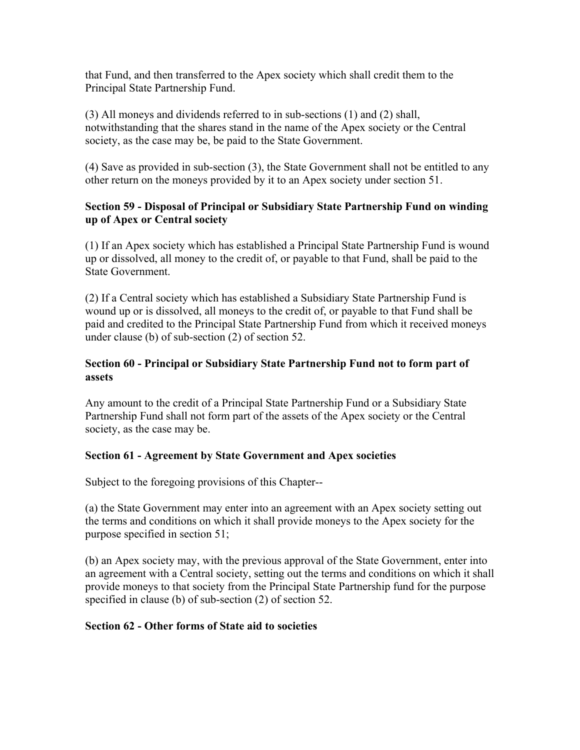that Fund, and then transferred to the Apex society which shall credit them to the Principal State Partnership Fund.

(3) All moneys and dividends referred to in sub-sections (1) and (2) shall, notwithstanding that the shares stand in the name of the Apex society or the Central society, as the case may be, be paid to the State Government.

(4) Save as provided in sub-section (3), the State Government shall not be entitled to any other return on the moneys provided by it to an Apex society under section 51.

### **Section 59 - Disposal of Principal or Subsidiary State Partnership Fund on winding up of Apex or Central society**

(1) If an Apex society which has established a Principal State Partnership Fund is wound up or dissolved, all money to the credit of, or payable to that Fund, shall be paid to the State Government.

(2) If a Central society which has established a Subsidiary State Partnership Fund is wound up or is dissolved, all moneys to the credit of, or payable to that Fund shall be paid and credited to the Principal State Partnership Fund from which it received moneys under clause (b) of sub-section (2) of section 52.

### **Section 60 - Principal or Subsidiary State Partnership Fund not to form part of assets**

Any amount to the credit of a Principal State Partnership Fund or a Subsidiary State Partnership Fund shall not form part of the assets of the Apex society or the Central society, as the case may be.

### **Section 61 - Agreement by State Government and Apex societies**

Subject to the foregoing provisions of this Chapter--

(a) the State Government may enter into an agreement with an Apex society setting out the terms and conditions on which it shall provide moneys to the Apex society for the purpose specified in section 51;

(b) an Apex society may, with the previous approval of the State Government, enter into an agreement with a Central society, setting out the terms and conditions on which it shall provide moneys to that society from the Principal State Partnership fund for the purpose specified in clause (b) of sub-section (2) of section 52.

### **Section 62 - Other forms of State aid to societies**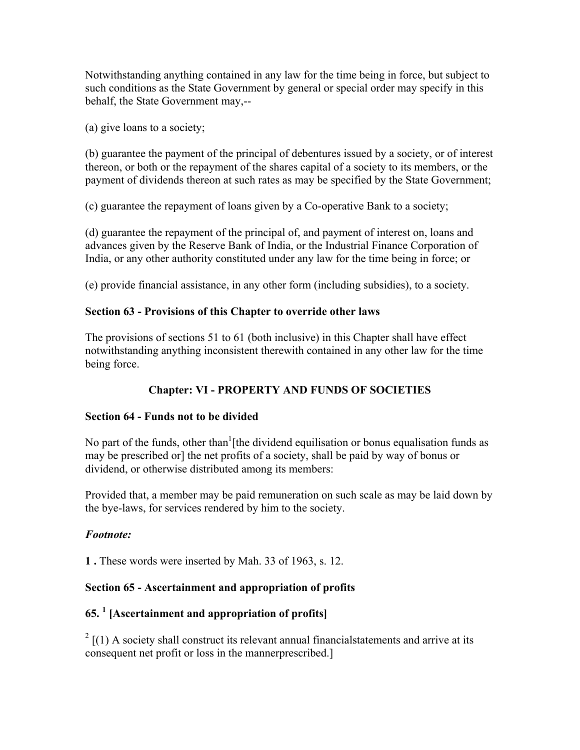Notwithstanding anything contained in any law for the time being in force, but subject to such conditions as the State Government by general or special order may specify in this behalf, the State Government may,--

(a) give loans to a society;

(b) guarantee the payment of the principal of debentures issued by a society, or of interest thereon, or both or the repayment of the shares capital of a society to its members, or the payment of dividends thereon at such rates as may be specified by the State Government;

(c) guarantee the repayment of loans given by a Co-operative Bank to a society;

(d) guarantee the repayment of the principal of, and payment of interest on, loans and advances given by the Reserve Bank of India, or the Industrial Finance Corporation of India, or any other authority constituted under any law for the time being in force; or

(e) provide financial assistance, in any other form (including subsidies), to a society.

#### **Section 63 - Provisions of this Chapter to override other laws**

The provisions of sections 51 to 61 (both inclusive) in this Chapter shall have effect notwithstanding anything inconsistent therewith contained in any other law for the time being force.

# **Chapter: VI - PROPERTY AND FUNDS OF SOCIETIES**

### **Section 64 - Funds not to be divided**

No part of the funds, other than  $[$ [the dividend equilisation or bonus equalisation funds as may be prescribed or] the net profits of a society, shall be paid by way of bonus or dividend, or otherwise distributed among its members:

Provided that, a member may be paid remuneration on such scale as may be laid down by the bye-laws, for services rendered by him to the society.

### *Footnote:*

**1 .** These words were inserted by Mah. 33 of 1963, s. 12.

### **Section 65 - Ascertainment and appropriation of profits**

### **65. <sup>1</sup> [Ascertainment and appropriation of profits]**

 $2\left[1\right)$  A society shall construct its relevant annual financial statements and arrive at its consequent net profit or loss in the mannerprescribed.]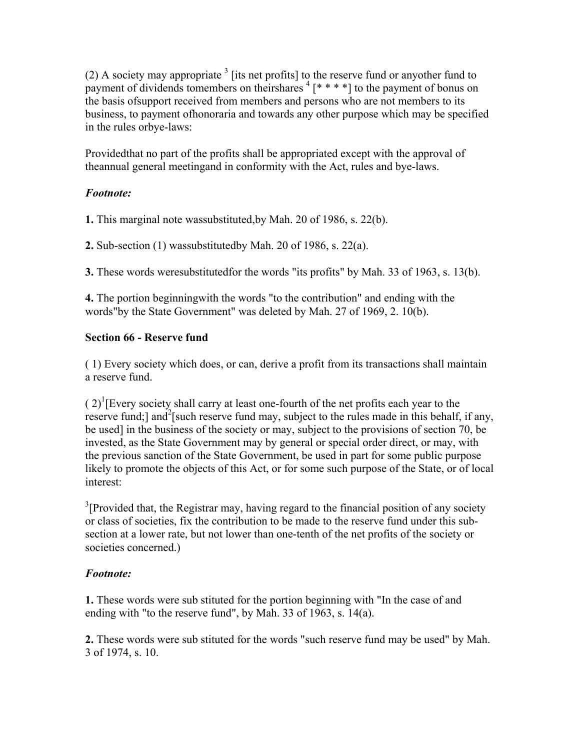(2) A society may appropriate  $3$  [its net profits] to the reserve fund or anyother fund to payment of dividends tomembers on theirshares  $4$  [\* \* \* \*] to the payment of bonus on the basis ofsupport received from members and persons who are not members to its business, to payment ofhonoraria and towards any other purpose which may be specified in the rules orbye-laws:

Providedthat no part of the profits shall be appropriated except with the approval of theannual general meetingand in conformity with the Act, rules and bye-laws.

# *Footnote:*

**1.** This marginal note wassubstituted,by Mah. 20 of 1986, s. 22(b).

**2.** Sub-section (1) wassubstitutedby Mah. 20 of 1986, s. 22(a).

**3.** These words weresubstitutedfor the words "its profits" by Mah. 33 of 1963, s. 13(b).

**4.** The portion beginningwith the words "to the contribution" and ending with the words"by the State Government" was deleted by Mah. 27 of 1969, 2. 10(b).

# **Section 66 - Reserve fund**

( 1) Every society which does, or can, derive a profit from its transactions shall maintain a reserve fund.

 $(2)^{1}$ [Every society shall carry at least one-fourth of the net profits each year to the reserve fund;] and<sup>2</sup>[such reserve fund may, subject to the rules made in this behalf, if any, be used] in the business of the society or may, subject to the provisions of section 70, be invested, as the State Government may by general or special order direct, or may, with the previous sanction of the State Government, be used in part for some public purpose likely to promote the objects of this Act, or for some such purpose of the State, or of local interest:

 $3$ [Provided that, the Registrar may, having regard to the financial position of any society or class of societies, fix the contribution to be made to the reserve fund under this subsection at a lower rate, but not lower than one-tenth of the net profits of the society or societies concerned.)

# *Footnote:*

**1.** These words were sub stituted for the portion beginning with "In the case of and ending with "to the reserve fund", by Mah. 33 of 1963, s. 14(a).

**2.** These words were sub stituted for the words "such reserve fund may be used" by Mah. 3 of 1974, s. 10.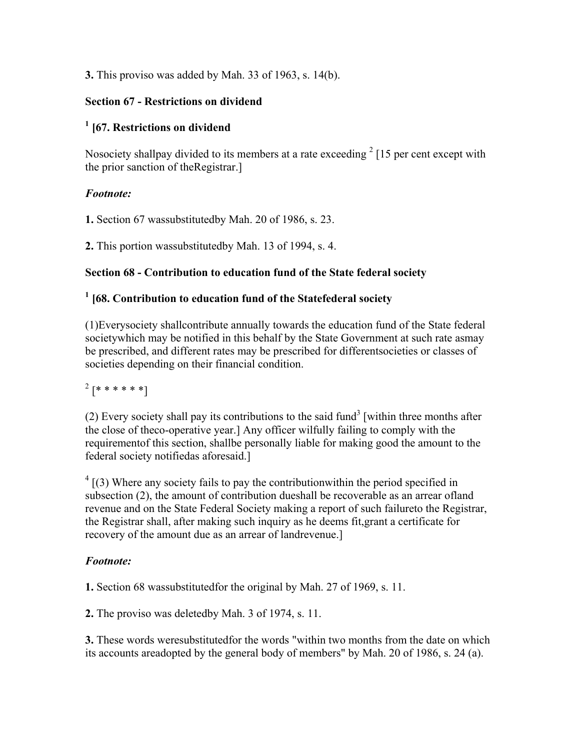### **3.** This proviso was added by Mah. 33 of 1963, s. 14(b).

### **Section 67 - Restrictions on dividend**

# **1 [67. Restrictions on dividend**

Nosociety shallpay divided to its members at a rate exceeding  $2 \times 15$  per cent except with the prior sanction of theRegistrar.]

### *Footnote:*

**1.** Section 67 wassubstitutedby Mah. 20 of 1986, s. 23.

**2.** This portion wassubstitutedby Mah. 13 of 1994, s. 4.

### **Section 68 - Contribution to education fund of the State federal society**

# **1 [68. Contribution to education fund of the Statefederal society**

(1)Everysociety shallcontribute annually towards the education fund of the State federal societywhich may be notified in this behalf by the State Government at such rate asmay be prescribed, and different rates may be prescribed for differentsocieties or classes of societies depending on their financial condition.

# $^{2}[*******]$

(2) Every society shall pay its contributions to the said fund<sup>3</sup> [within three months after the close of theco-operative year.] Any officer wilfully failing to comply with the requirementof this section, shallbe personally liable for making good the amount to the federal society notifiedas aforesaid.]

 $4 \mid (3)$  Where any society fails to pay the contribution within the period specified in subsection (2), the amount of contribution dueshall be recoverable as an arrear ofland revenue and on the State Federal Society making a report of such failureto the Registrar, the Registrar shall, after making such inquiry as he deems fit,grant a certificate for recovery of the amount due as an arrear of landrevenue.]

# *Footnote:*

**1.** Section 68 wassubstitutedfor the original by Mah. 27 of 1969, s. 11.

**2.** The proviso was deletedby Mah. 3 of 1974, s. 11.

**3.** These words weresubstitutedfor the words "within two months from the date on which its accounts areadopted by the general body of members" by Mah. 20 of 1986, s. 24 (a).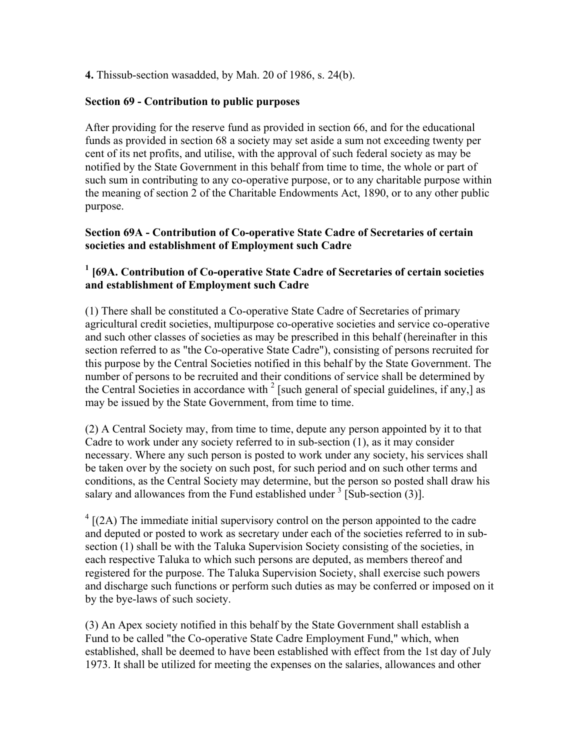**4.** Thissub-section wasadded, by Mah. 20 of 1986, s. 24(b).

#### **Section 69 - Contribution to public purposes**

After providing for the reserve fund as provided in section 66, and for the educational funds as provided in section 68 a society may set aside a sum not exceeding twenty per cent of its net profits, and utilise, with the approval of such federal society as may be notified by the State Government in this behalf from time to time, the whole or part of such sum in contributing to any co-operative purpose, or to any charitable purpose within the meaning of section 2 of the Charitable Endowments Act, 1890, or to any other public purpose.

### **Section 69A - Contribution of Co-operative State Cadre of Secretaries of certain societies and establishment of Employment such Cadre**

### <sup>1</sup> [69A. Contribution of Co-operative State Cadre of Secretaries of certain societies **and establishment of Employment such Cadre**

(1) There shall be constituted a Co-operative State Cadre of Secretaries of primary agricultural credit societies, multipurpose co-operative societies and service co-operative and such other classes of societies as may be prescribed in this behalf (hereinafter in this section referred to as "the Co-operative State Cadre"), consisting of persons recruited for this purpose by the Central Societies notified in this behalf by the State Government. The number of persons to be recruited and their conditions of service shall be determined by the Central Societies in accordance with  $2$  [such general of special guidelines, if any,] as may be issued by the State Government, from time to time.

(2) A Central Society may, from time to time, depute any person appointed by it to that Cadre to work under any society referred to in sub-section (1), as it may consider necessary. Where any such person is posted to work under any society, his services shall be taken over by the society on such post, for such period and on such other terms and conditions, as the Central Society may determine, but the person so posted shall draw his salary and allowances from the Fund established under  $3$  [Sub-section (3)].

 $4$  [(2A) The immediate initial supervisory control on the person appointed to the cadre and deputed or posted to work as secretary under each of the societies referred to in subsection (1) shall be with the Taluka Supervision Society consisting of the societies, in each respective Taluka to which such persons are deputed, as members thereof and registered for the purpose. The Taluka Supervision Society, shall exercise such powers and discharge such functions or perform such duties as may be conferred or imposed on it by the bye-laws of such society.

(3) An Apex society notified in this behalf by the State Government shall establish a Fund to be called "the Co-operative State Cadre Employment Fund," which, when established, shall be deemed to have been established with effect from the 1st day of July 1973. It shall be utilized for meeting the expenses on the salaries, allowances and other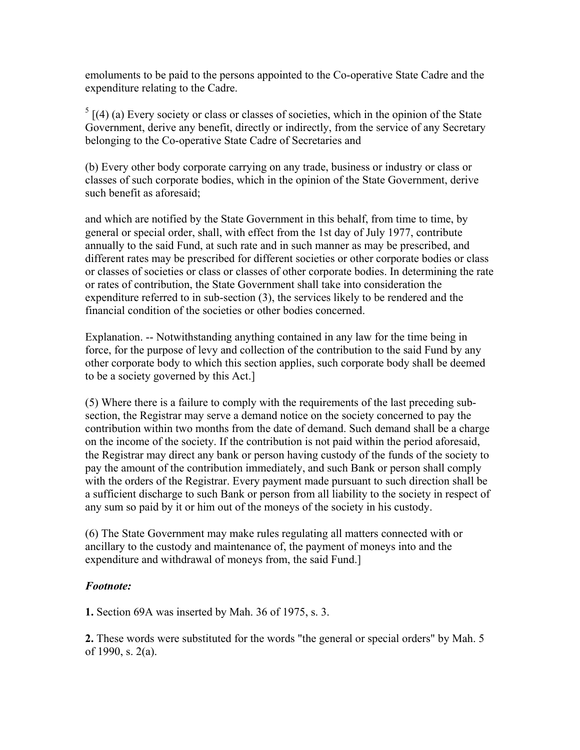emoluments to be paid to the persons appointed to the Co-operative State Cadre and the expenditure relating to the Cadre.

 $<sup>5</sup>$  [(4) (a) Every society or class or classes of societies, which in the opinion of the State</sup> Government, derive any benefit, directly or indirectly, from the service of any Secretary belonging to the Co-operative State Cadre of Secretaries and

(b) Every other body corporate carrying on any trade, business or industry or class or classes of such corporate bodies, which in the opinion of the State Government, derive such benefit as aforesaid;

and which are notified by the State Government in this behalf, from time to time, by general or special order, shall, with effect from the 1st day of July 1977, contribute annually to the said Fund, at such rate and in such manner as may be prescribed, and different rates may be prescribed for different societies or other corporate bodies or class or classes of societies or class or classes of other corporate bodies. In determining the rate or rates of contribution, the State Government shall take into consideration the expenditure referred to in sub-section (3), the services likely to be rendered and the financial condition of the societies or other bodies concerned.

Explanation. -- Notwithstanding anything contained in any law for the time being in force, for the purpose of levy and collection of the contribution to the said Fund by any other corporate body to which this section applies, such corporate body shall be deemed to be a society governed by this Act.]

(5) Where there is a failure to comply with the requirements of the last preceding subsection, the Registrar may serve a demand notice on the society concerned to pay the contribution within two months from the date of demand. Such demand shall be a charge on the income of the society. If the contribution is not paid within the period aforesaid, the Registrar may direct any bank or person having custody of the funds of the society to pay the amount of the contribution immediately, and such Bank or person shall comply with the orders of the Registrar. Every payment made pursuant to such direction shall be a sufficient discharge to such Bank or person from all liability to the society in respect of any sum so paid by it or him out of the moneys of the society in his custody.

(6) The State Government may make rules regulating all matters connected with or ancillary to the custody and maintenance of, the payment of moneys into and the expenditure and withdrawal of moneys from, the said Fund.]

### *Footnote:*

**1.** Section 69A was inserted by Mah. 36 of 1975, s. 3.

**2.** These words were substituted for the words "the general or special orders" by Mah. 5 of 1990, s. 2(a).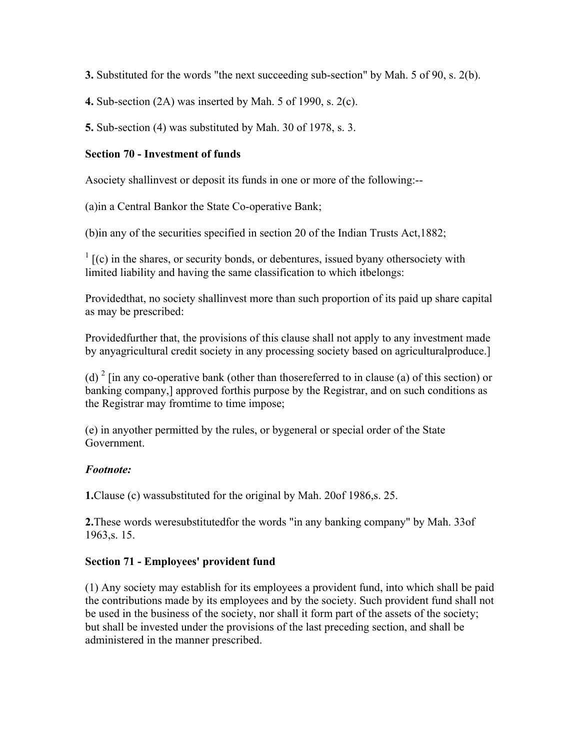**3.** Substituted for the words "the next succeeding sub-section" by Mah. 5 of 90, s. 2(b).

**4.** Sub-section (2A) was inserted by Mah. 5 of 1990, s. 2(c).

**5.** Sub-section (4) was substituted by Mah. 30 of 1978, s. 3.

### **Section 70 - Investment of funds**

Asociety shallinvest or deposit its funds in one or more of the following:--

(a)in a Central Bankor the State Co-operative Bank;

(b)in any of the securities specified in section 20 of the Indian Trusts Act,1882;

 $\frac{1}{1}$  [(c) in the shares, or security bonds, or debentures, issued byany othersociety with limited liability and having the same classification to which itbelongs:

Providedthat, no society shallinvest more than such proportion of its paid up share capital as may be prescribed:

Providedfurther that, the provisions of this clause shall not apply to any investment made by anyagricultural credit society in any processing society based on agriculturalproduce.]

(d)  $2 \text{ [in any co-operative bank (other than those referred to in clause (a) of this section) or}$ banking company,] approved forthis purpose by the Registrar, and on such conditions as the Registrar may fromtime to time impose;

(e) in anyother permitted by the rules, or bygeneral or special order of the State Government.

# *Footnote:*

**1.**Clause (c) wassubstituted for the original by Mah. 20of 1986,s. 25.

**2.**These words weresubstitutedfor the words "in any banking company" by Mah. 33of 1963,s. 15.

### **Section 71 - Employees' provident fund**

(1) Any society may establish for its employees a provident fund, into which shall be paid the contributions made by its employees and by the society. Such provident fund shall not be used in the business of the society, nor shall it form part of the assets of the society; but shall be invested under the provisions of the last preceding section, and shall be administered in the manner prescribed.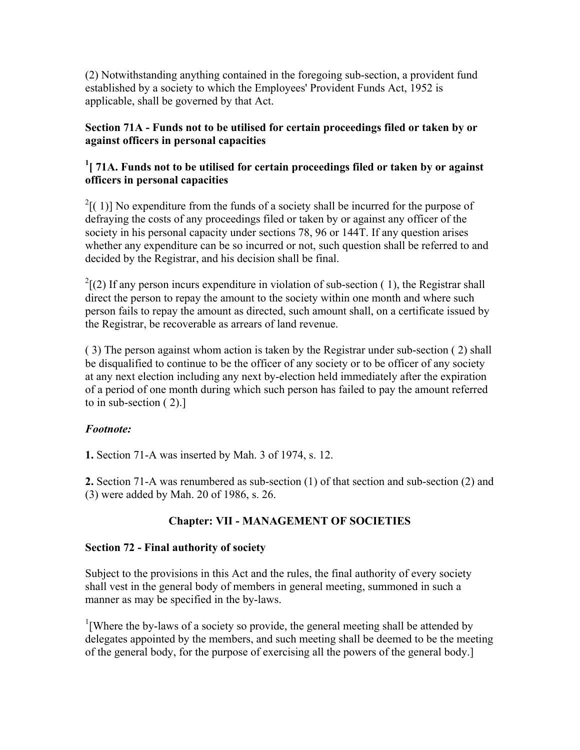(2) Notwithstanding anything contained in the foregoing sub-section, a provident fund established by a society to which the Employees' Provident Funds Act, 1952 is applicable, shall be governed by that Act.

### **Section 71A - Funds not to be utilised for certain proceedings filed or taken by or against officers in personal capacities**

# <sup>1</sup> [ 71A. Funds not to be utilised for certain proceedings filed or taken by or against **officers in personal capacities**

 $2[$ (1)] No expenditure from the funds of a society shall be incurred for the purpose of defraying the costs of any proceedings filed or taken by or against any officer of the society in his personal capacity under sections 78, 96 or 144T. If any question arises whether any expenditure can be so incurred or not, such question shall be referred to and decided by the Registrar, and his decision shall be final.

 $2^{2}$ [(2) If any person incurs expenditure in violation of sub-section (1), the Registrar shall direct the person to repay the amount to the society within one month and where such person fails to repay the amount as directed, such amount shall, on a certificate issued by the Registrar, be recoverable as arrears of land revenue.

( 3) The person against whom action is taken by the Registrar under sub-section ( 2) shall be disqualified to continue to be the officer of any society or to be officer of any society at any next election including any next by-election held immediately after the expiration of a period of one month during which such person has failed to pay the amount referred to in sub-section ( 2).]

# *Footnote:*

**1.** Section 71-A was inserted by Mah. 3 of 1974, s. 12.

**2.** Section 71-A was renumbered as sub-section (1) of that section and sub-section (2) and (3) were added by Mah. 20 of 1986, s. 26.

# **Chapter: VII - MANAGEMENT OF SOCIETIES**

# **Section 72 - Final authority of society**

Subject to the provisions in this Act and the rules, the final authority of every society shall vest in the general body of members in general meeting, summoned in such a manner as may be specified in the by-laws.

<sup>1</sup>[Where the by-laws of a society so provide, the general meeting shall be attended by delegates appointed by the members, and such meeting shall be deemed to be the meeting of the general body, for the purpose of exercising all the powers of the general body.]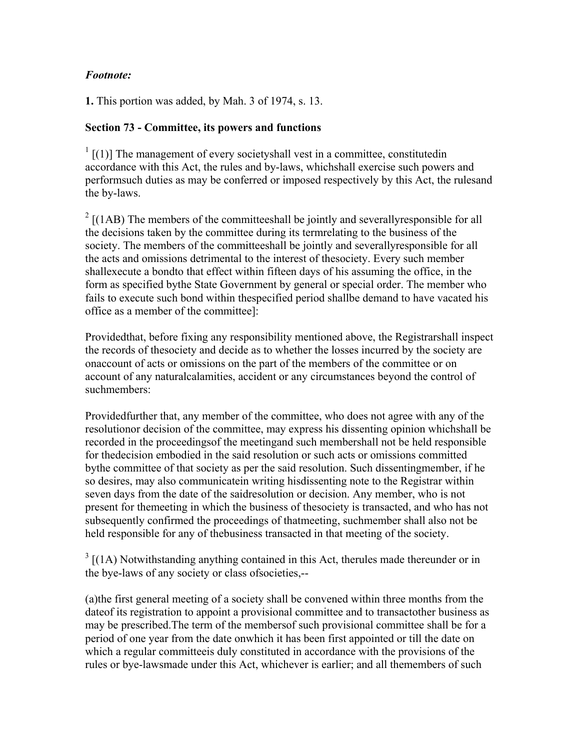### *Footnote:*

**1.** This portion was added, by Mah. 3 of 1974, s. 13.

### **Section 73 - Committee, its powers and functions**

 $1$  [(1)] The management of every societyshall vest in a committee, constitutedin accordance with this Act, the rules and by-laws, whichshall exercise such powers and performsuch duties as may be conferred or imposed respectively by this Act, the rulesand the by-laws.

 $2 \left[ (1AB)$  The members of the committeeshall be jointly and severally responsible for all the decisions taken by the committee during its termrelating to the business of the society. The members of the committeeshall be jointly and severallyresponsible for all the acts and omissions detrimental to the interest of thesociety. Every such member shallexecute a bondto that effect within fifteen days of his assuming the office, in the form as specified bythe State Government by general or special order. The member who fails to execute such bond within thespecified period shallbe demand to have vacated his office as a member of the committee]:

Providedthat, before fixing any responsibility mentioned above, the Registrarshall inspect the records of thesociety and decide as to whether the losses incurred by the society are onaccount of acts or omissions on the part of the members of the committee or on account of any naturalcalamities, accident or any circumstances beyond the control of suchmembers:

Providedfurther that, any member of the committee, who does not agree with any of the resolutionor decision of the committee, may express his dissenting opinion whichshall be recorded in the proceedingsof the meetingand such membershall not be held responsible for thedecision embodied in the said resolution or such acts or omissions committed bythe committee of that society as per the said resolution. Such dissentingmember, if he so desires, may also communicatein writing hisdissenting note to the Registrar within seven days from the date of the saidresolution or decision. Any member, who is not present for themeeting in which the business of thesociety is transacted, and who has not subsequently confirmed the proceedings of thatmeeting, suchmember shall also not be held responsible for any of thebusiness transacted in that meeting of the society.

 $3 \left[ (1A)$  Notwithstanding anything contained in this Act, therules made thereunder or in the bye-laws of any society or class ofsocieties,--

(a)the first general meeting of a society shall be convened within three months from the dateof its registration to appoint a provisional committee and to transactother business as may be prescribed.The term of the membersof such provisional committee shall be for a period of one year from the date onwhich it has been first appointed or till the date on which a regular committeeis duly constituted in accordance with the provisions of the rules or bye-lawsmade under this Act, whichever is earlier; and all themembers of such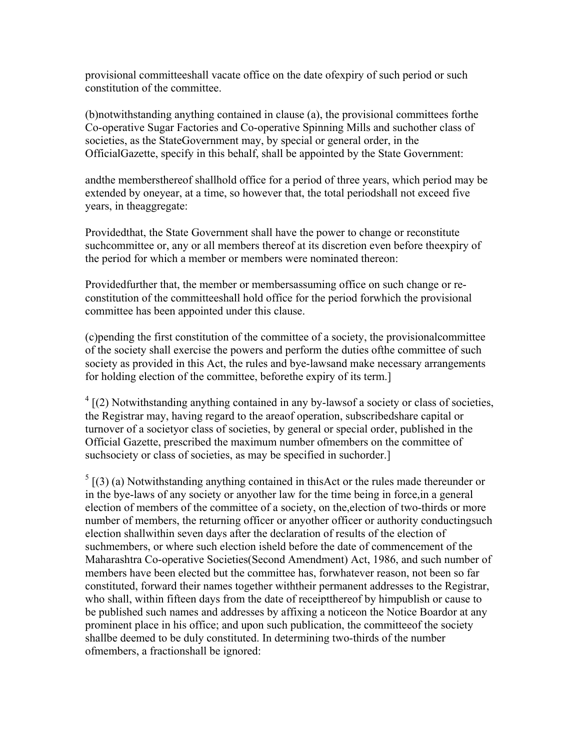provisional committeeshall vacate office on the date ofexpiry of such period or such constitution of the committee.

(b)notwithstanding anything contained in clause (a), the provisional committees forthe Co-operative Sugar Factories and Co-operative Spinning Mills and suchother class of societies, as the StateGovernment may, by special or general order, in the OfficialGazette, specify in this behalf, shall be appointed by the State Government:

andthe membersthereof shallhold office for a period of three years, which period may be extended by oneyear, at a time, so however that, the total periodshall not exceed five years, in theaggregate:

Providedthat, the State Government shall have the power to change or reconstitute suchcommittee or, any or all members thereof at its discretion even before theexpiry of the period for which a member or members were nominated thereon:

Providedfurther that, the member or membersassuming office on such change or reconstitution of the committeeshall hold office for the period forwhich the provisional committee has been appointed under this clause.

(c)pending the first constitution of the committee of a society, the provisionalcommittee of the society shall exercise the powers and perform the duties ofthe committee of such society as provided in this Act, the rules and bye-lawsand make necessary arrangements for holding election of the committee, beforethe expiry of its term.]

 $4$  [(2) Notwithstanding anything contained in any by-lawsof a society or class of societies, the Registrar may, having regard to the areaof operation, subscribedshare capital or turnover of a societyor class of societies, by general or special order, published in the Official Gazette, prescribed the maximum number ofmembers on the committee of suchsociety or class of societies, as may be specified in suchorder.

 $<sup>5</sup>$  [(3) (a) Notwithstanding anything contained in thisAct or the rules made thereunder or</sup> in the bye-laws of any society or anyother law for the time being in force,in a general election of members of the committee of a society, on the,election of two-thirds or more number of members, the returning officer or anyother officer or authority conductingsuch election shallwithin seven days after the declaration of results of the election of suchmembers, or where such election isheld before the date of commencement of the Maharashtra Co-operative Societies(Second Amendment) Act, 1986, and such number of members have been elected but the committee has, forwhatever reason, not been so far constituted, forward their names together withtheir permanent addresses to the Registrar, who shall, within fifteen days from the date of receiptthereof by himpublish or cause to be published such names and addresses by affixing a noticeon the Notice Boardor at any prominent place in his office; and upon such publication, the committeeof the society shallbe deemed to be duly constituted. In determining two-thirds of the number ofmembers, a fractionshall be ignored: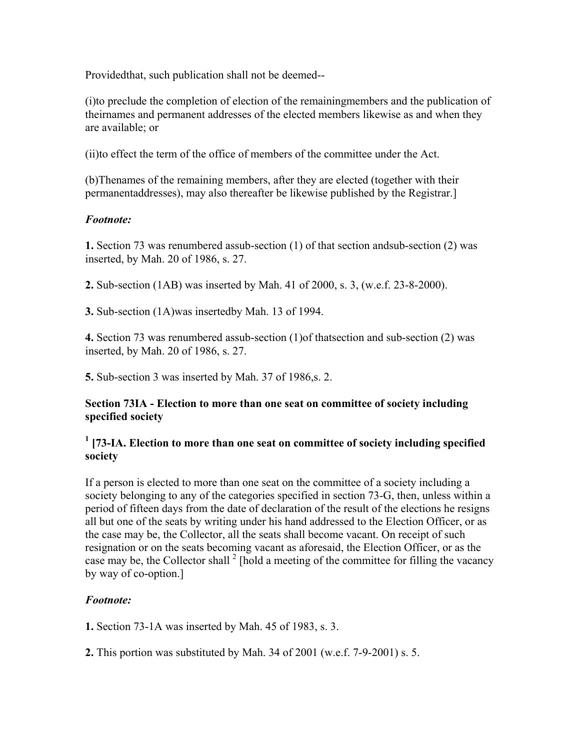Providedthat, such publication shall not be deemed--

(i)to preclude the completion of election of the remainingmembers and the publication of theirnames and permanent addresses of the elected members likewise as and when they are available; or

(ii)to effect the term of the office of members of the committee under the Act.

(b)Thenames of the remaining members, after they are elected (together with their permanentaddresses), may also thereafter be likewise published by the Registrar.]

### *Footnote:*

**1.** Section 73 was renumbered assub-section (1) of that section andsub-section (2) was inserted, by Mah. 20 of 1986, s. 27.

**2.** Sub-section (1AB) was inserted by Mah. 41 of 2000, s. 3, (w.e.f. 23-8-2000).

**3.** Sub-section (1A)was insertedby Mah. 13 of 1994.

**4.** Section 73 was renumbered assub-section (1)of thatsection and sub-section (2) was inserted, by Mah. 20 of 1986, s. 27.

**5.** Sub-section 3 was inserted by Mah. 37 of 1986,s. 2.

#### **Section 73IA - Election to more than one seat on committee of society including specified society**

### <sup>1</sup> [73-IA. Election to more than one seat on committee of society including specified **society**

If a person is elected to more than one seat on the committee of a society including a society belonging to any of the categories specified in section 73-G, then, unless within a period of fifteen days from the date of declaration of the result of the elections he resigns all but one of the seats by writing under his hand addressed to the Election Officer, or as the case may be, the Collector, all the seats shall become vacant. On receipt of such resignation or on the seats becoming vacant as aforesaid, the Election Officer, or as the case may be, the Collector shall <sup>2</sup> [hold a meeting of the committee for filling the vacancy by way of co-option.]

### *Footnote:*

**1.** Section 73-1A was inserted by Mah. 45 of 1983, s. 3.

**2.** This portion was substituted by Mah. 34 of 2001 (w.e.f. 7-9-2001) s. 5.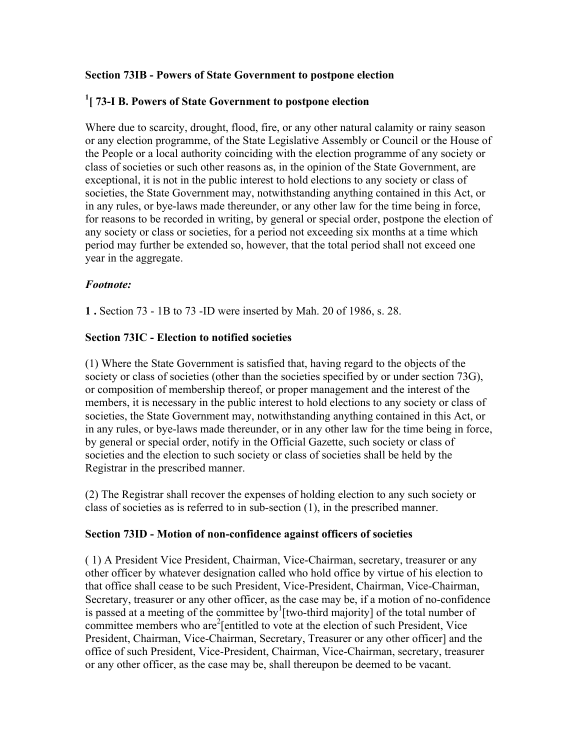### **Section 73IB - Powers of State Government to postpone election**

# **1 [ 73-I B. Powers of State Government to postpone election**

Where due to scarcity, drought, flood, fire, or any other natural calamity or rainy season or any election programme, of the State Legislative Assembly or Council or the House of the People or a local authority coinciding with the election programme of any society or class of societies or such other reasons as, in the opinion of the State Government, are exceptional, it is not in the public interest to hold elections to any society or class of societies, the State Government may, notwithstanding anything contained in this Act, or in any rules, or bye-laws made thereunder, or any other law for the time being in force, for reasons to be recorded in writing, by general or special order, postpone the election of any society or class or societies, for a period not exceeding six months at a time which period may further be extended so, however, that the total period shall not exceed one year in the aggregate.

### *Footnote:*

**1 .** Section 73 - 1B to 73 -ID were inserted by Mah. 20 of 1986, s. 28.

### **Section 73IC - Election to notified societies**

(1) Where the State Government is satisfied that, having regard to the objects of the society or class of societies (other than the societies specified by or under section 73G), or composition of membership thereof, or proper management and the interest of the members, it is necessary in the public interest to hold elections to any society or class of societies, the State Government may, notwithstanding anything contained in this Act, or in any rules, or bye-laws made thereunder, or in any other law for the time being in force, by general or special order, notify in the Official Gazette, such society or class of societies and the election to such society or class of societies shall be held by the Registrar in the prescribed manner.

(2) The Registrar shall recover the expenses of holding election to any such society or class of societies as is referred to in sub-section (1), in the prescribed manner.

### **Section 73ID - Motion of non-confidence against officers of societies**

( 1) A President Vice President, Chairman, Vice-Chairman, secretary, treasurer or any other officer by whatever designation called who hold office by virtue of his election to that office shall cease to be such President, Vice-President, Chairman, Vice-Chairman, Secretary, treasurer or any other officer, as the case may be, if a motion of no-confidence is passed at a meeting of the committee by  $\frac{1}{2}$  [two-third majority] of the total number of committee members who are<sup>2</sup> [entitled to vote at the election of such President, Vice President, Chairman, Vice-Chairman, Secretary, Treasurer or any other officer] and the office of such President, Vice-President, Chairman, Vice-Chairman, secretary, treasurer or any other officer, as the case may be, shall thereupon be deemed to be vacant.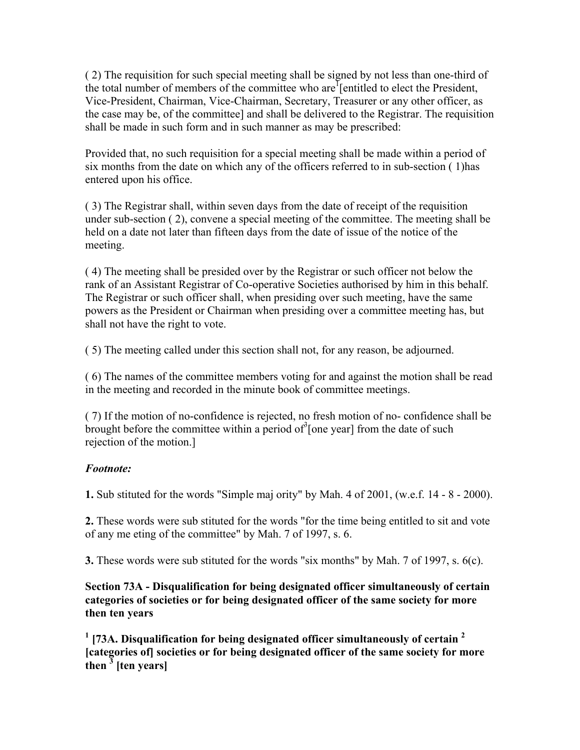( 2) The requisition for such special meeting shall be signed by not less than one-third of the total number of members of the committee who are<sup>1</sup> [entitled to elect the President, Vice-President, Chairman, Vice-Chairman, Secretary, Treasurer or any other officer, as the case may be, of the committee] and shall be delivered to the Registrar. The requisition shall be made in such form and in such manner as may be prescribed:

Provided that, no such requisition for a special meeting shall be made within a period of six months from the date on which any of the officers referred to in sub-section ( 1)has entered upon his office.

( 3) The Registrar shall, within seven days from the date of receipt of the requisition under sub-section ( 2), convene a special meeting of the committee. The meeting shall be held on a date not later than fifteen days from the date of issue of the notice of the meeting.

( 4) The meeting shall be presided over by the Registrar or such officer not below the rank of an Assistant Registrar of Co-operative Societies authorised by him in this behalf. The Registrar or such officer shall, when presiding over such meeting, have the same powers as the President or Chairman when presiding over a committee meeting has, but shall not have the right to vote.

( 5) The meeting called under this section shall not, for any reason, be adjourned.

( 6) The names of the committee members voting for and against the motion shall be read in the meeting and recorded in the minute book of committee meetings.

( 7) If the motion of no-confidence is rejected, no fresh motion of no- confidence shall be brought before the committee within a period of  $\delta$ [one year] from the date of such rejection of the motion.]

# *Footnote:*

**1.** Sub stituted for the words "Simple maj ority" by Mah. 4 of 2001, (w.e.f. 14 - 8 - 2000).

**2.** These words were sub stituted for the words "for the time being entitled to sit and vote of any me eting of the committee" by Mah. 7 of 1997, s. 6.

**3.** These words were sub stituted for the words "six months" by Mah. 7 of 1997, s. 6(c).

**Section 73A - Disqualification for being designated officer simultaneously of certain categories of societies or for being designated officer of the same society for more then ten years**

**1 [73A. Disqualification for being designated officer simultaneously of certain <sup>2</sup> [categories of] societies or for being designated officer of the same society for more**   $\frac{3}{2}$  [ten years]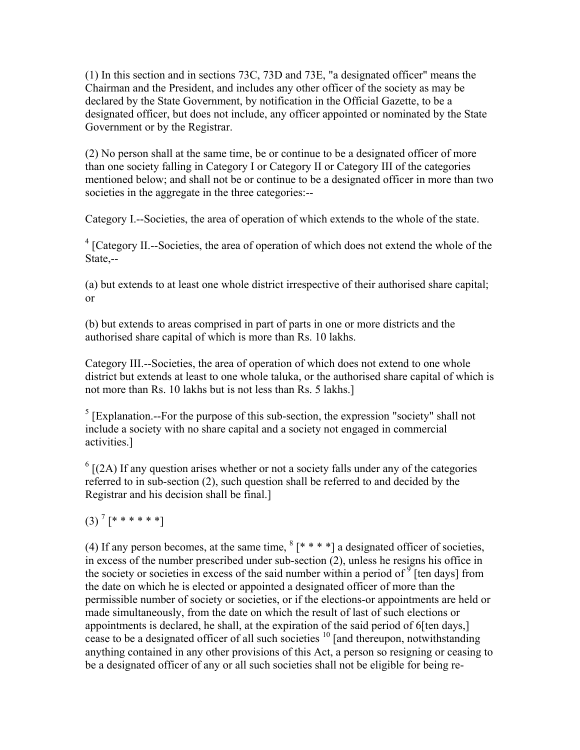(1) In this section and in sections 73C, 73D and 73E, "a designated officer" means the Chairman and the President, and includes any other officer of the society as may be declared by the State Government, by notification in the Official Gazette, to be a designated officer, but does not include, any officer appointed or nominated by the State Government or by the Registrar.

(2) No person shall at the same time, be or continue to be a designated officer of more than one society falling in Category I or Category II or Category III of the categories mentioned below; and shall not be or continue to be a designated officer in more than two societies in the aggregate in the three categories:--

Category I.--Societies, the area of operation of which extends to the whole of the state.

<sup>4</sup> [Category II.--Societies, the area of operation of which does not extend the whole of the State,--

(a) but extends to at least one whole district irrespective of their authorised share capital; or

(b) but extends to areas comprised in part of parts in one or more districts and the authorised share capital of which is more than Rs. 10 lakhs.

Category III.--Societies, the area of operation of which does not extend to one whole district but extends at least to one whole taluka, or the authorised share capital of which is not more than Rs. 10 lakhs but is not less than Rs. 5 lakhs.]

 $<sup>5</sup>$  [Explanation.--For the purpose of this sub-section, the expression "society" shall not</sup> include a society with no share capital and a society not engaged in commercial activities.]

 $<sup>6</sup>$  [(2A) If any question arises whether or not a society falls under any of the categories</sup> referred to in sub-section (2), such question shall be referred to and decided by the Registrar and his decision shall be final.]

 $(3)$ <sup>7</sup> [\* \* \* \* \* \*]

(4) If any person becomes, at the same time,  ${}^{8}$  [\* \* \* \*] a designated officer of societies,  $\sin$  excess of the number prescribed under sub-section (2), unless he resigns his office in the society or societies in excess of the said number within a period of  $\int$ <sup>9</sup> [ten days] from the date on which he is elected or appointed a designated officer of more than the permissible number of society or societies, or if the elections-or appointments are held or made simultaneously, from the date on which the result of last of such elections or appointments is declared, he shall, at the expiration of the said period of 6[ten days,] cease to be a designated officer of all such societies  $10$  [and thereupon, notwithstanding anything contained in any other provisions of this Act, a person so resigning or ceasing to be a designated officer of any or all such societies shall not be eligible for being re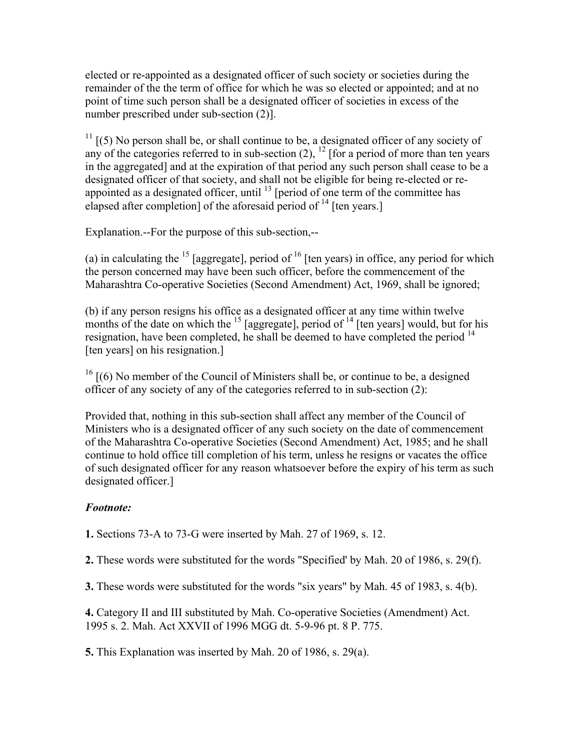elected or re-appointed as a designated officer of such society or societies during the remainder of the the term of office for which he was so elected or appointed; and at no point of time such person shall be a designated officer of societies in excess of the number prescribed under sub-section (2)].

 $11$  [(5) No person shall be, or shall continue to be, a designated officer of any society of any of the categories referred to in sub-section  $(2)$ ,  $^{12}$  [for a period of more than ten years in the aggregated] and at the expiration of that period any such person shall cease to be a designated officer of that society, and shall not be eligible for being re-elected or reappointed as a designated officer, until  $^{13}$  [period of one term of the committee has elapsed after completion] of the aforesaid period of  $^{14}$  [ten years.]

Explanation.--For the purpose of this sub-section,--

(a) in calculating the  $^{15}$  [aggregate], period of  $^{16}$  [ten years) in office, any period for which the person concerned may have been such officer, before the commencement of the Maharashtra Co-operative Societies (Second Amendment) Act, 1969, shall be ignored;

(b) if any person resigns his office as a designated officer at any time within twelve months of the date on which the  $^{15}$  [aggregate], period of  $^{14}$  [ten years] would, but for his resignation, have been completed, he shall be deemed to have completed the period  $14$ [ten years] on his resignation.]

 $16$  [(6) No member of the Council of Ministers shall be, or continue to be, a designed officer of any society of any of the categories referred to in sub-section (2):

Provided that, nothing in this sub-section shall affect any member of the Council of Ministers who is a designated officer of any such society on the date of commencement of the Maharashtra Co-operative Societies (Second Amendment) Act, 1985; and he shall continue to hold office till completion of his term, unless he resigns or vacates the office of such designated officer for any reason whatsoever before the expiry of his term as such designated officer.]

# *Footnote:*

**1.** Sections 73-A to 73-G were inserted by Mah. 27 of 1969, s. 12.

**2.** These words were substituted for the words "Specified' by Mah. 20 of 1986, s. 29(f).

**3.** These words were substituted for the words "six years" by Mah. 45 of 1983, s. 4(b).

**4.** Category II and III substituted by Mah. Co-operative Societies (Amendment) Act. 1995 s. 2. Mah. Act XXVII of 1996 MGG dt. 5-9-96 pt. 8 P. 775.

**5.** This Explanation was inserted by Mah. 20 of 1986, s. 29(a).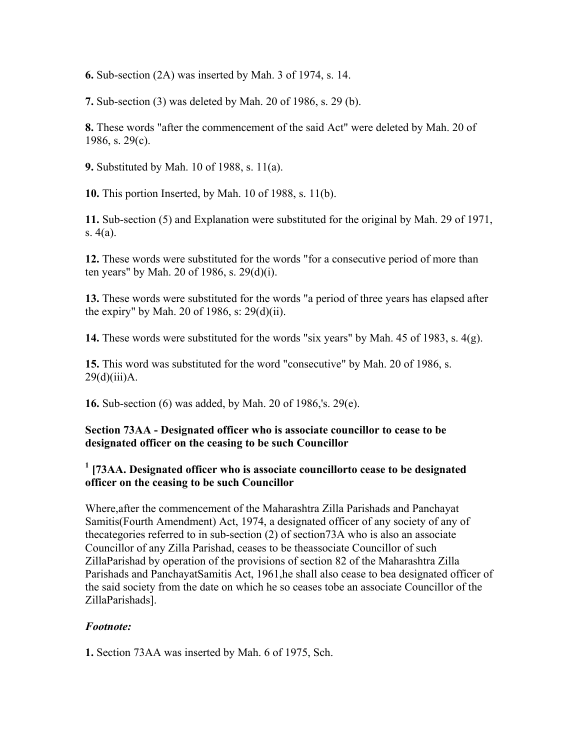**6.** Sub-section (2A) was inserted by Mah. 3 of 1974, s. 14.

**7.** Sub-section (3) was deleted by Mah. 20 of 1986, s. 29 (b).

**8.** These words "after the commencement of the said Act" were deleted by Mah. 20 of 1986, s. 29(c).

**9.** Substituted by Mah. 10 of 1988, s. 11(a).

**10.** This portion Inserted, by Mah. 10 of 1988, s. 11(b).

**11.** Sub-section (5) and Explanation were substituted for the original by Mah. 29 of 1971, s. 4(a).

**12.** These words were substituted for the words "for a consecutive period of more than ten years" by Mah. 20 of 1986, s. 29(d)(i).

**13.** These words were substituted for the words "a period of three years has elapsed after the expiry" by Mah. 20 of 1986, s: 29(d)(ii).

**14.** These words were substituted for the words "six years" by Mah. 45 of 1983, s. 4(g).

**15.** This word was substituted for the word "consecutive" by Mah. 20 of 1986, s.  $29(d)(iii)$ A.

**16.** Sub-section (6) was added, by Mah. 20 of 1986,'s. 29(e).

#### **Section 73AA - Designated officer who is associate councillor to cease to be designated officer on the ceasing to be such Councillor**

## <sup>1</sup> [73AA. Designated officer who is associate councillorto cease to be designated **officer on the ceasing to be such Councillor**

Where,after the commencement of the Maharashtra Zilla Parishads and Panchayat Samitis(Fourth Amendment) Act, 1974, a designated officer of any society of any of thecategories referred to in sub-section (2) of section73A who is also an associate Councillor of any Zilla Parishad, ceases to be theassociate Councillor of such ZillaParishad by operation of the provisions of section 82 of the Maharashtra Zilla Parishads and PanchayatSamitis Act, 1961,he shall also cease to bea designated officer of the said society from the date on which he so ceases tobe an associate Councillor of the ZillaParishads].

### *Footnote:*

**1.** Section 73AA was inserted by Mah. 6 of 1975, Sch.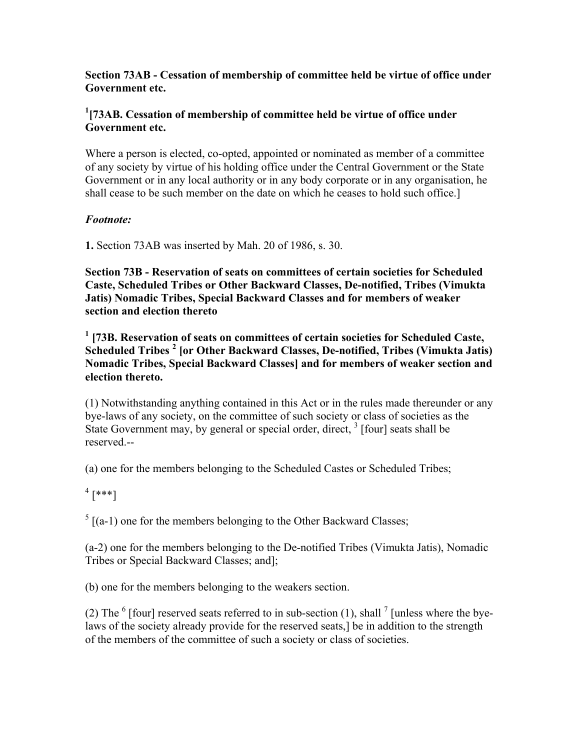**Section 73AB - Cessation of membership of committee held be virtue of office under Government etc.**

### <sup>1</sup> [73AB. Cessation of membership of committee held be virtue of office under **Government etc.**

Where a person is elected, co-opted, appointed or nominated as member of a committee of any society by virtue of his holding office under the Central Government or the State Government or in any local authority or in any body corporate or in any organisation, he shall cease to be such member on the date on which he ceases to hold such office.]

### *Footnote:*

**1.** Section 73AB was inserted by Mah. 20 of 1986, s. 30.

**Section 73B - Reservation of seats on committees of certain societies for Scheduled Caste, Scheduled Tribes or Other Backward Classes, De-notified, Tribes (Vimukta Jatis) Nomadic Tribes, Special Backward Classes and for members of weaker section and election thereto**

<sup>1</sup> [73B. Reservation of seats on committees of certain societies for Scheduled Caste, **Scheduled Tribes <sup>2</sup> [or Other Backward Classes, De-notified, Tribes (Vimukta Jatis) Nomadic Tribes, Special Backward Classes] and for members of weaker section and election thereto.**

(1) Notwithstanding anything contained in this Act or in the rules made thereunder or any bye-laws of any society, on the committee of such society or class of societies as the State Government may, by general or special order, direct,  $3$  [four] seats shall be reserved.--

(a) one for the members belonging to the Scheduled Castes or Scheduled Tribes;

# $^{4}$  [\*\*\*]

 $<sup>5</sup>$  [(a-1) one for the members belonging to the Other Backward Classes;</sup>

(a-2) one for the members belonging to the De-notified Tribes (Vimukta Jatis), Nomadic Tribes or Special Backward Classes; and];

(b) one for the members belonging to the weakers section.

(2) The  $<sup>6</sup>$  [four] reserved seats referred to in sub-section (1), shall  $<sup>7</sup>$  [unless where the bye-</sup></sup> laws of the society already provide for the reserved seats,] be in addition to the strength of the members of the committee of such a society or class of societies.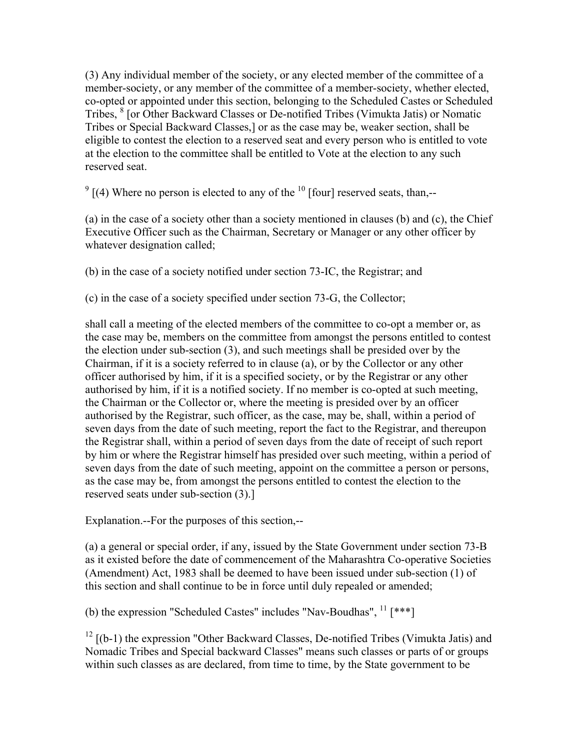(3) Any individual member of the society, or any elected member of the committee of a member-society, or any member of the committee of a member-society, whether elected, co-opted or appointed under this section, belonging to the Scheduled Castes or Scheduled Tribes, <sup>8</sup> [or Other Backward Classes or De-notified Tribes (Vimukta Jatis) or Nomatic Tribes or Special Backward Classes,] or as the case may be, weaker section, shall be eligible to contest the election to a reserved seat and every person who is entitled to vote at the election to the committee shall be entitled to Vote at the election to any such reserved seat.

 $9$  [(4) Where no person is elected to any of the  $10$  [four] reserved seats, than,--

(a) in the case of a society other than a society mentioned in clauses (b) and (c), the Chief Executive Officer such as the Chairman, Secretary or Manager or any other officer by whatever designation called;

(b) in the case of a society notified under section 73-IC, the Registrar; and

(c) in the case of a society specified under section 73-G, the Collector;

shall call a meeting of the elected members of the committee to co-opt a member or, as the case may be, members on the committee from amongst the persons entitled to contest the election under sub-section (3), and such meetings shall be presided over by the Chairman, if it is a society referred to in clause (a), or by the Collector or any other officer authorised by him, if it is a specified society, or by the Registrar or any other authorised by him, if it is a notified society. If no member is co-opted at such meeting, the Chairman or the Collector or, where the meeting is presided over by an officer authorised by the Registrar, such officer, as the case, may be, shall, within a period of seven days from the date of such meeting, report the fact to the Registrar, and thereupon the Registrar shall, within a period of seven days from the date of receipt of such report by him or where the Registrar himself has presided over such meeting, within a period of seven days from the date of such meeting, appoint on the committee a person or persons, as the case may be, from amongst the persons entitled to contest the election to the reserved seats under sub-section (3).]

Explanation.--For the purposes of this section,--

(a) a general or special order, if any, issued by the State Government under section 73-B as it existed before the date of commencement of the Maharashtra Co-operative Societies (Amendment) Act, 1983 shall be deemed to have been issued under sub-section (1) of this section and shall continue to be in force until duly repealed or amended;

(b) the expression "Scheduled Castes" includes "Nav-Boudhas",  $^{11}$  [\*\*\*]

 $12$  [(b-1) the expression "Other Backward Classes, De-notified Tribes (Vimukta Jatis) and Nomadic Tribes and Special backward Classes" means such classes or parts of or groups within such classes as are declared, from time to time, by the State government to be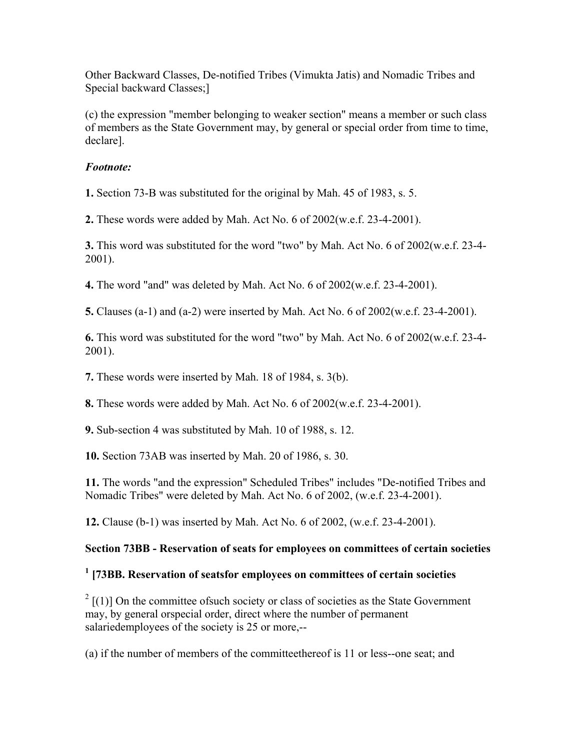Other Backward Classes, De-notified Tribes (Vimukta Jatis) and Nomadic Tribes and Special backward Classes;]

(c) the expression "member belonging to weaker section" means a member or such class of members as the State Government may, by general or special order from time to time, declare].

#### *Footnote:*

**1.** Section 73-B was substituted for the original by Mah. 45 of 1983, s. 5.

**2.** These words were added by Mah. Act No. 6 of 2002(w.e.f. 23-4-2001).

**3.** This word was substituted for the word "two" by Mah. Act No. 6 of 2002(w.e.f. 23-4- 2001).

**4.** The word "and" was deleted by Mah. Act No. 6 of 2002(w.e.f. 23-4-2001).

**5.** Clauses (a-1) and (a-2) were inserted by Mah. Act No. 6 of 2002(w.e.f. 23-4-2001).

**6.** This word was substituted for the word "two" by Mah. Act No. 6 of 2002(w.e.f. 23-4- 2001).

**7.** These words were inserted by Mah. 18 of 1984, s. 3(b).

**8.** These words were added by Mah. Act No. 6 of 2002(w.e.f. 23-4-2001).

**9.** Sub-section 4 was substituted by Mah. 10 of 1988, s. 12.

**10.** Section 73AB was inserted by Mah. 20 of 1986, s. 30.

**11.** The words "and the expression" Scheduled Tribes" includes "De-notified Tribes and Nomadic Tribes" were deleted by Mah. Act No. 6 of 2002, (w.e.f. 23-4-2001).

**12.** Clause (b-1) was inserted by Mah. Act No. 6 of 2002, (w.e.f. 23-4-2001).

### **Section 73BB - Reservation of seats for employees on committees of certain societies**

### **1 [73BB. Reservation of seatsfor employees on committees of certain societies**

 $2$  [(1)] On the committee of such society or class of societies as the State Government may, by general orspecial order, direct where the number of permanent salariedemployees of the society is 25 or more,--

(a) if the number of members of the committeethereof is 11 or less--one seat; and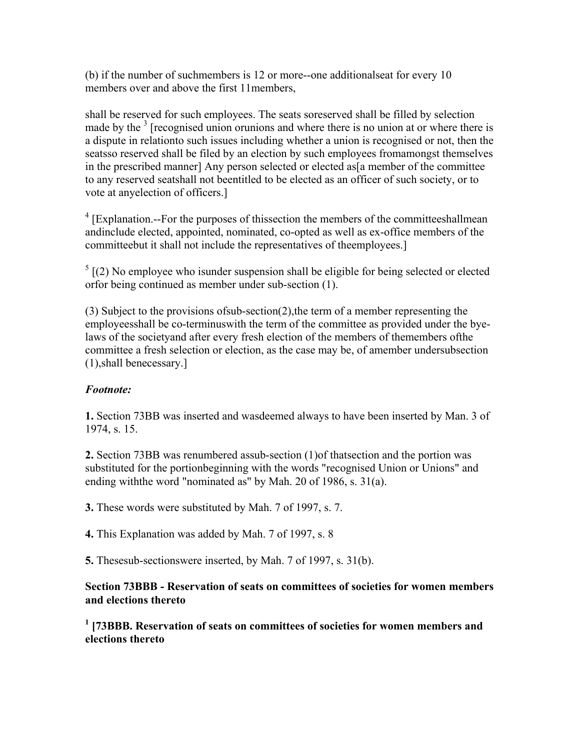(b) if the number of suchmembers is 12 or more--one additionalseat for every 10 members over and above the first 11members,

shall be reserved for such employees. The seats soreserved shall be filled by selection made by the  $3$  [recognised union orunions and where there is no union at or where there is a dispute in relationto such issues including whether a union is recognised or not, then the seatsso reserved shall be filed by an election by such employees fromamongst themselves in the prescribed manner] Any person selected or elected as a member of the committee to any reserved seatshall not beentitled to be elected as an officer of such society, or to vote at anyelection of officers.]

 $4$  [Explanation.--For the purposes of thissection the members of the committeeshallmean andinclude elected, appointed, nominated, co-opted as well as ex-office members of the committeebut it shall not include the representatives of theemployees.]

 $<sup>5</sup>$  [(2) No employee who isunder suspension shall be eligible for being selected or elected</sup> orfor being continued as member under sub-section (1).

(3) Subject to the provisions ofsub-section(2),the term of a member representing the employeesshall be co-terminuswith the term of the committee as provided under the byelaws of the societyand after every fresh election of the members of themembers ofthe committee a fresh selection or election, as the case may be, of amember undersubsection (1),shall benecessary.]

### *Footnote:*

**1.** Section 73BB was inserted and wasdeemed always to have been inserted by Man. 3 of 1974, s. 15.

**2.** Section 73BB was renumbered assub-section (1)of thatsection and the portion was substituted for the portionbeginning with the words "recognised Union or Unions" and ending withthe word "nominated as" by Mah. 20 of 1986, s. 31(a).

**3.** These words were substituted by Mah. 7 of 1997, s. 7.

**4.** This Explanation was added by Mah. 7 of 1997, s. 8

**5.** Thesesub-sectionswere inserted, by Mah. 7 of 1997, s. 31(b).

### **Section 73BBB - Reservation of seats on committees of societies for women members and elections thereto**

<sup>1</sup> [73BBB. Reservation of seats on committees of societies for women members and **elections thereto**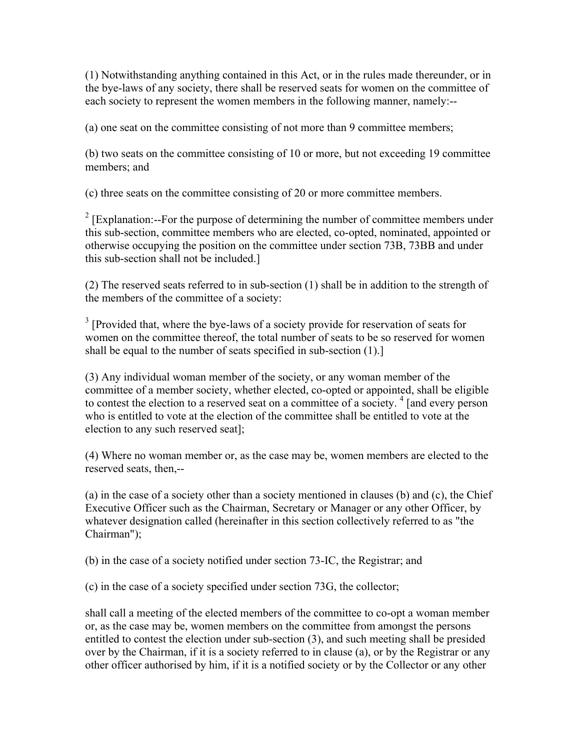(1) Notwithstanding anything contained in this Act, or in the rules made thereunder, or in the bye-laws of any society, there shall be reserved seats for women on the committee of each society to represent the women members in the following manner, namely:--

(a) one seat on the committee consisting of not more than 9 committee members;

(b) two seats on the committee consisting of 10 or more, but not exceeding 19 committee members; and

(c) three seats on the committee consisting of 20 or more committee members.

 $2$  [Explanation:--For the purpose of determining the number of committee members under this sub-section, committee members who are elected, co-opted, nominated, appointed or otherwise occupying the position on the committee under section 73B, 73BB and under this sub-section shall not be included.]

(2) The reserved seats referred to in sub-section (1) shall be in addition to the strength of the members of the committee of a society:

 $3$  [Provided that, where the bye-laws of a society provide for reservation of seats for women on the committee thereof, the total number of seats to be so reserved for women shall be equal to the number of seats specified in sub-section (1).]

(3) Any individual woman member of the society, or any woman member of the committee of a member society, whether elected, co-opted or appointed, shall be eligible to contest the election to a reserved seat on a committee of a society.<sup>4</sup> [and every person who is entitled to vote at the election of the committee shall be entitled to vote at the election to any such reserved seat];

(4) Where no woman member or, as the case may be, women members are elected to the reserved seats, then,--

(a) in the case of a society other than a society mentioned in clauses (b) and (c), the Chief Executive Officer such as the Chairman, Secretary or Manager or any other Officer, by whatever designation called (hereinafter in this section collectively referred to as "the Chairman");

(b) in the case of a society notified under section 73-IC, the Registrar; and

(c) in the case of a society specified under section 73G, the collector;

shall call a meeting of the elected members of the committee to co-opt a woman member or, as the case may be, women members on the committee from amongst the persons entitled to contest the election under sub-section (3), and such meeting shall be presided over by the Chairman, if it is a society referred to in clause (a), or by the Registrar or any other officer authorised by him, if it is a notified society or by the Collector or any other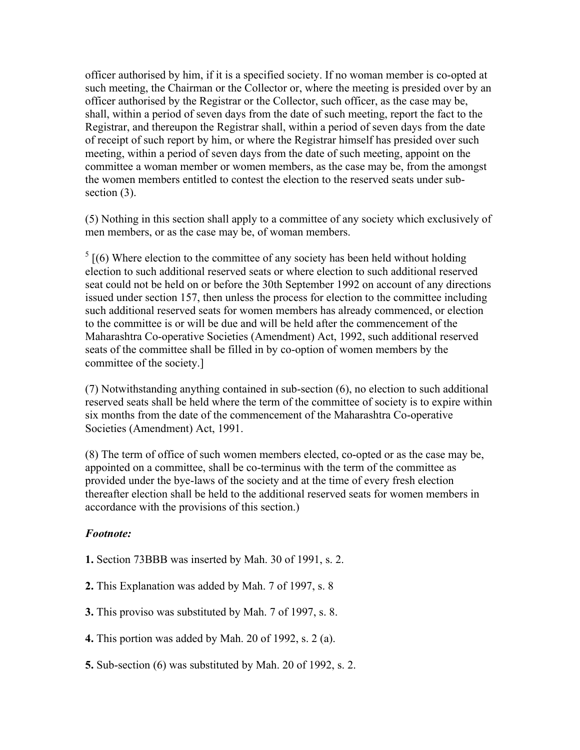officer authorised by him, if it is a specified society. If no woman member is co-opted at such meeting, the Chairman or the Collector or, where the meeting is presided over by an officer authorised by the Registrar or the Collector, such officer, as the case may be, shall, within a period of seven days from the date of such meeting, report the fact to the Registrar, and thereupon the Registrar shall, within a period of seven days from the date of receipt of such report by him, or where the Registrar himself has presided over such meeting, within a period of seven days from the date of such meeting, appoint on the committee a woman member or women members, as the case may be, from the amongst the women members entitled to contest the election to the reserved seats under subsection  $(3)$ .

(5) Nothing in this section shall apply to a committee of any society which exclusively of men members, or as the case may be, of woman members.

 $<sup>5</sup>$  [(6) Where election to the committee of any society has been held without holding</sup> election to such additional reserved seats or where election to such additional reserved seat could not be held on or before the 30th September 1992 on account of any directions issued under section 157, then unless the process for election to the committee including such additional reserved seats for women members has already commenced, or election to the committee is or will be due and will be held after the commencement of the Maharashtra Co-operative Societies (Amendment) Act, 1992, such additional reserved seats of the committee shall be filled in by co-option of women members by the committee of the society.]

(7) Notwithstanding anything contained in sub-section (6), no election to such additional reserved seats shall be held where the term of the committee of society is to expire within six months from the date of the commencement of the Maharashtra Co-operative Societies (Amendment) Act, 1991.

(8) The term of office of such women members elected, co-opted or as the case may be, appointed on a committee, shall be co-terminus with the term of the committee as provided under the bye-laws of the society and at the time of every fresh election thereafter election shall be held to the additional reserved seats for women members in accordance with the provisions of this section.)

#### *Footnote:*

- **1.** Section 73BBB was inserted by Mah. 30 of 1991, s. 2.
- **2.** This Explanation was added by Mah. 7 of 1997, s. 8
- **3.** This proviso was substituted by Mah. 7 of 1997, s. 8.
- **4.** This portion was added by Mah. 20 of 1992, s. 2 (a).
- **5.** Sub-section (6) was substituted by Mah. 20 of 1992, s. 2.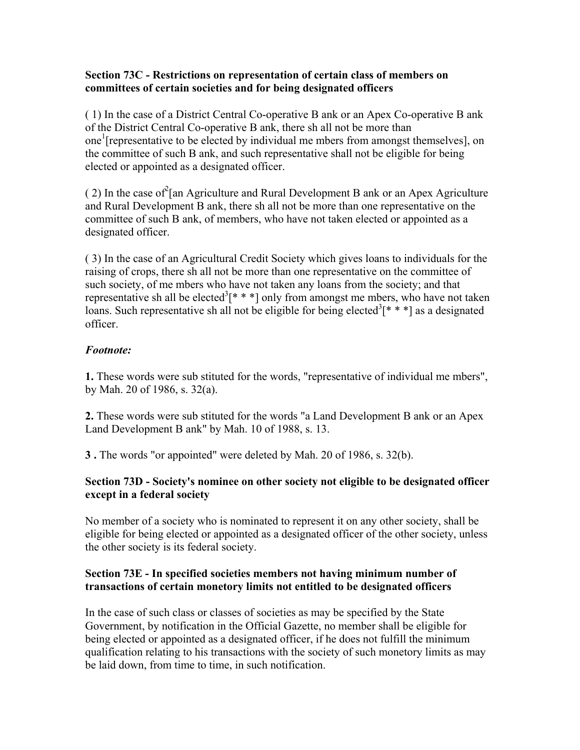#### **Section 73C - Restrictions on representation of certain class of members on committees of certain societies and for being designated officers**

( 1) In the case of a District Central Co-operative B ank or an Apex Co-operative B ank of the District Central Co-operative B ank, there sh all not be more than one<sup>1</sup> [representative to be elected by individual me mbers from amongst themselves], on the committee of such B ank, and such representative shall not be eligible for being elected or appointed as a designated officer.

(2) In the case of  $2$ [an Agriculture and Rural Development B ank or an Apex Agriculture and Rural Development B ank, there sh all not be more than one representative on the committee of such B ank, of members, who have not taken elected or appointed as a designated officer.

( 3) In the case of an Agricultural Credit Society which gives loans to individuals for the raising of crops, there sh all not be more than one representative on the committee of such society, of me mbers who have not taken any loans from the society; and that representative sh all be elected<sup>3</sup> $[$ \* \* \*] only from amongst me mbers, who have not taken loans. Such representative sh all not be eligible for being elected<sup>3</sup>[ $* * *$ ] as a designated officer.

### *Footnote:*

**1.** These words were sub stituted for the words, "representative of individual me mbers", by Mah. 20 of 1986, s. 32(a).

**2.** These words were sub stituted for the words "a Land Development B ank or an Apex Land Development B ank" by Mah. 10 of 1988, s. 13.

**3 .** The words "or appointed" were deleted by Mah. 20 of 1986, s. 32(b).

### **Section 73D - Society's nominee on other society not eligible to be designated officer except in a federal society**

No member of a society who is nominated to represent it on any other society, shall be eligible for being elected or appointed as a designated officer of the other society, unless the other society is its federal society.

### **Section 73E - In specified societies members not having minimum number of transactions of certain monetory limits not entitled to be designated officers**

In the case of such class or classes of societies as may be specified by the State Government, by notification in the Official Gazette, no member shall be eligible for being elected or appointed as a designated officer, if he does not fulfill the minimum qualification relating to his transactions with the society of such monetory limits as may be laid down, from time to time, in such notification.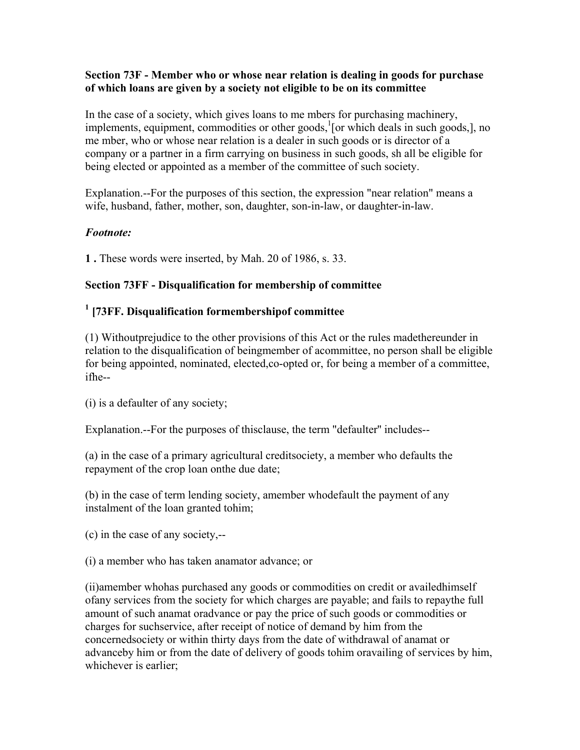#### **Section 73F - Member who or whose near relation is dealing in goods for purchase of which loans are given by a society not eligible to be on its committee**

In the case of a society, which gives loans to me mbers for purchasing machinery, implements, equipment, commodities or other goods,<sup>1</sup> [or which deals in such goods,], no me mber, who or whose near relation is a dealer in such goods or is director of a company or a partner in a firm carrying on business in such goods, sh all be eligible for being elected or appointed as a member of the committee of such society.

Explanation.--For the purposes of this section, the expression "near relation" means a wife, husband, father, mother, son, daughter, son-in-law, or daughter-in-law.

#### *Footnote:*

**1 .** These words were inserted, by Mah. 20 of 1986, s. 33.

#### **Section 73FF - Disqualification for membership of committee**

# **1 [73FF. Disqualification formembershipof committee**

(1) Withoutprejudice to the other provisions of this Act or the rules madethereunder in relation to the disqualification of beingmember of acommittee, no person shall be eligible for being appointed, nominated, elected,co-opted or, for being a member of a committee, ifhe--

(i) is a defaulter of any society;

Explanation.--For the purposes of thisclause, the term "defaulter'' includes--

(a) in the case of a primary agricultural creditsociety, a member who defaults the repayment of the crop loan onthe due date;

(b) in the case of term lending society, amember whodefault the payment of any instalment of the loan granted tohim;

(c) in the case of any society,--

(i) a member who has taken anamator advance; or

(ii)amember whohas purchased any goods or commodities on credit or availedhimself ofany services from the society for which charges are payable; and fails to repaythe full amount of such anamat oradvance or pay the price of such goods or commodities or charges for suchservice, after receipt of notice of demand by him from the concernedsociety or within thirty days from the date of withdrawal of anamat or advanceby him or from the date of delivery of goods tohim oravailing of services by him, whichever is earlier;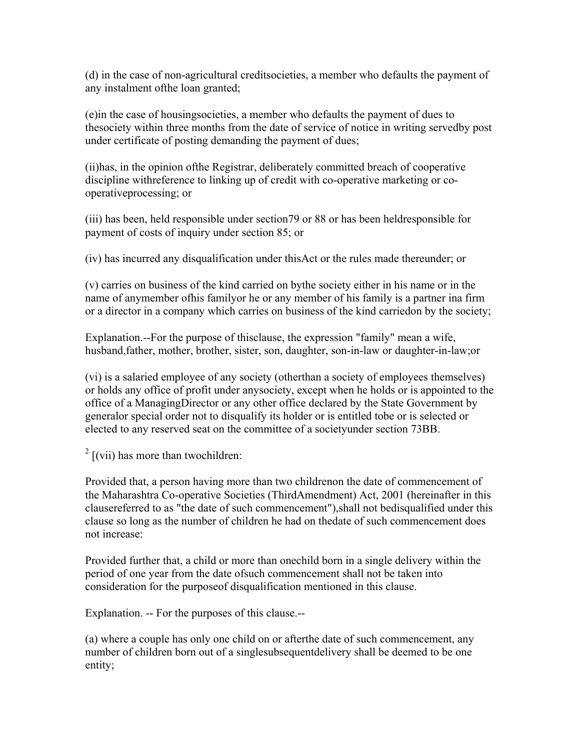(d) in the case of non-agricultural creditsocieties, a member who defaults the payment of any instalment ofthe loan granted;

(e)in the case of housingsocieties, a member who defaults the payment of dues to thesociety within three months from the date of service of notice in writing servedby post under certificate of posting demanding the payment of dues;

(ii)has, in the opinion ofthe Registrar, deliberately committed breach of cooperative discipline withreference to linking up of credit with co-operative marketing or cooperativeprocessing; or

(iii) has been, held responsible under section79 or 88 or has been heldresponsible for payment of costs of inquiry under section 85; or

(iv) has incurred any disqualification under thisAct or the rules made thereunder; or

(v) carries on business of the kind carried on bythe society either in his name or in the name of anymember ofhis familyor he or any member of his family is a partner ina firm or a director in a company which carries on business of the kind carriedon by the society;

Explanation.--For the purpose of thisclause, the expression "family" mean a wife, husband,father, mother, brother, sister, son, daughter, son-in-law or daughter-in-law;or

(vi) is a salaried employee of any society (otherthan a society of employees themselves) or holds any office of profit under anysociety, except when he holds or is appointed to the office of a ManagingDirector or any other office declared by the State Government by generalor special order not to disqualify its holder or is entitled tobe or is selected or elected to any reserved seat on the committee of a societyunder section 73BB.

 $2$  [(vii) has more than twochildren:

Provided that, a person having more than two childrenon the date of commencement of the Maharashtra Co-operative Societies (ThirdAmendment) Act, 2001 (hereinafter in this clausereferred to as "the date of such commencement"),shall not bedisqualified under this clause so long as the number of children he had on thedate of such commencement does not increase:

Provided further that, a child or more than onechild born in a single delivery within the period of one year from the date ofsuch commencement shall not be taken into consideration for the purposeof disqualification mentioned in this clause.

Explanation. -- For the purposes of this clause.--

(a) where a couple has only one child on or afterthe date of such commencement, any number of children born out of a singlesubsequentdelivery shall be deemed to be one entity;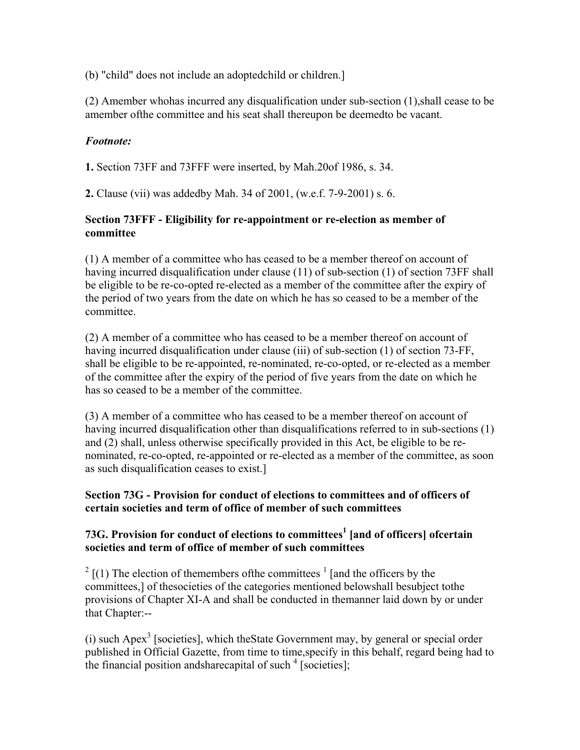(b) "child" does not include an adoptedchild or children.]

(2) Amember whohas incurred any disqualification under sub-section (1),shall cease to be amember ofthe committee and his seat shall thereupon be deemedto be vacant.

### *Footnote:*

**1.** Section 73FF and 73FFF were inserted, by Mah.20of 1986, s. 34.

**2.** Clause (vii) was addedby Mah. 34 of 2001, (w.e.f. 7-9-2001) s. 6.

#### **Section 73FFF - Eligibility for re-appointment or re-election as member of committee**

(1) A member of a committee who has ceased to be a member thereof on account of having incurred disqualification under clause (11) of sub-section (1) of section 73FF shall be eligible to be re-co-opted re-elected as a member of the committee after the expiry of the period of two years from the date on which he has so ceased to be a member of the committee.

(2) A member of a committee who has ceased to be a member thereof on account of having incurred disqualification under clause (iii) of sub-section (1) of section 73-FF, shall be eligible to be re-appointed, re-nominated, re-co-opted, or re-elected as a member of the committee after the expiry of the period of five years from the date on which he has so ceased to be a member of the committee.

(3) A member of a committee who has ceased to be a member thereof on account of having incurred disqualification other than disqualifications referred to in sub-sections (1) and (2) shall, unless otherwise specifically provided in this Act, be eligible to be renominated, re-co-opted, re-appointed or re-elected as a member of the committee, as soon as such disqualification ceases to exist.]

### **Section 73G - Provision for conduct of elections to committees and of officers of certain societies and term of office of member of such committees**

### **73G. Provision for conduct of elections to committees<sup>1</sup> [and of officers] ofcertain societies and term of office of member of such committees**

 $2 \left[ (1)$  The election of themembers of the committees  $\frac{1}{2} \left[$  and the officers by the committees,] of thesocieties of the categories mentioned belowshall besubject tothe provisions of Chapter XI-A and shall be conducted in themanner laid down by or under that Chapter:--

(i) such Apex<sup>3</sup> [societies], which the State Government may, by general or special order published in Official Gazette, from time to time,specify in this behalf, regard being had to the financial position and share capital of such  $4$  [societies];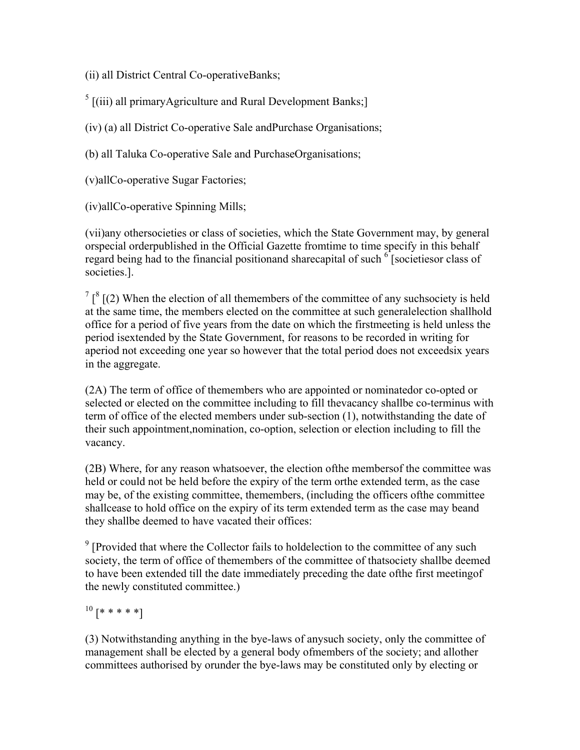(ii) all District Central Co-operativeBanks;

 $<sup>5</sup>$  [(iii) all primaryAgriculture and Rural Development Banks;]</sup>

(iv) (a) all District Co-operative Sale andPurchase Organisations;

(b) all Taluka Co-operative Sale and PurchaseOrganisations;

(v)allCo-operative Sugar Factories;

(iv)allCo-operative Spinning Mills;

(vii)any othersocieties or class of societies, which the State Government may, by general orspecial orderpublished in the Official Gazette fromtime to time specify in this behalf regard being had to the financial positionand sharecapital of such  $\delta$  [societiesor class of societies.].

 $7 \binom{8}{2}$  (2) When the election of all themembers of the committee of any suchsociety is held at the same time, the members elected on the committee at such generalelection shallhold office for a period of five years from the date on which the firstmeeting is held unless the period isextended by the State Government, for reasons to be recorded in writing for aperiod not exceeding one year so however that the total period does not exceedsix years in the aggregate.

(2A) The term of office of themembers who are appointed or nominatedor co-opted or selected or elected on the committee including to fill thevacancy shallbe co-terminus with term of office of the elected members under sub-section (1), notwithstanding the date of their such appointment,nomination, co-option, selection or election including to fill the vacancy.

(2B) Where, for any reason whatsoever, the election ofthe membersof the committee was held or could not be held before the expiry of the term orthe extended term, as the case may be, of the existing committee, themembers, (including the officers ofthe committee shallcease to hold office on the expiry of its term extended term as the case may beand they shallbe deemed to have vacated their offices:

 $9$  [Provided that where the Collector fails to holdelection to the committee of any such society, the term of office of themembers of the committee of thatsociety shallbe deemed to have been extended till the date immediately preceding the date ofthe first meetingof the newly constituted committee.)

 $10 [ * * * * * * ]$ 

(3) Notwithstanding anything in the bye-laws of anysuch society, only the committee of management shall be elected by a general body ofmembers of the society; and allother committees authorised by orunder the bye-laws may be constituted only by electing or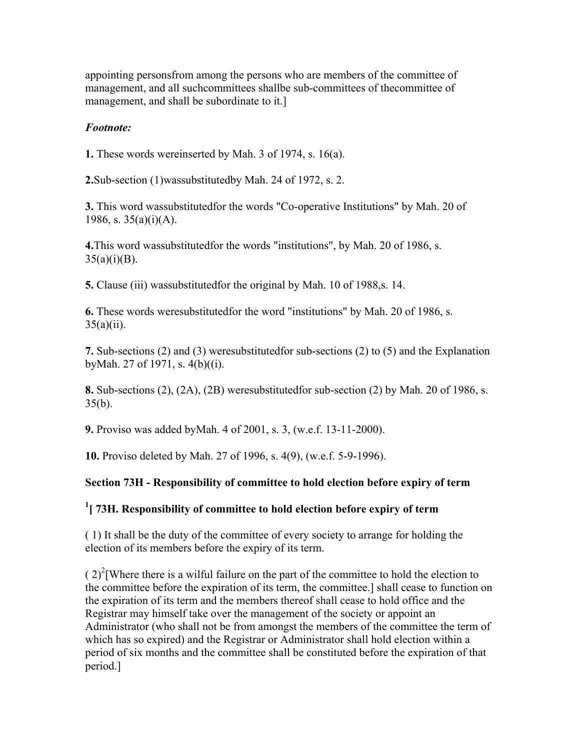appointing personsfrom among the persons who are members of the committee of management, and all suchcommittees shallbe sub-committees of the committee of management, and shall be subordinate to it.]

#### *Footnote:*

**1.** These words wereinserted by Mah. 3 of 1974, s. 16(a).

**2.**Sub-section (1)wassubstitutedby Mah. 24 of 1972, s. 2.

**3.** This word wassubstitutedfor the words "Co-operative Institutions" by Mah. 20 of 1986, s.  $35(a)(i)(A)$ .

**4.**This word wassubstitutedfor the words "institutions", by Mah. 20 of 1986, s.  $35(a)(i)(B)$ .

**5.** Clause (iii) wassubstitutedfor the original by Mah. 10 of 1988,s. 14.

**6.** These words weresubstitutedfor the word "institutions" by Mah. 20 of 1986, s.  $35(a)(ii)$ .

**7.** Sub-sections (2) and (3) weresubstitutedfor sub-sections (2) to (5) and the Explanation byMah. 27 of 1971, s. 4(b)((i).

**8.** Sub-sections (2), (2A), (2B) weresubstitutedfor sub-section (2) by Mah. 20 of 1986, s.  $35(b)$ .

**9.** Proviso was added byMah. 4 of 2001, s. 3, (w.e.f. 13-11-2000).

**10.** Proviso deleted by Mah. 27 of 1996, s. 4(9), (w.e.f. 5-9-1996).

#### **Section 73H - Responsibility of committee to hold election before expiry of term**

## **1 [ 73H. Responsibility of committee to hold election before expiry of term**

( 1) It shall be the duty of the committee of every society to arrange for holding the election of its members before the expiry of its term.

 $(2)^{2}$ [Where there is a wilful failure on the part of the committee to hold the election to the committee before the expiration of its term, the committee.] shall cease to function on the expiration of its term and the members thereof shall cease to hold office and the Registrar may himself take over the management of the society or appoint an Administrator (who shall not be from amongst the members of the committee the term of which has so expired) and the Registrar or Administrator shall hold election within a period of six months and the committee shall be constituted before the expiration of that period.]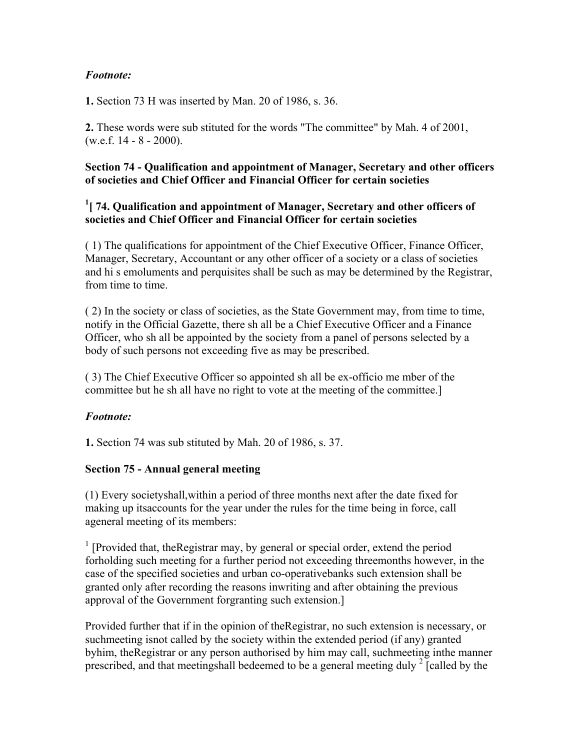### *Footnote:*

**1.** Section 73 H was inserted by Man. 20 of 1986, s. 36.

**2.** These words were sub stituted for the words "The committee" by Mah. 4 of 2001,  $(w.e.f. 14 - 8 - 2000)$ .

#### **Section 74 - Qualification and appointment of Manager, Secretary and other officers of societies and Chief Officer and Financial Officer for certain societies**

#### <sup>1</sup> [ 74. Qualification and appointment of Manager, Secretary and other officers of **societies and Chief Officer and Financial Officer for certain societies**

( 1) The qualifications for appointment of the Chief Executive Officer, Finance Officer, Manager, Secretary, Accountant or any other officer of a society or a class of societies and hi s emoluments and perquisites shall be such as may be determined by the Registrar, from time to time.

( 2) In the society or class of societies, as the State Government may, from time to time, notify in the Official Gazette, there sh all be a Chief Executive Officer and a Finance Officer, who sh all be appointed by the society from a panel of persons selected by a body of such persons not exceeding five as may be prescribed.

( 3) The Chief Executive Officer so appointed sh all be ex-officio me mber of the committee but he sh all have no right to vote at the meeting of the committee.]

#### *Footnote:*

**1.** Section 74 was sub stituted by Mah. 20 of 1986, s. 37.

#### **Section 75 - Annual general meeting**

(1) Every societyshall,within a period of three months next after the date fixed for making up itsaccounts for the year under the rules for the time being in force, call ageneral meeting of its members:

<sup>1</sup> [Provided that, theRegistrar may, by general or special order, extend the period forholding such meeting for a further period not exceeding threemonths however, in the case of the specified societies and urban co-operativebanks such extension shall be granted only after recording the reasons inwriting and after obtaining the previous approval of the Government forgranting such extension.]

Provided further that if in the opinion of theRegistrar, no such extension is necessary, or suchmeeting isnot called by the society within the extended period (if any) granted byhim, theRegistrar or any person authorised by him may call, suchmeeting inthe manner prescribed, and that meetingshall bedeemed to be a general meeting duly  $2$  [called by the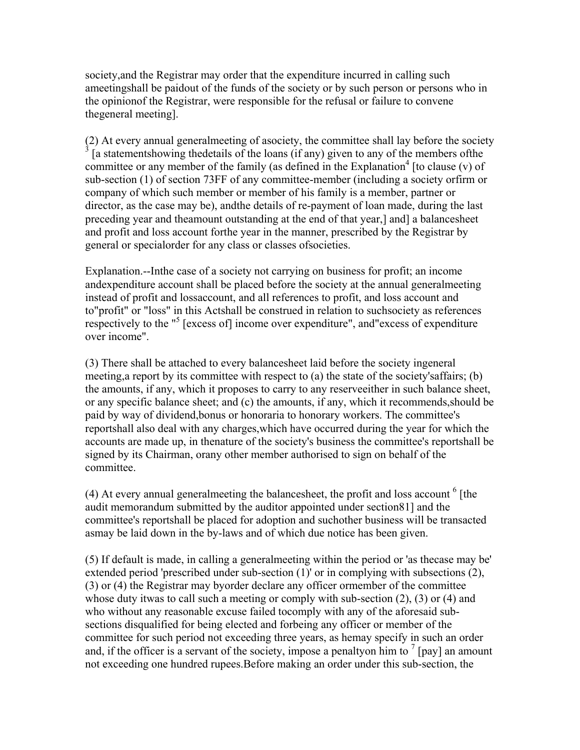society,and the Registrar may order that the expenditure incurred in calling such ameetingshall be paidout of the funds of the society or by such person or persons who in the opinionof the Registrar, were responsible for the refusal or failure to convene thegeneral meeting].

(2) At every annual generalmeeting of asociety, the committee shall lay before the society 3 [a statementshowing thedetails of the loans (if any) given to any of the members ofthe committee or any member of the family (as defined in the Explanation<sup>4</sup> [to clause  $(v)$  of sub-section (1) of section 73FF of any committee-member (including a society orfirm or company of which such member or member of his family is a member, partner or director, as the case may be), andthe details of re-payment of loan made, during the last preceding year and theamount outstanding at the end of that year,] and] a balancesheet and profit and loss account forthe year in the manner, prescribed by the Registrar by general or specialorder for any class or classes ofsocieties.

Explanation.--Inthe case of a society not carrying on business for profit; an income andexpenditure account shall be placed before the society at the annual generalmeeting instead of profit and lossaccount, and all references to profit, and loss account and to"profit" or "loss" in this Actshall be construed in relation to suchsociety as references respectively to the "<sup>5</sup> [excess of] income over expenditure", and excess of expenditure over income".

(3) There shall be attached to every balancesheet laid before the society ingeneral meeting,a report by its committee with respect to (a) the state of the society'saffairs; (b) the amounts, if any, which it proposes to carry to any reserveeither in such balance sheet, or any specific balance sheet; and (c) the amounts, if any, which it recommends,should be paid by way of dividend,bonus or honoraria to honorary workers. The committee's reportshall also deal with any charges,which have occurred during the year for which the accounts are made up, in thenature of the society's business the committee's reportshall be signed by its Chairman, orany other member authorised to sign on behalf of the committee.

 $(4)$  At every annual generalmeeting the balancesheet, the profit and loss account  $<sup>6</sup>$  [the</sup> audit memorandum submitted by the auditor appointed under section81] and the committee's reportshall be placed for adoption and suchother business will be transacted asmay be laid down in the by-laws and of which due notice has been given.

(5) If default is made, in calling a generalmeeting within the period or 'as thecase may be' extended period 'prescribed under sub-section (1)' or in complying with subsections (2), (3) or (4) the Registrar may byorder declare any officer ormember of the committee whose duty itwas to call such a meeting or comply with sub-section (2), (3) or (4) and who without any reasonable excuse failed tocomply with any of the aforesaid subsections disqualified for being elected and forbeing any officer or member of the committee for such period not exceeding three years, as hemay specify in such an order and, if the officer is a servant of the society, impose a penaltyon him to  $^7$  [pay] an amount not exceeding one hundred rupees.Before making an order under this sub-section, the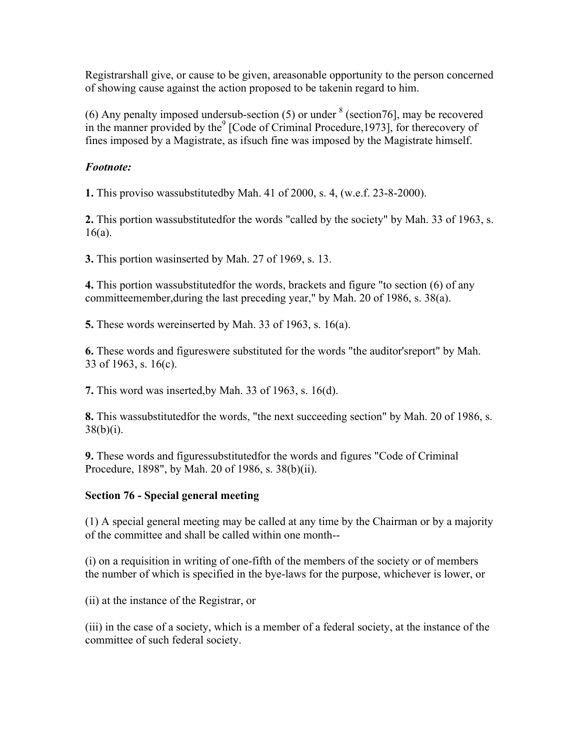Registrarshall give, or cause to be given, areasonable opportunity to the person concerned of showing cause against the action proposed to be takenin regard to him.

(6) Any penalty imposed undersub-section  $(5)$  or under  $8$  (section 76], may be recovered in the manner provided by the $9$  [Code of Criminal Procedure, 1973], for therecovery of fines imposed by a Magistrate, as ifsuch fine was imposed by the Magistrate himself.

#### *Footnote:*

**1.** This proviso wassubstitutedby Mah. 41 of 2000, s. 4, (w.e.f. 23-8-2000).

**2.** This portion wassubstitutedfor the words "called by the society" by Mah. 33 of 1963, s. 16(a).

**3.** This portion wasinserted by Mah. 27 of 1969, s. 13.

**4.** This portion wassubstitutedfor the words, brackets and figure "to section (6) of any committeemember,during the last preceding year," by Mah. 20 of 1986, s. 38(a).

**5.** These words wereinserted by Mah. 33 of 1963, s. 16(a).

**6.** These words and figureswere substituted for the words "the auditor'sreport" by Mah. 33 of 1963, s. 16(c).

**7.** This word was inserted,by Mah. 33 of 1963, s. 16(d).

**8.** This wassubstitutedfor the words, "the next succeeding section" by Mah. 20 of 1986, s.  $38(b)(i)$ .

**9.** These words and figuressubstitutedfor the words and figures "Code of Criminal Procedure, 1898", by Mah. 20 of 1986, s. 38(b)(ii).

#### **Section 76 - Special general meeting**

(1) A special general meeting may be called at any time by the Chairman or by a majority of the committee and shall be called within one month--

(i) on a requisition in writing of one-fifth of the members of the society or of members the number of which is specified in the bye-laws for the purpose, whichever is lower, or

(ii) at the instance of the Registrar, or

(iii) in the case of a society, which is a member of a federal society, at the instance of the committee of such federal society.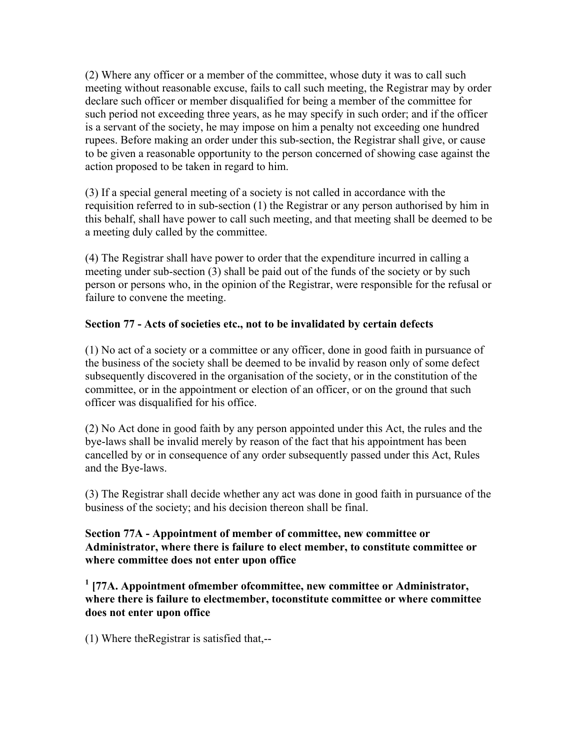(2) Where any officer or a member of the committee, whose duty it was to call such meeting without reasonable excuse, fails to call such meeting, the Registrar may by order declare such officer or member disqualified for being a member of the committee for such period not exceeding three years, as he may specify in such order; and if the officer is a servant of the society, he may impose on him a penalty not exceeding one hundred rupees. Before making an order under this sub-section, the Registrar shall give, or cause to be given a reasonable opportunity to the person concerned of showing case against the action proposed to be taken in regard to him.

(3) If a special general meeting of a society is not called in accordance with the requisition referred to in sub-section (1) the Registrar or any person authorised by him in this behalf, shall have power to call such meeting, and that meeting shall be deemed to be a meeting duly called by the committee.

(4) The Registrar shall have power to order that the expenditure incurred in calling a meeting under sub-section (3) shall be paid out of the funds of the society or by such person or persons who, in the opinion of the Registrar, were responsible for the refusal or failure to convene the meeting.

#### **Section 77 - Acts of societies etc., not to be invalidated by certain defects**

(1) No act of a society or a committee or any officer, done in good faith in pursuance of the business of the society shall be deemed to be invalid by reason only of some defect subsequently discovered in the organisation of the society, or in the constitution of the committee, or in the appointment or election of an officer, or on the ground that such officer was disqualified for his office.

(2) No Act done in good faith by any person appointed under this Act, the rules and the bye-laws shall be invalid merely by reason of the fact that his appointment has been cancelled by or in consequence of any order subsequently passed under this Act, Rules and the Bye-laws.

(3) The Registrar shall decide whether any act was done in good faith in pursuance of the business of the society; and his decision thereon shall be final.

#### **Section 77A - Appointment of member of committee, new committee or Administrator, where there is failure to elect member, to constitute committee or where committee does not enter upon office**

<sup>1</sup> [77A. Appointment ofmember ofcommittee, new committee or Administrator, **where there is failure to electmember, toconstitute committee or where committee does not enter upon office**

(1) Where theRegistrar is satisfied that,--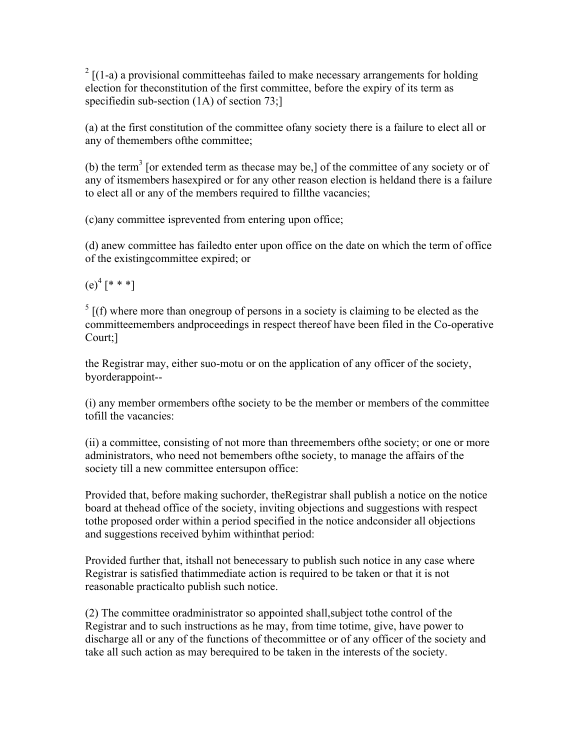$2 \left[ (1-a)$  a provisional committee has failed to make necessary arrangements for holding election for theconstitution of the first committee, before the expiry of its term as specifiedin sub-section (1A) of section 73;

(a) at the first constitution of the committee ofany society there is a failure to elect all or any of themembers ofthe committee;

(b) the term<sup>3</sup> [or extended term as the case may be,] of the committee of any society or of any of itsmembers hasexpired or for any other reason election is heldand there is a failure to elect all or any of the members required to fillthe vacancies;

(c)any committee isprevented from entering upon office;

(d) anew committee has failedto enter upon office on the date on which the term of office of the existingcommittee expired; or

 $(e)^4$  [\* \* \*]

 $<sup>5</sup>$  [(f) where more than onegroup of persons in a society is claiming to be elected as the</sup> committeemembers andproceedings in respect thereof have been filed in the Co-operative Court;]

the Registrar may, either suo-motu or on the application of any officer of the society, byorderappoint--

(i) any member ormembers ofthe society to be the member or members of the committee tofill the vacancies:

(ii) a committee, consisting of not more than threemembers ofthe society; or one or more administrators, who need not bemembers ofthe society, to manage the affairs of the society till a new committee entersupon office:

Provided that, before making suchorder, theRegistrar shall publish a notice on the notice board at thehead office of the society, inviting objections and suggestions with respect tothe proposed order within a period specified in the notice andconsider all objections and suggestions received byhim withinthat period:

Provided further that, itshall not benecessary to publish such notice in any case where Registrar is satisfied thatimmediate action is required to be taken or that it is not reasonable practicalto publish such notice.

(2) The committee oradministrator so appointed shall,subject tothe control of the Registrar and to such instructions as he may, from time totime, give, have power to discharge all or any of the functions of thecommittee or of any officer of the society and take all such action as may berequired to be taken in the interests of the society.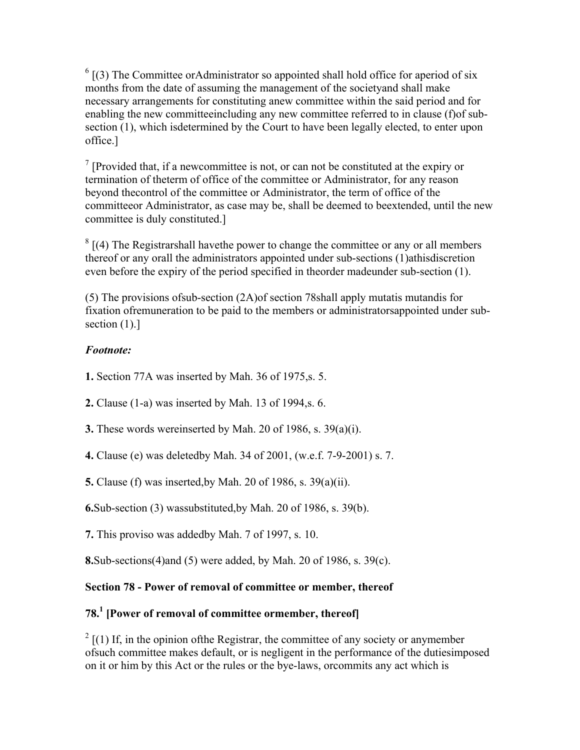$<sup>6</sup>$  [(3) The Committee orAdministrator so appointed shall hold office for aperiod of six</sup> months from the date of assuming the management of the societyand shall make necessary arrangements for constituting anew committee within the said period and for enabling the new committeeincluding any new committee referred to in clause (f)of subsection (1), which isdetermined by the Court to have been legally elected, to enter upon office.]

<sup>7</sup> [Provided that, if a new committee is not, or can not be constituted at the expiry or termination of theterm of office of the committee or Administrator, for any reason beyond thecontrol of the committee or Administrator, the term of office of the committeeor Administrator, as case may be, shall be deemed to beextended, until the new committee is duly constituted.]

 $8$  [(4) The Registrarshall have the power to change the committee or any or all members thereof or any orall the administrators appointed under sub-sections (1)athisdiscretion even before the expiry of the period specified in theorder madeunder sub-section (1).

(5) The provisions ofsub-section (2A)of section 78shall apply mutatis mutandis for fixation ofremuneration to be paid to the members or administratorsappointed under subsection  $(1)$ .]

## *Footnote:*

- **1.** Section 77A was inserted by Mah. 36 of 1975,s. 5.
- **2.** Clause (1-a) was inserted by Mah. 13 of 1994,s. 6.
- **3.** These words wereinserted by Mah. 20 of 1986, s. 39(a)(i).
- **4.** Clause (e) was deletedby Mah. 34 of 2001, (w.e.f. 7-9-2001) s. 7.

**5.** Clause (f) was inserted,by Mah. 20 of 1986, s. 39(a)(ii).

**6.**Sub-section (3) wassubstituted,by Mah. 20 of 1986, s. 39(b).

**7.** This proviso was addedby Mah. 7 of 1997, s. 10.

**8.**Sub-sections(4)and (5) were added, by Mah. 20 of 1986, s. 39(c).

## **Section 78 - Power of removal of committee or member, thereof**

# **78.1 [Power of removal of committee ormember, thereof]**

 $2 \left[ (1) \right]$  If, in the opinion of the Registrar, the committee of any society or anymember ofsuch committee makes default, or is negligent in the performance of the dutiesimposed on it or him by this Act or the rules or the bye-laws, orcommits any act which is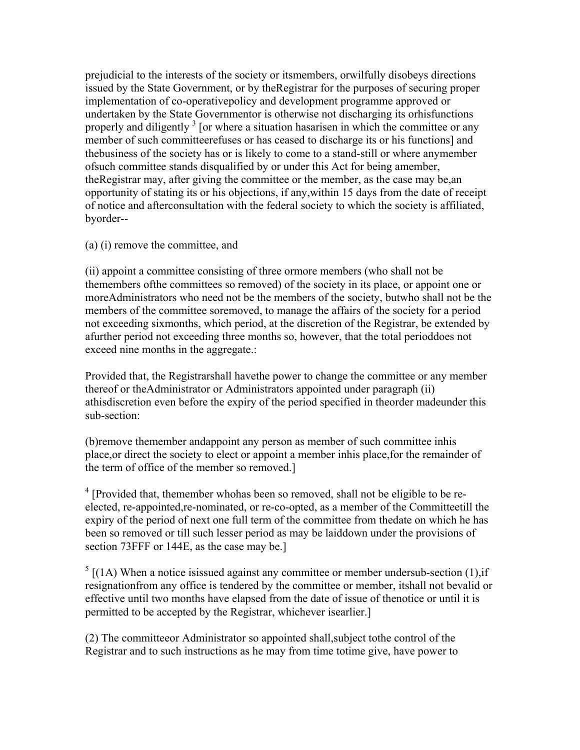prejudicial to the interests of the society or itsmembers, orwilfully disobeys directions issued by the State Government, or by theRegistrar for the purposes of securing proper implementation of co-operativepolicy and development programme approved or undertaken by the State Governmentor is otherwise not discharging its orhisfunctions properly and diligently  $3$  [or where a situation hasarisen in which the committee or any member of such committeerefuses or has ceased to discharge its or his functions] and thebusiness of the society has or is likely to come to a stand-still or where anymember ofsuch committee stands disqualified by or under this Act for being amember, theRegistrar may, after giving the committee or the member, as the case may be,an opportunity of stating its or his objections, if any,within 15 days from the date of receipt of notice and afterconsultation with the federal society to which the society is affiliated, byorder--

(a) (i) remove the committee, and

(ii) appoint a committee consisting of three ormore members (who shall not be themembers ofthe committees so removed) of the society in its place, or appoint one or moreAdministrators who need not be the members of the society, butwho shall not be the members of the committee soremoved, to manage the affairs of the society for a period not exceeding sixmonths, which period, at the discretion of the Registrar, be extended by afurther period not exceeding three months so, however, that the total perioddoes not exceed nine months in the aggregate.:

Provided that, the Registrarshall havethe power to change the committee or any member thereof or theAdministrator or Administrators appointed under paragraph (ii) athisdiscretion even before the expiry of the period specified in theorder madeunder this sub-section:

(b)remove themember andappoint any person as member of such committee inhis place,or direct the society to elect or appoint a member inhis place,for the remainder of the term of office of the member so removed.]

 $4$  [Provided that, themember whohas been so removed, shall not be eligible to be reelected, re-appointed,re-nominated, or re-co-opted, as a member of the Committeetill the expiry of the period of next one full term of the committee from thedate on which he has been so removed or till such lesser period as may be laiddown under the provisions of section 73FFF or 144E, as the case may be.]

 $<sup>5</sup>$  [(1A) When a notice isissued against any committee or member undersub-section (1), if</sup> resignationfrom any office is tendered by the committee or member, itshall not bevalid or effective until two months have elapsed from the date of issue of thenotice or until it is permitted to be accepted by the Registrar, whichever isearlier.]

(2) The committeeor Administrator so appointed shall,subject tothe control of the Registrar and to such instructions as he may from time totime give, have power to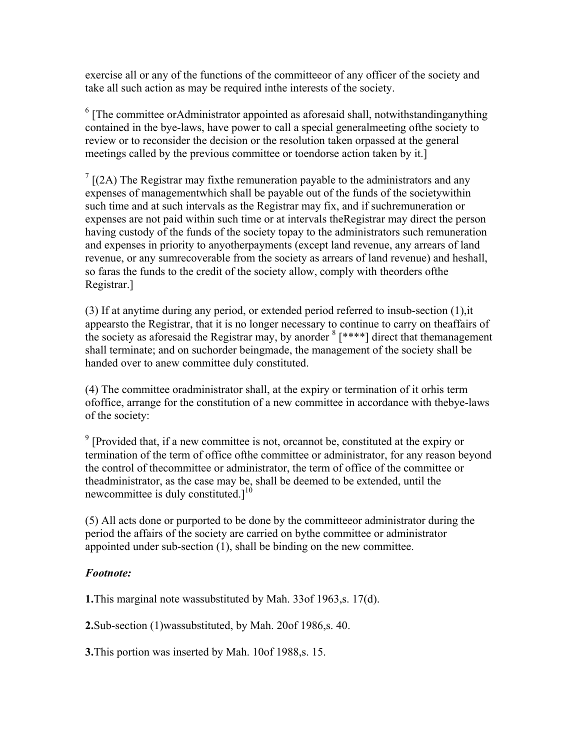exercise all or any of the functions of the committeeor of any officer of the society and take all such action as may be required inthe interests of the society.

 $6$  [The committee orAdministrator appointed as aforesaid shall, notwithstandinganything contained in the bye-laws, have power to call a special generalmeeting ofthe society to review or to reconsider the decision or the resolution taken orpassed at the general meetings called by the previous committee or toendorse action taken by it.]

 $7$  [(2A) The Registrar may fixthe remuneration payable to the administrators and any expenses of managementwhich shall be payable out of the funds of the societywithin such time and at such intervals as the Registrar may fix, and if suchremuneration or expenses are not paid within such time or at intervals theRegistrar may direct the person having custody of the funds of the society topay to the administrators such remuneration and expenses in priority to anyotherpayments (except land revenue, any arrears of land revenue, or any sumrecoverable from the society as arrears of land revenue) and heshall, so faras the funds to the credit of the society allow, comply with theorders ofthe Registrar.]

(3) If at anytime during any period, or extended period referred to insub-section (1),it appearsto the Registrar, that it is no longer necessary to continue to carry on theaffairs of the society as aforesaid the Registrar may, by anorder  $8$  [ $***$ ] direct that themanagement shall terminate; and on suchorder beingmade, the management of the society shall be handed over to anew committee duly constituted.

(4) The committee oradministrator shall, at the expiry or termination of it orhis term ofoffice, arrange for the constitution of a new committee in accordance with thebye-laws of the society:

 $9$  [Provided that, if a new committee is not, or cannot be, constituted at the expiry or termination of the term of office ofthe committee or administrator, for any reason beyond the control of thecommittee or administrator, the term of office of the committee or theadministrator, as the case may be, shall be deemed to be extended, until the new committee is duly constituted. $]^{10}$ 

(5) All acts done or purported to be done by the committeeor administrator during the period the affairs of the society are carried on bythe committee or administrator appointed under sub-section (1), shall be binding on the new committee.

#### *Footnote:*

**1.**This marginal note wassubstituted by Mah. 33of 1963,s. 17(d).

**2.**Sub-section (1)wassubstituted, by Mah. 20of 1986,s. 40.

**3.**This portion was inserted by Mah. 10of 1988,s. 15.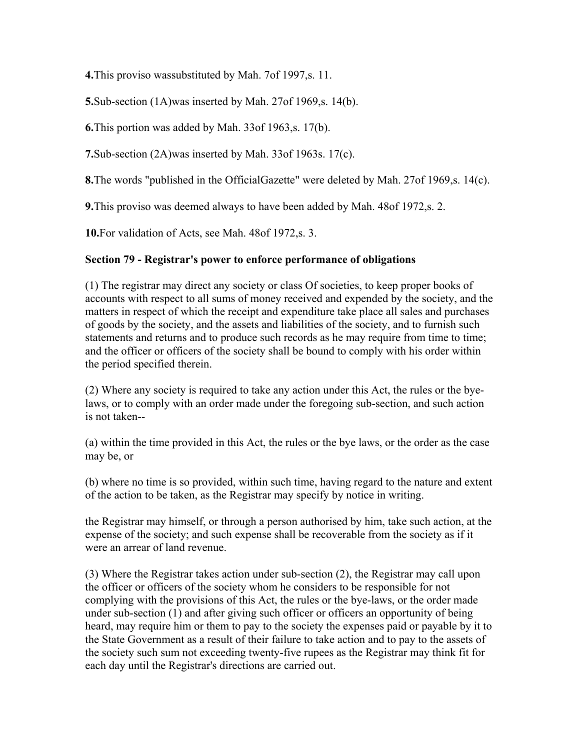**4.**This proviso wassubstituted by Mah. 7of 1997,s. 11.

**5.**Sub-section (1A)was inserted by Mah. 27of 1969,s. 14(b).

**6.**This portion was added by Mah. 33of 1963,s. 17(b).

**7.**Sub-section (2A)was inserted by Mah. 33of 1963s. 17(c).

**8.**The words "published in the OfficialGazette" were deleted by Mah. 27of 1969,s. 14(c).

**9.**This proviso was deemed always to have been added by Mah. 48of 1972,s. 2.

**10.**For validation of Acts, see Mah. 48of 1972,s. 3.

#### **Section 79 - Registrar's power to enforce performance of obligations**

(1) The registrar may direct any society or class Of societies, to keep proper books of accounts with respect to all sums of money received and expended by the society, and the matters in respect of which the receipt and expenditure take place all sales and purchases of goods by the society, and the assets and liabilities of the society, and to furnish such statements and returns and to produce such records as he may require from time to time; and the officer or officers of the society shall be bound to comply with his order within the period specified therein.

(2) Where any society is required to take any action under this Act, the rules or the byelaws, or to comply with an order made under the foregoing sub-section, and such action is not taken--

(a) within the time provided in this Act, the rules or the bye laws, or the order as the case may be, or

(b) where no time is so provided, within such time, having regard to the nature and extent of the action to be taken, as the Registrar may specify by notice in writing.

the Registrar may himself, or through a person authorised by him, take such action, at the expense of the society; and such expense shall be recoverable from the society as if it were an arrear of land revenue.

(3) Where the Registrar takes action under sub-section (2), the Registrar may call upon the officer or officers of the society whom he considers to be responsible for not complying with the provisions of this Act, the rules or the bye-laws, or the order made under sub-section (1) and after giving such officer or officers an opportunity of being heard, may require him or them to pay to the society the expenses paid or payable by it to the State Government as a result of their failure to take action and to pay to the assets of the society such sum not exceeding twenty-five rupees as the Registrar may think fit for each day until the Registrar's directions are carried out.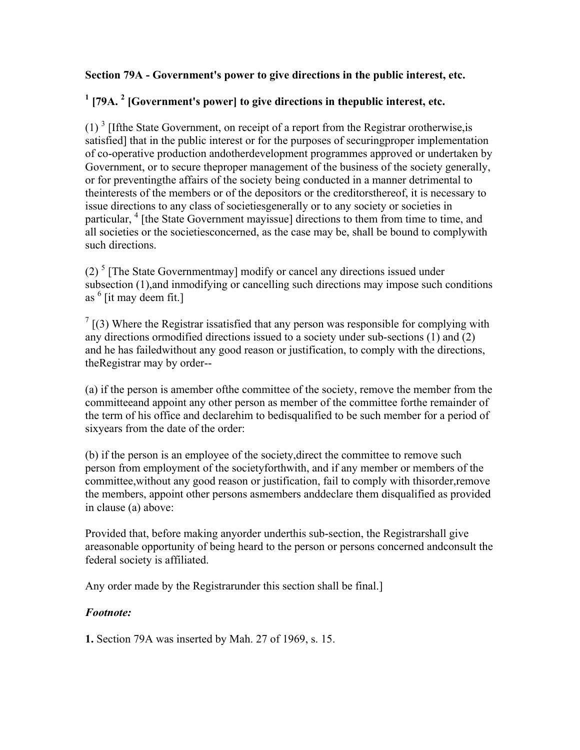#### **Section 79A - Government's power to give directions in the public interest, etc.**

# <sup>1</sup> [79A.<sup>2</sup> [Government's power] to give directions in thepublic interest, etc.

 $(1)$ <sup>3</sup> [Ifthe State Government, on receipt of a report from the Registrar orotherwise, is satisfied] that in the public interest or for the purposes of securingproper implementation of co-operative production andotherdevelopment programmes approved or undertaken by Government, or to secure theproper management of the business of the society generally, or for preventingthe affairs of the society being conducted in a manner detrimental to theinterests of the members or of the depositors or the creditorsthereof, it is necessary to issue directions to any class of societiesgenerally or to any society or societies in particular, <sup>4</sup> [the State Government mayissue] directions to them from time to time, and all societies or the societiesconcerned, as the case may be, shall be bound to complywith such directions.

(2)<sup>5</sup> [The State Governmentmay] modify or cancel any directions issued under subsection (1),and inmodifying or cancelling such directions may impose such conditions as 6 [it may deem fit.]

 $7 \mid (3)$  Where the Registrar issatisfied that any person was responsible for complying with any directions ormodified directions issued to a society under sub-sections (1) and (2) and he has failedwithout any good reason or justification, to comply with the directions, theRegistrar may by order--

(a) if the person is amember ofthe committee of the society, remove the member from the committeeand appoint any other person as member of the committee forthe remainder of the term of his office and declarehim to bedisqualified to be such member for a period of sixyears from the date of the order:

(b) if the person is an employee of the society,direct the committee to remove such person from employment of the societyforthwith, and if any member or members of the committee,without any good reason or justification, fail to comply with thisorder,remove the members, appoint other persons asmembers anddeclare them disqualified as provided in clause (a) above:

Provided that, before making anyorder underthis sub-section, the Registrarshall give areasonable opportunity of being heard to the person or persons concerned andconsult the federal society is affiliated.

Any order made by the Registrarunder this section shall be final.]

#### *Footnote:*

**1.** Section 79A was inserted by Mah. 27 of 1969, s. 15.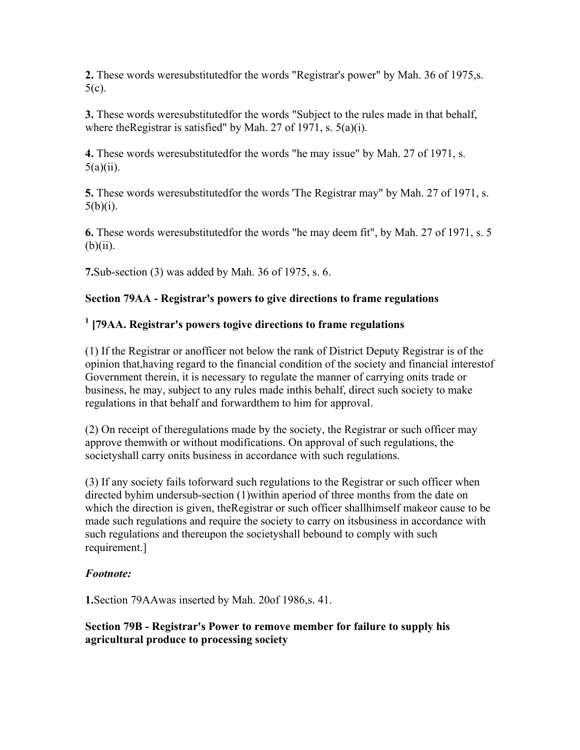**2.** These words weresubstitutedfor the words "Registrar's power" by Mah. 36 of 1975,s. 5(c).

**3.** These words weresubstitutedfor the words "Subject to the rules made in that behalf, where the Registrar is satisfied" by Mah. 27 of 1971, s. 5(a)(i).

**4.** These words weresubstitutedfor the words "he may issue" by Mah. 27 of 1971, s.  $5(a)(ii)$ .

**5.** These words weresubstitutedfor the words 'The Registrar may" by Mah. 27 of 1971, s.  $5(b)(i)$ .

**6.** These words weresubstitutedfor the words "he may deem fit", by Mah. 27 of 1971, s. 5  $(b)(ii)$ .

**7.**Sub-section (3) was added by Mah. 36 of 1975, s. 6.

### **Section 79AA - Registrar's powers to give directions to frame regulations**

### **1 [79AA. Registrar's powers togive directions to frame regulations**

(1) If the Registrar or anofficer not below the rank of District Deputy Registrar is of the opinion that,having regard to the financial condition of the society and financial interestof Government therein, it is necessary to regulate the manner of carrying onits trade or business, he may, subject to any rules made inthis behalf, direct such society to make regulations in that behalf and forwardthem to him for approval.

(2) On receipt of theregulations made by the society, the Registrar or such officer may approve themwith or without modifications. On approval of such regulations, the societyshall carry onits business in accordance with such regulations.

(3) If any society fails toforward such regulations to the Registrar or such officer when directed byhim undersub-section (1)within aperiod of three months from the date on which the direction is given, theRegistrar or such officer shallhimself makeor cause to be made such regulations and require the society to carry on itsbusiness in accordance with such regulations and thereupon the societyshall bebound to comply with such requirement.]

#### *Footnote:*

**1.**Section 79AAwas inserted by Mah. 20of 1986,s. 41.

#### **Section 79B - Registrar's Power to remove member for failure to supply his agricultural produce to processing society**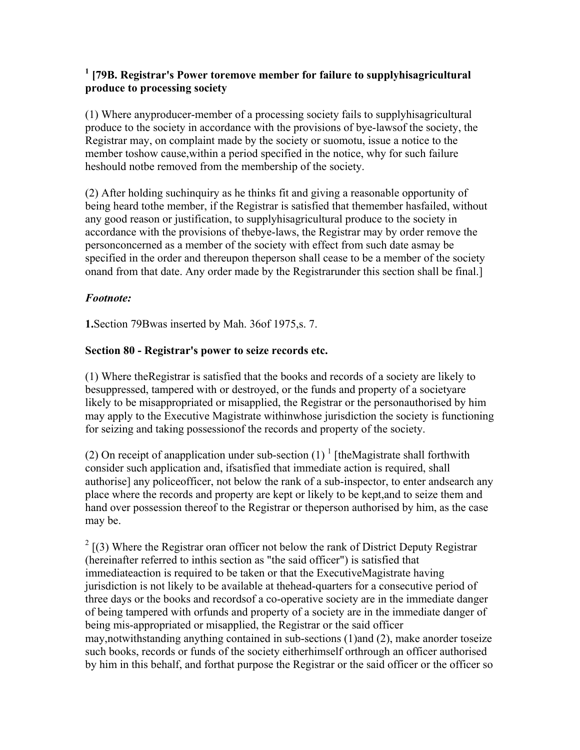#### <sup>1</sup> [79B. Registrar's Power toremove member for failure to supplyhisagricultural **produce to processing society**

(1) Where anyproducer-member of a processing society fails to supplyhisagricultural produce to the society in accordance with the provisions of bye-lawsof the society, the Registrar may, on complaint made by the society or suomotu, issue a notice to the member toshow cause,within a period specified in the notice, why for such failure heshould notbe removed from the membership of the society.

(2) After holding suchinquiry as he thinks fit and giving a reasonable opportunity of being heard tothe member, if the Registrar is satisfied that themember hasfailed, without any good reason or justification, to supplyhisagricultural produce to the society in accordance with the provisions of thebye-laws, the Registrar may by order remove the personconcerned as a member of the society with effect from such date asmay be specified in the order and thereupon theperson shall cease to be a member of the society onand from that date. Any order made by the Registrarunder this section shall be final.]

### *Footnote:*

**1.**Section 79Bwas inserted by Mah. 36of 1975,s. 7.

### **Section 80 - Registrar's power to seize records etc.**

(1) Where theRegistrar is satisfied that the books and records of a society are likely to besuppressed, tampered with or destroyed, or the funds and property of a societyare likely to be misappropriated or misapplied, the Registrar or the personauthorised by him may apply to the Executive Magistrate withinwhose jurisdiction the society is functioning for seizing and taking possessionof the records and property of the society.

(2) On receipt of anapplication under sub-section  $(1)^{1}$  [theMagistrate shall forthwith consider such application and, ifsatisfied that immediate action is required, shall authorise] any policeofficer, not below the rank of a sub-inspector, to enter andsearch any place where the records and property are kept or likely to be kept,and to seize them and hand over possession thereof to the Registrar or theperson authorised by him, as the case may be.

 $2 \left[ (3)$  Where the Registrar oran officer not below the rank of District Deputy Registrar (hereinafter referred to inthis section as "the said officer") is satisfied that immediateaction is required to be taken or that the ExecutiveMagistrate having jurisdiction is not likely to be available at thehead-quarters for a consecutive period of three days or the books and recordsof a co-operative society are in the immediate danger of being tampered with orfunds and property of a society are in the immediate danger of being mis-appropriated or misapplied, the Registrar or the said officer may,notwithstanding anything contained in sub-sections (1)and (2), make anorder toseize such books, records or funds of the society eitherhimself orthrough an officer authorised by him in this behalf, and forthat purpose the Registrar or the said officer or the officer so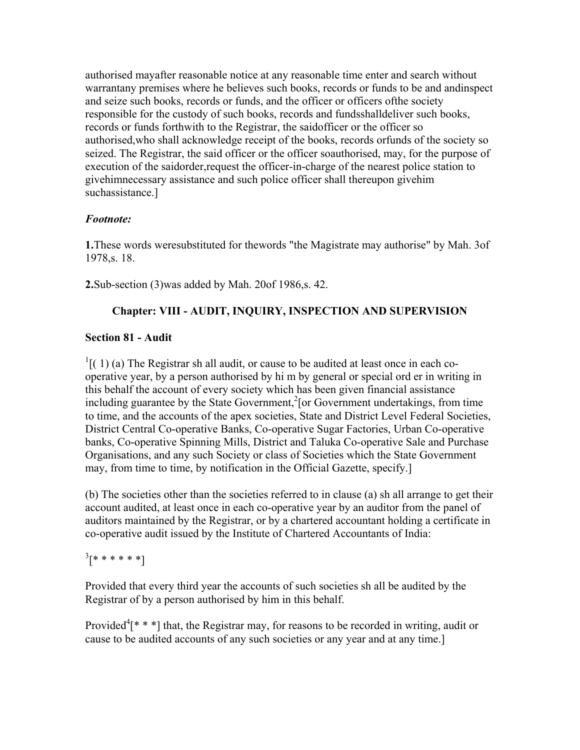authorised mayafter reasonable notice at any reasonable time enter and search without warrantany premises where he believes such books, records or funds to be and andinspect and seize such books, records or funds, and the officer or officers ofthe society responsible for the custody of such books, records and fundsshalldeliver such books, records or funds forthwith to the Registrar, the saidofficer or the officer so authorised,who shall acknowledge receipt of the books, records orfunds of the society so seized. The Registrar, the said officer or the officer soauthorised, may, for the purpose of execution of the saidorder,request the officer-in-charge of the nearest police station to givehimnecessary assistance and such police officer shall thereupon givehim suchassistance.]

## *Footnote:*

**1.**These words weresubstituted for thewords "the Magistrate may authorise" by Mah. 3of 1978,s. 18.

**2.**Sub-section (3)was added by Mah. 20of 1986,s. 42.

# **Chapter: VIII - AUDIT, INQUIRY, INSPECTION AND SUPERVISION**

# **Section 81 - Audit**

 $\frac{1}{1}$ [(1) (a) The Registrar sh all audit, or cause to be audited at least once in each cooperative year, by a person authorised by hi m by general or special ord er in writing in this behalf the account of every society which has been given financial assistance including guarantee by the State Government,<sup>2</sup> [or Government undertakings, from time to time, and the accounts of the apex societies, State and District Level Federal Societies, District Central Co-operative Banks, Co-operative Sugar Factories, Urban Co-operative banks, Co-operative Spinning Mills, District and Taluka Co-operative Sale and Purchase Organisations, and any such Society or class of Societies which the State Government may, from time to time, by notification in the Official Gazette, specify.]

(b) The societies other than the societies referred to in clause (a) sh all arrange to get their account audited, at least once in each co-operative year by an auditor from the panel of auditors maintained by the Registrar, or by a chartered accountant holding a certificate in co-operative audit issued by the Institute of Chartered Accountants of India:

 $^{3}$ [\* \* \* \* \* \*]

Provided that every third year the accounts of such societies sh all be audited by the Registrar of by a person authorised by him in this behalf.

Provided<sup>4</sup> $[$ \* \*  $]$ <sup>\*</sup> that, the Registrar may, for reasons to be recorded in writing, audit or cause to be audited accounts of any such societies or any year and at any time.]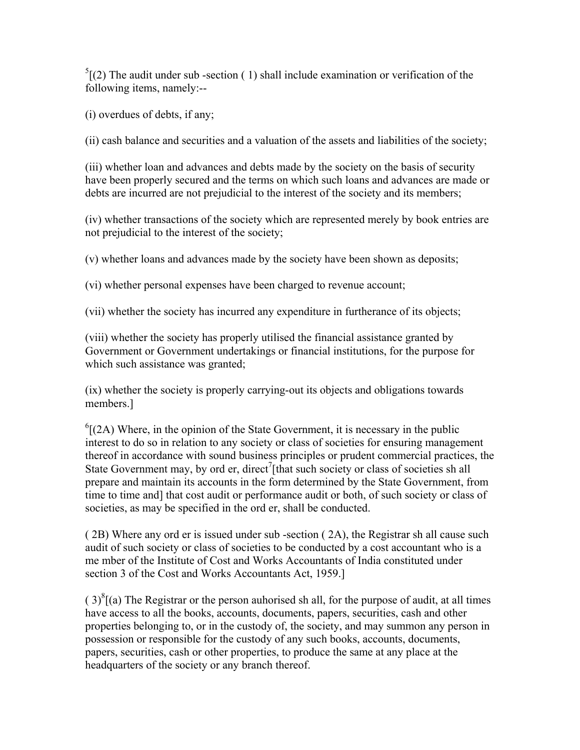$<sup>5</sup>$ [(2) The audit under sub-section (1) shall include examination or verification of the</sup> following items, namely:--

(i) overdues of debts, if any;

(ii) cash balance and securities and a valuation of the assets and liabilities of the society;

(iii) whether loan and advances and debts made by the society on the basis of security have been properly secured and the terms on which such loans and advances are made or debts are incurred are not prejudicial to the interest of the society and its members;

(iv) whether transactions of the society which are represented merely by book entries are not prejudicial to the interest of the society;

(v) whether loans and advances made by the society have been shown as deposits;

(vi) whether personal expenses have been charged to revenue account;

(vii) whether the society has incurred any expenditure in furtherance of its objects;

(viii) whether the society has properly utilised the financial assistance granted by Government or Government undertakings or financial institutions, for the purpose for which such assistance was granted;

(ix) whether the society is properly carrying-out its objects and obligations towards members.]

 ${}^{6}$ [(2A) Where, in the opinion of the State Government, it is necessary in the public interest to do so in relation to any society or class of societies for ensuring management thereof in accordance with sound business principles or prudent commercial practices, the State Government may, by ord er, direct<sup>7</sup> [that such society or class of societies sh all prepare and maintain its accounts in the form determined by the State Government, from time to time and] that cost audit or performance audit or both, of such society or class of societies, as may be specified in the ord er, shall be conducted.

( 2B) Where any ord er is issued under sub -section ( 2A), the Registrar sh all cause such audit of such society or class of societies to be conducted by a cost accountant who is a me mber of the Institute of Cost and Works Accountants of India constituted under section 3 of the Cost and Works Accountants Act, 1959.]

 $(3)^{8}$ [(a) The Registrar or the person auhorised sh all, for the purpose of audit, at all times have access to all the books, accounts, documents, papers, securities, cash and other properties belonging to, or in the custody of, the society, and may summon any person in possession or responsible for the custody of any such books, accounts, documents, papers, securities, cash or other properties, to produce the same at any place at the headquarters of the society or any branch thereof.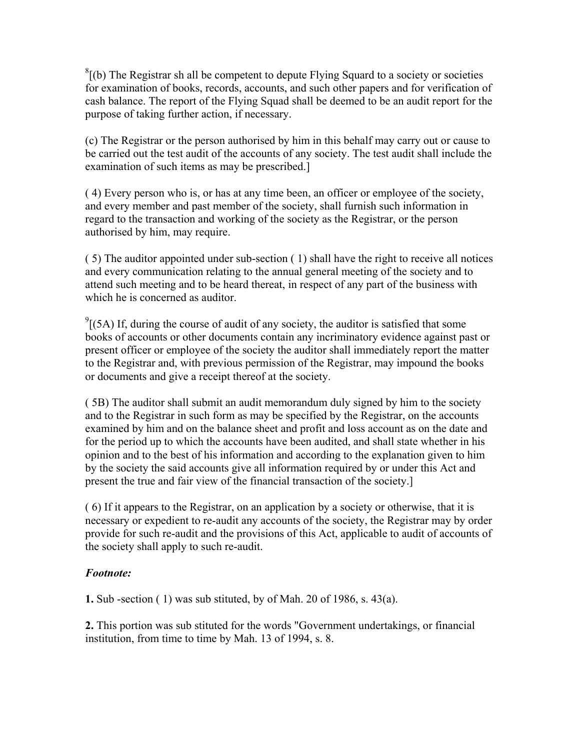${}^{8}$ [(b) The Registrar sh all be competent to depute Flying Squard to a society or societies for examination of books, records, accounts, and such other papers and for verification of cash balance. The report of the Flying Squad shall be deemed to be an audit report for the purpose of taking further action, if necessary.

(c) The Registrar or the person authorised by him in this behalf may carry out or cause to be carried out the test audit of the accounts of any society. The test audit shall include the examination of such items as may be prescribed.]

( 4) Every person who is, or has at any time been, an officer or employee of the society, and every member and past member of the society, shall furnish such information in regard to the transaction and working of the society as the Registrar, or the person authorised by him, may require.

( 5) The auditor appointed under sub-section ( 1) shall have the right to receive all notices and every communication relating to the annual general meeting of the society and to attend such meeting and to be heard thereat, in respect of any part of the business with which he is concerned as auditor.

 $^{9}$ [(5A) If, during the course of audit of any society, the auditor is satisfied that some books of accounts or other documents contain any incriminatory evidence against past or present officer or employee of the society the auditor shall immediately report the matter to the Registrar and, with previous permission of the Registrar, may impound the books or documents and give a receipt thereof at the society.

( 5B) The auditor shall submit an audit memorandum duly signed by him to the society and to the Registrar in such form as may be specified by the Registrar, on the accounts examined by him and on the balance sheet and profit and loss account as on the date and for the period up to which the accounts have been audited, and shall state whether in his opinion and to the best of his information and according to the explanation given to him by the society the said accounts give all information required by or under this Act and present the true and fair view of the financial transaction of the society.]

( 6) If it appears to the Registrar, on an application by a society or otherwise, that it is necessary or expedient to re-audit any accounts of the society, the Registrar may by order provide for such re-audit and the provisions of this Act, applicable to audit of accounts of the society shall apply to such re-audit.

#### *Footnote:*

**1.** Sub -section ( 1) was sub stituted, by of Mah. 20 of 1986, s. 43(a).

**2.** This portion was sub stituted for the words "Government undertakings, or financial institution, from time to time by Mah. 13 of 1994, s. 8.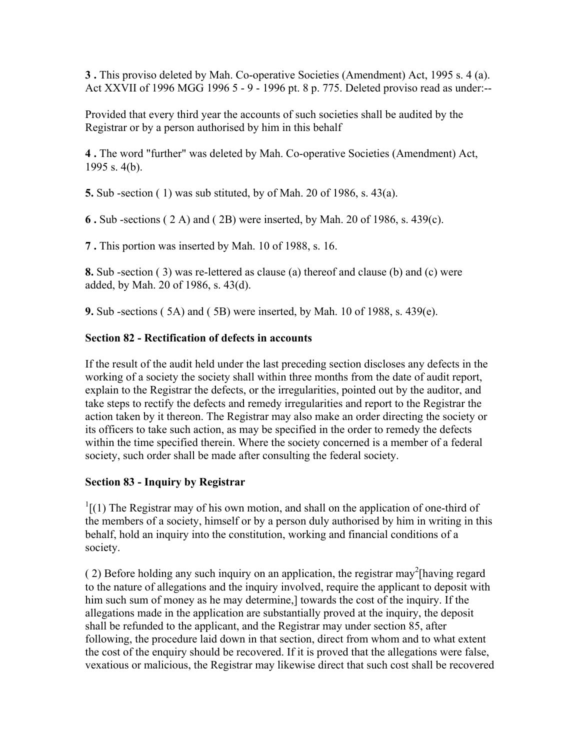**3 .** This proviso deleted by Mah. Co-operative Societies (Amendment) Act, 1995 s. 4 (a). Act XXVII of 1996 MGG 1996 5 - 9 - 1996 pt. 8 p. 775. Deleted proviso read as under:--

Provided that every third year the accounts of such societies shall be audited by the Registrar or by a person authorised by him in this behalf

**4 .** The word "further" was deleted by Mah. Co-operative Societies (Amendment) Act, 1995 s. 4(b).

**5.** Sub -section ( 1) was sub stituted, by of Mah. 20 of 1986, s. 43(a).

**6 .** Sub -sections ( 2 A) and ( 2B) were inserted, by Mah. 20 of 1986, s. 439(c).

**7 .** This portion was inserted by Mah. 10 of 1988, s. 16.

**8.** Sub -section ( 3) was re-lettered as clause (a) thereof and clause (b) and (c) were added, by Mah. 20 of 1986, s. 43(d).

**9.** Sub -sections ( 5A) and ( 5B) were inserted, by Mah. 10 of 1988, s. 439(e).

### **Section 82 - Rectification of defects in accounts**

If the result of the audit held under the last preceding section discloses any defects in the working of a society the society shall within three months from the date of audit report, explain to the Registrar the defects, or the irregularities, pointed out by the auditor, and take steps to rectify the defects and remedy irregularities and report to the Registrar the action taken by it thereon. The Registrar may also make an order directing the society or its officers to take such action, as may be specified in the order to remedy the defects within the time specified therein. Where the society concerned is a member of a federal society, such order shall be made after consulting the federal society.

## **Section 83 - Inquiry by Registrar**

 $\frac{1}{1}$ [(1) The Registrar may of his own motion, and shall on the application of one-third of the members of a society, himself or by a person duly authorised by him in writing in this behalf, hold an inquiry into the constitution, working and financial conditions of a society.

(2) Before holding any such inquiry on an application, the registrar may<sup>2</sup>[having regard to the nature of allegations and the inquiry involved, require the applicant to deposit with him such sum of money as he may determine,] towards the cost of the inquiry. If the allegations made in the application are substantially proved at the inquiry, the deposit shall be refunded to the applicant, and the Registrar may under section 85, after following, the procedure laid down in that section, direct from whom and to what extent the cost of the enquiry should be recovered. If it is proved that the allegations were false, vexatious or malicious, the Registrar may likewise direct that such cost shall be recovered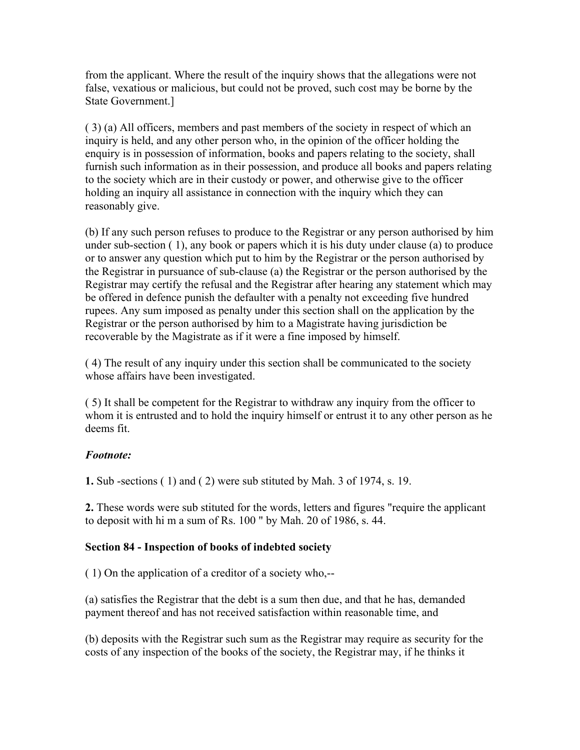from the applicant. Where the result of the inquiry shows that the allegations were not false, vexatious or malicious, but could not be proved, such cost may be borne by the State Government.]

( 3) (a) All officers, members and past members of the society in respect of which an inquiry is held, and any other person who, in the opinion of the officer holding the enquiry is in possession of information, books and papers relating to the society, shall furnish such information as in their possession, and produce all books and papers relating to the society which are in their custody or power, and otherwise give to the officer holding an inquiry all assistance in connection with the inquiry which they can reasonably give.

(b) If any such person refuses to produce to the Registrar or any person authorised by him under sub-section ( 1), any book or papers which it is his duty under clause (a) to produce or to answer any question which put to him by the Registrar or the person authorised by the Registrar in pursuance of sub-clause (a) the Registrar or the person authorised by the Registrar may certify the refusal and the Registrar after hearing any statement which may be offered in defence punish the defaulter with a penalty not exceeding five hundred rupees. Any sum imposed as penalty under this section shall on the application by the Registrar or the person authorised by him to a Magistrate having jurisdiction be recoverable by the Magistrate as if it were a fine imposed by himself.

( 4) The result of any inquiry under this section shall be communicated to the society whose affairs have been investigated.

( 5) It shall be competent for the Registrar to withdraw any inquiry from the officer to whom it is entrusted and to hold the inquiry himself or entrust it to any other person as he deems fit.

#### *Footnote:*

**1.** Sub -sections ( 1) and ( 2) were sub stituted by Mah. 3 of 1974, s. 19.

**2.** These words were sub stituted for the words, letters and figures "require the applicant to deposit with hi m a sum of Rs. 100 " by Mah. 20 of 1986, s. 44.

#### **Section 84 - Inspection of books of indebted society**

( 1) On the application of a creditor of a society who,--

(a) satisfies the Registrar that the debt is a sum then due, and that he has, demanded payment thereof and has not received satisfaction within reasonable time, and

(b) deposits with the Registrar such sum as the Registrar may require as security for the costs of any inspection of the books of the society, the Registrar may, if he thinks it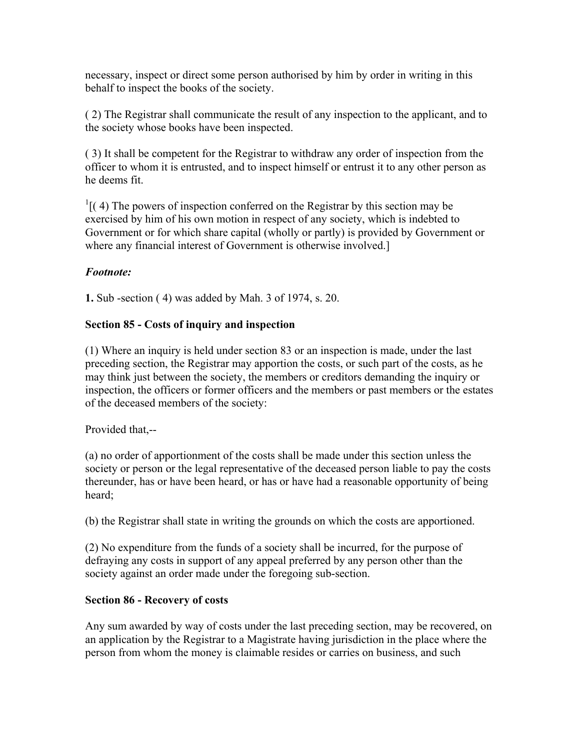necessary, inspect or direct some person authorised by him by order in writing in this behalf to inspect the books of the society.

( 2) The Registrar shall communicate the result of any inspection to the applicant, and to the society whose books have been inspected.

( 3) It shall be competent for the Registrar to withdraw any order of inspection from the officer to whom it is entrusted, and to inspect himself or entrust it to any other person as he deems fit.

 $\frac{1}{1}$ [(4) The powers of inspection conferred on the Registrar by this section may be exercised by him of his own motion in respect of any society, which is indebted to Government or for which share capital (wholly or partly) is provided by Government or where any financial interest of Government is otherwise involved.]

### *Footnote:*

**1.** Sub -section ( 4) was added by Mah. 3 of 1974, s. 20.

### **Section 85 - Costs of inquiry and inspection**

(1) Where an inquiry is held under section 83 or an inspection is made, under the last preceding section, the Registrar may apportion the costs, or such part of the costs, as he may think just between the society, the members or creditors demanding the inquiry or inspection, the officers or former officers and the members or past members or the estates of the deceased members of the society:

Provided that,--

(a) no order of apportionment of the costs shall be made under this section unless the society or person or the legal representative of the deceased person liable to pay the costs thereunder, has or have been heard, or has or have had a reasonable opportunity of being heard;

(b) the Registrar shall state in writing the grounds on which the costs are apportioned.

(2) No expenditure from the funds of a society shall be incurred, for the purpose of defraying any costs in support of any appeal preferred by any person other than the society against an order made under the foregoing sub-section.

#### **Section 86 - Recovery of costs**

Any sum awarded by way of costs under the last preceding section, may be recovered, on an application by the Registrar to a Magistrate having jurisdiction in the place where the person from whom the money is claimable resides or carries on business, and such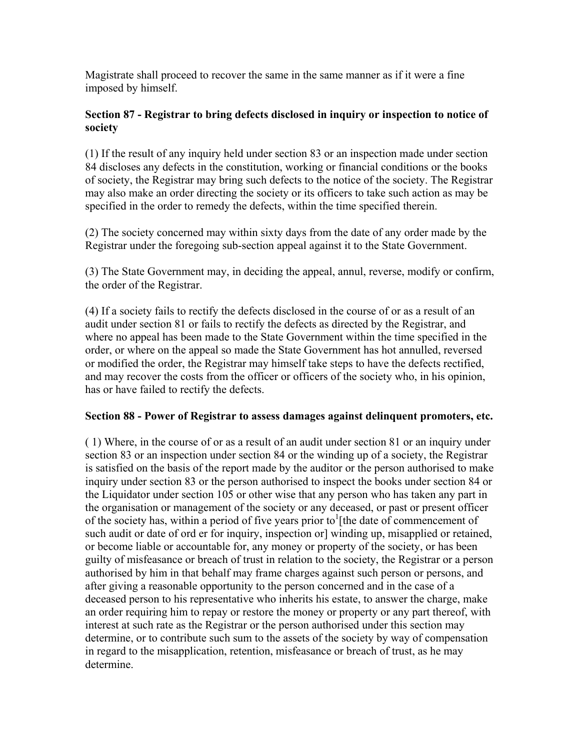Magistrate shall proceed to recover the same in the same manner as if it were a fine imposed by himself.

#### **Section 87 - Registrar to bring defects disclosed in inquiry or inspection to notice of society**

(1) If the result of any inquiry held under section 83 or an inspection made under section 84 discloses any defects in the constitution, working or financial conditions or the books of society, the Registrar may bring such defects to the notice of the society. The Registrar may also make an order directing the society or its officers to take such action as may be specified in the order to remedy the defects, within the time specified therein.

(2) The society concerned may within sixty days from the date of any order made by the Registrar under the foregoing sub-section appeal against it to the State Government.

(3) The State Government may, in deciding the appeal, annul, reverse, modify or confirm, the order of the Registrar.

(4) If a society fails to rectify the defects disclosed in the course of or as a result of an audit under section 81 or fails to rectify the defects as directed by the Registrar, and where no appeal has been made to the State Government within the time specified in the order, or where on the appeal so made the State Government has hot annulled, reversed or modified the order, the Registrar may himself take steps to have the defects rectified, and may recover the costs from the officer or officers of the society who, in his opinion, has or have failed to rectify the defects.

#### **Section 88 - Power of Registrar to assess damages against delinquent promoters, etc.**

( 1) Where, in the course of or as a result of an audit under section 81 or an inquiry under section 83 or an inspection under section 84 or the winding up of a society, the Registrar is satisfied on the basis of the report made by the auditor or the person authorised to make inquiry under section 83 or the person authorised to inspect the books under section 84 or the Liquidator under section 105 or other wise that any person who has taken any part in the organisation or management of the society or any deceased, or past or present officer of the society has, within a period of five years prior to<sup>1</sup>[the date of commencement of such audit or date of ord er for inquiry, inspection or] winding up, misapplied or retained, or become liable or accountable for, any money or property of the society, or has been guilty of misfeasance or breach of trust in relation to the society, the Registrar or a person authorised by him in that behalf may frame charges against such person or persons, and after giving a reasonable opportunity to the person concerned and in the case of a deceased person to his representative who inherits his estate, to answer the charge, make an order requiring him to repay or restore the money or property or any part thereof, with interest at such rate as the Registrar or the person authorised under this section may determine, or to contribute such sum to the assets of the society by way of compensation in regard to the misapplication, retention, misfeasance or breach of trust, as he may determine.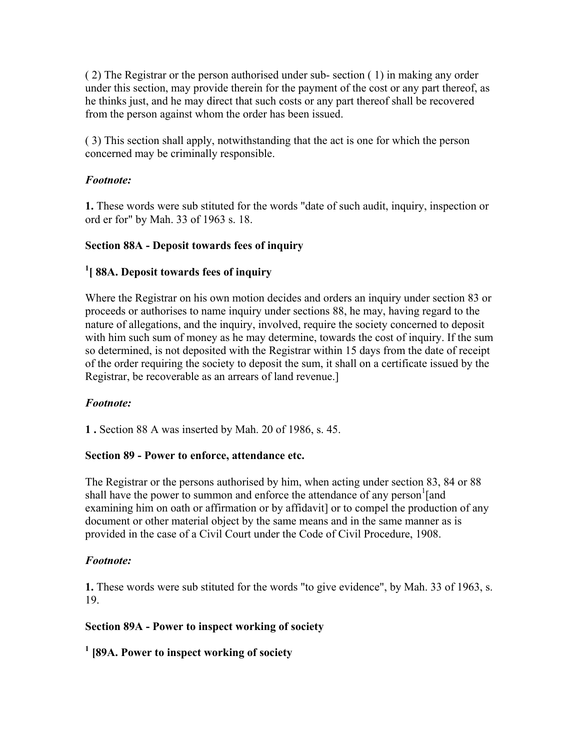( 2) The Registrar or the person authorised under sub- section ( 1) in making any order under this section, may provide therein for the payment of the cost or any part thereof, as he thinks just, and he may direct that such costs or any part thereof shall be recovered from the person against whom the order has been issued.

( 3) This section shall apply, notwithstanding that the act is one for which the person concerned may be criminally responsible.

#### *Footnote:*

**1.** These words were sub stituted for the words "date of such audit, inquiry, inspection or ord er for" by Mah. 33 of 1963 s. 18.

### **Section 88A - Deposit towards fees of inquiry**

### **1 [ 88A. Deposit towards fees of inquiry**

Where the Registrar on his own motion decides and orders an inquiry under section 83 or proceeds or authorises to name inquiry under sections 88, he may, having regard to the nature of allegations, and the inquiry, involved, require the society concerned to deposit with him such sum of money as he may determine, towards the cost of inquiry. If the sum so determined, is not deposited with the Registrar within 15 days from the date of receipt of the order requiring the society to deposit the sum, it shall on a certificate issued by the Registrar, be recoverable as an arrears of land revenue.]

## *Footnote:*

**1 .** Section 88 A was inserted by Mah. 20 of 1986, s. 45.

#### **Section 89 - Power to enforce, attendance etc.**

The Registrar or the persons authorised by him, when acting under section 83, 84 or 88 shall have the power to summon and enforce the attendance of any person<sup>1</sup>[and examining him on oath or affirmation or by affidavit] or to compel the production of any document or other material object by the same means and in the same manner as is provided in the case of a Civil Court under the Code of Civil Procedure, 1908.

#### *Footnote:*

**1.** These words were sub stituted for the words "to give evidence", by Mah. 33 of 1963, s. 19.

#### **Section 89A - Power to inspect working of society**

## **1 [89A. Power to inspect working of society**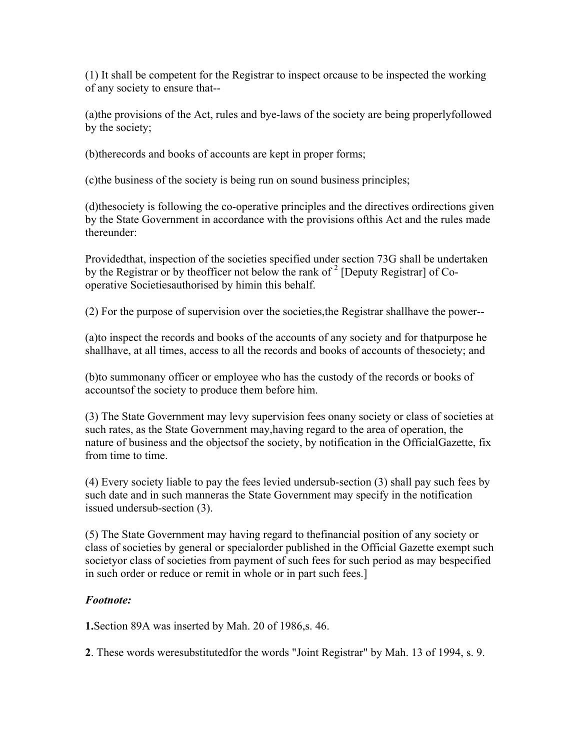(1) It shall be competent for the Registrar to inspect orcause to be inspected the working of any society to ensure that--

(a)the provisions of the Act, rules and bye-laws of the society are being properlyfollowed by the society;

(b)therecords and books of accounts are kept in proper forms;

(c)the business of the society is being run on sound business principles;

(d)thesociety is following the co-operative principles and the directives ordirections given by the State Government in accordance with the provisions ofthis Act and the rules made thereunder:

Providedthat, inspection of the societies specified under section 73G shall be undertaken by the Registrar or by theofficer not below the rank of  $2$  [Deputy Registrar] of Cooperative Societiesauthorised by himin this behalf.

(2) For the purpose of supervision over the societies,the Registrar shallhave the power--

(a)to inspect the records and books of the accounts of any society and for thatpurpose he shallhave, at all times, access to all the records and books of accounts of thesociety; and

(b)to summonany officer or employee who has the custody of the records or books of accountsof the society to produce them before him.

(3) The State Government may levy supervision fees onany society or class of societies at such rates, as the State Government may,having regard to the area of operation, the nature of business and the objectsof the society, by notification in the OfficialGazette, fix from time to time.

(4) Every society liable to pay the fees levied undersub-section (3) shall pay such fees by such date and in such manneras the State Government may specify in the notification issued undersub-section (3).

(5) The State Government may having regard to thefinancial position of any society or class of societies by general or specialorder published in the Official Gazette exempt such societyor class of societies from payment of such fees for such period as may bespecified in such order or reduce or remit in whole or in part such fees.]

## *Footnote:*

**1.**Section 89A was inserted by Mah. 20 of 1986,s. 46.

**2**. These words weresubstitutedfor the words "Joint Registrar" by Mah. 13 of 1994, s. 9.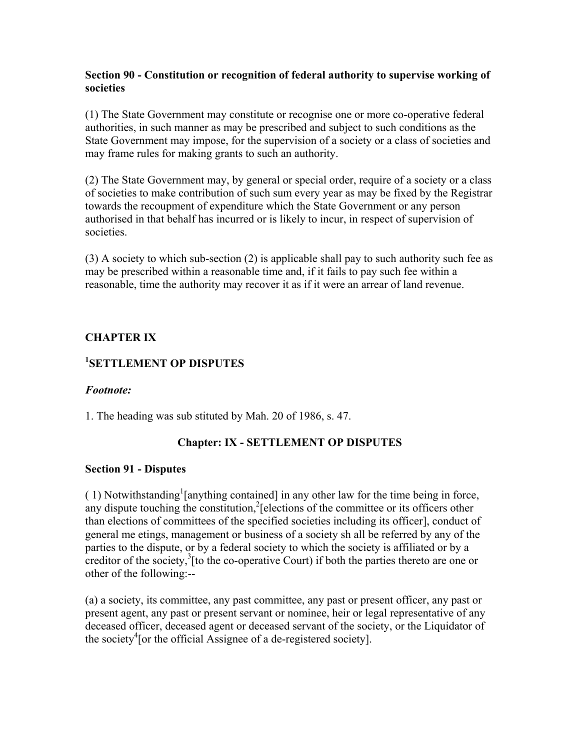#### **Section 90 - Constitution or recognition of federal authority to supervise working of societies**

(1) The State Government may constitute or recognise one or more co-operative federal authorities, in such manner as may be prescribed and subject to such conditions as the State Government may impose, for the supervision of a society or a class of societies and may frame rules for making grants to such an authority.

(2) The State Government may, by general or special order, require of a society or a class of societies to make contribution of such sum every year as may be fixed by the Registrar towards the recoupment of expenditure which the State Government or any person authorised in that behalf has incurred or is likely to incur, in respect of supervision of societies.

(3) A society to which sub-section (2) is applicable shall pay to such authority such fee as may be prescribed within a reasonable time and, if it fails to pay such fee within a reasonable, time the authority may recover it as if it were an arrear of land revenue.

#### **CHAPTER IX**

### **1 SETTLEMENT OP DISPUTES**

#### *Footnote:*

1. The heading was sub stituted by Mah. 20 of 1986, s. 47.

#### **Chapter: IX - SETTLEMENT OP DISPUTES**

#### **Section 91 - Disputes**

 $(1)$  Notwithstanding<sup>1</sup> [anything contained] in any other law for the time being in force, any dispute touching the constitution, $^{2}$ [elections of the committee or its officers other than elections of committees of the specified societies including its officer], conduct of general me etings, management or business of a society sh all be referred by any of the parties to the dispute, or by a federal society to which the society is affiliated or by a creditor of the society, ${}^{3}$ [to the co-operative Court) if both the parties thereto are one or other of the following:--

(a) a society, its committee, any past committee, any past or present officer, any past or present agent, any past or present servant or nominee, heir or legal representative of any deceased officer, deceased agent or deceased servant of the society, or the Liquidator of the society<sup>4</sup> [or the official Assignee of a de-registered society].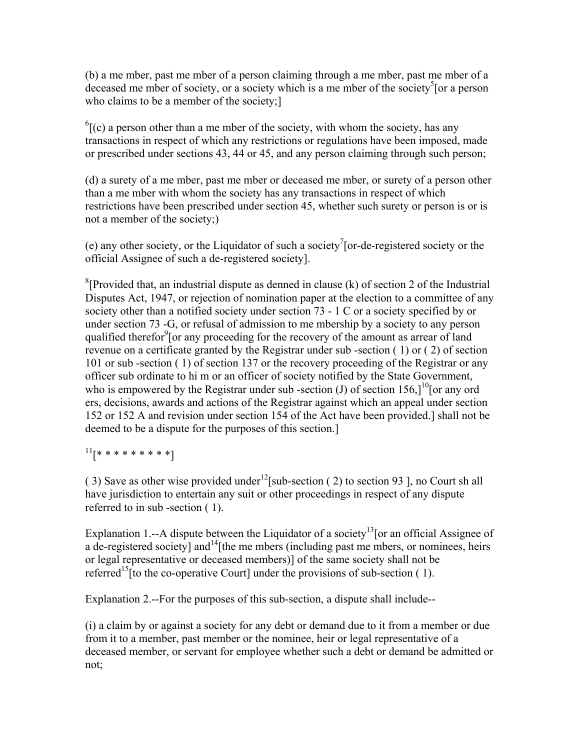(b) a me mber, past me mber of a person claiming through a me mber, past me mber of a deceased me mber of society, or a society which is a me mber of the society<sup>5</sup> [or a person who claims to be a member of the society;

 $^{6}$ [(c) a person other than a me mber of the society, with whom the society, has any transactions in respect of which any restrictions or regulations have been imposed, made or prescribed under sections 43, 44 or 45, and any person claiming through such person;

(d) a surety of a me mber, past me mber or deceased me mber, or surety of a person other than a me mber with whom the society has any transactions in respect of which restrictions have been prescribed under section 45, whether such surety or person is or is not a member of the society;)

(e) any other society, or the Liquidator of such a society<sup>7</sup>[or-de-registered society or the official Assignee of such a de-registered society].

<sup>8</sup>[Provided that, an industrial dispute as denned in clause (k) of section 2 of the Industrial Disputes Act, 1947, or rejection of nomination paper at the election to a committee of any society other than a notified society under section 73 - 1 C or a society specified by or under section 73 -G, or refusal of admission to me mbership by a society to any person qualified therefor<sup>9</sup> [or any proceeding for the recovery of the amount as arrear of land revenue on a certificate granted by the Registrar under sub -section ( 1) or ( 2) of section 101 or sub -section ( 1) of section 137 or the recovery proceeding of the Registrar or any officer sub ordinate to hi m or an officer of society notified by the State Government, who is empowered by the Registrar under sub-section (J) of section 156, $1^{10}$ [or any ord ers, decisions, awards and actions of the Registrar against which an appeal under section 152 or 152 A and revision under section 154 of the Act have been provided.] shall not be deemed to be a dispute for the purposes of this section.]

 $11$ [\* \* \* \* \* \* \* \* \*]

( 3) Save as other wise provided under<sup>12</sup>[sub-section ( 2) to section 93 ], no Court sh all have jurisdiction to entertain any suit or other proceedings in respect of any dispute referred to in sub -section ( 1).

Explanation 1.--A dispute between the Liquidator of a society<sup>13</sup>[or an official Assignee of a de-registered society] and  $14$ [the me mbers (including past me mbers, or nominees, heirs or legal representative or deceased members)] of the same society shall not be referred<sup>15</sup> [to the co-operative Court] under the provisions of sub-section  $(1)$ .

Explanation 2.--For the purposes of this sub-section, a dispute shall include--

(i) a claim by or against a society for any debt or demand due to it from a member or due from it to a member, past member or the nominee, heir or legal representative of a deceased member, or servant for employee whether such a debt or demand be admitted or not;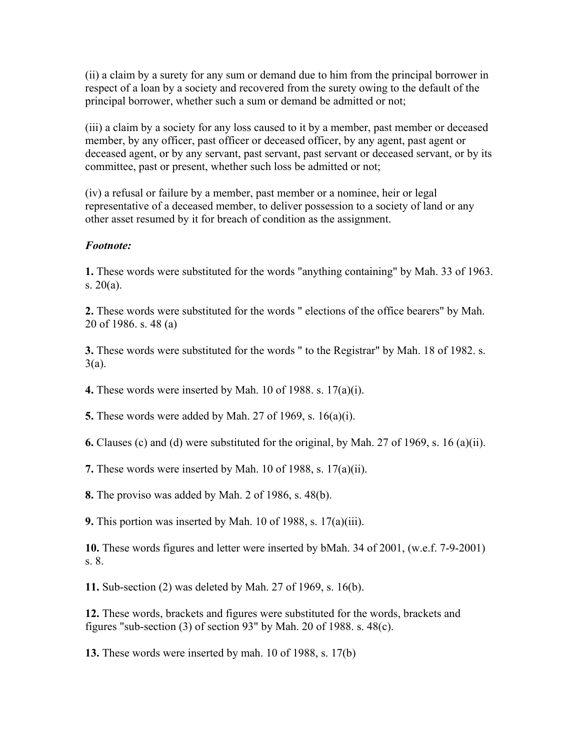(ii) a claim by a surety for any sum or demand due to him from the principal borrower in respect of a loan by a society and recovered from the surety owing to the default of the principal borrower, whether such a sum or demand be admitted or not;

(iii) a claim by a society for any loss caused to it by a member, past member or deceased member, by any officer, past officer or deceased officer, by any agent, past agent or deceased agent, or by any servant, past servant, past servant or deceased servant, or by its committee, past or present, whether such loss be admitted or not;

(iv) a refusal or failure by a member, past member or a nominee, heir or legal representative of a deceased member, to deliver possession to a society of land or any other asset resumed by it for breach of condition as the assignment.

#### *Footnote:*

**1.** These words were substituted for the words "anything containing" by Mah. 33 of 1963. s. 20(a).

**2.** These words were substituted for the words " elections of the office bearers" by Mah. 20 of 1986. s. 48 (a)

**3.** These words were substituted for the words " to the Registrar" by Mah. 18 of 1982. s. 3(a).

**4.** These words were inserted by Mah. 10 of 1988. s. 17(a)(i).

**5.** These words were added by Mah. 27 of 1969, s. 16(a)(i).

**6.** Clauses (c) and (d) were substituted for the original, by Mah. 27 of 1969, s. 16 (a)(ii).

**7.** These words were inserted by Mah. 10 of 1988, s. 17(a)(ii).

**8.** The proviso was added by Mah. 2 of 1986, s. 48(b).

**9.** This portion was inserted by Mah. 10 of 1988, s. 17(a)(iii).

**10.** These words figures and letter were inserted by bMah. 34 of 2001, (w.e.f. 7-9-2001) s. 8.

**11.** Sub-section (2) was deleted by Mah. 27 of 1969, s. 16(b).

**12.** These words, brackets and figures were substituted for the words, brackets and figures "sub-section  $(3)$  of section  $93$ " by Mah. 20 of 1988. s. 48 $(c)$ .

**13.** These words were inserted by mah. 10 of 1988, s. 17(b)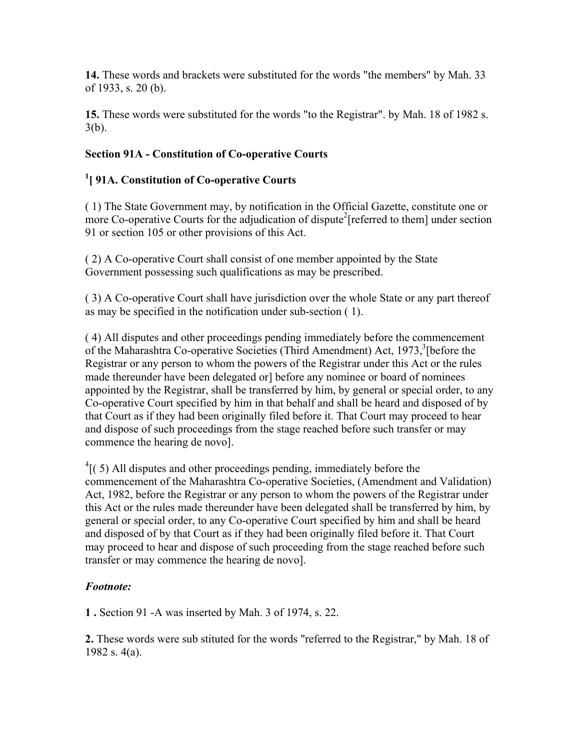**14.** These words and brackets were substituted for the words "the members" by Mah. 33 of 1933, s. 20 (b).

**15.** These words were substituted for the words "to the Registrar". by Mah. 18 of 1982 s. 3(b).

# **Section 91A - Constitution of Co-operative Courts**

# **1 [ 91A. Constitution of Co-operative Courts**

( 1) The State Government may, by notification in the Official Gazette, constitute one or more Co-operative Courts for the adjudication of dispute<sup>2</sup>[referred to them] under section 91 or section 105 or other provisions of this Act.

( 2) A Co-operative Court shall consist of one member appointed by the State Government possessing such qualifications as may be prescribed.

( 3) A Co-operative Court shall have jurisdiction over the whole State or any part thereof as may be specified in the notification under sub-section ( 1).

( 4) All disputes and other proceedings pending immediately before the commencement of the Maharashtra Co-operative Societies (Third Amendment) Act, 1973,<sup>3</sup> [before the Registrar or any person to whom the powers of the Registrar under this Act or the rules made thereunder have been delegated or before any nominee or board of nominees appointed by the Registrar, shall be transferred by him, by general or special order, to any Co-operative Court specified by him in that behalf and shall be heard and disposed of by that Court as if they had been originally filed before it. That Court may proceed to hear and dispose of such proceedings from the stage reached before such transfer or may commence the hearing de novo].

 $4(5)$  All disputes and other proceedings pending, immediately before the commencement of the Maharashtra Co-operative Societies, (Amendment and Validation) Act, 1982, before the Registrar or any person to whom the powers of the Registrar under this Act or the rules made thereunder have been delegated shall be transferred by him, by general or special order, to any Co-operative Court specified by him and shall be heard and disposed of by that Court as if they had been originally filed before it. That Court may proceed to hear and dispose of such proceeding from the stage reached before such transfer or may commence the hearing de novo].

## *Footnote:*

**1 .** Section 91 -A was inserted by Mah. 3 of 1974, s. 22.

**2.** These words were sub stituted for the words "referred to the Registrar," by Mah. 18 of 1982 s. 4(a).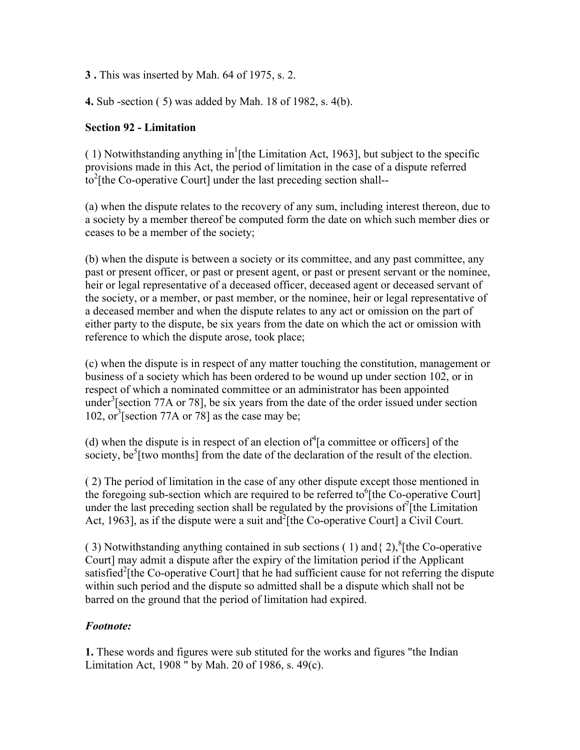**3 .** This was inserted by Mah. 64 of 1975, s. 2.

**4.** Sub -section ( 5) was added by Mah. 18 of 1982, s. 4(b).

### **Section 92 - Limitation**

(1) Notwithstanding anything in<sup>1</sup>[the Limitation Act, 1963], but subject to the specific provisions made in this Act, the period of limitation in the case of a dispute referred  $\frac{1}{2}$  the Co-operative Court] under the last preceding section shall--

(a) when the dispute relates to the recovery of any sum, including interest thereon, due to a society by a member thereof be computed form the date on which such member dies or ceases to be a member of the society;

(b) when the dispute is between a society or its committee, and any past committee, any past or present officer, or past or present agent, or past or present servant or the nominee, heir or legal representative of a deceased officer, deceased agent or deceased servant of the society, or a member, or past member, or the nominee, heir or legal representative of a deceased member and when the dispute relates to any act or omission on the part of either party to the dispute, be six years from the date on which the act or omission with reference to which the dispute arose, took place;

(c) when the dispute is in respect of any matter touching the constitution, management or business of a society which has been ordered to be wound up under section 102, or in respect of which a nominated committee or an administrator has been appointed under<sup>3</sup> [section 77A or 78], be six years from the date of the order issued under section 102, or  $\frac{3}{5}$ [section 77A or 78] as the case may be;

(d) when the dispute is in respect of an election of  $\int_a^4$  committee or officers of the society, be<sup>5</sup> [two months] from the date of the declaration of the result of the election.

( 2) The period of limitation in the case of any other dispute except those mentioned in the foregoing sub-section which are required to be referred to  $6$ [the Co-operative Court] under the last preceding section shall be regulated by the provisions of  $\int$  [the Limitation Act, 1963], as if the dispute were a suit and  $2$ [the Co-operative Court] a Civil Court.

(3) Notwithstanding anything contained in sub sections (1) and { $2$ ),<sup>8</sup>[the Co-operative Court] may admit a dispute after the expiry of the limitation period if the Applicant satisfied<sup>2</sup>[the Co-operative Court] that he had sufficient cause for not referring the dispute within such period and the dispute so admitted shall be a dispute which shall not be barred on the ground that the period of limitation had expired.

## *Footnote:*

**1.** These words and figures were sub stituted for the works and figures "the Indian Limitation Act, 1908 " by Mah. 20 of 1986, s. 49(c).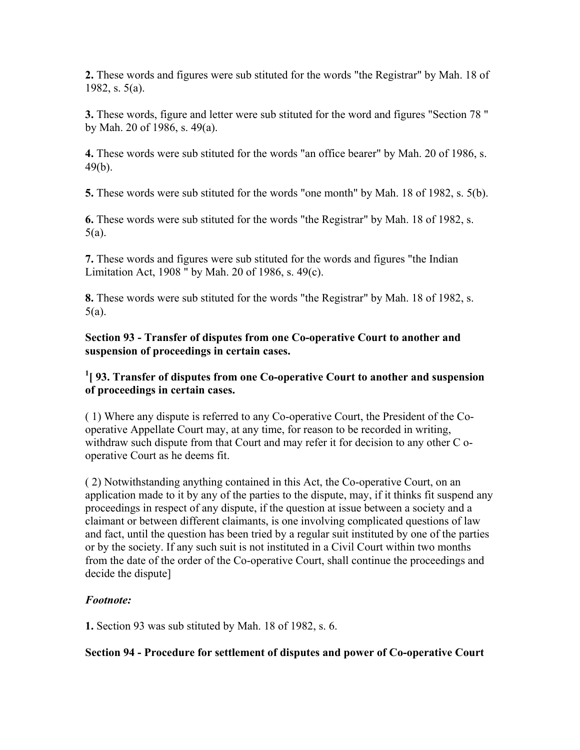**2.** These words and figures were sub stituted for the words "the Registrar" by Mah. 18 of 1982, s. 5(a).

**3.** These words, figure and letter were sub stituted for the word and figures "Section 78 " by Mah. 20 of 1986, s. 49(a).

**4.** These words were sub stituted for the words "an office bearer" by Mah. 20 of 1986, s. 49(b).

**5.** These words were sub stituted for the words "one month" by Mah. 18 of 1982, s. 5(b).

**6.** These words were sub stituted for the words "the Registrar" by Mah. 18 of 1982, s. 5(a).

**7.** These words and figures were sub stituted for the words and figures "the Indian Limitation Act, 1908 " by Mah. 20 of 1986, s. 49(c).

**8.** These words were sub stituted for the words "the Registrar" by Mah. 18 of 1982, s. 5(a).

**Section 93 - Transfer of disputes from one Co-operative Court to another and suspension of proceedings in certain cases.**

## <sup>1</sup>[93. Transfer of disputes from one Co-operative Court to another and suspension **of proceedings in certain cases.**

( 1) Where any dispute is referred to any Co-operative Court, the President of the Cooperative Appellate Court may, at any time, for reason to be recorded in writing, withdraw such dispute from that Court and may refer it for decision to any other C ooperative Court as he deems fit.

( 2) Notwithstanding anything contained in this Act, the Co-operative Court, on an application made to it by any of the parties to the dispute, may, if it thinks fit suspend any proceedings in respect of any dispute, if the question at issue between a society and a claimant or between different claimants, is one involving complicated questions of law and fact, until the question has been tried by a regular suit instituted by one of the parties or by the society. If any such suit is not instituted in a Civil Court within two months from the date of the order of the Co-operative Court, shall continue the proceedings and decide the dispute]

## *Footnote:*

**1.** Section 93 was sub stituted by Mah. 18 of 1982, s. 6.

**Section 94 - Procedure for settlement of disputes and power of Co-operative Court**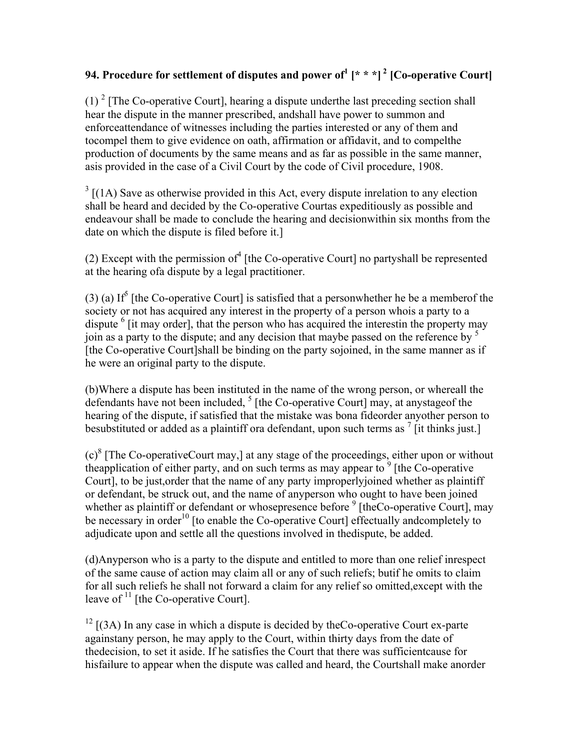# **94. Procedure for settlement of disputes and power of<sup>1</sup> [\* \* \*] 2 [Co-operative Court]**

(1)  $2 \text{ [The Co-operative Court]},$  hearing a dispute underthe last preceding section shall hear the dispute in the manner prescribed, andshall have power to summon and enforceattendance of witnesses including the parties interested or any of them and tocompel them to give evidence on oath, affirmation or affidavit, and to compelthe production of documents by the same means and as far as possible in the same manner, asis provided in the case of a Civil Court by the code of Civil procedure, 1908.

 $3$  [(1A) Save as otherwise provided in this Act, every dispute inrelation to any election shall be heard and decided by the Co-operative Courtas expeditiously as possible and endeavour shall be made to conclude the hearing and decisionwithin six months from the date on which the dispute is filed before it.]

 $(2)$  Except with the permission of  $(4)$  [the Co-operative Court] no partyshall be represented at the hearing ofa dispute by a legal practitioner.

(3) (a) If<sup>5</sup> [the Co-operative Court] is satisfied that a personwhether he be a member of the society or not has acquired any interest in the property of a person whois a party to a dispute <sup>6</sup> [it may order], that the person who has acquired the interestin the property may join as a party to the dispute; and any decision that maybe passed on the reference by  $<sup>5</sup>$ </sup> [the Co-operative Court]shall be binding on the party sojoined, in the same manner as if he were an original party to the dispute.

(b)Where a dispute has been instituted in the name of the wrong person, or whereall the defendants have not been included,  $<sup>5</sup>$  [the Co-operative Court] may, at any stage of the</sup> hearing of the dispute, if satisfied that the mistake was bona fideorder anyother person to besubstituted or added as a plaintiff ora defendant, upon such terms as  $\frac{7}{1}$  [it thinks just.]

 $(c)^8$  [The Co-operativeCourt may,] at any stage of the proceedings, either upon or without the application of either party, and on such terms as may appear to  $9$  [the Co-operative Court], to be just,order that the name of any party improperlyjoined whether as plaintiff or defendant, be struck out, and the name of anyperson who ought to have been joined whether as plaintiff or defendant or whosepresence before  $9$  [theCo-operative Court], may be necessary in order<sup>10</sup> [to enable the Co-operative Court] effectually andcompletely to adjudicate upon and settle all the questions involved in thedispute, be added.

(d)Anyperson who is a party to the dispute and entitled to more than one relief inrespect of the same cause of action may claim all or any of such reliefs; butif he omits to claim for all such reliefs he shall not forward a claim for any relief so omitted,except with the leave of  $11$  [the Co-operative Court].

 $12$  [(3A) In any case in which a dispute is decided by the Co-operative Court ex-parte againstany person, he may apply to the Court, within thirty days from the date of thedecision, to set it aside. If he satisfies the Court that there was sufficientcause for hisfailure to appear when the dispute was called and heard, the Courtshall make anorder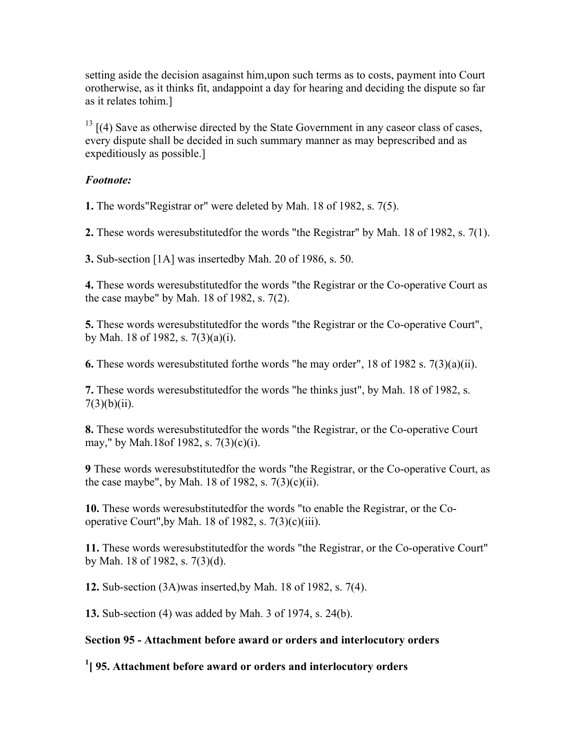setting aside the decision asagainst him,upon such terms as to costs, payment into Court orotherwise, as it thinks fit, andappoint a day for hearing and deciding the dispute so far as it relates tohim.]

 $13$  [(4) Save as otherwise directed by the State Government in any caseor class of cases, every dispute shall be decided in such summary manner as may beprescribed and as expeditiously as possible.]

#### *Footnote:*

**1.** The words"Registrar or" were deleted by Mah. 18 of 1982, s. 7(5).

**2.** These words weresubstitutedfor the words "the Registrar" by Mah. 18 of 1982, s. 7(1).

**3.** Sub-section [1A] was insertedby Mah. 20 of 1986, s. 50.

**4.** These words weresubstitutedfor the words "the Registrar or the Co-operative Court as the case maybe" by Mah. 18 of 1982, s. 7(2).

**5.** These words weresubstitutedfor the words "the Registrar or the Co-operative Court", by Mah. 18 of 1982, s. 7(3)(a)(i).

**6.** These words weresubstituted forthe words "he may order", 18 of 1982 s. 7(3)(a)(ii).

**7.** These words weresubstitutedfor the words "he thinks just", by Mah. 18 of 1982, s.  $7(3)(b)(ii)$ .

**8.** These words weresubstitutedfor the words "the Registrar, or the Co-operative Court may," by Mah.18of 1982, s. 7(3)(c)(i).

**9** These words weresubstitutedfor the words "the Registrar, or the Co-operative Court, as the case maybe", by Mah. 18 of 1982, s.  $7(3)(c)(ii)$ .

**10.** These words weresubstitutedfor the words "to enable the Registrar, or the Cooperative Court", by Mah. 18 of 1982, s.  $7(3)(c)(iii)$ .

**11.** These words weresubstitutedfor the words "the Registrar, or the Co-operative Court" by Mah. 18 of 1982, s. 7(3)(d).

**12.** Sub-section (3A)was inserted,by Mah. 18 of 1982, s. 7(4).

**13.** Sub-section (4) was added by Mah. 3 of 1974, s. 24(b).

#### **Section 95 - Attachment before award or orders and interlocutory orders**

**1 [ 95. Attachment before award or orders and interlocutory orders**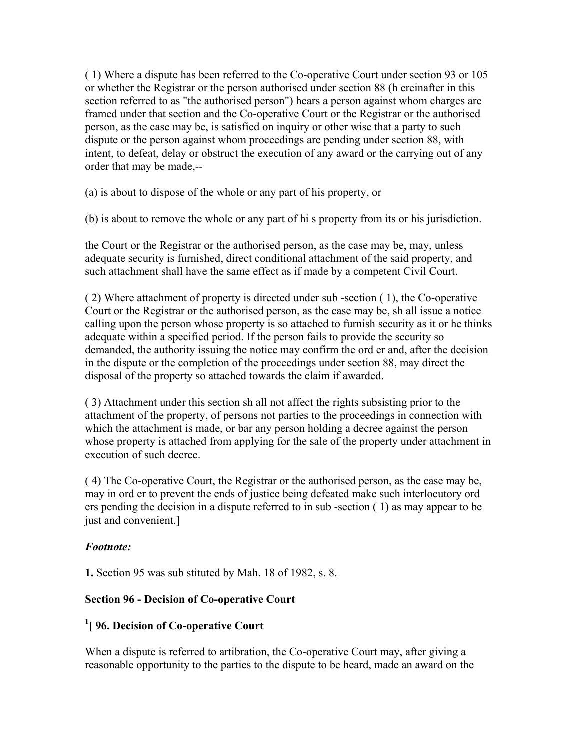( 1) Where a dispute has been referred to the Co-operative Court under section 93 or 105 or whether the Registrar or the person authorised under section 88 (h ereinafter in this section referred to as "the authorised person") hears a person against whom charges are framed under that section and the Co-operative Court or the Registrar or the authorised person, as the case may be, is satisfied on inquiry or other wise that a party to such dispute or the person against whom proceedings are pending under section 88, with intent, to defeat, delay or obstruct the execution of any award or the carrying out of any order that may be made,--

(a) is about to dispose of the whole or any part of his property, or

(b) is about to remove the whole or any part of hi s property from its or his jurisdiction.

the Court or the Registrar or the authorised person, as the case may be, may, unless adequate security is furnished, direct conditional attachment of the said property, and such attachment shall have the same effect as if made by a competent Civil Court.

( 2) Where attachment of property is directed under sub -section ( 1), the Co-operative Court or the Registrar or the authorised person, as the case may be, sh all issue a notice calling upon the person whose property is so attached to furnish security as it or he thinks adequate within a specified period. If the person fails to provide the security so demanded, the authority issuing the notice may confirm the ord er and, after the decision in the dispute or the completion of the proceedings under section 88, may direct the disposal of the property so attached towards the claim if awarded.

( 3) Attachment under this section sh all not affect the rights subsisting prior to the attachment of the property, of persons not parties to the proceedings in connection with which the attachment is made, or bar any person holding a decree against the person whose property is attached from applying for the sale of the property under attachment in execution of such decree.

( 4) The Co-operative Court, the Registrar or the authorised person, as the case may be, may in ord er to prevent the ends of justice being defeated make such interlocutory ord ers pending the decision in a dispute referred to in sub -section ( 1) as may appear to be just and convenient.]

#### *Footnote:*

**1.** Section 95 was sub stituted by Mah. 18 of 1982, s. 8.

#### **Section 96 - Decision of Co-operative Court**

### **1 [ 96. Decision of Co-operative Court**

When a dispute is referred to artibration, the Co-operative Court may, after giving a reasonable opportunity to the parties to the dispute to be heard, made an award on the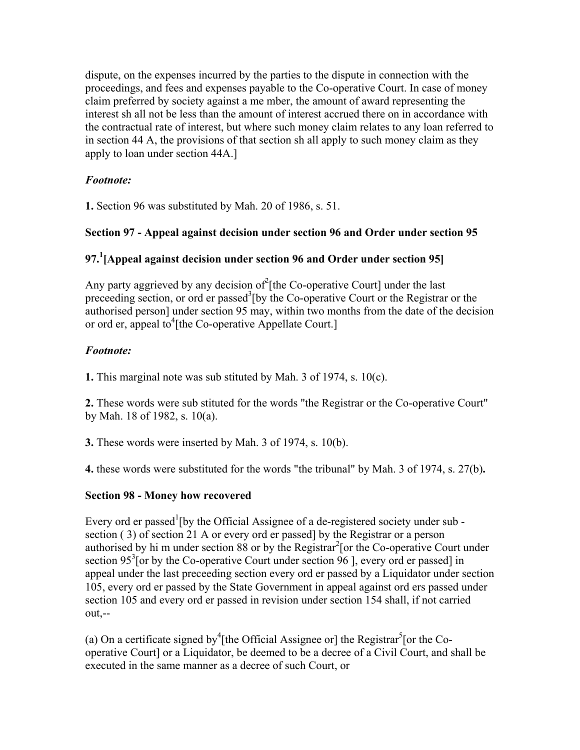dispute, on the expenses incurred by the parties to the dispute in connection with the proceedings, and fees and expenses payable to the Co-operative Court. In case of money claim preferred by society against a me mber, the amount of award representing the interest sh all not be less than the amount of interest accrued there on in accordance with the contractual rate of interest, but where such money claim relates to any loan referred to in section 44 A, the provisions of that section sh all apply to such money claim as they apply to loan under section 44A.]

### *Footnote:*

**1.** Section 96 was substituted by Mah. 20 of 1986, s. 51.

## **Section 97 - Appeal against decision under section 96 and Order under section 95**

## **97.<sup>1</sup> [Appeal against decision under section 96 and Order under section 95]**

Any party aggrieved by any decision of  $\ell$ [the Co-operative Court] under the last preceeding section, or ord er passed<sup>3</sup> [by the Co-operative Court or the Registrar or the authorised person] under section 95 may, within two months from the date of the decision or ord er, appeal to<sup>4</sup>[the Co-operative Appellate Court.]

### *Footnote:*

**1.** This marginal note was sub stituted by Mah. 3 of 1974, s. 10(c).

**2.** These words were sub stituted for the words "the Registrar or the Co-operative Court" by Mah. 18 of 1982, s. 10(a).

**3.** These words were inserted by Mah. 3 of 1974, s. 10(b).

**4.** these words were substituted for the words "the tribunal" by Mah. 3 of 1974, s. 27(b)**.**

#### **Section 98 - Money how recovered**

Every ord er passed<sup>1</sup> [by the Official Assignee of a de-registered society under sub section ( 3) of section 21 A or every ord er passed] by the Registrar or a person authorised by hi m under section  $88$  or by the Registrar<sup>2</sup> [or the Co-operative Court under section 95<sup>3</sup> [or by the Co-operative Court under section 96 ], every ord er passed] in appeal under the last preceeding section every ord er passed by a Liquidator under section 105, every ord er passed by the State Government in appeal against ord ers passed under section 105 and every ord er passed in revision under section 154 shall, if not carried out,--

(a) On a certificate signed by<sup>4</sup> [the Official Assignee or] the Registrar<sup>5</sup> [or the Cooperative Court] or a Liquidator, be deemed to be a decree of a Civil Court, and shall be executed in the same manner as a decree of such Court, or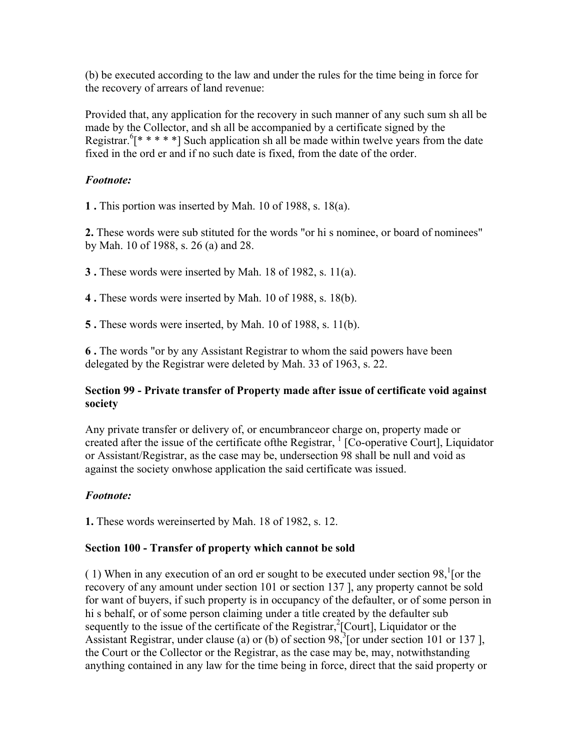(b) be executed according to the law and under the rules for the time being in force for the recovery of arrears of land revenue:

Provided that, any application for the recovery in such manner of any such sum sh all be made by the Collector, and sh all be accompanied by a certificate signed by the Registrar.  $[$ \* \* \* \* ] Such application sh all be made within twelve years from the date fixed in the ord er and if no such date is fixed, from the date of the order.

#### *Footnote:*

**1 .** This portion was inserted by Mah. 10 of 1988, s. 18(a).

**2.** These words were sub stituted for the words "or hi s nominee, or board of nominees" by Mah. 10 of 1988, s. 26 (a) and 28.

**3 .** These words were inserted by Mah. 18 of 1982, s. 11(a).

**4 .** These words were inserted by Mah. 10 of 1988, s. 18(b).

**5 .** These words were inserted, by Mah. 10 of 1988, s. 11(b).

**6 .** The words "or by any Assistant Registrar to whom the said powers have been delegated by the Registrar were deleted by Mah. 33 of 1963, s. 22.

#### **Section 99 - Private transfer of Property made after issue of certificate void against society**

Any private transfer or delivery of, or encumbranceor charge on, property made or created after the issue of the certificate of the Registrar,  $\frac{1}{1}$  [Co-operative Court], Liquidator or Assistant/Registrar, as the case may be, undersection 98 shall be null and void as against the society onwhose application the said certificate was issued.

#### *Footnote:*

**1.** These words wereinserted by Mah. 18 of 1982, s. 12.

#### **Section 100 - Transfer of property which cannot be sold**

(1) When in any execution of an ord er sought to be executed under section  $98$ , [or the recovery of any amount under section 101 or section 137 ], any property cannot be sold for want of buyers, if such property is in occupancy of the defaulter, or of some person in hi s behalf, or of some person claiming under a title created by the defaulter sub sequently to the issue of the certificate of the Registrar, ${}^{2}$ [Court], Liquidator or the Assistant Registrar, under clause (a) or (b) of section  $98$ , [or under section 101 or 137], the Court or the Collector or the Registrar, as the case may be, may, notwithstanding anything contained in any law for the time being in force, direct that the said property or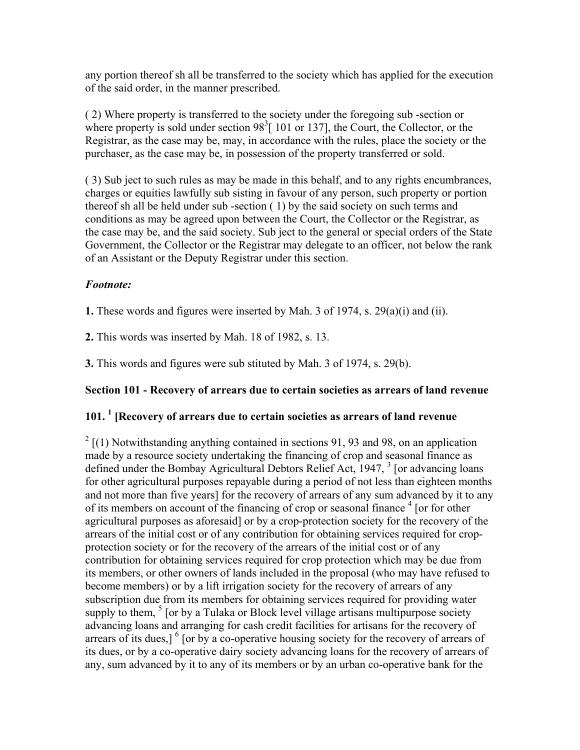any portion thereof sh all be transferred to the society which has applied for the execution of the said order, in the manner prescribed.

( 2) Where property is transferred to the society under the foregoing sub -section or where property is sold under section  $98<sup>3</sup>$  [ 101 or 137], the Court, the Collector, or the Registrar, as the case may be, may, in accordance with the rules, place the society or the purchaser, as the case may be, in possession of the property transferred or sold.

( 3) Sub ject to such rules as may be made in this behalf, and to any rights encumbrances, charges or equities lawfully sub sisting in favour of any person, such property or portion thereof sh all be held under sub -section ( 1) by the said society on such terms and conditions as may be agreed upon between the Court, the Collector or the Registrar, as the case may be, and the said society. Sub ject to the general or special orders of the State Government, the Collector or the Registrar may delegate to an officer, not below the rank of an Assistant or the Deputy Registrar under this section.

#### *Footnote:*

**1.** These words and figures were inserted by Mah. 3 of 1974, s. 29(a)(i) and (ii).

**2.** This words was inserted by Mah. 18 of 1982, s. 13.

**3.** This words and figures were sub stituted by Mah. 3 of 1974, s. 29(b).

#### **Section 101 - Recovery of arrears due to certain societies as arrears of land revenue**

## **101. 1 [Recovery of arrears due to certain societies as arrears of land revenue**

 $2\left[$ (1) Notwithstanding anything contained in sections 91, 93 and 98, on an application made by a resource society undertaking the financing of crop and seasonal finance as defined under the Bombay Agricultural Debtors Relief Act, 1947, <sup>3</sup> [or advancing loans for other agricultural purposes repayable during a period of not less than eighteen months and not more than five years] for the recovery of arrears of any sum advanced by it to any of its members on account of the financing of crop or seasonal finance  $4$  [or for other agricultural purposes as aforesaid] or by a crop-protection society for the recovery of the arrears of the initial cost or of any contribution for obtaining services required for cropprotection society or for the recovery of the arrears of the initial cost or of any contribution for obtaining services required for crop protection which may be due from its members, or other owners of lands included in the proposal (who may have refused to become members) or by a lift irrigation society for the recovery of arrears of any subscription due from its members for obtaining services required for providing water supply to them,  $5$  [or by a Tulaka or Block level village artisans multipurpose society advancing loans and arranging for cash credit facilities for artisans for the recovery of arrears of its dues,]  $\frac{6}{9}$  [or by a co-operative housing society for the recovery of arrears of its dues, or by a co-operative dairy society advancing loans for the recovery of arrears of any, sum advanced by it to any of its members or by an urban co-operative bank for the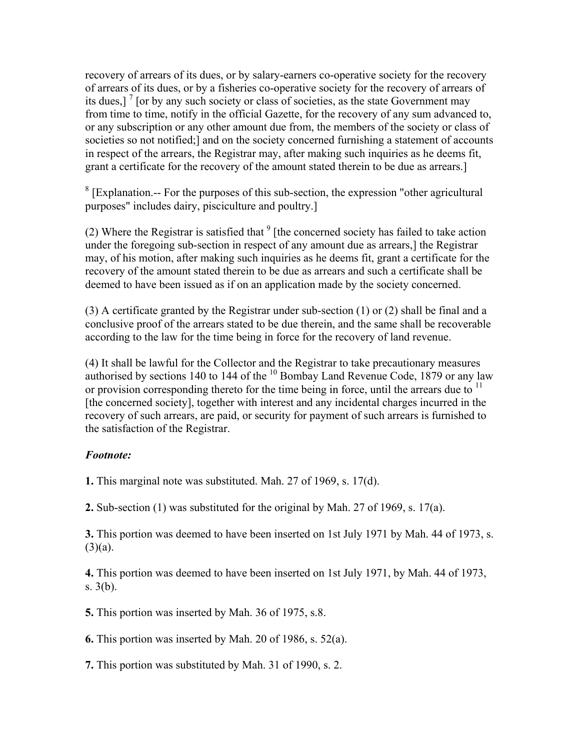recovery of arrears of its dues, or by salary-earners co-operative society for the recovery of arrears of its dues, or by a fisheries co-operative society for the recovery of arrears of its dues,]  $\frac{7}{1}$  [or by any such society or class of societies, as the state Government may from time to time, notify in the official Gazette, for the recovery of any sum advanced to, or any subscription or any other amount due from, the members of the society or class of societies so not notified;] and on the society concerned furnishing a statement of accounts in respect of the arrears, the Registrar may, after making such inquiries as he deems fit, grant a certificate for the recovery of the amount stated therein to be due as arrears.]

 $8$  [Explanation.-- For the purposes of this sub-section, the expression "other agricultural purposes" includes dairy, pisciculture and poultry.]

(2) Where the Registrar is satisfied that  $9$  [the concerned society has failed to take action under the foregoing sub-section in respect of any amount due as arrears,] the Registrar may, of his motion, after making such inquiries as he deems fit, grant a certificate for the recovery of the amount stated therein to be due as arrears and such a certificate shall be deemed to have been issued as if on an application made by the society concerned.

(3) A certificate granted by the Registrar under sub-section (1) or (2) shall be final and a conclusive proof of the arrears stated to be due therein, and the same shall be recoverable according to the law for the time being in force for the recovery of land revenue.

(4) It shall be lawful for the Collector and the Registrar to take precautionary measures authorised by sections 140 to 144 of the  $^{10}$  Bombay Land Revenue Code, 1879 or any law or provision corresponding thereto for the time being in force, until the arrears due to  $<sup>11</sup>$ </sup> [the concerned society], together with interest and any incidental charges incurred in the recovery of such arrears, are paid, or security for payment of such arrears is furnished to the satisfaction of the Registrar.

#### *Footnote:*

**1.** This marginal note was substituted. Mah. 27 of 1969, s. 17(d).

**2.** Sub-section (1) was substituted for the original by Mah. 27 of 1969, s. 17(a).

**3.** This portion was deemed to have been inserted on 1st July 1971 by Mah. 44 of 1973, s.  $(3)(a)$ .

**4.** This portion was deemed to have been inserted on 1st July 1971, by Mah. 44 of 1973, s. 3(b).

**5.** This portion was inserted by Mah. 36 of 1975, s.8.

**6.** This portion was inserted by Mah. 20 of 1986, s. 52(a).

**7.** This portion was substituted by Mah. 31 of 1990, s. 2.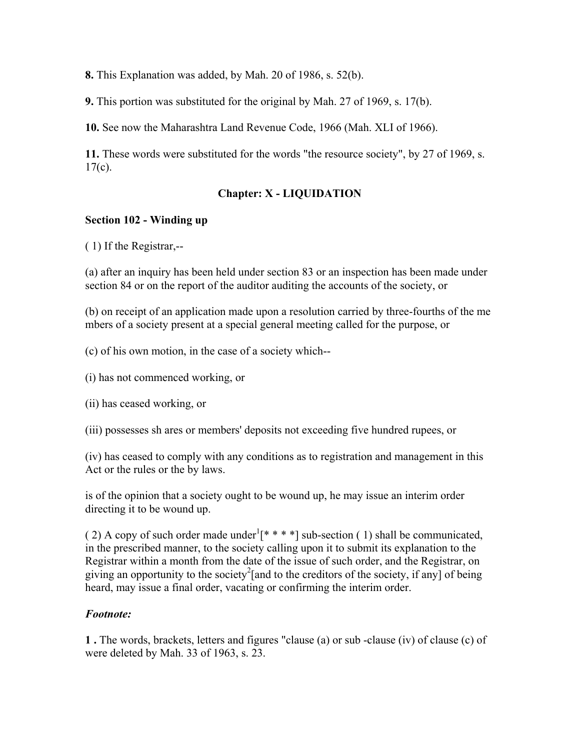**8.** This Explanation was added, by Mah. 20 of 1986, s. 52(b).

**9.** This portion was substituted for the original by Mah. 27 of 1969, s. 17(b).

**10.** See now the Maharashtra Land Revenue Code, 1966 (Mah. XLI of 1966).

**11.** These words were substituted for the words "the resource society", by 27 of 1969, s.  $17(c)$ .

# **Chapter: X - LIQUIDATION**

### **Section 102 - Winding up**

( 1) If the Registrar,--

(a) after an inquiry has been held under section 83 or an inspection has been made under section 84 or on the report of the auditor auditing the accounts of the society, or

(b) on receipt of an application made upon a resolution carried by three-fourths of the me mbers of a society present at a special general meeting called for the purpose, or

(c) of his own motion, in the case of a society which--

- (i) has not commenced working, or
- (ii) has ceased working, or

(iii) possesses sh ares or members' deposits not exceeding five hundred rupees, or

(iv) has ceased to comply with any conditions as to registration and management in this Act or the rules or the by laws.

is of the opinion that a society ought to be wound up, he may issue an interim order directing it to be wound up.

(2) A copy of such order made under  $[\ast \ast \ast \ast]$  sub-section (1) shall be communicated, in the prescribed manner, to the society calling upon it to submit its explanation to the Registrar within a month from the date of the issue of such order, and the Registrar, on giving an opportunity to the society<sup>2</sup>[and to the creditors of the society, if any] of being heard, may issue a final order, vacating or confirming the interim order.

### *Footnote:*

**1 .** The words, brackets, letters and figures "clause (a) or sub -clause (iv) of clause (c) of were deleted by Mah. 33 of 1963, s. 23.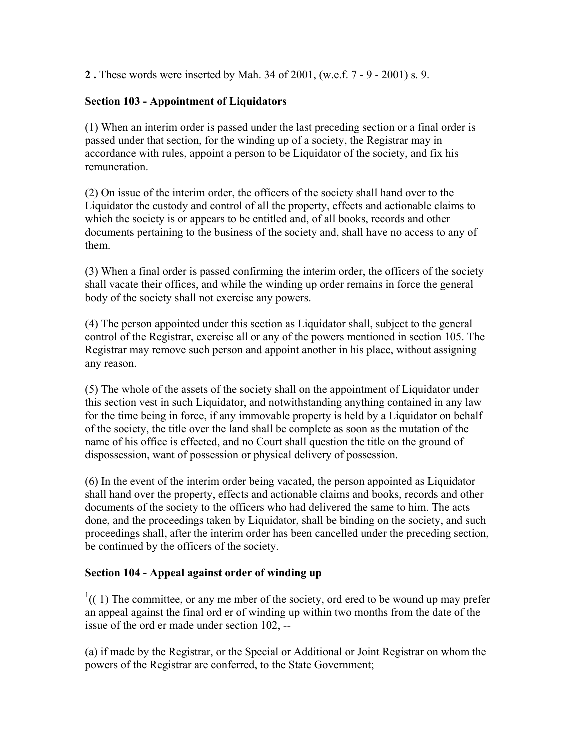**2 .** These words were inserted by Mah. 34 of 2001, (w.e.f. 7 - 9 - 2001) s. 9.

# **Section 103 - Appointment of Liquidators**

(1) When an interim order is passed under the last preceding section or a final order is passed under that section, for the winding up of a society, the Registrar may in accordance with rules, appoint a person to be Liquidator of the society, and fix his remuneration.

(2) On issue of the interim order, the officers of the society shall hand over to the Liquidator the custody and control of all the property, effects and actionable claims to which the society is or appears to be entitled and, of all books, records and other documents pertaining to the business of the society and, shall have no access to any of them.

(3) When a final order is passed confirming the interim order, the officers of the society shall vacate their offices, and while the winding up order remains in force the general body of the society shall not exercise any powers.

(4) The person appointed under this section as Liquidator shall, subject to the general control of the Registrar, exercise all or any of the powers mentioned in section 105. The Registrar may remove such person and appoint another in his place, without assigning any reason.

(5) The whole of the assets of the society shall on the appointment of Liquidator under this section vest in such Liquidator, and notwithstanding anything contained in any law for the time being in force, if any immovable property is held by a Liquidator on behalf of the society, the title over the land shall be complete as soon as the mutation of the name of his office is effected, and no Court shall question the title on the ground of dispossession, want of possession or physical delivery of possession.

(6) In the event of the interim order being vacated, the person appointed as Liquidator shall hand over the property, effects and actionable claims and books, records and other documents of the society to the officers who had delivered the same to him. The acts done, and the proceedings taken by Liquidator, shall be binding on the society, and such proceedings shall, after the interim order has been cancelled under the preceding section, be continued by the officers of the society.

### **Section 104 - Appeal against order of winding up**

 $1((1)$  The committee, or any me mber of the society, ord ered to be wound up may prefer an appeal against the final ord er of winding up within two months from the date of the issue of the ord er made under section 102, --

(a) if made by the Registrar, or the Special or Additional or Joint Registrar on whom the powers of the Registrar are conferred, to the State Government;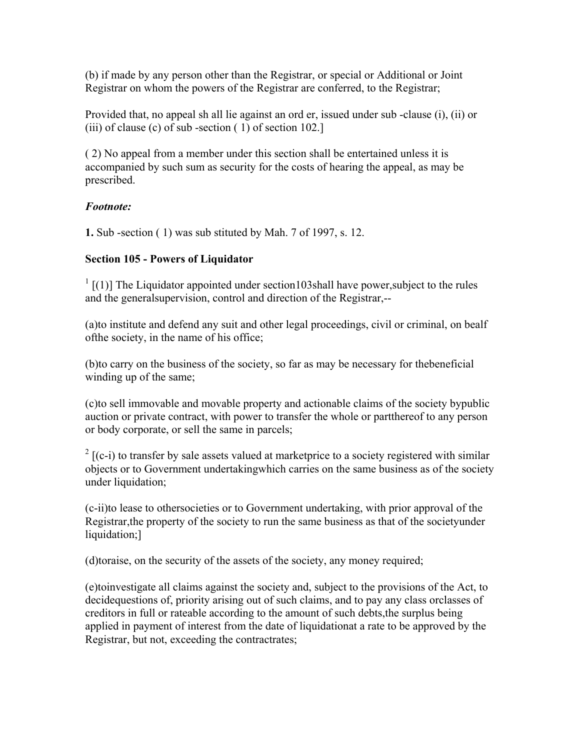(b) if made by any person other than the Registrar, or special or Additional or Joint Registrar on whom the powers of the Registrar are conferred, to the Registrar;

Provided that, no appeal sh all lie against an ord er, issued under sub -clause (i), (ii) or (iii) of clause (c) of sub-section  $(1)$  of section 102.]

( 2) No appeal from a member under this section shall be entertained unless it is accompanied by such sum as security for the costs of hearing the appeal, as may be prescribed.

### *Footnote:*

**1.** Sub -section ( 1) was sub stituted by Mah. 7 of 1997, s. 12.

# **Section 105 - Powers of Liquidator**

 $1$ <sup>1</sup> [(1)] The Liquidator appointed under section103shall have power, subject to the rules and the generalsupervision, control and direction of the Registrar,--

(a)to institute and defend any suit and other legal proceedings, civil or criminal, on bealf ofthe society, in the name of his office;

(b)to carry on the business of the society, so far as may be necessary for thebeneficial winding up of the same;

(c)to sell immovable and movable property and actionable claims of the society bypublic auction or private contract, with power to transfer the whole or partthereof to any person or body corporate, or sell the same in parcels;

 $2$  [(c-i) to transfer by sale assets valued at marketprice to a society registered with similar objects or to Government undertakingwhich carries on the same business as of the society under liquidation;

(c-ii)to lease to othersocieties or to Government undertaking, with prior approval of the Registrar,the property of the society to run the same business as that of the societyunder liquidation;]

(d)toraise, on the security of the assets of the society, any money required;

(e)toinvestigate all claims against the society and, subject to the provisions of the Act, to decidequestions of, priority arising out of such claims, and to pay any class orclasses of creditors in full or rateable according to the amount of such debts,the surplus being applied in payment of interest from the date of liquidationat a rate to be approved by the Registrar, but not, exceeding the contractrates;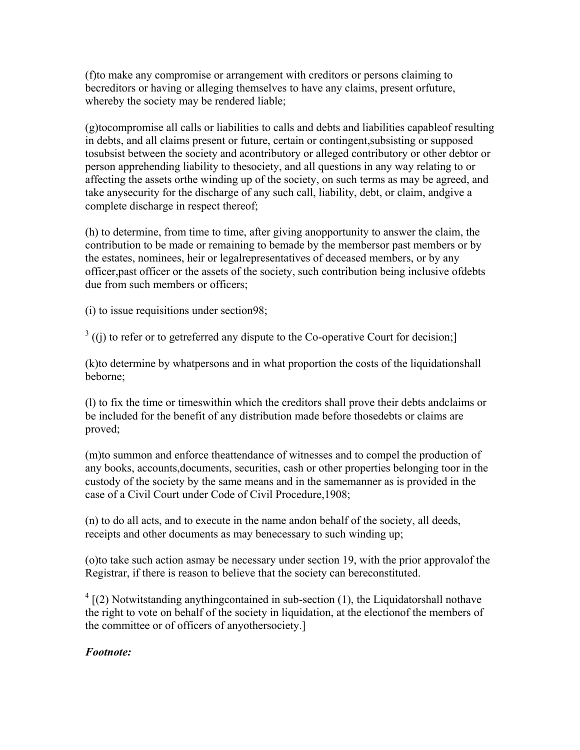(f)to make any compromise or arrangement with creditors or persons claiming to becreditors or having or alleging themselves to have any claims, present orfuture, whereby the society may be rendered liable;

(g)tocompromise all calls or liabilities to calls and debts and liabilities capableof resulting in debts, and all claims present or future, certain or contingent,subsisting or supposed tosubsist between the society and acontributory or alleged contributory or other debtor or person apprehending liability to thesociety, and all questions in any way relating to or affecting the assets orthe winding up of the society, on such terms as may be agreed, and take anysecurity for the discharge of any such call, liability, debt, or claim, andgive a complete discharge in respect thereof;

(h) to determine, from time to time, after giving anopportunity to answer the claim, the contribution to be made or remaining to bemade by the membersor past members or by the estates, nominees, heir or legalrepresentatives of deceased members, or by any officer,past officer or the assets of the society, such contribution being inclusive ofdebts due from such members or officers;

(i) to issue requisitions under section98;

 $3$  ((j) to refer or to getreferred any dispute to the Co-operative Court for decision;

(k)to determine by whatpersons and in what proportion the costs of the liquidationshall beborne;

(l) to fix the time or timeswithin which the creditors shall prove their debts andclaims or be included for the benefit of any distribution made before thosedebts or claims are proved;

(m)to summon and enforce theattendance of witnesses and to compel the production of any books, accounts,documents, securities, cash or other properties belonging toor in the custody of the society by the same means and in the samemanner as is provided in the case of a Civil Court under Code of Civil Procedure,1908;

(n) to do all acts, and to execute in the name andon behalf of the society, all deeds, receipts and other documents as may benecessary to such winding up;

(o)to take such action asmay be necessary under section 19, with the prior approvalof the Registrar, if there is reason to believe that the society can bereconstituted.

 $4$  [(2) Notwitstanding anything contained in sub-section (1), the Liquidatorshall nothave the right to vote on behalf of the society in liquidation, at the electionof the members of the committee or of officers of anyothersociety.]

### *Footnote:*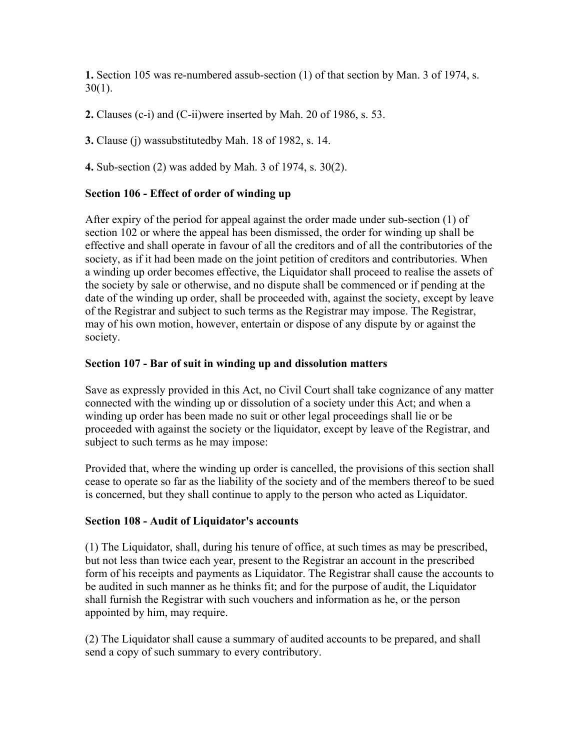**1.** Section 105 was re-numbered assub-section (1) of that section by Man. 3 of 1974, s.  $30(1)$ .

**2.** Clauses (c-i) and (C-ii)were inserted by Mah. 20 of 1986, s. 53.

**3.** Clause (j) wassubstitutedby Mah. 18 of 1982, s. 14.

**4.** Sub-section (2) was added by Mah. 3 of 1974, s. 30(2).

### **Section 106 - Effect of order of winding up**

After expiry of the period for appeal against the order made under sub-section (1) of section 102 or where the appeal has been dismissed, the order for winding up shall be effective and shall operate in favour of all the creditors and of all the contributories of the society, as if it had been made on the joint petition of creditors and contributories. When a winding up order becomes effective, the Liquidator shall proceed to realise the assets of the society by sale or otherwise, and no dispute shall be commenced or if pending at the date of the winding up order, shall be proceeded with, against the society, except by leave of the Registrar and subject to such terms as the Registrar may impose. The Registrar, may of his own motion, however, entertain or dispose of any dispute by or against the society.

### **Section 107 - Bar of suit in winding up and dissolution matters**

Save as expressly provided in this Act, no Civil Court shall take cognizance of any matter connected with the winding up or dissolution of a society under this Act; and when a winding up order has been made no suit or other legal proceedings shall lie or be proceeded with against the society or the liquidator, except by leave of the Registrar, and subject to such terms as he may impose:

Provided that, where the winding up order is cancelled, the provisions of this section shall cease to operate so far as the liability of the society and of the members thereof to be sued is concerned, but they shall continue to apply to the person who acted as Liquidator.

### **Section 108 - Audit of Liquidator's accounts**

(1) The Liquidator, shall, during his tenure of office, at such times as may be prescribed, but not less than twice each year, present to the Registrar an account in the prescribed form of his receipts and payments as Liquidator. The Registrar shall cause the accounts to be audited in such manner as he thinks fit; and for the purpose of audit, the Liquidator shall furnish the Registrar with such vouchers and information as he, or the person appointed by him, may require.

(2) The Liquidator shall cause a summary of audited accounts to be prepared, and shall send a copy of such summary to every contributory.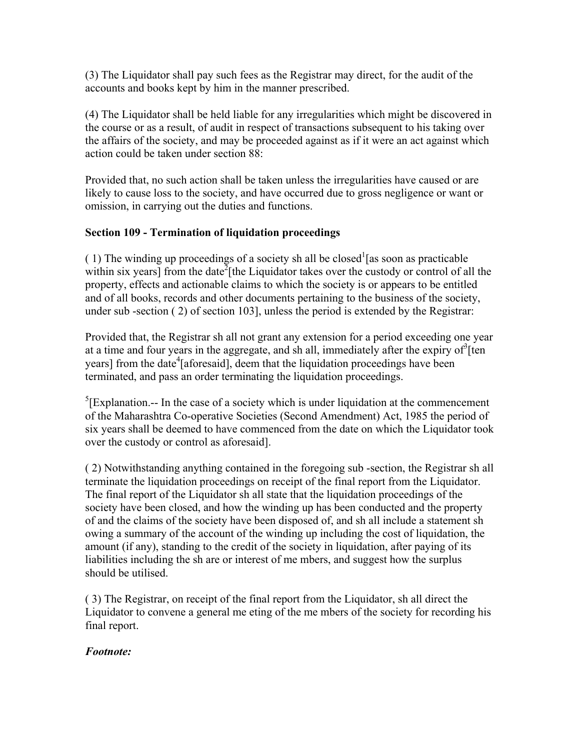(3) The Liquidator shall pay such fees as the Registrar may direct, for the audit of the accounts and books kept by him in the manner prescribed.

(4) The Liquidator shall be held liable for any irregularities which might be discovered in the course or as a result, of audit in respect of transactions subsequent to his taking over the affairs of the society, and may be proceeded against as if it were an act against which action could be taken under section 88:

Provided that, no such action shall be taken unless the irregularities have caused or are likely to cause loss to the society, and have occurred due to gross negligence or want or omission, in carrying out the duties and functions.

### **Section 109 - Termination of liquidation proceedings**

(1) The winding up proceedings of a society sh all be closed  $\frac{1}{a}$  as soon as practicable within six years] from the date<sup>2</sup> [the Liquidator takes over the custody or control of all the property, effects and actionable claims to which the society is or appears to be entitled and of all books, records and other documents pertaining to the business of the society, under sub -section ( 2) of section 103], unless the period is extended by the Registrar:

Provided that, the Registrar sh all not grant any extension for a period exceeding one year at a time and four years in the aggregate, and sh all, immediately after the expiry of  $\delta$ [ten years] from the date<sup>4</sup>[aforesaid], deem that the liquidation proceedings have been terminated, and pass an order terminating the liquidation proceedings.

 ${}^{5}$ [Explanation.-- In the case of a society which is under liquidation at the commencement of the Maharashtra Co-operative Societies (Second Amendment) Act, 1985 the period of six years shall be deemed to have commenced from the date on which the Liquidator took over the custody or control as aforesaid].

( 2) Notwithstanding anything contained in the foregoing sub -section, the Registrar sh all terminate the liquidation proceedings on receipt of the final report from the Liquidator. The final report of the Liquidator sh all state that the liquidation proceedings of the society have been closed, and how the winding up has been conducted and the property of and the claims of the society have been disposed of, and sh all include a statement sh owing a summary of the account of the winding up including the cost of liquidation, the amount (if any), standing to the credit of the society in liquidation, after paying of its liabilities including the sh are or interest of me mbers, and suggest how the surplus should be utilised.

( 3) The Registrar, on receipt of the final report from the Liquidator, sh all direct the Liquidator to convene a general me eting of the me mbers of the society for recording his final report.

### *Footnote:*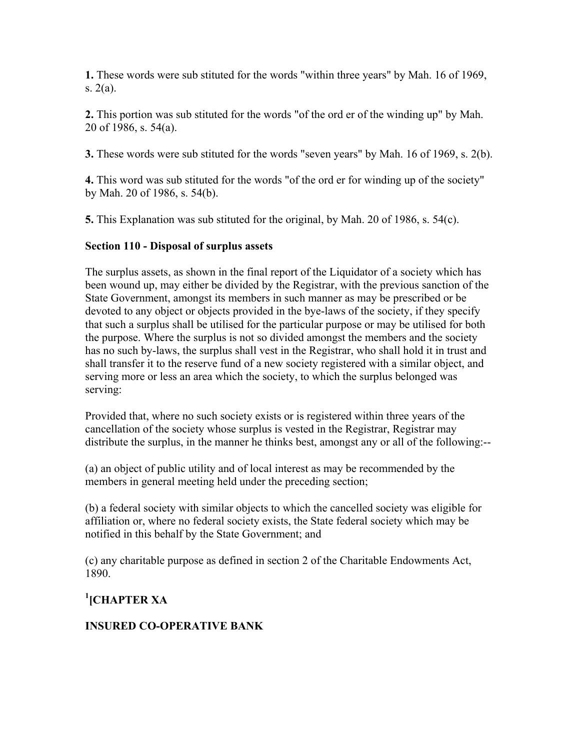**1.** These words were sub stituted for the words "within three years" by Mah. 16 of 1969, s. 2(a).

**2.** This portion was sub stituted for the words "of the ord er of the winding up" by Mah. 20 of 1986, s. 54(a).

**3.** These words were sub stituted for the words "seven years" by Mah. 16 of 1969, s. 2(b).

**4.** This word was sub stituted for the words "of the ord er for winding up of the society" by Mah. 20 of 1986, s. 54(b).

**5.** This Explanation was sub stituted for the original, by Mah. 20 of 1986, s. 54(c).

# **Section 110 - Disposal of surplus assets**

The surplus assets, as shown in the final report of the Liquidator of a society which has been wound up, may either be divided by the Registrar, with the previous sanction of the State Government, amongst its members in such manner as may be prescribed or be devoted to any object or objects provided in the bye-laws of the society, if they specify that such a surplus shall be utilised for the particular purpose or may be utilised for both the purpose. Where the surplus is not so divided amongst the members and the society has no such by-laws, the surplus shall vest in the Registrar, who shall hold it in trust and shall transfer it to the reserve fund of a new society registered with a similar object, and serving more or less an area which the society, to which the surplus belonged was serving:

Provided that, where no such society exists or is registered within three years of the cancellation of the society whose surplus is vested in the Registrar, Registrar may distribute the surplus, in the manner he thinks best, amongst any or all of the following:--

(a) an object of public utility and of local interest as may be recommended by the members in general meeting held under the preceding section;

(b) a federal society with similar objects to which the cancelled society was eligible for affiliation or, where no federal society exists, the State federal society which may be notified in this behalf by the State Government; and

(c) any charitable purpose as defined in section 2 of the Charitable Endowments Act, 1890.

# **1 [CHAPTER XA**

# **INSURED CO-OPERATIVE BANK**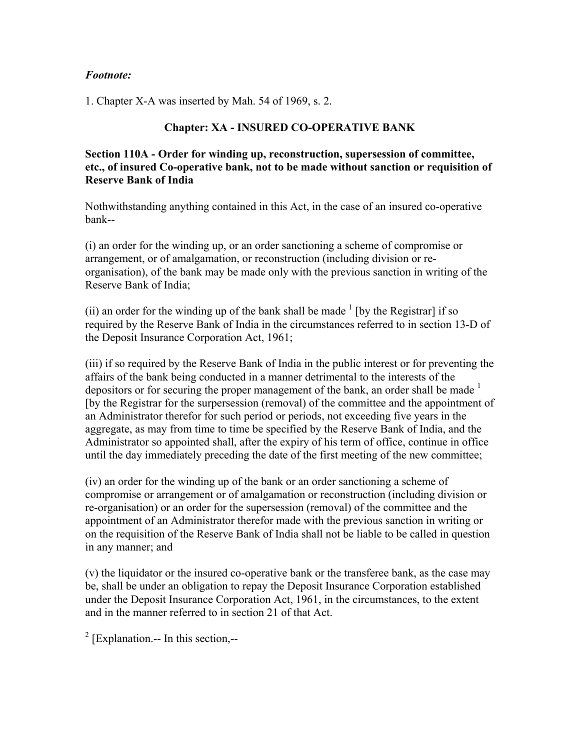#### *Footnote:*

1. Chapter X-A was inserted by Mah. 54 of 1969, s. 2.

#### **Chapter: XA - INSURED CO-OPERATIVE BANK**

**Section 110A - Order for winding up, reconstruction, supersession of committee, etc., of insured Co-operative bank, not to be made without sanction or requisition of Reserve Bank of India**

Nothwithstanding anything contained in this Act, in the case of an insured co-operative bank--

(i) an order for the winding up, or an order sanctioning a scheme of compromise or arrangement, or of amalgamation, or reconstruction (including division or reorganisation), of the bank may be made only with the previous sanction in writing of the Reserve Bank of India;

(ii) an order for the winding up of the bank shall be made  $\frac{1}{\pi}$  [by the Registrar] if so required by the Reserve Bank of India in the circumstances referred to in section 13-D of the Deposit Insurance Corporation Act, 1961;

(iii) if so required by the Reserve Bank of India in the public interest or for preventing the affairs of the bank being conducted in a manner detrimental to the interests of the depositors or for securing the proper management of the bank, an order shall be made <sup>1</sup> [by the Registrar for the surpersession (removal) of the committee and the appointment of an Administrator therefor for such period or periods, not exceeding five years in the aggregate, as may from time to time be specified by the Reserve Bank of India, and the Administrator so appointed shall, after the expiry of his term of office, continue in office until the day immediately preceding the date of the first meeting of the new committee;

(iv) an order for the winding up of the bank or an order sanctioning a scheme of compromise or arrangement or of amalgamation or reconstruction (including division or re-organisation) or an order for the supersession (removal) of the committee and the appointment of an Administrator therefor made with the previous sanction in writing or on the requisition of the Reserve Bank of India shall not be liable to be called in question in any manner; and

(v) the liquidator or the insured co-operative bank or the transferee bank, as the case may be, shall be under an obligation to repay the Deposit Insurance Corporation established under the Deposit Insurance Corporation Act, 1961, in the circumstances, to the extent and in the manner referred to in section 21 of that Act.

<sup>2</sup> [Explanation.-- In this section,--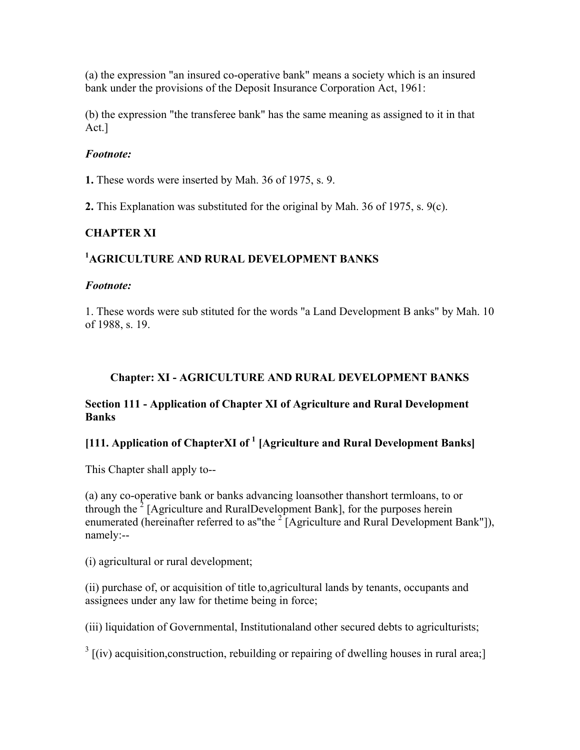(a) the expression "an insured co-operative bank" means a society which is an insured bank under the provisions of the Deposit Insurance Corporation Act, 1961:

(b) the expression "the transferee bank" has the same meaning as assigned to it in that Act.]

#### *Footnote:*

**1.** These words were inserted by Mah. 36 of 1975, s. 9.

**2.** This Explanation was substituted for the original by Mah. 36 of 1975, s. 9(c).

# **CHAPTER XI**

# **1 AGRICULTURE AND RURAL DEVELOPMENT BANKS**

#### *Footnote:*

1. These words were sub stituted for the words "a Land Development B anks" by Mah. 10 of 1988, s. 19.

### **Chapter: XI - AGRICULTURE AND RURAL DEVELOPMENT BANKS**

#### **Section 111 - Application of Chapter XI of Agriculture and Rural Development Banks**

# **[111. Application of ChapterXI of <sup>1</sup> [Agriculture and Rural Development Banks]**

This Chapter shall apply to--

(a) any co-operative bank or banks advancing loansother thanshort termloans, to or through the  $2$  [Agriculture and RuralDevelopment Bank], for the purposes herein enumerated (hereinafter referred to as"the  $2^{2}$  [Agriculture and Rural Development Bank"]), namely:--

(i) agricultural or rural development;

(ii) purchase of, or acquisition of title to,agricultural lands by tenants, occupants and assignees under any law for thetime being in force;

(iii) liquidation of Governmental, Institutionaland other secured debts to agriculturists;

 $3$  [(iv) acquisition, construction, rebuilding or repairing of dwelling houses in rural area;]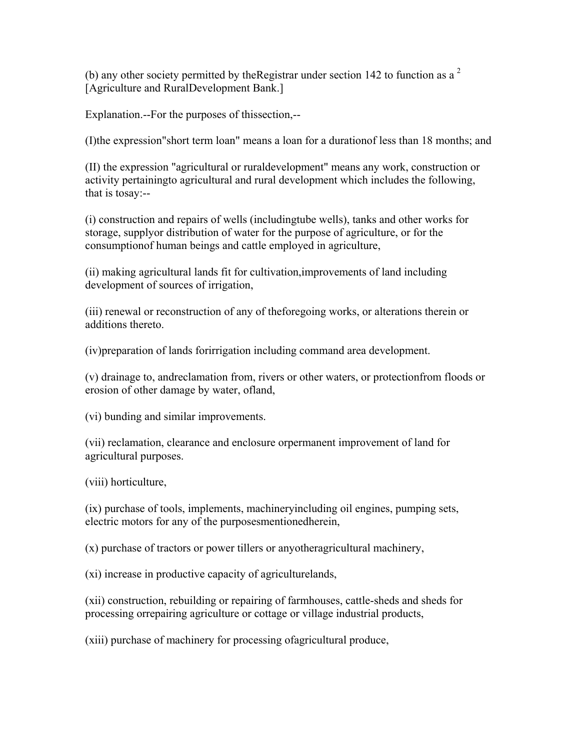(b) any other society permitted by the Registrar under section 142 to function as a  $2$ [Agriculture and RuralDevelopment Bank.]

Explanation.--For the purposes of thissection,--

(I)the expression"short term loan" means a loan for a durationof less than 18 months; and

(II) the expression "agricultural or ruraldevelopment" means any work, construction or activity pertainingto agricultural and rural development which includes the following, that is tosay:--

(i) construction and repairs of wells (includingtube wells), tanks and other works for storage, supplyor distribution of water for the purpose of agriculture, or for the consumptionof human beings and cattle employed in agriculture,

(ii) making agricultural lands fit for cultivation,improvements of land including development of sources of irrigation,

(iii) renewal or reconstruction of any of theforegoing works, or alterations therein or additions thereto.

(iv)preparation of lands forirrigation including command area development.

(v) drainage to, andreclamation from, rivers or other waters, or protectionfrom floods or erosion of other damage by water, ofland,

(vi) bunding and similar improvements.

(vii) reclamation, clearance and enclosure orpermanent improvement of land for agricultural purposes.

(viii) horticulture,

(ix) purchase of tools, implements, machineryincluding oil engines, pumping sets, electric motors for any of the purposesmentionedherein,

(x) purchase of tractors or power tillers or anyotheragricultural machinery,

(xi) increase in productive capacity of agriculturelands,

(xii) construction, rebuilding or repairing of farmhouses, cattle-sheds and sheds for processing orrepairing agriculture or cottage or village industrial products,

(xiii) purchase of machinery for processing ofagricultural produce,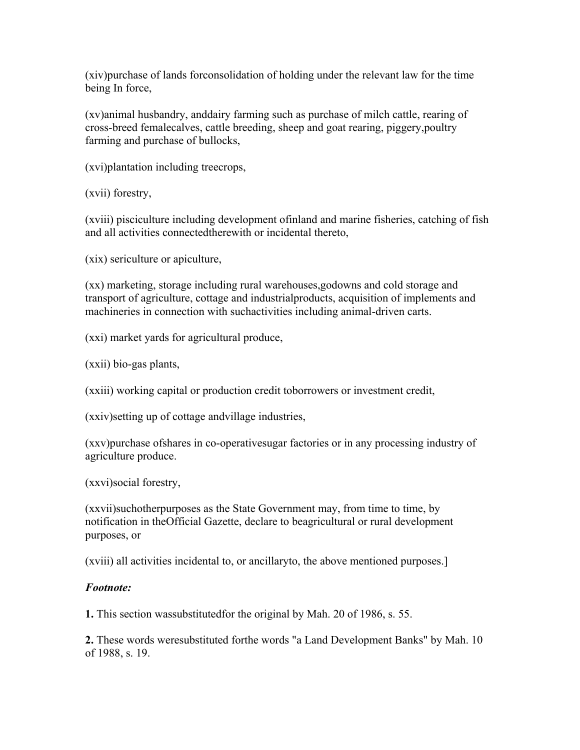(xiv)purchase of lands forconsolidation of holding under the relevant law for the time being In force,

(xv)animal husbandry, anddairy farming such as purchase of milch cattle, rearing of cross-breed femalecalves, cattle breeding, sheep and goat rearing, piggery,poultry farming and purchase of bullocks,

(xvi)plantation including treecrops,

(xvii) forestry,

(xviii) pisciculture including development ofinland and marine fisheries, catching of fish and all activities connectedtherewith or incidental thereto,

(xix) sericulture or apiculture,

(xx) marketing, storage including rural warehouses,godowns and cold storage and transport of agriculture, cottage and industrialproducts, acquisition of implements and machineries in connection with suchactivities including animal-driven carts.

(xxi) market yards for agricultural produce,

(xxii) bio-gas plants,

(xxiii) working capital or production credit toborrowers or investment credit,

(xxiv)setting up of cottage andvillage industries,

(xxv)purchase ofshares in co-operativesugar factories or in any processing industry of agriculture produce.

(xxvi)social forestry,

(xxvii)suchotherpurposes as the State Government may, from time to time, by notification in theOfficial Gazette, declare to beagricultural or rural development purposes, or

(xviii) all activities incidental to, or ancillaryto, the above mentioned purposes.]

#### *Footnote:*

**1.** This section wassubstitutedfor the original by Mah. 20 of 1986, s. 55.

**2.** These words weresubstituted forthe words "a Land Development Banks" by Mah. 10 of 1988, s. 19.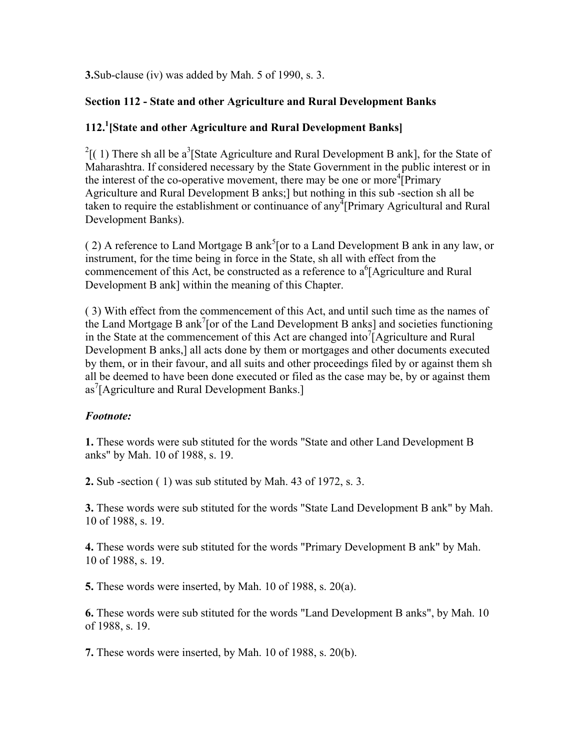**3.**Sub-clause (iv) was added by Mah. 5 of 1990, s. 3.

# **Section 112 - State and other Agriculture and Rural Development Banks**

# **112.1 [State and other Agriculture and Rural Development Banks]**

 $2^{2}$ [(1) There sh all be a<sup>3</sup>[State Agriculture and Rural Development B ank], for the State of Maharashtra. If considered necessary by the State Government in the public interest or in the interest of the co-operative movement, there may be one or more<sup>4</sup>[Primary Agriculture and Rural Development B anks;] but nothing in this sub -section sh all be taken to require the establishment or continuance of any<sup> $\frac{1}{4}$ </sup>[Primary Agricultural and Rural] Development Banks).

(2) A reference to Land Mortgage B ank<sup>5</sup> [or to a Land Development B ank in any law, or instrument, for the time being in force in the State, sh all with effect from the commencement of this Act, be constructed as a reference to  $a^6$ [Agriculture and Rural Development B ank] within the meaning of this Chapter.

( 3) With effect from the commencement of this Act, and until such time as the names of the Land Mortgage B ank<sup>7</sup> [or of the Land Development B anks] and societies functioning in the State at the commencement of this Act are changed into<sup>7</sup> $[$ Agriculture and Rural Development B anks,] all acts done by them or mortgages and other documents executed by them, or in their favour, and all suits and other proceedings filed by or against them sh all be deemed to have been done executed or filed as the case may be, by or against them as<sup>7</sup>[Agriculture and Rural Development Banks.]

# *Footnote:*

**1.** These words were sub stituted for the words "State and other Land Development B anks" by Mah. 10 of 1988, s. 19.

**2.** Sub -section ( 1) was sub stituted by Mah. 43 of 1972, s. 3.

**3.** These words were sub stituted for the words "State Land Development B ank" by Mah. 10 of 1988, s. 19.

**4.** These words were sub stituted for the words "Primary Development B ank" by Mah. 10 of 1988, s. 19.

**5.** These words were inserted, by Mah. 10 of 1988, s. 20(a).

**6.** These words were sub stituted for the words "Land Development B anks", by Mah. 10 of 1988, s. 19.

**7.** These words were inserted, by Mah. 10 of 1988, s. 20(b).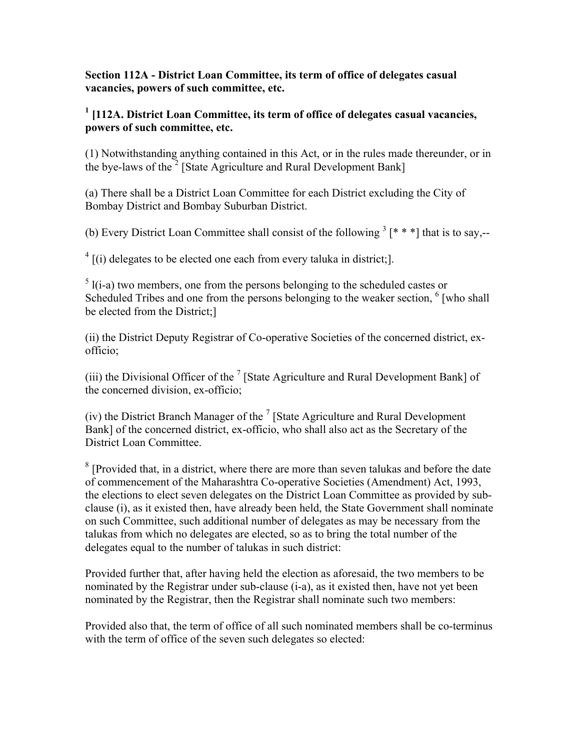#### **Section 112A - District Loan Committee, its term of office of delegates casual vacancies, powers of such committee, etc.**

# <sup>1</sup> [112A. District Loan Committee, its term of office of delegates casual vacancies, **powers of such committee, etc.**

(1) Notwithstanding anything contained in this Act, or in the rules made thereunder, or in the bye-laws of the<sup>2</sup> [State Agriculture and Rural Development Bank]

(a) There shall be a District Loan Committee for each District excluding the City of Bombay District and Bombay Suburban District.

(b) Every District Loan Committee shall consist of the following  $3$  [\* \* \*] that is to say,--

 $4$  [(i) delegates to be elected one each from every taluka in district;].

 $<sup>5</sup>$  l(i-a) two members, one from the persons belonging to the scheduled castes or</sup> Scheduled Tribes and one from the persons belonging to the weaker section, <sup>6</sup> [who shall be elected from the District;]

(ii) the District Deputy Registrar of Co-operative Societies of the concerned district, exofficio;

(iii) the Divisional Officer of the  $<sup>7</sup>$  [State Agriculture and Rural Development Bank] of</sup> the concerned division, ex-officio;

(iv) the District Branch Manager of the  $<sup>7</sup>$  [State Agriculture and Rural Development</sup> Bank] of the concerned district, ex-officio, who shall also act as the Secretary of the District Loan Committee.

 $8$  [Provided that, in a district, where there are more than seven talukas and before the date of commencement of the Maharashtra Co-operative Societies (Amendment) Act, 1993, the elections to elect seven delegates on the District Loan Committee as provided by subclause (i), as it existed then, have already been held, the State Government shall nominate on such Committee, such additional number of delegates as may be necessary from the talukas from which no delegates are elected, so as to bring the total number of the delegates equal to the number of talukas in such district:

Provided further that, after having held the election as aforesaid, the two members to be nominated by the Registrar under sub-clause (i-a), as it existed then, have not yet been nominated by the Registrar, then the Registrar shall nominate such two members:

Provided also that, the term of office of all such nominated members shall be co-terminus with the term of office of the seven such delegates so elected: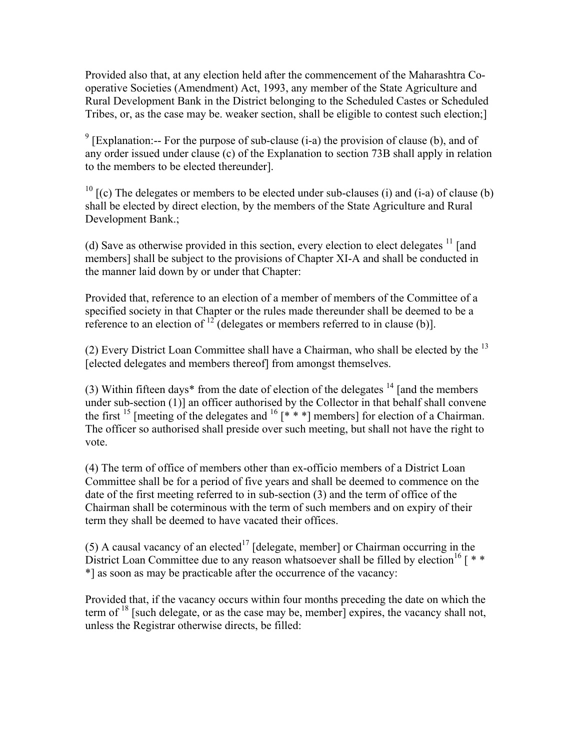Provided also that, at any election held after the commencement of the Maharashtra Cooperative Societies (Amendment) Act, 1993, any member of the State Agriculture and Rural Development Bank in the District belonging to the Scheduled Castes or Scheduled Tribes, or, as the case may be. weaker section, shall be eligible to contest such election;]

<sup>9</sup> [Explanation:-- For the purpose of sub-clause (i-a) the provision of clause (b), and of any order issued under clause (c) of the Explanation to section 73B shall apply in relation to the members to be elected thereunder].

<sup>10</sup>  $[(c)$  The delegates or members to be elected under sub-clauses (i) and (i-a) of clause (b) shall be elected by direct election, by the members of the State Agriculture and Rural Development Bank.;

(d) Save as otherwise provided in this section, every election to elect delegates  $<sup>11</sup>$  [and</sup> members] shall be subject to the provisions of Chapter XI-A and shall be conducted in the manner laid down by or under that Chapter:

Provided that, reference to an election of a member of members of the Committee of a specified society in that Chapter or the rules made thereunder shall be deemed to be a reference to an election of  $12^{\circ}$  (delegates or members referred to in clause (b)].

(2) Every District Loan Committee shall have a Chairman, who shall be elected by the 13 [elected delegates and members thereof] from amongst themselves.

(3) Within fifteen days<sup>\*</sup> from the date of election of the delegates  $14$  [and the members under sub-section (1)] an officer authorised by the Collector in that behalf shall convene the first <sup>15</sup> [meeting of the delegates and <sup>16</sup> [\* \* \*] members] for election of a Chairman. The officer so authorised shall preside over such meeting, but shall not have the right to vote.

(4) The term of office of members other than ex-officio members of a District Loan Committee shall be for a period of five years and shall be deemed to commence on the date of the first meeting referred to in sub-section (3) and the term of office of the Chairman shall be coterminous with the term of such members and on expiry of their term they shall be deemed to have vacated their offices.

(5) A causal vacancy of an elected<sup>17</sup> [delegate, member] or Chairman occurring in the District Loan Committee due to any reason whatsoever shall be filled by election<sup>16</sup> [ $*$ \*] as soon as may be practicable after the occurrence of the vacancy:

Provided that, if the vacancy occurs within four months preceding the date on which the term of  $18$  [such delegate, or as the case may be, member] expires, the vacancy shall not, unless the Registrar otherwise directs, be filled: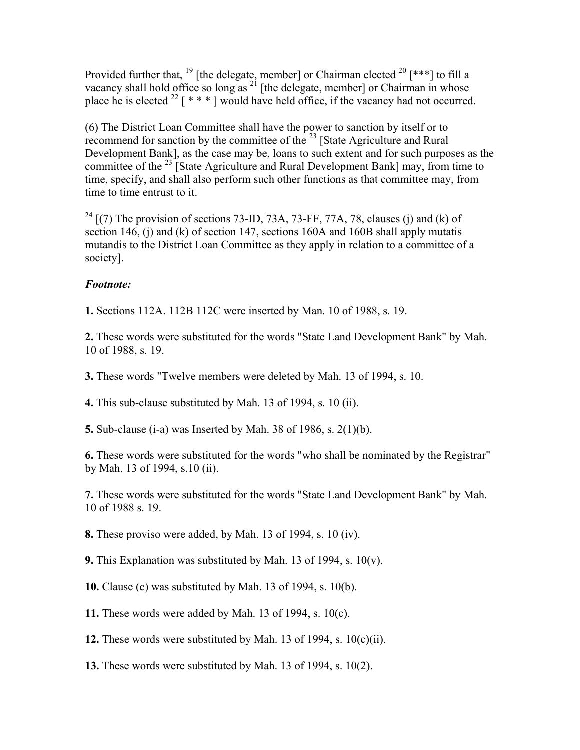Provided further that, <sup>19</sup> [the delegate, member] or Chairman elected <sup>20</sup> [\*\*\*] to fill a vacancy shall hold office so long as  $^{21}$  [the delegate, member] or Chairman in whose place he is elected  $^{22}$  [ \* \* \* ] would have held office, if the vacancy had not occurred.

(6) The District Loan Committee shall have the power to sanction by itself or to recommend for sanction by the committee of the  $^{23}$  [State Agriculture and Rural Development Bank], as the case may be, loans to such extent and for such purposes as the committee of the  $^{23}$  State Agriculture and Rural Development Bank] may, from time to time, specify, and shall also perform such other functions as that committee may, from time to time entrust to it.

 $^{24}$  [(7) The provision of sections 73-ID, 73A, 73-FF, 77A, 78, clauses (j) and (k) of section 146, (j) and (k) of section 147, sections 160A and 160B shall apply mutatis mutandis to the District Loan Committee as they apply in relation to a committee of a society].

### *Footnote:*

**1.** Sections 112A. 112B 112C were inserted by Man. 10 of 1988, s. 19.

**2.** These words were substituted for the words "State Land Development Bank" by Mah. 10 of 1988, s. 19.

**3.** These words "Twelve members were deleted by Mah. 13 of 1994, s. 10.

**4.** This sub-clause substituted by Mah. 13 of 1994, s. 10 (ii).

**5.** Sub-clause (i-a) was Inserted by Mah. 38 of 1986, s. 2(1)(b).

**6.** These words were substituted for the words "who shall be nominated by the Registrar" by Mah. 13 of 1994, s.10 (ii).

**7.** These words were substituted for the words "State Land Development Bank" by Mah. 10 of 1988 s. 19.

**8.** These proviso were added, by Mah. 13 of 1994, s. 10 (iv).

**9.** This Explanation was substituted by Mah. 13 of 1994, s. 10(v).

**10.** Clause (c) was substituted by Mah. 13 of 1994, s. 10(b).

**11.** These words were added by Mah. 13 of 1994, s. 10(c).

**12.** These words were substituted by Mah. 13 of 1994, s. 10(c)(ii).

**13.** These words were substituted by Mah. 13 of 1994, s. 10(2).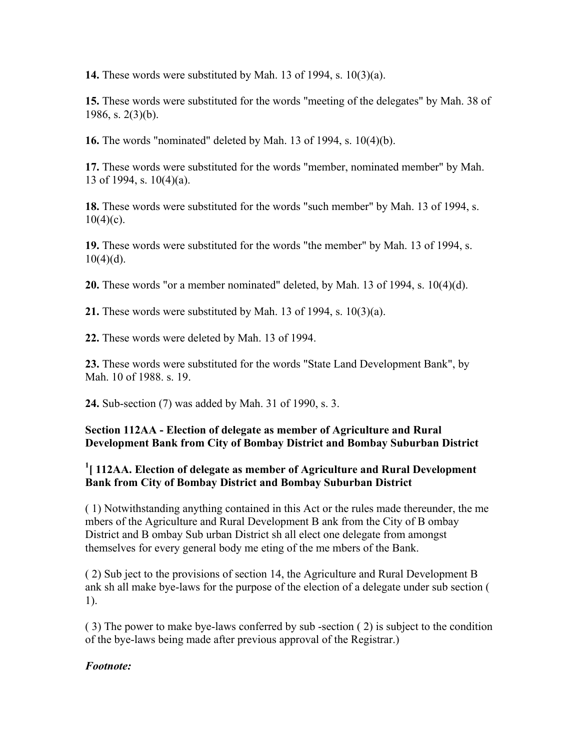**14.** These words were substituted by Mah. 13 of 1994, s. 10(3)(a).

**15.** These words were substituted for the words "meeting of the delegates" by Mah. 38 of 1986, s.  $2(3)(b)$ .

**16.** The words "nominated" deleted by Mah. 13 of 1994, s. 10(4)(b).

**17.** These words were substituted for the words "member, nominated member" by Mah. 13 of 1994, s. 10(4)(a).

**18.** These words were substituted for the words "such member" by Mah. 13 of 1994, s.  $10(4)(c)$ .

**19.** These words were substituted for the words "the member" by Mah. 13 of 1994, s.  $10(4)(d)$ .

**20.** These words "or a member nominated" deleted, by Mah. 13 of 1994, s. 10(4)(d).

**21.** These words were substituted by Mah. 13 of 1994, s. 10(3)(a).

**22.** These words were deleted by Mah. 13 of 1994.

**23.** These words were substituted for the words "State Land Development Bank", by Mah. 10 of 1988. s. 19.

**24.** Sub-section (7) was added by Mah. 31 of 1990, s. 3.

### **Section 112AA - Election of delegate as member of Agriculture and Rural Development Bank from City of Bombay District and Bombay Suburban District**

# <sup>1</sup> [ 112AA. Election of delegate as member of Agriculture and Rural Development **Bank from City of Bombay District and Bombay Suburban District**

( 1) Notwithstanding anything contained in this Act or the rules made thereunder, the me mbers of the Agriculture and Rural Development B ank from the City of B ombay District and B ombay Sub urban District sh all elect one delegate from amongst themselves for every general body me eting of the me mbers of the Bank.

( 2) Sub ject to the provisions of section 14, the Agriculture and Rural Development B ank sh all make bye-laws for the purpose of the election of a delegate under sub section ( 1).

( 3) The power to make bye-laws conferred by sub -section ( 2) is subject to the condition of the bye-laws being made after previous approval of the Registrar.)

### *Footnote:*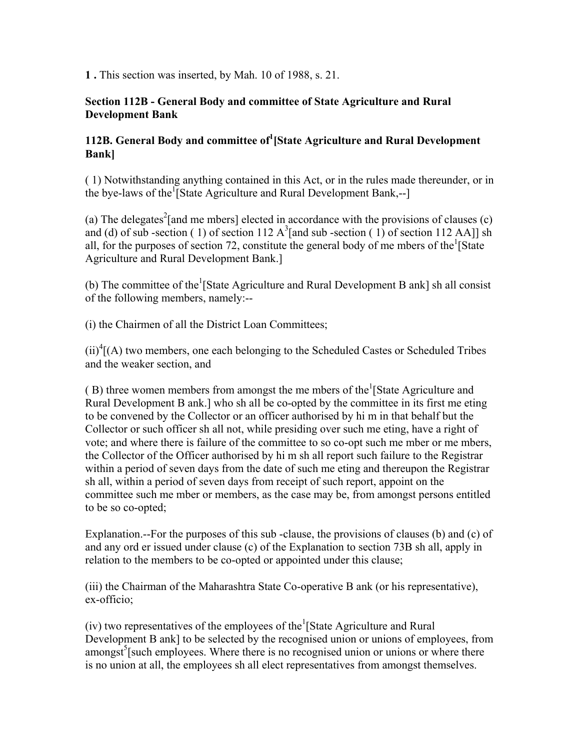**1 .** This section was inserted, by Mah. 10 of 1988, s. 21.

#### **Section 112B - General Body and committee of State Agriculture and Rural Development Bank**

# **112B. General Body and committee of<sup>1</sup> [State Agriculture and Rural Development Bank]**

( 1) Notwithstanding anything contained in this Act, or in the rules made thereunder, or in the bye-laws of the<sup>1</sup>[State Agriculture and Rural Development Bank,--]

(a) The delegates<sup>2</sup>[and me mbers] elected in accordance with the provisions of clauses (c) and (d) of sub-section (1) of section 112  $A<sup>3</sup>$  [and sub-section (1) of section 112 AA]] sh all, for the purposes of section 72, constitute the general body of me mbers of the  $\frac{1}{1}$ State Agriculture and Rural Development Bank.]

(b) The committee of the <sup>1</sup>[State Agriculture and Rural Development B ank] sh all consist of the following members, namely:--

(i) the Chairmen of all the District Loan Committees;

 $(ii)^4$ [(A) two members, one each belonging to the Scheduled Castes or Scheduled Tribes and the weaker section, and

 $(B)$  three women members from amongst the me mbers of the <sup>1</sup>[State Agriculture and Rural Development B ank.] who sh all be co-opted by the committee in its first me eting to be convened by the Collector or an officer authorised by hi m in that behalf but the Collector or such officer sh all not, while presiding over such me eting, have a right of vote; and where there is failure of the committee to so co-opt such me mber or me mbers, the Collector of the Officer authorised by hi m sh all report such failure to the Registrar within a period of seven days from the date of such me eting and thereupon the Registrar sh all, within a period of seven days from receipt of such report, appoint on the committee such me mber or members, as the case may be, from amongst persons entitled to be so co-opted;

Explanation.--For the purposes of this sub -clause, the provisions of clauses (b) and (c) of and any ord er issued under clause (c) of the Explanation to section 73B sh all, apply in relation to the members to be co-opted or appointed under this clause;

(iii) the Chairman of the Maharashtra State Co-operative B ank (or his representative), ex-officio;

(iv) two representatives of the employees of the  ${}^{1}$ [State Agriculture and Rural Development B ank] to be selected by the recognised union or unions of employees, from  $amongst<sup>5</sup>$ [such employees. Where there is no recognised union or unions or where there is no union at all, the employees sh all elect representatives from amongst themselves.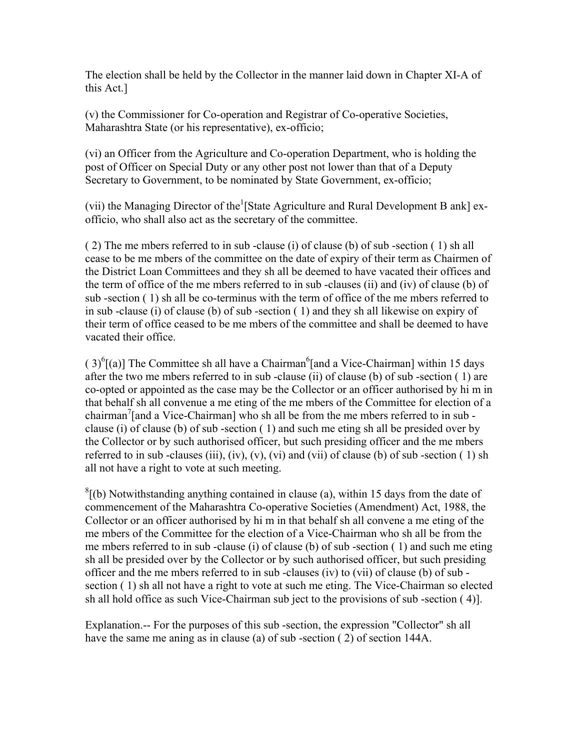The election shall be held by the Collector in the manner laid down in Chapter XI-A of this Act.]

(v) the Commissioner for Co-operation and Registrar of Co-operative Societies, Maharashtra State (or his representative), ex-officio;

(vi) an Officer from the Agriculture and Co-operation Department, who is holding the post of Officer on Special Duty or any other post not lower than that of a Deputy Secretary to Government, to be nominated by State Government, ex-officio;

(vii) the Managing Director of the <sup>1</sup>[State Agriculture and Rural Development B ank] exofficio, who shall also act as the secretary of the committee.

( 2) The me mbers referred to in sub -clause (i) of clause (b) of sub -section ( 1) sh all cease to be me mbers of the committee on the date of expiry of their term as Chairmen of the District Loan Committees and they sh all be deemed to have vacated their offices and the term of office of the me mbers referred to in sub -clauses (ii) and (iv) of clause (b) of sub -section ( 1) sh all be co-terminus with the term of office of the me mbers referred to in sub -clause (i) of clause (b) of sub -section ( 1) and they sh all likewise on expiry of their term of office ceased to be me mbers of the committee and shall be deemed to have vacated their office.

 $(3)^{6}$ [(a)] The Committee sh all have a Chairman<sup>6</sup>[and a Vice-Chairman] within 15 days after the two me mbers referred to in sub -clause (ii) of clause (b) of sub -section ( 1) are co-opted or appointed as the case may be the Collector or an officer authorised by hi m in that behalf sh all convenue a me eting of the me mbers of the Committee for election of a chairman<sup>7</sup>[and a Vice-Chairman] who sh all be from the me mbers referred to in sub clause (i) of clause (b) of sub -section ( 1) and such me eting sh all be presided over by the Collector or by such authorised officer, but such presiding officer and the me mbers referred to in sub-clauses (iii), (iv), (v), (vi) and (vii) of clause (b) of sub-section  $(1)$  sh all not have a right to vote at such meeting.

 ${}^{8}$ [(b) Notwithstanding anything contained in clause (a), within 15 days from the date of commencement of the Maharashtra Co-operative Societies (Amendment) Act, 1988, the Collector or an officer authorised by hi m in that behalf sh all convene a me eting of the me mbers of the Committee for the election of a Vice-Chairman who sh all be from the me mbers referred to in sub -clause (i) of clause (b) of sub -section ( 1) and such me eting sh all be presided over by the Collector or by such authorised officer, but such presiding officer and the me mbers referred to in sub -clauses (iv) to (vii) of clause (b) of sub section ( 1) sh all not have a right to vote at such me eting. The Vice-Chairman so elected sh all hold office as such Vice-Chairman sub ject to the provisions of sub -section ( 4)].

Explanation.-- For the purposes of this sub -section, the expression "Collector" sh all have the same me aning as in clause (a) of sub -section ( 2) of section 144A.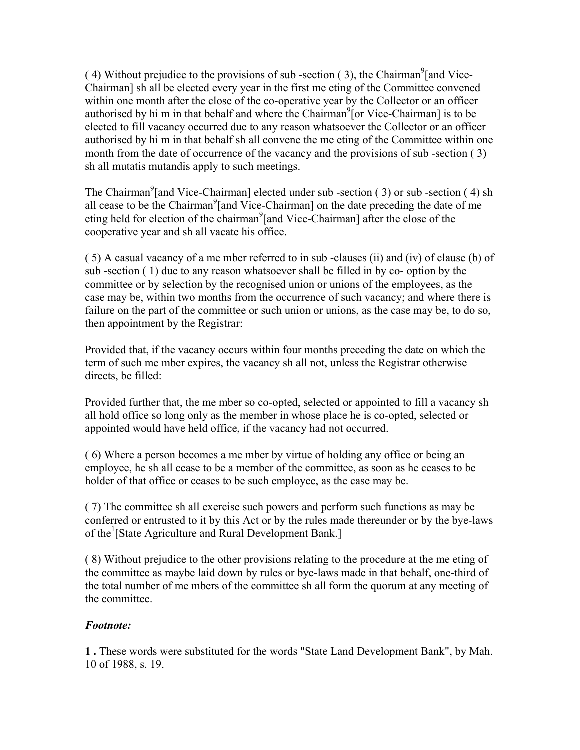$(4)$  Without prejudice to the provisions of sub-section  $(3)$ , the Chairman<sup>9</sup> [and Vice-Chairman] sh all be elected every year in the first me eting of the Committee convened within one month after the close of the co-operative year by the Collector or an officer authorised by hi m in that behalf and where the Chairman<sup>9</sup> [or Vice-Chairman] is to be elected to fill vacancy occurred due to any reason whatsoever the Collector or an officer authorised by hi m in that behalf sh all convene the me eting of the Committee within one month from the date of occurrence of the vacancy and the provisions of sub -section ( 3) sh all mutatis mutandis apply to such meetings.

The Chairman<sup>9</sup>[and Vice-Chairman] elected under sub-section  $(3)$  or sub-section  $(4)$  sh all cease to be the Chairman<sup>9</sup> [and Vice-Chairman] on the date preceding the date of me eting held for election of the chairman<sup>9</sup>[and Vice-Chairman] after the close of the cooperative year and sh all vacate his office.

( 5) A casual vacancy of a me mber referred to in sub -clauses (ii) and (iv) of clause (b) of sub -section ( 1) due to any reason whatsoever shall be filled in by co- option by the committee or by selection by the recognised union or unions of the employees, as the case may be, within two months from the occurrence of such vacancy; and where there is failure on the part of the committee or such union or unions, as the case may be, to do so, then appointment by the Registrar:

Provided that, if the vacancy occurs within four months preceding the date on which the term of such me mber expires, the vacancy sh all not, unless the Registrar otherwise directs, be filled:

Provided further that, the me mber so co-opted, selected or appointed to fill a vacancy sh all hold office so long only as the member in whose place he is co-opted, selected or appointed would have held office, if the vacancy had not occurred.

( 6) Where a person becomes a me mber by virtue of holding any office or being an employee, he sh all cease to be a member of the committee, as soon as he ceases to be holder of that office or ceases to be such employee, as the case may be.

( 7) The committee sh all exercise such powers and perform such functions as may be conferred or entrusted to it by this Act or by the rules made thereunder or by the bye-laws of the<sup>1</sup> [State Agriculture and Rural Development Bank.]

( 8) Without prejudice to the other provisions relating to the procedure at the me eting of the committee as maybe laid down by rules or bye-laws made in that behalf, one-third of the total number of me mbers of the committee sh all form the quorum at any meeting of the committee.

# *Footnote:*

**1 .** These words were substituted for the words "State Land Development Bank", by Mah. 10 of 1988, s. 19.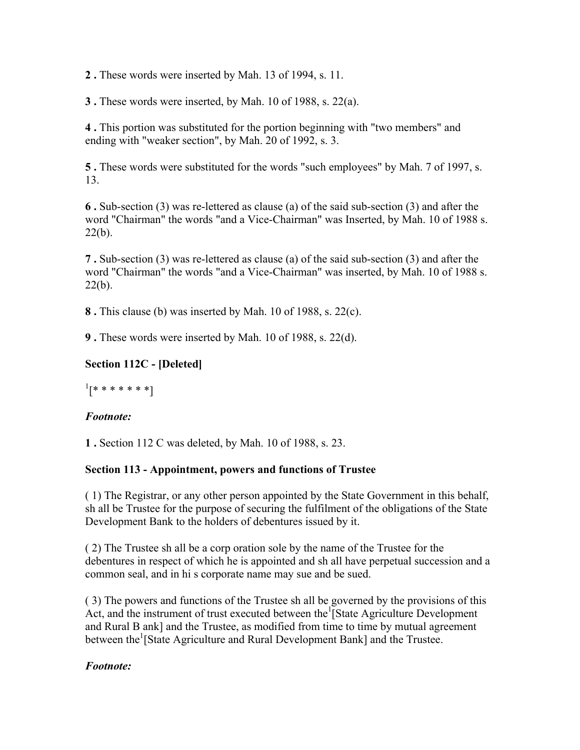**2 .** These words were inserted by Mah. 13 of 1994, s. 11.

**3 .** These words were inserted, by Mah. 10 of 1988, s. 22(a).

**4 .** This portion was substituted for the portion beginning with "two members" and ending with "weaker section", by Mah. 20 of 1992, s. 3.

**5 .** These words were substituted for the words "such employees" by Mah. 7 of 1997, s. 13.

**6 .** Sub-section (3) was re-lettered as clause (a) of the said sub-section (3) and after the word "Chairman" the words "and a Vice-Chairman" was Inserted, by Mah. 10 of 1988 s.  $22(b)$ .

**7 .** Sub-section (3) was re-lettered as clause (a) of the said sub-section (3) and after the word "Chairman" the words "and a Vice-Chairman" was inserted, by Mah. 10 of 1988 s.  $22(b)$ .

**8 .** This clause (b) was inserted by Mah. 10 of 1988, s. 22(c).

**9 .** These words were inserted by Mah. 10 of 1988, s. 22(d).

# **Section 112C - [Deleted]**

 $^{1}[********!]$ 

# *Footnote:*

**1 .** Section 112 C was deleted, by Mah. 10 of 1988, s. 23.

# **Section 113 - Appointment, powers and functions of Trustee**

( 1) The Registrar, or any other person appointed by the State Government in this behalf, sh all be Trustee for the purpose of securing the fulfilment of the obligations of the State Development Bank to the holders of debentures issued by it.

( 2) The Trustee sh all be a corp oration sole by the name of the Trustee for the debentures in respect of which he is appointed and sh all have perpetual succession and a common seal, and in hi s corporate name may sue and be sued.

( 3) The powers and functions of the Trustee sh all be governed by the provisions of this Act, and the instrument of trust executed between the  $\frac{1}{1}$ State Agriculture Development and Rural B ank] and the Trustee, as modified from time to time by mutual agreement between the<sup>1</sup>[State Agriculture and Rural Development Bank] and the Trustee.

# *Footnote:*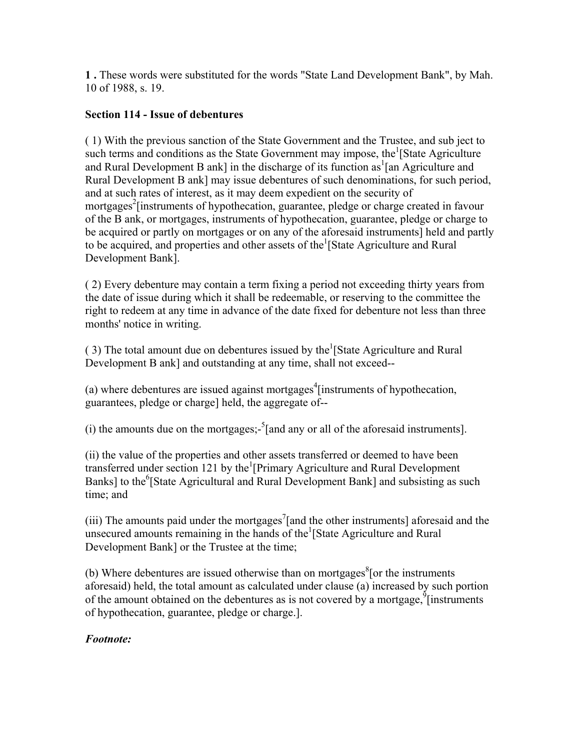**1 .** These words were substituted for the words "State Land Development Bank", by Mah. 10 of 1988, s. 19.

### **Section 114 - Issue of debentures**

( 1) With the previous sanction of the State Government and the Trustee, and sub ject to such terms and conditions as the State Government may impose, the  $\frac{1}{1}$ State Agriculture and Rural Development B ank] in the discharge of its function as  $\tan$  Agriculture and Rural Development B ank] may issue debentures of such denominations, for such period, and at such rates of interest, as it may deem expedient on the security of mortgages<sup>2</sup> [instruments of hypothecation, guarantee, pledge or charge created in favour of the B ank, or mortgages, instruments of hypothecation, guarantee, pledge or charge to be acquired or partly on mortgages or on any of the aforesaid instruments] held and partly to be acquired, and properties and other assets of the <sup>1</sup>[State Agriculture and Rural Development Bank].

( 2) Every debenture may contain a term fixing a period not exceeding thirty years from the date of issue during which it shall be redeemable, or reserving to the committee the right to redeem at any time in advance of the date fixed for debenture not less than three months' notice in writing.

 $(3)$  The total amount due on debentures issued by the<sup>1</sup>[State Agriculture and Rural] Development B ank] and outstanding at any time, shall not exceed--

(a) where debentures are issued against mortgages<sup>4</sup> [instruments of hypothecation, guarantees, pledge or charge] held, the aggregate of--

(i) the amounts due on the mortgages;- $5$ [and any or all of the aforesaid instruments].

(ii) the value of the properties and other assets transferred or deemed to have been transferred under section 121 by the<sup>1</sup>[Primary Agriculture and Rural Development Banks] to the<sup>6</sup>[State Agricultural and Rural Development Bank] and subsisting as such time; and

(iii) The amounts paid under the mortgages<sup>7</sup>[and the other instruments] aforesaid and the unsecured amounts remaining in the hands of the  $\frac{1}{1}$ State Agriculture and Rural Development Bank] or the Trustee at the time;

(b) Where debentures are issued otherwise than on mortgages ${}^{8}$  [or the instruments aforesaid) held, the total amount as calculated under clause (a) increased by such portion of the amount obtained on the debentures as is not covered by a mortgage,  $\frac{9}{1}$  instruments of hypothecation, guarantee, pledge or charge.].

### *Footnote:*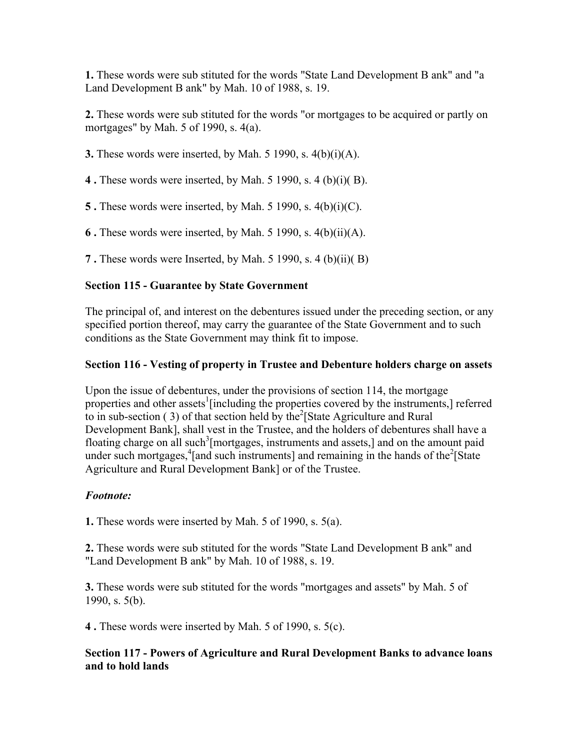**1.** These words were sub stituted for the words "State Land Development B ank" and "a Land Development B ank" by Mah. 10 of 1988, s. 19.

**2.** These words were sub stituted for the words "or mortgages to be acquired or partly on mortgages" by Mah. 5 of 1990, s. 4(a).

**3.** These words were inserted, by Mah. 5 1990, s. 4(b)(i)(A).

**4 .** These words were inserted, by Mah. 5 1990, s. 4 (b)(i)( B).

**5 .** These words were inserted, by Mah. 5 1990, s. 4(b)(i)(C).

**6 .** These words were inserted, by Mah. 5 1990, s. 4(b)(ii)(A).

**7 .** These words were Inserted, by Mah. 5 1990, s. 4 (b)(ii)( B)

# **Section 115 - Guarantee by State Government**

The principal of, and interest on the debentures issued under the preceding section, or any specified portion thereof, may carry the guarantee of the State Government and to such conditions as the State Government may think fit to impose.

### **Section 116 - Vesting of property in Trustee and Debenture holders charge on assets**

Upon the issue of debentures, under the provisions of section 114, the mortgage properties and other assets<sup>1</sup> [including the properties covered by the instruments,] referred to in sub-section (3) of that section held by the<sup>2</sup> [State Agriculture and Rural Development Bank], shall vest in the Trustee, and the holders of debentures shall have a floating charge on all such<sup>3</sup>[mortgages, instruments and assets,] and on the amount paid under such mortgages,  $\frac{4}{1}$  and such instruments] and remaining in the hands of the  $\frac{2}{1}$ State Agriculture and Rural Development Bank] or of the Trustee.

### *Footnote:*

**1.** These words were inserted by Mah. 5 of 1990, s. 5(a).

**2.** These words were sub stituted for the words "State Land Development B ank" and "Land Development B ank" by Mah. 10 of 1988, s. 19.

**3.** These words were sub stituted for the words "mortgages and assets" by Mah. 5 of 1990, s. 5(b).

**4 .** These words were inserted by Mah. 5 of 1990, s. 5(c).

### **Section 117 - Powers of Agriculture and Rural Development Banks to advance loans and to hold lands**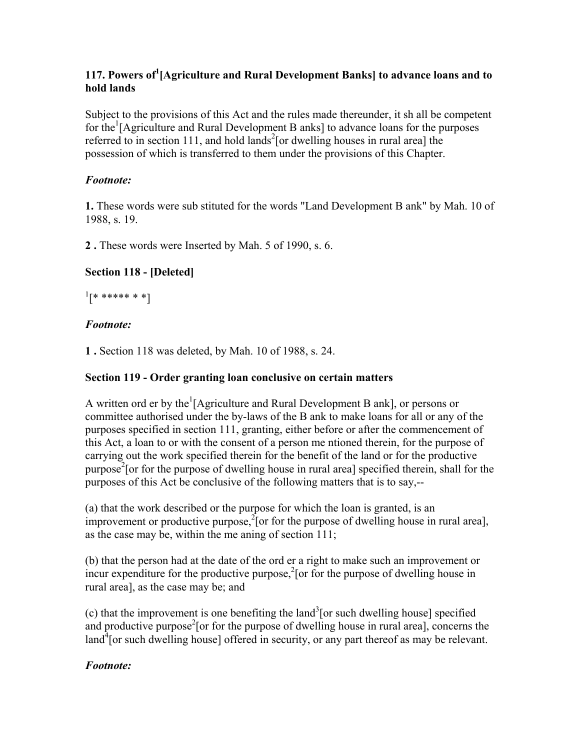# **117. Powers of<sup>1</sup> [Agriculture and Rural Development Banks] to advance loans and to hold lands**

Subject to the provisions of this Act and the rules made thereunder, it sh all be competent for the<sup>1</sup>[Agriculture and Rural Development B anks] to advance loans for the purposes referred to in section 111, and hold lands<sup>2</sup> [or dwelling houses in rural area] the possession of which is transferred to them under the provisions of this Chapter.

# *Footnote:*

**1.** These words were sub stituted for the words "Land Development B ank" by Mah. 10 of 1988, s. 19.

**2 .** These words were Inserted by Mah. 5 of 1990, s. 6.

# **Section 118 - [Deleted]**

 $\frac{1}{k}$  \*\*\*\*\*\* \* \*]

# *Footnote:*

**1 .** Section 118 was deleted, by Mah. 10 of 1988, s. 24.

### **Section 119 - Order granting loan conclusive on certain matters**

A written ord er by the  $\frac{1}{2}$  [Agriculture and Rural Development B ank], or persons or committee authorised under the by-laws of the B ank to make loans for all or any of the purposes specified in section 111, granting, either before or after the commencement of this Act, a loan to or with the consent of a person me ntioned therein, for the purpose of carrying out the work specified therein for the benefit of the land or for the productive purpose<sup>2</sup> [or for the purpose of dwelling house in rural area] specified therein, shall for the purposes of this Act be conclusive of the following matters that is to say,--

(a) that the work described or the purpose for which the loan is granted, is an improvement or productive purpose, ${}^{2}$ [or for the purpose of dwelling house in rural area], as the case may be, within the me aning of section 111;

(b) that the person had at the date of the ord er a right to make such an improvement or incur expenditure for the productive purpose, ${}^{2}$  [or for the purpose of dwelling house in rural area], as the case may be; and

(c) that the improvement is one benefiting the land<sup>3</sup> [or such dwelling house] specified and productive purpose<sup>2</sup> [or for the purpose of dwelling house in rural area], concerns the  $\text{land}^4$  [or such dwelling house] offered in security, or any part thereof as may be relevant.

### *Footnote:*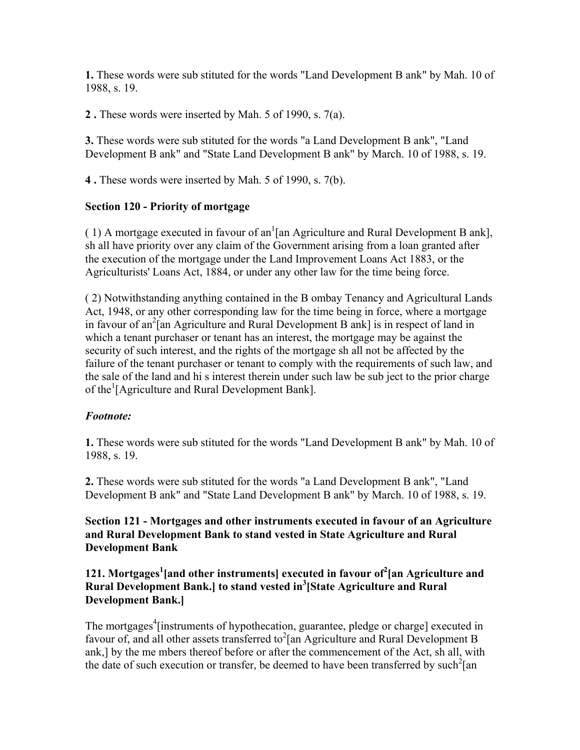**1.** These words were sub stituted for the words "Land Development B ank" by Mah. 10 of 1988, s. 19.

**2 .** These words were inserted by Mah. 5 of 1990, s. 7(a).

**3.** These words were sub stituted for the words "a Land Development B ank", "Land Development B ank" and "State Land Development B ank" by March. 10 of 1988, s. 19.

**4 .** These words were inserted by Mah. 5 of 1990, s. 7(b).

#### **Section 120 - Priority of mortgage**

(1) A mortgage executed in favour of an<sup>1</sup>[an Agriculture and Rural Development B ank], sh all have priority over any claim of the Government arising from a loan granted after the execution of the mortgage under the Land Improvement Loans Act 1883, or the Agriculturists' Loans Act, 1884, or under any other law for the time being force.

( 2) Notwithstanding anything contained in the B ombay Tenancy and Agricultural Lands Act, 1948, or any other corresponding law for the time being in force, where a mortgage in favour of an<sup>2</sup>[an Agriculture and Rural Development B ank] is in respect of land in which a tenant purchaser or tenant has an interest, the mortgage may be against the security of such interest, and the rights of the mortgage sh all not be affected by the failure of the tenant purchaser or tenant to comply with the requirements of such law, and the sale of the land and hi s interest therein under such law be sub ject to the prior charge of the<sup>1</sup>[Agriculture and Rural Development Bank].

#### *Footnote:*

**1.** These words were sub stituted for the words "Land Development B ank" by Mah. 10 of 1988, s. 19.

**2.** These words were sub stituted for the words "a Land Development B ank", "Land Development B ank" and "State Land Development B ank" by March. 10 of 1988, s. 19.

**Section 121 - Mortgages and other instruments executed in favour of an Agriculture and Rural Development Bank to stand vested in State Agriculture and Rural Development Bank**

### **121. Mortgages<sup>1</sup> [and other instruments] executed in favour of<sup>2</sup> [an Agriculture and Rural Development Bank.] to stand vested in<sup>3</sup> [State Agriculture and Rural Development Bank.]**

The mortgages<sup>4</sup> [instruments of hypothecation, guarantee, pledge or charge] executed in favour of, and all other assets transferred to<sup>2</sup>[an Agriculture and Rural Development B ank,] by the me mbers thereof before or after the commencement of the Act, sh all, with the date of such execution or transfer, be deemed to have been transferred by such<sup>2</sup> [an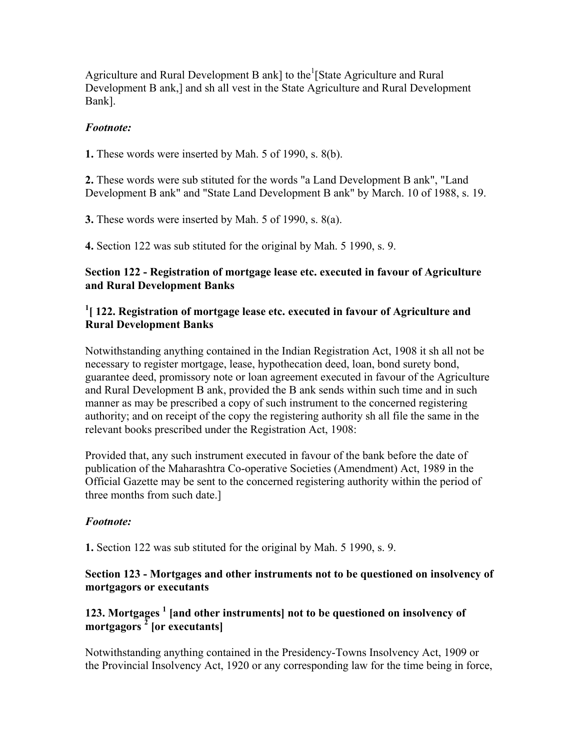Agriculture and Rural Development B ank] to the <sup>1</sup>[State Agriculture and Rural Development B ank,] and sh all vest in the State Agriculture and Rural Development Bank].

#### *Footnote:*

**1.** These words were inserted by Mah. 5 of 1990, s. 8(b).

**2.** These words were sub stituted for the words "a Land Development B ank", "Land Development B ank" and "State Land Development B ank" by March. 10 of 1988, s. 19.

**3.** These words were inserted by Mah. 5 of 1990, s. 8(a).

**4.** Section 122 was sub stituted for the original by Mah. 5 1990, s. 9.

### **Section 122 - Registration of mortgage lease etc. executed in favour of Agriculture and Rural Development Banks**

### <sup>1</sup> [ 122. Registration of mortgage lease etc. executed in favour of Agriculture and **Rural Development Banks**

Notwithstanding anything contained in the Indian Registration Act, 1908 it sh all not be necessary to register mortgage, lease, hypothecation deed, loan, bond surety bond, guarantee deed, promissory note or loan agreement executed in favour of the Agriculture and Rural Development B ank, provided the B ank sends within such time and in such manner as may be prescribed a copy of such instrument to the concerned registering authority; and on receipt of the copy the registering authority sh all file the same in the relevant books prescribed under the Registration Act, 1908:

Provided that, any such instrument executed in favour of the bank before the date of publication of the Maharashtra Co-operative Societies (Amendment) Act, 1989 in the Official Gazette may be sent to the concerned registering authority within the period of three months from such date.]

### *Footnote:*

**1.** Section 122 was sub stituted for the original by Mah. 5 1990, s. 9.

### **Section 123 - Mortgages and other instruments not to be questioned on insolvency of mortgagors or executants**

# 123. Mortgages<sup>1</sup> [and other instruments] not to be questioned on insolvency of **mortgagors <sup>2</sup> [or executants]**

Notwithstanding anything contained in the Presidency-Towns Insolvency Act, 1909 or the Provincial Insolvency Act, 1920 or any corresponding law for the time being in force,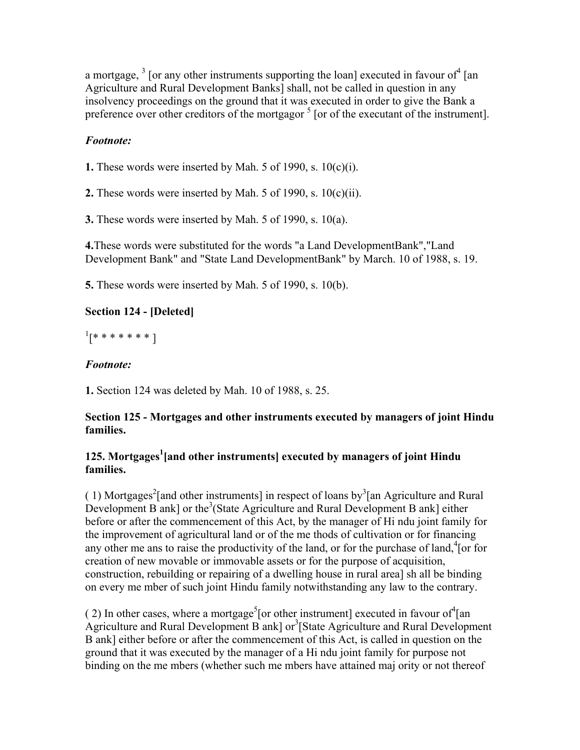a mortgage,  $3$  [or any other instruments supporting the loan] executed in favour of  $4$  [an Agriculture and Rural Development Banks] shall, not be called in question in any insolvency proceedings on the ground that it was executed in order to give the Bank a preference over other creditors of the mortgagor  $<sup>5</sup>$  [or of the executant of the instrument].</sup>

# *Footnote:*

**1.** These words were inserted by Mah. 5 of 1990, s. 10(c)(i).

**2.** These words were inserted by Mah. 5 of 1990, s. 10(c)(ii).

**3.** These words were inserted by Mah. 5 of 1990, s. 10(a).

**4.**These words were substituted for the words "a Land DevelopmentBank","Land Development Bank" and "State Land DevelopmentBank" by March. 10 of 1988, s. 19.

**5.** These words were inserted by Mah. 5 of 1990, s. 10(b).

# **Section 124 - [Deleted]**

 $^{1}[*********]$ 

# *Footnote:*

**1.** Section 124 was deleted by Mah. 10 of 1988, s. 25.

### **Section 125 - Mortgages and other instruments executed by managers of joint Hindu families.**

# **125. Mortgages<sup>1</sup> [and other instruments] executed by managers of joint Hindu families.**

(1) Mortgages<sup>2</sup> [and other instruments] in respect of loans by<sup>3</sup> [an Agriculture and Rural Development B ank] or the<sup>3</sup> (State Agriculture and Rural Development B ank] either before or after the commencement of this Act, by the manager of Hi ndu joint family for the improvement of agricultural land or of the me thods of cultivation or for financing any other me ans to raise the productivity of the land, or for the purchase of land, $^{4}$ [or for creation of new movable or immovable assets or for the purpose of acquisition, construction, rebuilding or repairing of a dwelling house in rural area] sh all be binding on every me mber of such joint Hindu family notwithstanding any law to the contrary.

(2) In other cases, where a mortgage<sup>5</sup> [or other instrument] executed in favour of <sup>4</sup> [an Agriculture and Rural Development B ank] or<sup>3</sup>[State Agriculture and Rural Development B ank] either before or after the commencement of this Act, is called in question on the ground that it was executed by the manager of a Hi ndu joint family for purpose not binding on the me mbers (whether such me mbers have attained maj ority or not thereof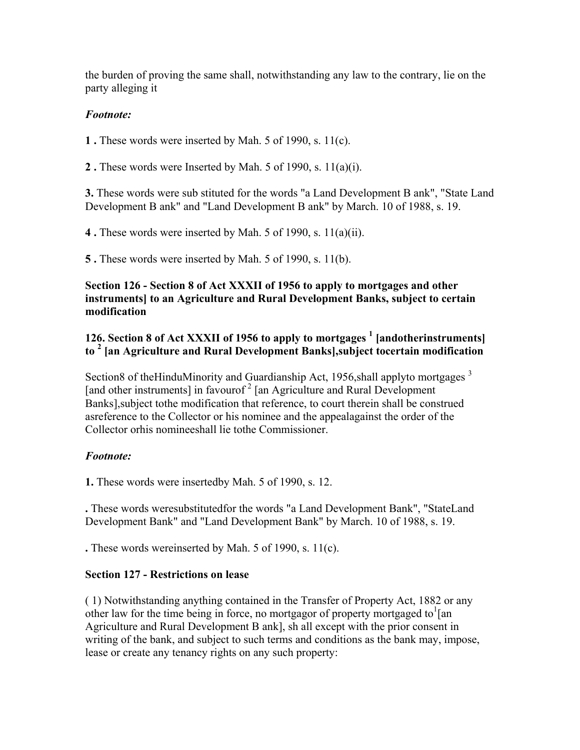the burden of proving the same shall, notwithstanding any law to the contrary, lie on the party alleging it

# *Footnote:*

**1 .** These words were inserted by Mah. 5 of 1990, s. 11(c).

**2 .** These words were Inserted by Mah. 5 of 1990, s. 11(a)(i).

**3.** These words were sub stituted for the words "a Land Development B ank", "State Land Development B ank" and "Land Development B ank" by March. 10 of 1988, s. 19.

**4 .** These words were inserted by Mah. 5 of 1990, s. 11(a)(ii).

**5 .** These words were inserted by Mah. 5 of 1990, s. 11(b).

### **Section 126 - Section 8 of Act XXXII of 1956 to apply to mortgages and other instruments] to an Agriculture and Rural Development Banks, subject to certain modification**

# 126. Section 8 of Act XXXII of 1956 to apply to mortgages <sup>1</sup> [andotherinstruments] **to 2 [an Agriculture and Rural Development Banks],subject tocertain modification**

Section8 of the HinduMinority and Guardianship Act, 1956, shall applyto mortgages  $3$ [and other instruments] in favourof<sup>2</sup> [an Agriculture and Rural Development Banks],subject tothe modification that reference, to court therein shall be construed asreference to the Collector or his nominee and the appealagainst the order of the Collector orhis nomineeshall lie tothe Commissioner.

# *Footnote:*

**1.** These words were insertedby Mah. 5 of 1990, s. 12.

**.** These words weresubstitutedfor the words "a Land Development Bank", "StateLand Development Bank" and "Land Development Bank" by March. 10 of 1988, s. 19.

**.** These words wereinserted by Mah. 5 of 1990, s. 11(c).

### **Section 127 - Restrictions on lease**

( 1) Notwithstanding anything contained in the Transfer of Property Act, 1882 or any other law for the time being in force, no mortgagor of property mortgaged to  $1$  [an Agriculture and Rural Development B ank], sh all except with the prior consent in writing of the bank, and subject to such terms and conditions as the bank may, impose, lease or create any tenancy rights on any such property: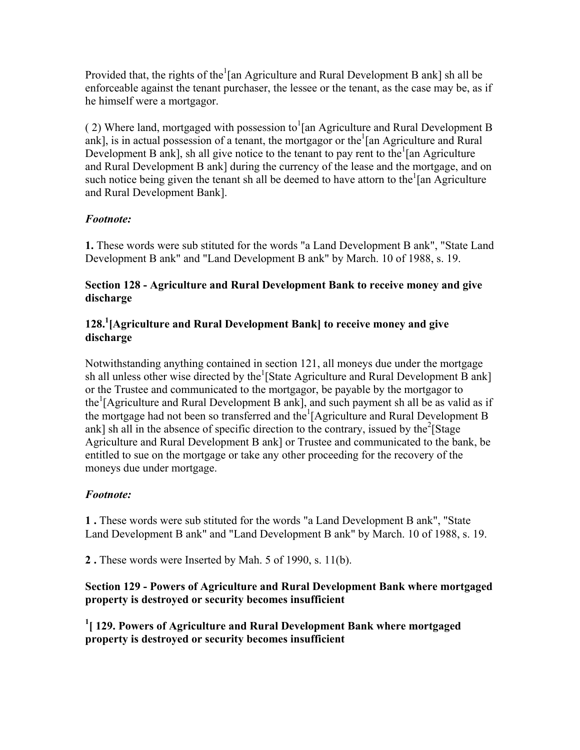Provided that, the rights of the  $1$ [an Agriculture and Rural Development B ank] sh all be enforceable against the tenant purchaser, the lessee or the tenant, as the case may be, as if he himself were a mortgagor.

(2) Where land, mortgaged with possession to  $1$ [an Agriculture and Rural Development B ank], is in actual possession of a tenant, the mortgagor or the  $\lceil$  an Agriculture and Rural Development B ank], sh all give notice to the tenant to pay rent to the  $\frac{1}{2}$  [an Agriculture and Rural Development B ank] during the currency of the lease and the mortgage, and on such notice being given the tenant sh all be deemed to have attorn to the  $\lceil$  an Agriculture and Rural Development Bank].

# *Footnote:*

**1.** These words were sub stituted for the words "a Land Development B ank", "State Land Development B ank" and "Land Development B ank" by March. 10 of 1988, s. 19.

### **Section 128 - Agriculture and Rural Development Bank to receive money and give discharge**

# **128.1 [Agriculture and Rural Development Bank] to receive money and give discharge**

Notwithstanding anything contained in section 121, all moneys due under the mortgage sh all unless other wise directed by the<sup>1</sup>[State Agriculture and Rural Development B ank] or the Trustee and communicated to the mortgagor, be payable by the mortgagor to the<sup>1</sup> [Agriculture and Rural Development B ank], and such payment sh all be as valid as if the mortgage had not been so transferred and the [Agriculture and Rural Development B ank] sh all in the absence of specific direction to the contrary, issued by the  $2$ [Stage] Agriculture and Rural Development B ank] or Trustee and communicated to the bank, be entitled to sue on the mortgage or take any other proceeding for the recovery of the moneys due under mortgage.

# *Footnote:*

**1 .** These words were sub stituted for the words "a Land Development B ank", "State Land Development B ank" and "Land Development B ank" by March. 10 of 1988, s. 19.

**2 .** These words were Inserted by Mah. 5 of 1990, s. 11(b).

# **Section 129 - Powers of Agriculture and Rural Development Bank where mortgaged property is destroyed or security becomes insufficient**

<sup>1</sup> [129. Powers of Agriculture and Rural Development Bank where mortgaged **property is destroyed or security becomes insufficient**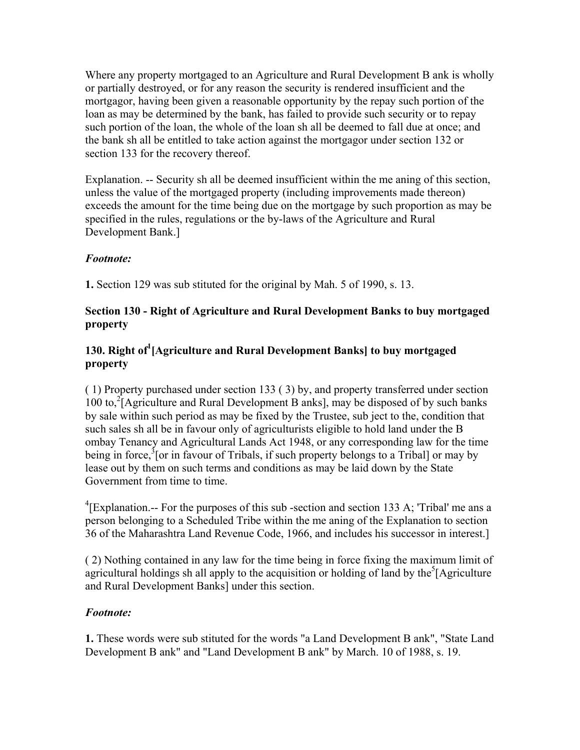Where any property mortgaged to an Agriculture and Rural Development B ank is wholly or partially destroyed, or for any reason the security is rendered insufficient and the mortgagor, having been given a reasonable opportunity by the repay such portion of the loan as may be determined by the bank, has failed to provide such security or to repay such portion of the loan, the whole of the loan sh all be deemed to fall due at once; and the bank sh all be entitled to take action against the mortgagor under section 132 or section 133 for the recovery thereof.

Explanation. -- Security sh all be deemed insufficient within the me aning of this section, unless the value of the mortgaged property (including improvements made thereon) exceeds the amount for the time being due on the mortgage by such proportion as may be specified in the rules, regulations or the by-laws of the Agriculture and Rural Development Bank.]

# *Footnote:*

**1.** Section 129 was sub stituted for the original by Mah. 5 of 1990, s. 13.

# **Section 130 - Right of Agriculture and Rural Development Banks to buy mortgaged property**

# **130. Right of<sup>1</sup> [Agriculture and Rural Development Banks] to buy mortgaged property**

( 1) Property purchased under section 133 ( 3) by, and property transferred under section  $100$  to,<sup>2</sup> [Agriculture and Rural Development B anks], may be disposed of by such banks by sale within such period as may be fixed by the Trustee, sub ject to the, condition that such sales sh all be in favour only of agriculturists eligible to hold land under the B ombay Tenancy and Agricultural Lands Act 1948, or any corresponding law for the time being in force,<sup>3</sup> [or in favour of Tribals, if such property belongs to a Tribal] or may by lease out by them on such terms and conditions as may be laid down by the State Government from time to time.

<sup>4</sup>[Explanation.-- For the purposes of this sub-section and section 133 A; 'Tribal' me ans a person belonging to a Scheduled Tribe within the me aning of the Explanation to section 36 of the Maharashtra Land Revenue Code, 1966, and includes his successor in interest.]

( 2) Nothing contained in any law for the time being in force fixing the maximum limit of agricultural holdings sh all apply to the acquisition or holding of land by the  $\delta$ [Agriculture and Rural Development Banks] under this section.

# *Footnote:*

**1.** These words were sub stituted for the words "a Land Development B ank", "State Land Development B ank" and "Land Development B ank" by March. 10 of 1988, s. 19.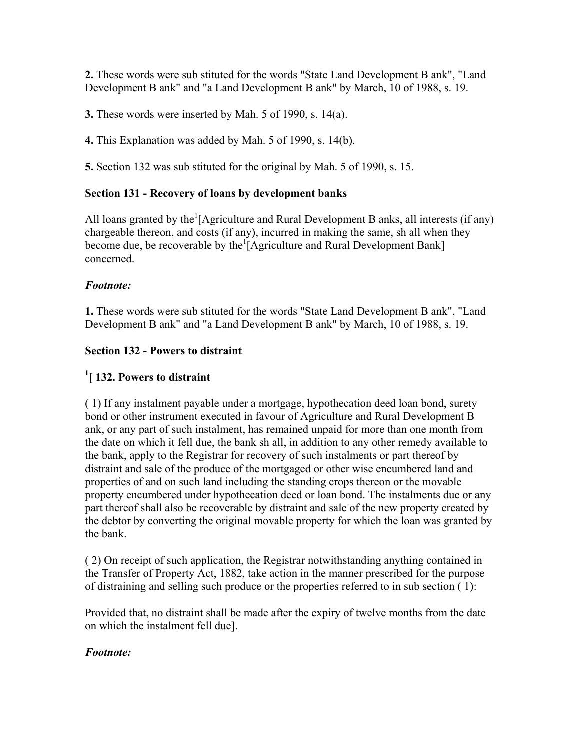**2.** These words were sub stituted for the words "State Land Development B ank", "Land Development B ank" and "a Land Development B ank" by March, 10 of 1988, s. 19.

**3.** These words were inserted by Mah. 5 of 1990, s. 14(a).

**4.** This Explanation was added by Mah. 5 of 1990, s. 14(b).

**5.** Section 132 was sub stituted for the original by Mah. 5 of 1990, s. 15.

### **Section 131 - Recovery of loans by development banks**

All loans granted by the  ${}^{1}[$ Agriculture and Rural Development B anks, all interests (if any) chargeable thereon, and costs (if any), incurred in making the same, sh all when they become due, be recoverable by the  $\frac{1}{2}$  Agriculture and Rural Development Bank concerned.

### *Footnote:*

**1.** These words were sub stituted for the words "State Land Development B ank", "Land Development B ank" and "a Land Development B ank" by March, 10 of 1988, s. 19.

# **Section 132 - Powers to distraint**

# **1 [ 132. Powers to distraint**

( 1) If any instalment payable under a mortgage, hypothecation deed loan bond, surety bond or other instrument executed in favour of Agriculture and Rural Development B ank, or any part of such instalment, has remained unpaid for more than one month from the date on which it fell due, the bank sh all, in addition to any other remedy available to the bank, apply to the Registrar for recovery of such instalments or part thereof by distraint and sale of the produce of the mortgaged or other wise encumbered land and properties of and on such land including the standing crops thereon or the movable property encumbered under hypothecation deed or loan bond. The instalments due or any part thereof shall also be recoverable by distraint and sale of the new property created by the debtor by converting the original movable property for which the loan was granted by the bank.

( 2) On receipt of such application, the Registrar notwithstanding anything contained in the Transfer of Property Act, 1882, take action in the manner prescribed for the purpose of distraining and selling such produce or the properties referred to in sub section ( 1):

Provided that, no distraint shall be made after the expiry of twelve months from the date on which the instalment fell due].

### *Footnote:*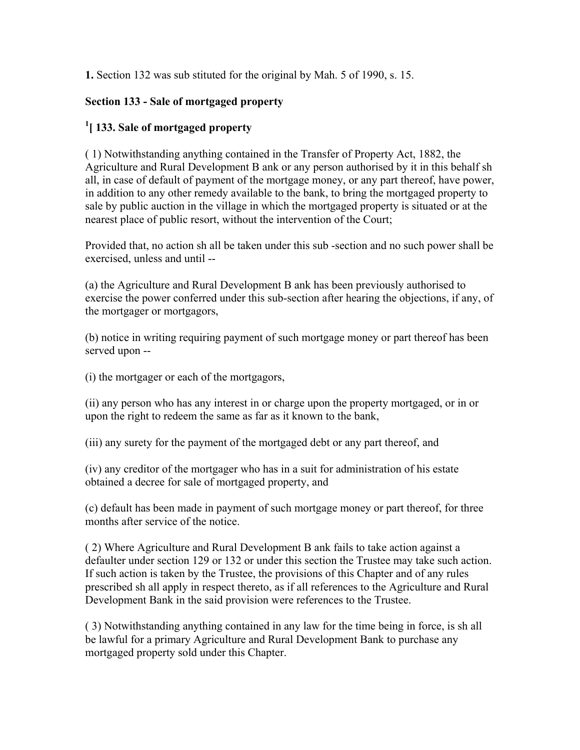**1.** Section 132 was sub stituted for the original by Mah. 5 of 1990, s. 15.

# **Section 133 - Sale of mortgaged property**

# **1 [ 133. Sale of mortgaged property**

( 1) Notwithstanding anything contained in the Transfer of Property Act, 1882, the Agriculture and Rural Development B ank or any person authorised by it in this behalf sh all, in case of default of payment of the mortgage money, or any part thereof, have power, in addition to any other remedy available to the bank, to bring the mortgaged property to sale by public auction in the village in which the mortgaged property is situated or at the nearest place of public resort, without the intervention of the Court;

Provided that, no action sh all be taken under this sub -section and no such power shall be exercised, unless and until --

(a) the Agriculture and Rural Development B ank has been previously authorised to exercise the power conferred under this sub-section after hearing the objections, if any, of the mortgager or mortgagors,

(b) notice in writing requiring payment of such mortgage money or part thereof has been served upon --

(i) the mortgager or each of the mortgagors,

(ii) any person who has any interest in or charge upon the property mortgaged, or in or upon the right to redeem the same as far as it known to the bank,

(iii) any surety for the payment of the mortgaged debt or any part thereof, and

(iv) any creditor of the mortgager who has in a suit for administration of his estate obtained a decree for sale of mortgaged property, and

(c) default has been made in payment of such mortgage money or part thereof, for three months after service of the notice.

( 2) Where Agriculture and Rural Development B ank fails to take action against a defaulter under section 129 or 132 or under this section the Trustee may take such action. If such action is taken by the Trustee, the provisions of this Chapter and of any rules prescribed sh all apply in respect thereto, as if all references to the Agriculture and Rural Development Bank in the said provision were references to the Trustee.

( 3) Notwithstanding anything contained in any law for the time being in force, is sh all be lawful for a primary Agriculture and Rural Development Bank to purchase any mortgaged property sold under this Chapter.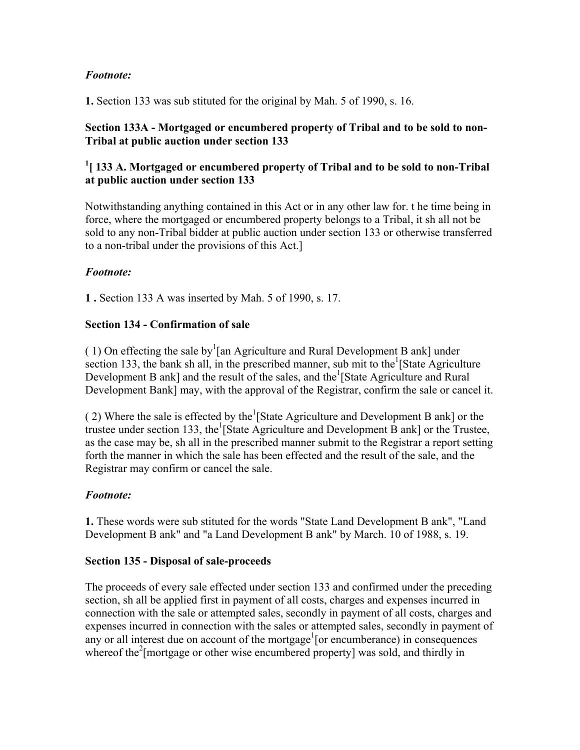# *Footnote:*

**1.** Section 133 was sub stituted for the original by Mah. 5 of 1990, s. 16.

### **Section 133A - Mortgaged or encumbered property of Tribal and to be sold to non-Tribal at public auction under section 133**

# <sup>1</sup>[133 A. Mortgaged or encumbered property of Tribal and to be sold to non-Tribal **at public auction under section 133**

Notwithstanding anything contained in this Act or in any other law for. t he time being in force, where the mortgaged or encumbered property belongs to a Tribal, it sh all not be sold to any non-Tribal bidder at public auction under section 133 or otherwise transferred to a non-tribal under the provisions of this Act.]

# *Footnote:*

**1 .** Section 133 A was inserted by Mah. 5 of 1990, s. 17.

### **Section 134 - Confirmation of sale**

(1) On effecting the sale by<sup>1</sup>[an Agriculture and Rural Development B ank] under section 133, the bank sh all, in the prescribed manner, sub mit to the  $\frac{1}{1}$ State Agriculture Development B ank] and the result of the sales, and the  $^1$ [State Agriculture and Rural Development Bank] may, with the approval of the Registrar, confirm the sale or cancel it.

(2) Where the sale is effected by the  $\left[$ State Agriculture and Development B ank] or the trustee under section 133, the <sup>1</sup>[State Agriculture and Development B ank] or the Trustee, as the case may be, sh all in the prescribed manner submit to the Registrar a report setting forth the manner in which the sale has been effected and the result of the sale, and the Registrar may confirm or cancel the sale.

### *Footnote:*

**1.** These words were sub stituted for the words "State Land Development B ank", "Land Development B ank" and "a Land Development B ank" by March. 10 of 1988, s. 19.

### **Section 135 - Disposal of sale-proceeds**

The proceeds of every sale effected under section 133 and confirmed under the preceding section, sh all be applied first in payment of all costs, charges and expenses incurred in connection with the sale or attempted sales, secondly in payment of all costs, charges and expenses incurred in connection with the sales or attempted sales, secondly in payment of any or all interest due on account of the mortgage<sup>1</sup> [or encumberance) in consequences whereof the<sup>2</sup> [mortgage or other wise encumbered property] was sold, and thirdly in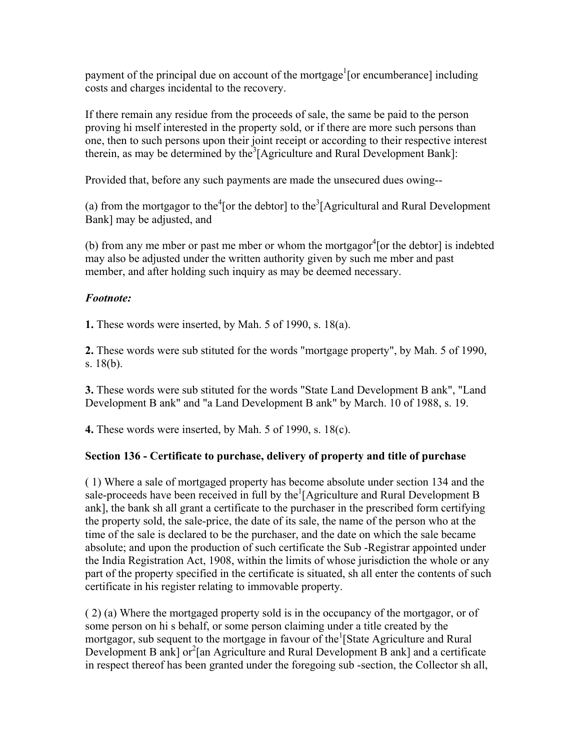payment of the principal due on account of the mortgage<sup>1</sup>[or encumberance] including costs and charges incidental to the recovery.

If there remain any residue from the proceeds of sale, the same be paid to the person proving hi mself interested in the property sold, or if there are more such persons than one, then to such persons upon their joint receipt or according to their respective interest therein, as may be determined by the  $3$ [Agriculture and Rural Development Bank]:

Provided that, before any such payments are made the unsecured dues owing--

(a) from the mortgagor to the  $\text{[or the debtor]}$  to the  $\text{[Agricultural and Rural Development]}$ Bank] may be adjusted, and

(b) from any me mber or past me mber or whom the mortgagor ${}^{4}$ [or the debtor] is indebted may also be adjusted under the written authority given by such me mber and past member, and after holding such inquiry as may be deemed necessary.

# *Footnote:*

**1.** These words were inserted, by Mah. 5 of 1990, s. 18(a).

**2.** These words were sub stituted for the words "mortgage property", by Mah. 5 of 1990, s. 18(b).

**3.** These words were sub stituted for the words "State Land Development B ank", "Land Development B ank" and "a Land Development B ank" by March. 10 of 1988, s. 19.

**4.** These words were inserted, by Mah. 5 of 1990, s. 18(c).

# **Section 136 - Certificate to purchase, delivery of property and title of purchase**

( 1) Where a sale of mortgaged property has become absolute under section 134 and the sale-proceeds have been received in full by the  $[$ Agriculture and Rural Development B ank], the bank sh all grant a certificate to the purchaser in the prescribed form certifying the property sold, the sale-price, the date of its sale, the name of the person who at the time of the sale is declared to be the purchaser, and the date on which the sale became absolute; and upon the production of such certificate the Sub -Registrar appointed under the India Registration Act, 1908, within the limits of whose jurisdiction the whole or any part of the property specified in the certificate is situated, sh all enter the contents of such certificate in his register relating to immovable property.

( 2) (a) Where the mortgaged property sold is in the occupancy of the mortgagor, or of some person on hi s behalf, or some person claiming under a title created by the mortgagor, sub sequent to the mortgage in favour of the <sup>1</sup>[State Agriculture and Rural Development B ank] or<sup>2</sup>[an Agriculture and Rural Development B ank] and a certificate in respect thereof has been granted under the foregoing sub -section, the Collector sh all,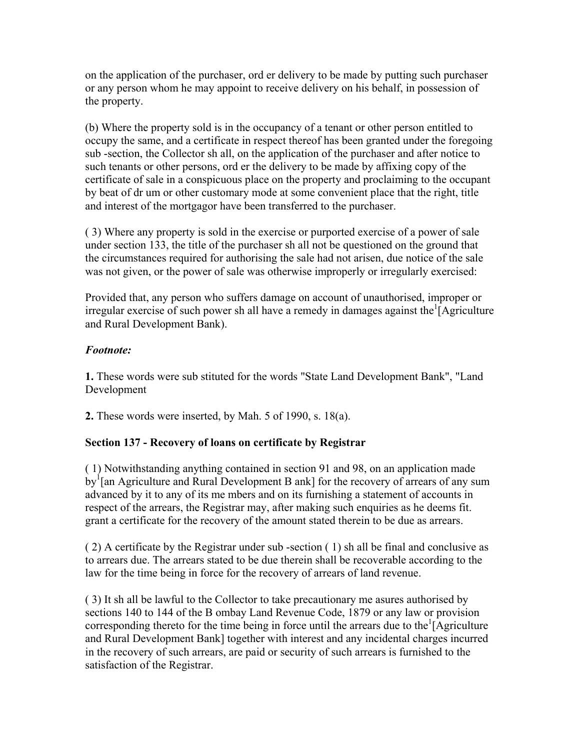on the application of the purchaser, ord er delivery to be made by putting such purchaser or any person whom he may appoint to receive delivery on his behalf, in possession of the property.

(b) Where the property sold is in the occupancy of a tenant or other person entitled to occupy the same, and a certificate in respect thereof has been granted under the foregoing sub -section, the Collector sh all, on the application of the purchaser and after notice to such tenants or other persons, ord er the delivery to be made by affixing copy of the certificate of sale in a conspicuous place on the property and proclaiming to the occupant by beat of dr um or other customary mode at some convenient place that the right, title and interest of the mortgagor have been transferred to the purchaser.

( 3) Where any property is sold in the exercise or purported exercise of a power of sale under section 133, the title of the purchaser sh all not be questioned on the ground that the circumstances required for authorising the sale had not arisen, due notice of the sale was not given, or the power of sale was otherwise improperly or irregularly exercised:

Provided that, any person who suffers damage on account of unauthorised, improper or irregular exercise of such power sh all have a remedy in damages against the  $\hat{I}$  Agriculture and Rural Development Bank).

### *Footnote:*

**1.** These words were sub stituted for the words "State Land Development Bank", "Land Development

**2.** These words were inserted, by Mah. 5 of 1990, s. 18(a).

# **Section 137 - Recovery of loans on certificate by Registrar**

( 1) Notwithstanding anything contained in section 91 and 98, on an application made  $\text{by}^1$ [an Agriculture and Rural Development B ank] for the recovery of arrears of any sum advanced by it to any of its me mbers and on its furnishing a statement of accounts in respect of the arrears, the Registrar may, after making such enquiries as he deems fit. grant a certificate for the recovery of the amount stated therein to be due as arrears.

( 2) A certificate by the Registrar under sub -section ( 1) sh all be final and conclusive as to arrears due. The arrears stated to be due therein shall be recoverable according to the law for the time being in force for the recovery of arrears of land revenue.

( 3) It sh all be lawful to the Collector to take precautionary me asures authorised by sections 140 to 144 of the B ombay Land Revenue Code, 1879 or any law or provision corresponding thereto for the time being in force until the arrears due to the  $\hat{A}$  Agriculture and Rural Development Bank] together with interest and any incidental charges incurred in the recovery of such arrears, are paid or security of such arrears is furnished to the satisfaction of the Registrar.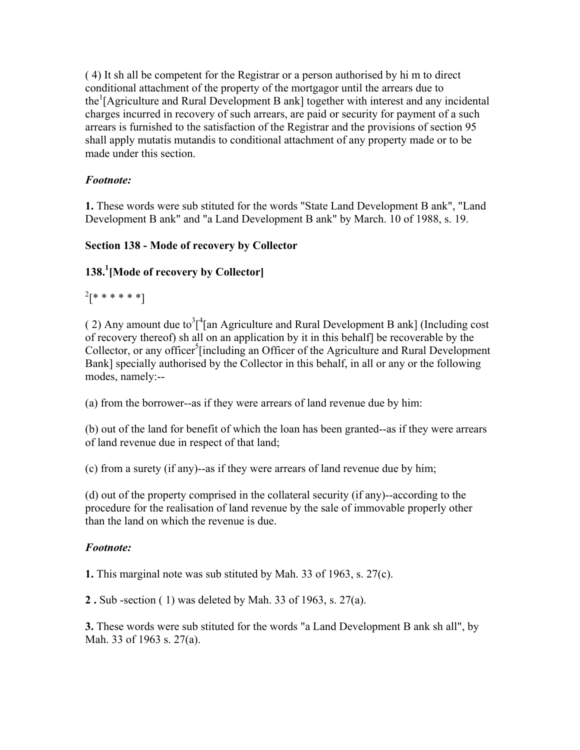( 4) It sh all be competent for the Registrar or a person authorised by hi m to direct conditional attachment of the property of the mortgagor until the arrears due to the<sup>1</sup>[Agriculture and Rural Development B ank] together with interest and any incidental charges incurred in recovery of such arrears, are paid or security for payment of a such arrears is furnished to the satisfaction of the Registrar and the provisions of section 95 shall apply mutatis mutandis to conditional attachment of any property made or to be made under this section.

# *Footnote:*

**1.** These words were sub stituted for the words "State Land Development B ank", "Land Development B ank" and "a Land Development B ank" by March. 10 of 1988, s. 19.

# **Section 138 - Mode of recovery by Collector**

# **138.1 [Mode of recovery by Collector]**

 $^{2}$ [\* \* \* \* \* \*]

(2) Any amount due to  $3^{4}$  [an Agriculture and Rural Development B ank] (Including cost of recovery thereof) sh all on an application by it in this behalf] be recoverable by the Collector, or any officer<sup>5</sup>[including an Officer of the Agriculture and Rural Development Bank] specially authorised by the Collector in this behalf, in all or any or the following modes, namely:--

(a) from the borrower--as if they were arrears of land revenue due by him:

(b) out of the land for benefit of which the loan has been granted--as if they were arrears of land revenue due in respect of that land;

(c) from a surety (if any)--as if they were arrears of land revenue due by him;

(d) out of the property comprised in the collateral security (if any)--according to the procedure for the realisation of land revenue by the sale of immovable properly other than the land on which the revenue is due.

# *Footnote:*

**1.** This marginal note was sub stituted by Mah. 33 of 1963, s. 27(c).

**2 .** Sub -section ( 1) was deleted by Mah. 33 of 1963, s. 27(a).

**3.** These words were sub stituted for the words "a Land Development B ank sh all", by Mah. 33 of 1963 s. 27(a).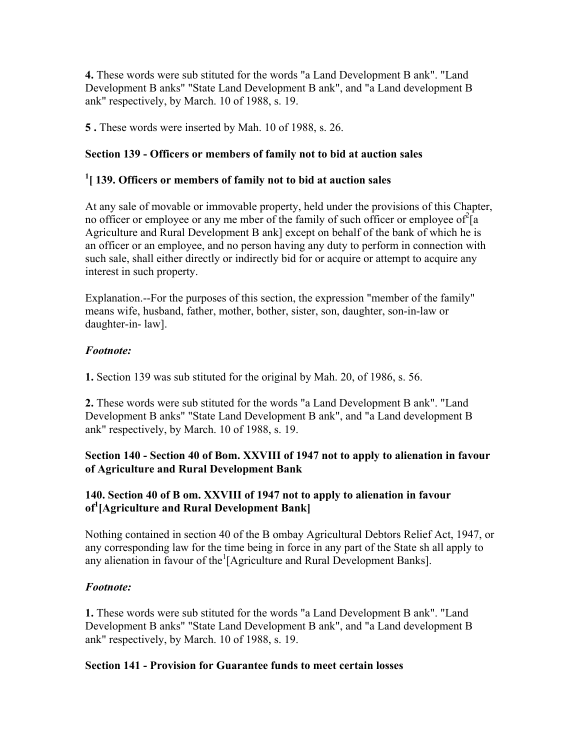**4.** These words were sub stituted for the words "a Land Development B ank". "Land Development B anks" "State Land Development B ank", and "a Land development B ank" respectively, by March. 10 of 1988, s. 19.

**5 .** These words were inserted by Mah. 10 of 1988, s. 26.

# **Section 139 - Officers or members of family not to bid at auction sales**

# **1 [ 139. Officers or members of family not to bid at auction sales**

At any sale of movable or immovable property, held under the provisions of this Chapter, no officer or employee or any me mber of the family of such officer or employee of  $2[a]$ Agriculture and Rural Development B ank] except on behalf of the bank of which he is an officer or an employee, and no person having any duty to perform in connection with such sale, shall either directly or indirectly bid for or acquire or attempt to acquire any interest in such property.

Explanation.--For the purposes of this section, the expression "member of the family" means wife, husband, father, mother, bother, sister, son, daughter, son-in-law or daughter-in- law].

### *Footnote:*

**1.** Section 139 was sub stituted for the original by Mah. 20, of 1986, s. 56.

**2.** These words were sub stituted for the words "a Land Development B ank". "Land Development B anks" "State Land Development B ank", and "a Land development B ank" respectively, by March. 10 of 1988, s. 19.

### **Section 140 - Section 40 of Bom. XXVIII of 1947 not to apply to alienation in favour of Agriculture and Rural Development Bank**

# **140. Section 40 of B om. XXVIII of 1947 not to apply to alienation in favour of1 [Agriculture and Rural Development Bank]**

Nothing contained in section 40 of the B ombay Agricultural Debtors Relief Act, 1947, or any corresponding law for the time being in force in any part of the State sh all apply to any alienation in favour of the<sup>1</sup>[Agriculture and Rural Development Banks].

### *Footnote:*

**1.** These words were sub stituted for the words "a Land Development B ank". "Land Development B anks" "State Land Development B ank", and "a Land development B ank" respectively, by March. 10 of 1988, s. 19.

### **Section 141 - Provision for Guarantee funds to meet certain losses**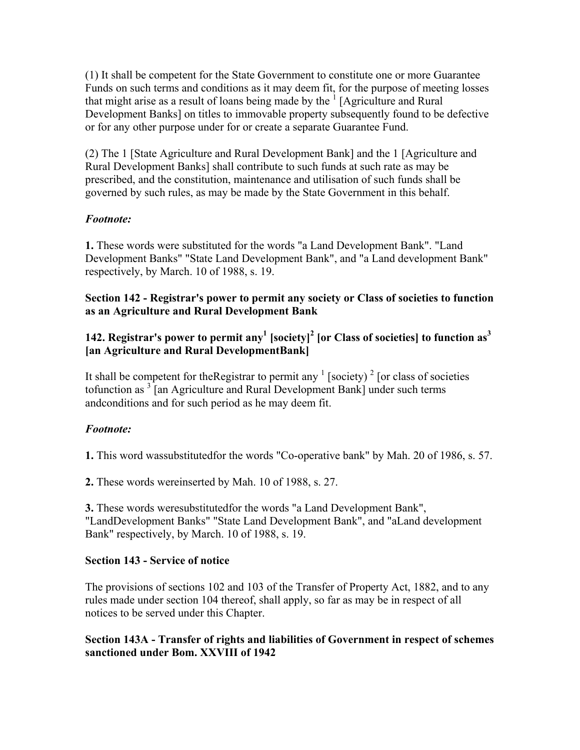(1) It shall be competent for the State Government to constitute one or more Guarantee Funds on such terms and conditions as it may deem fit, for the purpose of meeting losses that might arise as a result of loans being made by the  $1$  [Agriculture and Rural Development Banks] on titles to immovable property subsequently found to be defective or for any other purpose under for or create a separate Guarantee Fund.

(2) The 1 [State Agriculture and Rural Development Bank] and the 1 [Agriculture and Rural Development Banks] shall contribute to such funds at such rate as may be prescribed, and the constitution, maintenance and utilisation of such funds shall be governed by such rules, as may be made by the State Government in this behalf.

## *Footnote:*

**1.** These words were substituted for the words "a Land Development Bank". "Land Development Banks" "State Land Development Bank", and "a Land development Bank" respectively, by March. 10 of 1988, s. 19.

### **Section 142 - Registrar's power to permit any society or Class of societies to function as an Agriculture and Rural Development Bank**

## **142. Registrar's power to permit any<sup>1</sup> [society]<sup>2</sup> [or Class of societies] to function as<sup>3</sup> [an Agriculture and Rural DevelopmentBank]**

It shall be competent for the Registrar to permit any  $\frac{1}{2}$  [society]  $\frac{2}{2}$  [or class of societies tofunction as <sup>3</sup> [an Agriculture and Rural Development Bank] under such terms andconditions and for such period as he may deem fit.

### *Footnote:*

**1.** This word wassubstitutedfor the words "Co-operative bank" by Mah. 20 of 1986, s. 57.

**2.** These words wereinserted by Mah. 10 of 1988, s. 27.

**3.** These words weresubstitutedfor the words "a Land Development Bank", "LandDevelopment Banks" "State Land Development Bank", and "aLand development Bank" respectively, by March. 10 of 1988, s. 19.

### **Section 143 - Service of notice**

The provisions of sections 102 and 103 of the Transfer of Property Act, 1882, and to any rules made under section 104 thereof, shall apply, so far as may be in respect of all notices to be served under this Chapter.

### **Section 143A - Transfer of rights and liabilities of Government in respect of schemes sanctioned under Bom. XXVIII of 1942**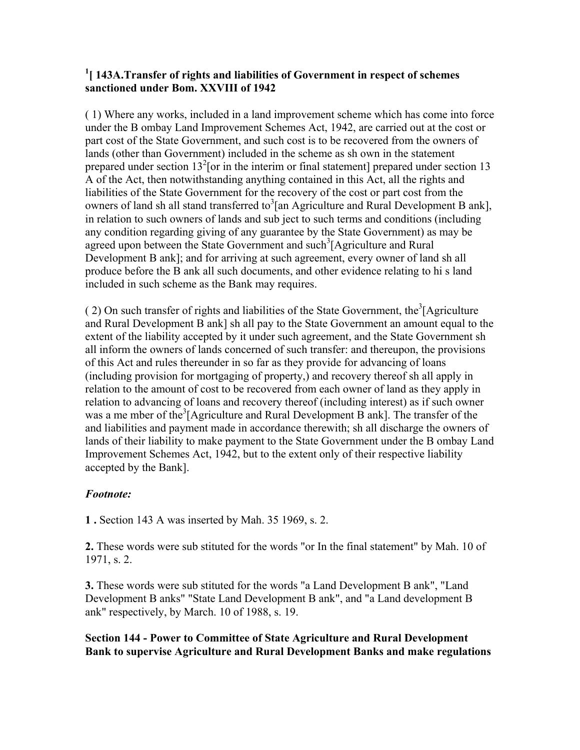### <sup>1</sup> [ 143A.Transfer of rights and liabilities of Government in respect of schemes **sanctioned under Bom. XXVIII of 1942**

( 1) Where any works, included in a land improvement scheme which has come into force under the B ombay Land Improvement Schemes Act, 1942, are carried out at the cost or part cost of the State Government, and such cost is to be recovered from the owners of lands (other than Government) included in the scheme as sh own in the statement prepared under section  $13^2$  [or in the interim or final statement] prepared under section 13 A of the Act, then notwithstanding anything contained in this Act, all the rights and liabilities of the State Government for the recovery of the cost or part cost from the owners of land sh all stand transferred to<sup>3</sup>[an Agriculture and Rural Development B ank], in relation to such owners of lands and sub ject to such terms and conditions (including any condition regarding giving of any guarantee by the State Government) as may be agreed upon between the State Government and such<sup>3</sup>[Agriculture and Rural Development B ank]; and for arriving at such agreement, every owner of land sh all produce before the B ank all such documents, and other evidence relating to hi s land included in such scheme as the Bank may requires.

(2) On such transfer of rights and liabilities of the State Government, the<sup>3</sup>[Agriculture and Rural Development B ank] sh all pay to the State Government an amount equal to the extent of the liability accepted by it under such agreement, and the State Government sh all inform the owners of lands concerned of such transfer: and thereupon, the provisions of this Act and rules thereunder in so far as they provide for advancing of loans (including provision for mortgaging of property,) and recovery thereof sh all apply in relation to the amount of cost to be recovered from each owner of land as they apply in relation to advancing of loans and recovery thereof (including interest) as if such owner was a me mber of the<sup>3</sup>[Agriculture and Rural Development B ank]. The transfer of the and liabilities and payment made in accordance therewith; sh all discharge the owners of lands of their liability to make payment to the State Government under the B ombay Land Improvement Schemes Act, 1942, but to the extent only of their respective liability accepted by the Bank].

# *Footnote:*

**1 .** Section 143 A was inserted by Mah. 35 1969, s. 2.

**2.** These words were sub stituted for the words "or In the final statement" by Mah. 10 of 1971, s. 2.

**3.** These words were sub stituted for the words "a Land Development B ank", "Land Development B anks" "State Land Development B ank", and "a Land development B ank" respectively, by March. 10 of 1988, s. 19.

**Section 144 - Power to Committee of State Agriculture and Rural Development Bank to supervise Agriculture and Rural Development Banks and make regulations**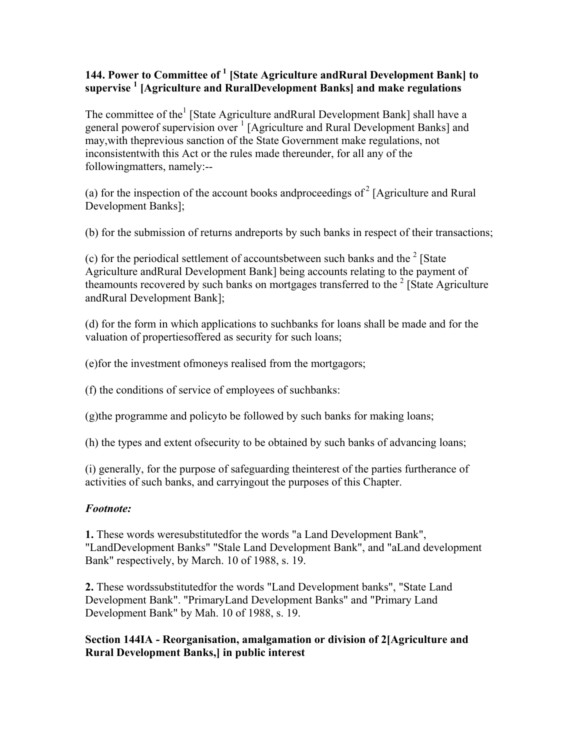## 144. Power to Committee of <sup>1</sup> [State Agriculture andRural Development Bank] to **supervise 1 [Agriculture and RuralDevelopment Banks] and make regulations**

The committee of the<sup>1</sup> [State Agriculture andRural Development Bank] shall have a general powerof supervision over <sup>1</sup> [Agriculture and Rural Development Banks] and may,with theprevious sanction of the State Government make regulations, not inconsistentwith this Act or the rules made thereunder, for all any of the followingmatters, namely:--

(a) for the inspection of the account books and proceedings of  $2^2$  [Agriculture and Rural Development Banks];

(b) for the submission of returns andreports by such banks in respect of their transactions;

(c) for the periodical settlement of accountsbetween such banks and the  $2$  [State Agriculture andRural Development Bank] being accounts relating to the payment of theamounts recovered by such banks on mortgages transferred to the  $2$  [State Agriculture andRural Development Bank];

(d) for the form in which applications to suchbanks for loans shall be made and for the valuation of propertiesoffered as security for such loans;

(e)for the investment ofmoneys realised from the mortgagors;

(f) the conditions of service of employees of suchbanks:

(g)the programme and policyto be followed by such banks for making loans;

(h) the types and extent ofsecurity to be obtained by such banks of advancing loans;

(i) generally, for the purpose of safeguarding theinterest of the parties furtherance of activities of such banks, and carryingout the purposes of this Chapter.

# *Footnote:*

**1.** These words weresubstitutedfor the words "a Land Development Bank", "LandDevelopment Banks" "Stale Land Development Bank", and "aLand development Bank" respectively, by March. 10 of 1988, s. 19.

**2.** These wordssubstitutedfor the words "Land Development banks", "State Land Development Bank". "PrimaryLand Development Banks" and "Primary Land Development Bank" by Mah. 10 of 1988, s. 19.

**Section 144IA - Reorganisation, amalgamation or division of 2[Agriculture and Rural Development Banks,] in public interest**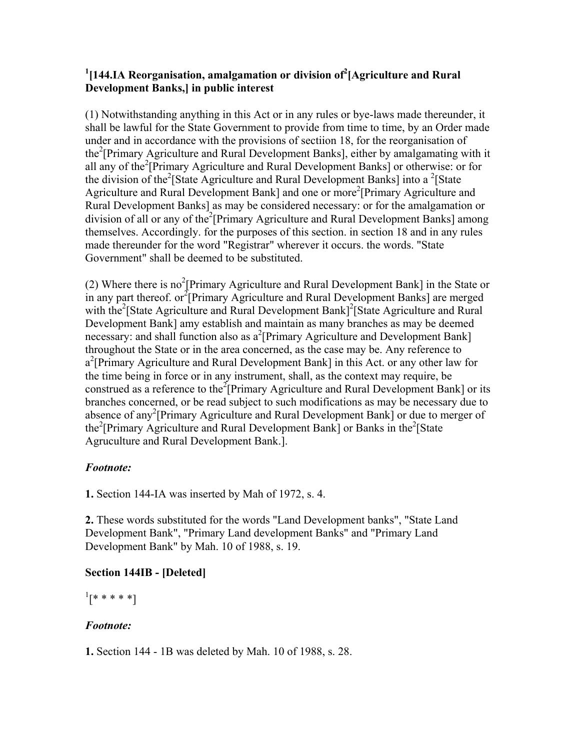## <sup>1</sup>[144.IA Reorganisation, amalgamation or division of<sup>2</sup>[Agriculture and Rural **Development Banks,] in public interest**

(1) Notwithstanding anything in this Act or in any rules or bye-laws made thereunder, it shall be lawful for the State Government to provide from time to time, by an Order made under and in accordance with the provisions of sectiion 18, for the reorganisation of the<sup>2</sup>[Primary Agriculture and Rural Development Banks], either by amalgamating with it all any of the<sup>2</sup>[Primary Agriculture and Rural Development Banks] or otherwise: or for the division of the<sup>2</sup>[State Agriculture and Rural Development Banks] into a <sup>2</sup>[State Agriculture and Rural Development Bank] and one or more<sup>2</sup>[Primary Agriculture and Rural Development Banks] as may be considered necessary: or for the amalgamation or division of all or any of the<sup>2</sup>[Primary Agriculture and Rural Development Banks] among themselves. Accordingly. for the purposes of this section. in section 18 and in any rules made thereunder for the word "Registrar" wherever it occurs. the words. "State Government" shall be deemed to be substituted.

(2) Where there is no<sup>2</sup>[Primary Agriculture and Rural Development Bank] in the State or in any part thereof. or  $2$ [Primary Agriculture and Rural Development Banks] are merged with the<sup>2</sup>[State Agriculture and Rural Development Bank]<sup>2</sup>[State Agriculture and Rural Development Bank] amy establish and maintain as many branches as may be deemed necessary: and shall function also as a<sup>2</sup>[Primary Agriculture and Development Bank] throughout the State or in the area concerned, as the case may be. Any reference to a<sup>2</sup>[Primary Agriculture and Rural Development Bank] in this Act. or any other law for the time being in force or in any instrument, shall, as the context may require, be construed as a reference to the<sup>2</sup><sup>[</sup>Primary Agriculture and Rural Development Bank] or its branches concerned, or be read subject to such modifications as may be necessary due to absence of any<sup>2</sup>[Primary Agriculture and Rural Development Bank] or due to merger of the<sup>2</sup>[Primary Agriculture and Rural Development Bank] or Banks in the<sup>2</sup>[State Agruculture and Rural Development Bank.].

# *Footnote:*

**1.** Section 144-IA was inserted by Mah of 1972, s. 4.

**2.** These words substituted for the words "Land Development banks", "State Land Development Bank", "Primary Land development Banks" and "Primary Land Development Bank" by Mah. 10 of 1988, s. 19.

# **Section 144IB - [Deleted]**

 $^{1}[*****]$ 

# *Footnote:*

**1.** Section 144 - 1B was deleted by Mah. 10 of 1988, s. 28.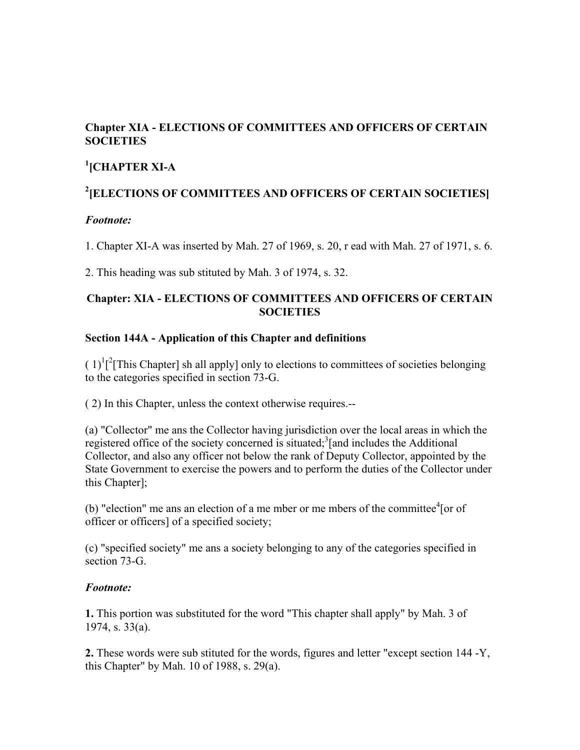# **Chapter XIA - ELECTIONS OF COMMITTEES AND OFFICERS OF CERTAIN SOCIETIES**

# **1 [CHAPTER XI-A**

# **2 [ELECTIONS OF COMMITTEES AND OFFICERS OF CERTAIN SOCIETIES]**

# *Footnote:*

1. Chapter XI-A was inserted by Mah. 27 of 1969, s. 20, r ead with Mah. 27 of 1971, s. 6.

2. This heading was sub stituted by Mah. 3 of 1974, s. 32.

## **Chapter: XIA - ELECTIONS OF COMMITTEES AND OFFICERS OF CERTAIN SOCIETIES**

# **Section 144A - Application of this Chapter and definitions**

 $(1)^{1}$ <sup>2</sup>[This Chapter] sh all apply] only to elections to committees of societies belonging to the categories specified in section 73-G.

( 2) In this Chapter, unless the context otherwise requires.--

(a) "Collector" me ans the Collector having jurisdiction over the local areas in which the registered office of the society concerned is situated;<sup>3</sup>[and includes the Additional Collector, and also any officer not below the rank of Deputy Collector, appointed by the State Government to exercise the powers and to perform the duties of the Collector under this Chapter];

(b) "election" me ans an election of a me mber or me mbers of the committee $\textsuperscript{4}$  [or of officer or officers] of a specified society;

(c) "specified society" me ans a society belonging to any of the categories specified in section 73-G.

# *Footnote:*

**1.** This portion was substituted for the word "This chapter shall apply" by Mah. 3 of 1974, s. 33(a).

**2.** These words were sub stituted for the words, figures and letter "except section 144 -Y, this Chapter" by Mah. 10 of 1988, s. 29(a).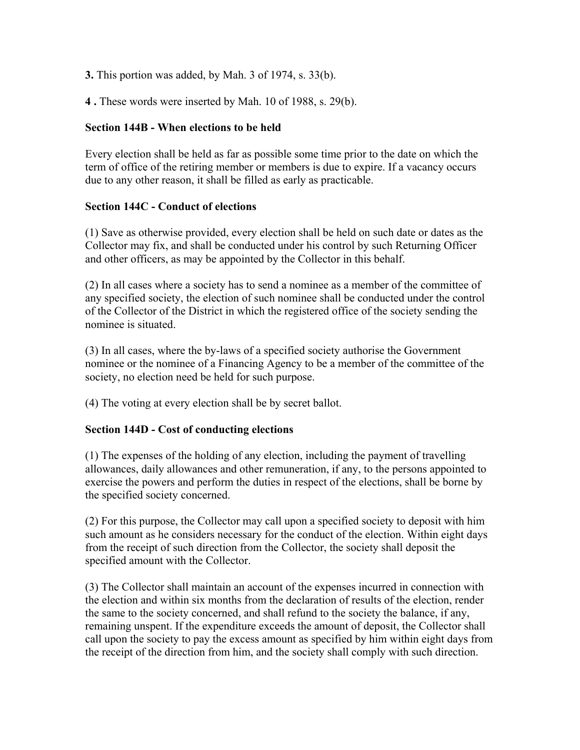**3.** This portion was added, by Mah. 3 of 1974, s. 33(b).

**4 .** These words were inserted by Mah. 10 of 1988, s. 29(b).

## **Section 144B - When elections to be held**

Every election shall be held as far as possible some time prior to the date on which the term of office of the retiring member or members is due to expire. If a vacancy occurs due to any other reason, it shall be filled as early as practicable.

## **Section 144C - Conduct of elections**

(1) Save as otherwise provided, every election shall be held on such date or dates as the Collector may fix, and shall be conducted under his control by such Returning Officer and other officers, as may be appointed by the Collector in this behalf.

(2) In all cases where a society has to send a nominee as a member of the committee of any specified society, the election of such nominee shall be conducted under the control of the Collector of the District in which the registered office of the society sending the nominee is situated.

(3) In all cases, where the by-laws of a specified society authorise the Government nominee or the nominee of a Financing Agency to be a member of the committee of the society, no election need be held for such purpose.

(4) The voting at every election shall be by secret ballot.

# **Section 144D - Cost of conducting elections**

(1) The expenses of the holding of any election, including the payment of travelling allowances, daily allowances and other remuneration, if any, to the persons appointed to exercise the powers and perform the duties in respect of the elections, shall be borne by the specified society concerned.

(2) For this purpose, the Collector may call upon a specified society to deposit with him such amount as he considers necessary for the conduct of the election. Within eight days from the receipt of such direction from the Collector, the society shall deposit the specified amount with the Collector.

(3) The Collector shall maintain an account of the expenses incurred in connection with the election and within six months from the declaration of results of the election, render the same to the society concerned, and shall refund to the society the balance, if any, remaining unspent. If the expenditure exceeds the amount of deposit, the Collector shall call upon the society to pay the excess amount as specified by him within eight days from the receipt of the direction from him, and the society shall comply with such direction.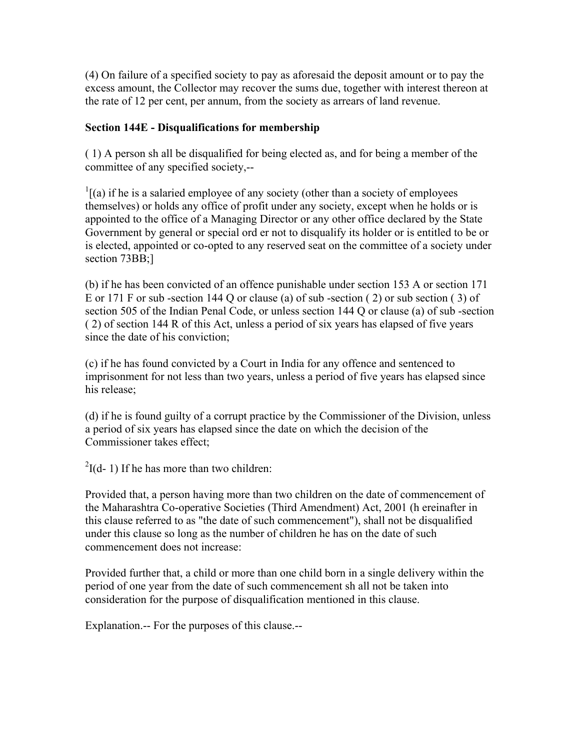(4) On failure of a specified society to pay as aforesaid the deposit amount or to pay the excess amount, the Collector may recover the sums due, together with interest thereon at the rate of 12 per cent, per annum, from the society as arrears of land revenue.

### **Section 144E - Disqualifications for membership**

( 1) A person sh all be disqualified for being elected as, and for being a member of the committee of any specified society,--

 $\frac{1}{1}$ [(a) if he is a salaried employee of any society (other than a society of employees themselves) or holds any office of profit under any society, except when he holds or is appointed to the office of a Managing Director or any other office declared by the State Government by general or special ord er not to disqualify its holder or is entitled to be or is elected, appointed or co-opted to any reserved seat on the committee of a society under section 73BB;]

(b) if he has been convicted of an offence punishable under section 153 A or section 171 E or 171 F or sub -section 144 Q or clause (a) of sub -section ( 2) or sub section ( 3) of section 505 of the Indian Penal Code, or unless section 144 Q or clause (a) of sub -section ( 2) of section 144 R of this Act, unless a period of six years has elapsed of five years since the date of his conviction;

(c) if he has found convicted by a Court in India for any offence and sentenced to imprisonment for not less than two years, unless a period of five years has elapsed since his release;

(d) if he is found guilty of a corrupt practice by the Commissioner of the Division, unless a period of six years has elapsed since the date on which the decision of the Commissioner takes effect;

 $2I(d-1)$  If he has more than two children:

Provided that, a person having more than two children on the date of commencement of the Maharashtra Co-operative Societies (Third Amendment) Act, 2001 (h ereinafter in this clause referred to as "the date of such commencement"), shall not be disqualified under this clause so long as the number of children he has on the date of such commencement does not increase:

Provided further that, a child or more than one child born in a single delivery within the period of one year from the date of such commencement sh all not be taken into consideration for the purpose of disqualification mentioned in this clause.

Explanation.-- For the purposes of this clause.--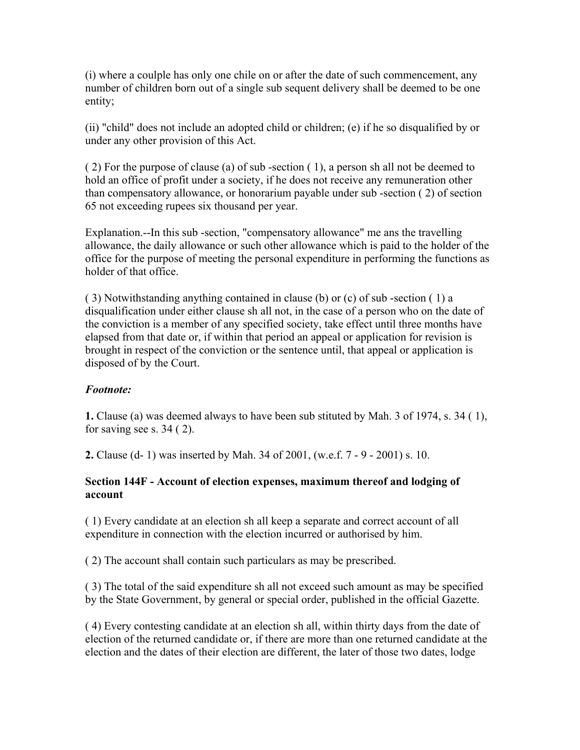(i) where a coulple has only one chile on or after the date of such commencement, any number of children born out of a single sub sequent delivery shall be deemed to be one entity;

(ii) "child" does not include an adopted child or children; (e) if he so disqualified by or under any other provision of this Act.

( 2) For the purpose of clause (a) of sub -section ( 1), a person sh all not be deemed to hold an office of profit under a society, if he does not receive any remuneration other than compensatory allowance, or honorarium payable under sub -section ( 2) of section 65 not exceeding rupees six thousand per year.

Explanation.--In this sub -section, "compensatory allowance" me ans the travelling allowance, the daily allowance or such other allowance which is paid to the holder of the office for the purpose of meeting the personal expenditure in performing the functions as holder of that office.

( 3) Notwithstanding anything contained in clause (b) or (c) of sub -section ( 1) a disqualification under either clause sh all not, in the case of a person who on the date of the conviction is a member of any specified society, take effect until three months have elapsed from that date or, if within that period an appeal or application for revision is brought in respect of the conviction or the sentence until, that appeal or application is disposed of by the Court.

### *Footnote:*

**1.** Clause (a) was deemed always to have been sub stituted by Mah. 3 of 1974, s. 34 ( 1), for saving see s. 34 ( 2).

**2.** Clause (d- 1) was inserted by Mah. 34 of 2001, (w.e.f. 7 - 9 - 2001) s. 10.

## **Section 144F - Account of election expenses, maximum thereof and lodging of account**

( 1) Every candidate at an election sh all keep a separate and correct account of all expenditure in connection with the election incurred or authorised by him.

( 2) The account shall contain such particulars as may be prescribed.

( 3) The total of the said expenditure sh all not exceed such amount as may be specified by the State Government, by general or special order, published in the official Gazette.

( 4) Every contesting candidate at an election sh all, within thirty days from the date of election of the returned candidate or, if there are more than one returned candidate at the election and the dates of their election are different, the later of those two dates, lodge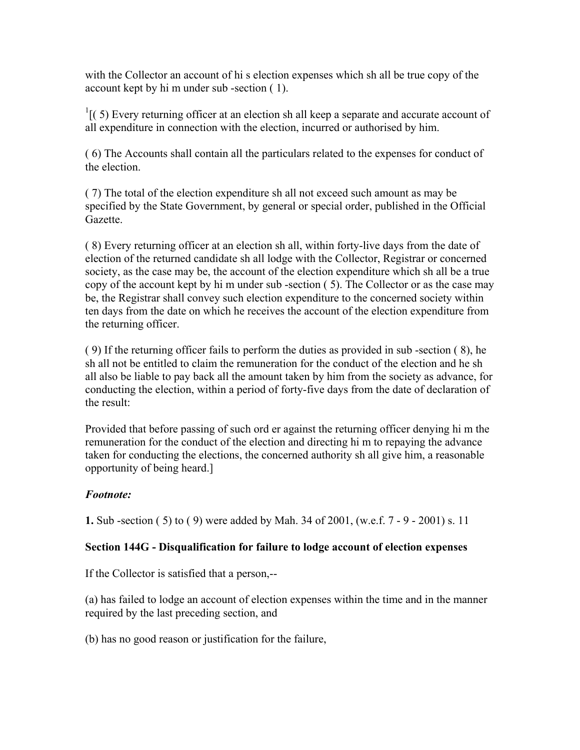with the Collector an account of hi s election expenses which sh all be true copy of the account kept by hi m under sub -section ( 1).

 $<sup>1</sup>$ [(5) Every returning officer at an election sh all keep a separate and accurate account of</sup> all expenditure in connection with the election, incurred or authorised by him.

( 6) The Accounts shall contain all the particulars related to the expenses for conduct of the election.

( 7) The total of the election expenditure sh all not exceed such amount as may be specified by the State Government, by general or special order, published in the Official Gazette.

( 8) Every returning officer at an election sh all, within forty-live days from the date of election of the returned candidate sh all lodge with the Collector, Registrar or concerned society, as the case may be, the account of the election expenditure which sh all be a true copy of the account kept by hi m under sub -section ( 5). The Collector or as the case may be, the Registrar shall convey such election expenditure to the concerned society within ten days from the date on which he receives the account of the election expenditure from the returning officer.

( 9) If the returning officer fails to perform the duties as provided in sub -section ( 8), he sh all not be entitled to claim the remuneration for the conduct of the election and he sh all also be liable to pay back all the amount taken by him from the society as advance, for conducting the election, within a period of forty-five days from the date of declaration of the result:

Provided that before passing of such ord er against the returning officer denying hi m the remuneration for the conduct of the election and directing hi m to repaying the advance taken for conducting the elections, the concerned authority sh all give him, a reasonable opportunity of being heard.]

### *Footnote:*

**1.** Sub -section ( 5) to ( 9) were added by Mah. 34 of 2001, (w.e.f. 7 - 9 - 2001) s. 11

### **Section 144G - Disqualification for failure to lodge account of election expenses**

If the Collector is satisfied that a person,--

(a) has failed to lodge an account of election expenses within the time and in the manner required by the last preceding section, and

(b) has no good reason or justification for the failure,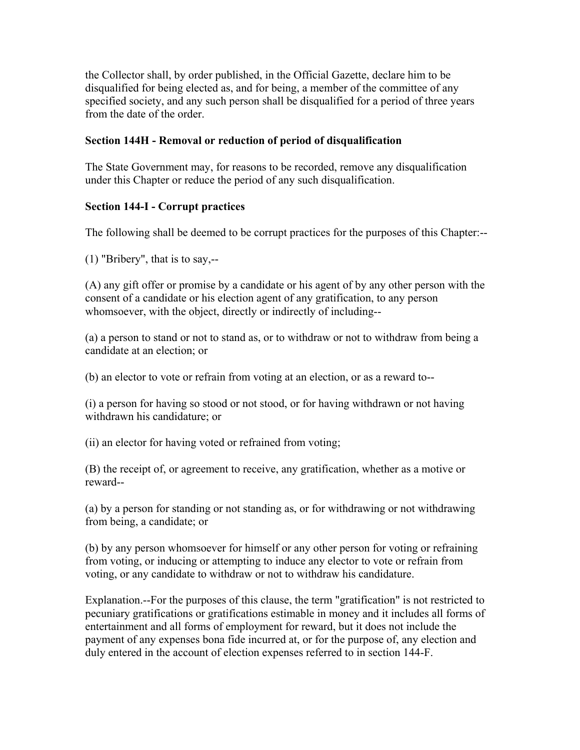the Collector shall, by order published, in the Official Gazette, declare him to be disqualified for being elected as, and for being, a member of the committee of any specified society, and any such person shall be disqualified for a period of three years from the date of the order.

### **Section 144H - Removal or reduction of period of disqualification**

The State Government may, for reasons to be recorded, remove any disqualification under this Chapter or reduce the period of any such disqualification.

### **Section 144-I - Corrupt practices**

The following shall be deemed to be corrupt practices for the purposes of this Chapter:--

(1) "Bribery", that is to say,--

(A) any gift offer or promise by a candidate or his agent of by any other person with the consent of a candidate or his election agent of any gratification, to any person whomsoever, with the object, directly or indirectly of including--

(a) a person to stand or not to stand as, or to withdraw or not to withdraw from being a candidate at an election; or

(b) an elector to vote or refrain from voting at an election, or as a reward to--

(i) a person for having so stood or not stood, or for having withdrawn or not having withdrawn his candidature; or

(ii) an elector for having voted or refrained from voting;

(B) the receipt of, or agreement to receive, any gratification, whether as a motive or reward--

(a) by a person for standing or not standing as, or for withdrawing or not withdrawing from being, a candidate; or

(b) by any person whomsoever for himself or any other person for voting or refraining from voting, or inducing or attempting to induce any elector to vote or refrain from voting, or any candidate to withdraw or not to withdraw his candidature.

Explanation.--For the purposes of this clause, the term "gratification" is not restricted to pecuniary gratifications or gratifications estimable in money and it includes all forms of entertainment and all forms of employment for reward, but it does not include the payment of any expenses bona fide incurred at, or for the purpose of, any election and duly entered in the account of election expenses referred to in section 144-F.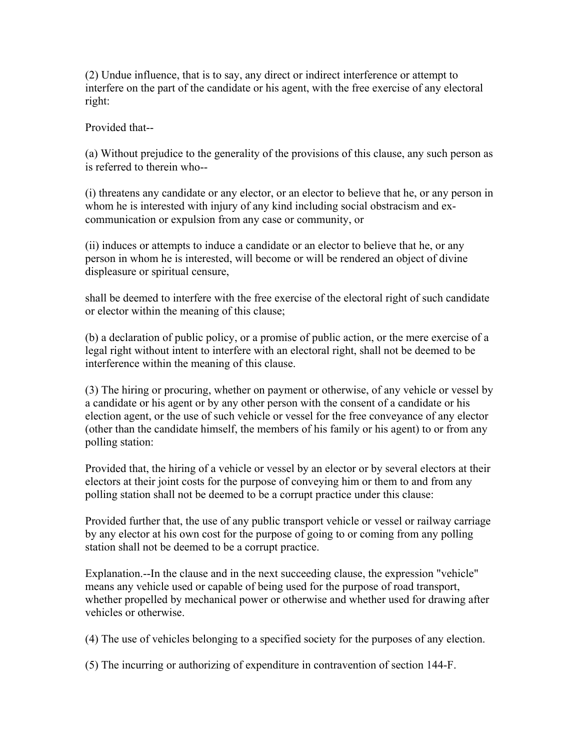(2) Undue influence, that is to say, any direct or indirect interference or attempt to interfere on the part of the candidate or his agent, with the free exercise of any electoral right:

Provided that--

(a) Without prejudice to the generality of the provisions of this clause, any such person as is referred to therein who--

(i) threatens any candidate or any elector, or an elector to believe that he, or any person in whom he is interested with injury of any kind including social obstracism and excommunication or expulsion from any case or community, or

(ii) induces or attempts to induce a candidate or an elector to believe that he, or any person in whom he is interested, will become or will be rendered an object of divine displeasure or spiritual censure,

shall be deemed to interfere with the free exercise of the electoral right of such candidate or elector within the meaning of this clause;

(b) a declaration of public policy, or a promise of public action, or the mere exercise of a legal right without intent to interfere with an electoral right, shall not be deemed to be interference within the meaning of this clause.

(3) The hiring or procuring, whether on payment or otherwise, of any vehicle or vessel by a candidate or his agent or by any other person with the consent of a candidate or his election agent, or the use of such vehicle or vessel for the free conveyance of any elector (other than the candidate himself, the members of his family or his agent) to or from any polling station:

Provided that, the hiring of a vehicle or vessel by an elector or by several electors at their electors at their joint costs for the purpose of conveying him or them to and from any polling station shall not be deemed to be a corrupt practice under this clause:

Provided further that, the use of any public transport vehicle or vessel or railway carriage by any elector at his own cost for the purpose of going to or coming from any polling station shall not be deemed to be a corrupt practice.

Explanation.--In the clause and in the next succeeding clause, the expression "vehicle" means any vehicle used or capable of being used for the purpose of road transport, whether propelled by mechanical power or otherwise and whether used for drawing after vehicles or otherwise.

(4) The use of vehicles belonging to a specified society for the purposes of any election.

(5) The incurring or authorizing of expenditure in contravention of section 144-F.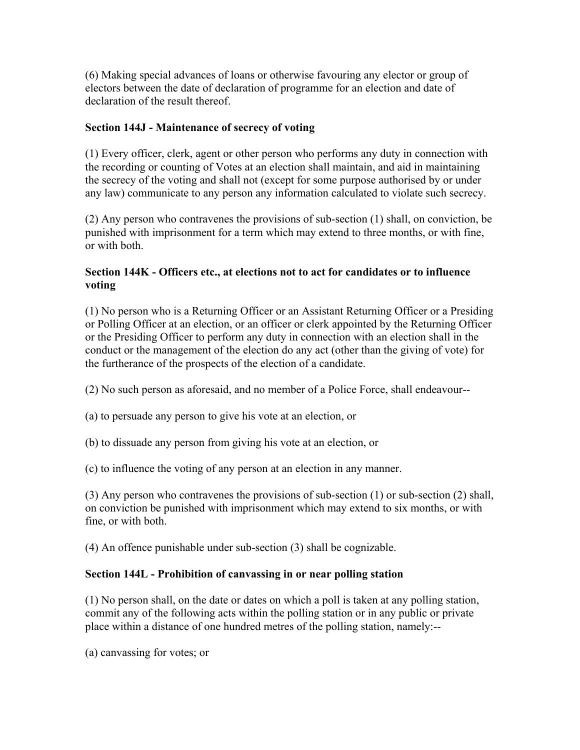(6) Making special advances of loans or otherwise favouring any elector or group of electors between the date of declaration of programme for an election and date of declaration of the result thereof.

### **Section 144J - Maintenance of secrecy of voting**

(1) Every officer, clerk, agent or other person who performs any duty in connection with the recording or counting of Votes at an election shall maintain, and aid in maintaining the secrecy of the voting and shall not (except for some purpose authorised by or under any law) communicate to any person any information calculated to violate such secrecy.

(2) Any person who contravenes the provisions of sub-section (1) shall, on conviction, be punished with imprisonment for a term which may extend to three months, or with fine, or with both.

### **Section 144K - Officers etc., at elections not to act for candidates or to influence voting**

(1) No person who is a Returning Officer or an Assistant Returning Officer or a Presiding or Polling Officer at an election, or an officer or clerk appointed by the Returning Officer or the Presiding Officer to perform any duty in connection with an election shall in the conduct or the management of the election do any act (other than the giving of vote) for the furtherance of the prospects of the election of a candidate.

(2) No such person as aforesaid, and no member of a Police Force, shall endeavour--

- (a) to persuade any person to give his vote at an election, or
- (b) to dissuade any person from giving his vote at an election, or

(c) to influence the voting of any person at an election in any manner.

(3) Any person who contravenes the provisions of sub-section (1) or sub-section (2) shall, on conviction be punished with imprisonment which may extend to six months, or with fine, or with both.

(4) An offence punishable under sub-section (3) shall be cognizable.

# **Section 144L - Prohibition of canvassing in or near polling station**

(1) No person shall, on the date or dates on which a poll is taken at any polling station, commit any of the following acts within the polling station or in any public or private place within a distance of one hundred metres of the polling station, namely:--

(a) canvassing for votes; or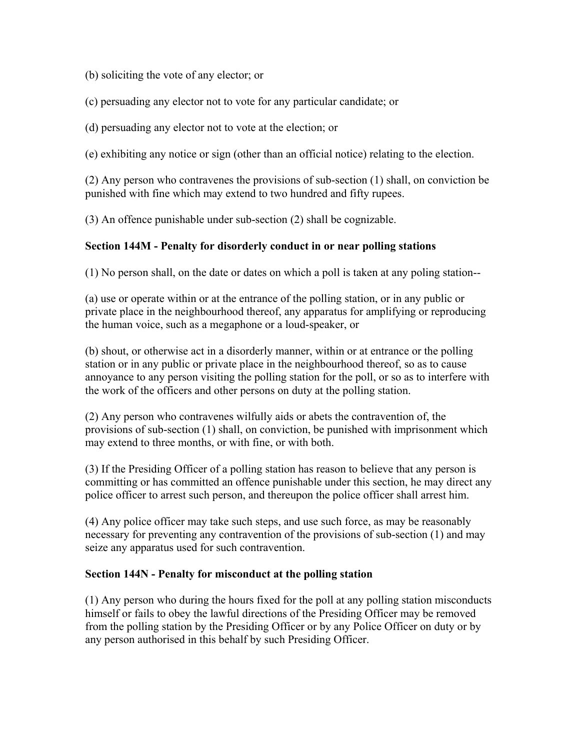(b) soliciting the vote of any elector; or

(c) persuading any elector not to vote for any particular candidate; or

(d) persuading any elector not to vote at the election; or

(e) exhibiting any notice or sign (other than an official notice) relating to the election.

(2) Any person who contravenes the provisions of sub-section (1) shall, on conviction be punished with fine which may extend to two hundred and fifty rupees.

(3) An offence punishable under sub-section (2) shall be cognizable.

### **Section 144M - Penalty for disorderly conduct in or near polling stations**

(1) No person shall, on the date or dates on which a poll is taken at any poling station--

(a) use or operate within or at the entrance of the polling station, or in any public or private place in the neighbourhood thereof, any apparatus for amplifying or reproducing the human voice, such as a megaphone or a loud-speaker, or

(b) shout, or otherwise act in a disorderly manner, within or at entrance or the polling station or in any public or private place in the neighbourhood thereof, so as to cause annoyance to any person visiting the polling station for the poll, or so as to interfere with the work of the officers and other persons on duty at the polling station.

(2) Any person who contravenes wilfully aids or abets the contravention of, the provisions of sub-section (1) shall, on conviction, be punished with imprisonment which may extend to three months, or with fine, or with both.

(3) If the Presiding Officer of a polling station has reason to believe that any person is committing or has committed an offence punishable under this section, he may direct any police officer to arrest such person, and thereupon the police officer shall arrest him.

(4) Any police officer may take such steps, and use such force, as may be reasonably necessary for preventing any contravention of the provisions of sub-section (1) and may seize any apparatus used for such contravention.

#### **Section 144N - Penalty for misconduct at the polling station**

(1) Any person who during the hours fixed for the poll at any polling station misconducts himself or fails to obey the lawful directions of the Presiding Officer may be removed from the polling station by the Presiding Officer or by any Police Officer on duty or by any person authorised in this behalf by such Presiding Officer.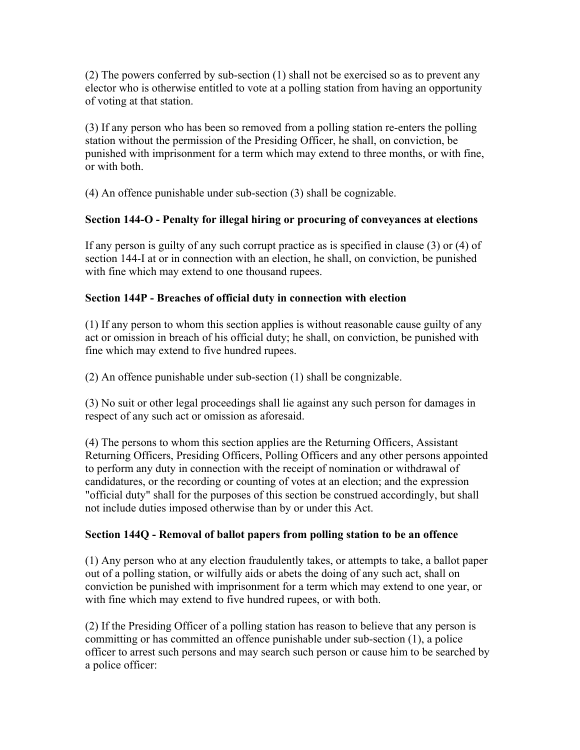(2) The powers conferred by sub-section (1) shall not be exercised so as to prevent any elector who is otherwise entitled to vote at a polling station from having an opportunity of voting at that station.

(3) If any person who has been so removed from a polling station re-enters the polling station without the permission of the Presiding Officer, he shall, on conviction, be punished with imprisonment for a term which may extend to three months, or with fine, or with both.

(4) An offence punishable under sub-section (3) shall be cognizable.

# **Section 144-O - Penalty for illegal hiring or procuring of conveyances at elections**

If any person is guilty of any such corrupt practice as is specified in clause (3) or (4) of section 144-I at or in connection with an election, he shall, on conviction, be punished with fine which may extend to one thousand rupees.

## **Section 144P - Breaches of official duty in connection with election**

(1) If any person to whom this section applies is without reasonable cause guilty of any act or omission in breach of his official duty; he shall, on conviction, be punished with fine which may extend to five hundred rupees.

(2) An offence punishable under sub-section (1) shall be congnizable.

(3) No suit or other legal proceedings shall lie against any such person for damages in respect of any such act or omission as aforesaid.

(4) The persons to whom this section applies are the Returning Officers, Assistant Returning Officers, Presiding Officers, Polling Officers and any other persons appointed to perform any duty in connection with the receipt of nomination or withdrawal of candidatures, or the recording or counting of votes at an election; and the expression "official duty" shall for the purposes of this section be construed accordingly, but shall not include duties imposed otherwise than by or under this Act.

# **Section 144Q - Removal of ballot papers from polling station to be an offence**

(1) Any person who at any election fraudulently takes, or attempts to take, a ballot paper out of a polling station, or wilfully aids or abets the doing of any such act, shall on conviction be punished with imprisonment for a term which may extend to one year, or with fine which may extend to five hundred rupees, or with both.

(2) If the Presiding Officer of a polling station has reason to believe that any person is committing or has committed an offence punishable under sub-section (1), a police officer to arrest such persons and may search such person or cause him to be searched by a police officer: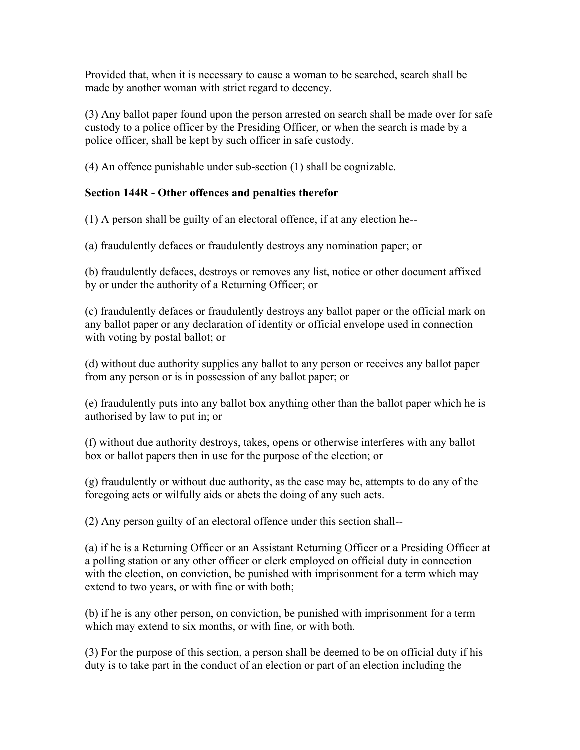Provided that, when it is necessary to cause a woman to be searched, search shall be made by another woman with strict regard to decency.

(3) Any ballot paper found upon the person arrested on search shall be made over for safe custody to a police officer by the Presiding Officer, or when the search is made by a police officer, shall be kept by such officer in safe custody.

(4) An offence punishable under sub-section (1) shall be cognizable.

### **Section 144R - Other offences and penalties therefor**

(1) A person shall be guilty of an electoral offence, if at any election he--

(a) fraudulently defaces or fraudulently destroys any nomination paper; or

(b) fraudulently defaces, destroys or removes any list, notice or other document affixed by or under the authority of a Returning Officer; or

(c) fraudulently defaces or fraudulently destroys any ballot paper or the official mark on any ballot paper or any declaration of identity or official envelope used in connection with voting by postal ballot; or

(d) without due authority supplies any ballot to any person or receives any ballot paper from any person or is in possession of any ballot paper; or

(e) fraudulently puts into any ballot box anything other than the ballot paper which he is authorised by law to put in; or

(f) without due authority destroys, takes, opens or otherwise interferes with any ballot box or ballot papers then in use for the purpose of the election; or

(g) fraudulently or without due authority, as the case may be, attempts to do any of the foregoing acts or wilfully aids or abets the doing of any such acts.

(2) Any person guilty of an electoral offence under this section shall--

(a) if he is a Returning Officer or an Assistant Returning Officer or a Presiding Officer at a polling station or any other officer or clerk employed on official duty in connection with the election, on conviction, be punished with imprisonment for a term which may extend to two years, or with fine or with both;

(b) if he is any other person, on conviction, be punished with imprisonment for a term which may extend to six months, or with fine, or with both.

(3) For the purpose of this section, a person shall be deemed to be on official duty if his duty is to take part in the conduct of an election or part of an election including the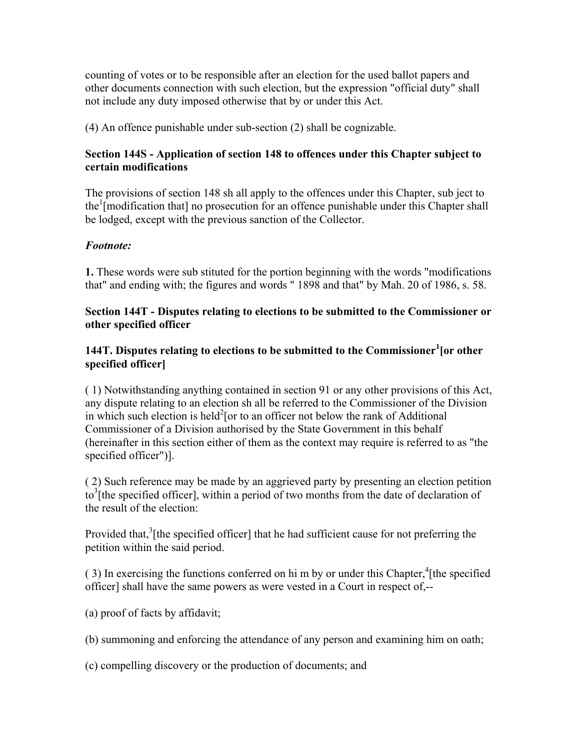counting of votes or to be responsible after an election for the used ballot papers and other documents connection with such election, but the expression "official duty" shall not include any duty imposed otherwise that by or under this Act.

(4) An offence punishable under sub-section (2) shall be cognizable.

### **Section 144S - Application of section 148 to offences under this Chapter subject to certain modifications**

The provisions of section 148 sh all apply to the offences under this Chapter, sub ject to the<sup>1</sup> [modification that] no prosecution for an offence punishable under this Chapter shall be lodged, except with the previous sanction of the Collector.

## *Footnote:*

**1.** These words were sub stituted for the portion beginning with the words "modifications that" and ending with; the figures and words " 1898 and that" by Mah. 20 of 1986, s. 58.

### **Section 144T - Disputes relating to elections to be submitted to the Commissioner or other specified officer**

## **144T. Disputes relating to elections to be submitted to the Commissioner<sup>1</sup> [or other specified officer]**

( 1) Notwithstanding anything contained in section 91 or any other provisions of this Act, any dispute relating to an election sh all be referred to the Commissioner of the Division in which such election is held<sup>2</sup> [or to an officer not below the rank of Additional Commissioner of a Division authorised by the State Government in this behalf (hereinafter in this section either of them as the context may require is referred to as "the specified officer")].

( 2) Such reference may be made by an aggrieved party by presenting an election petition  $\frac{1}{2}$  to<sup>3</sup> [the specified officer], within a period of two months from the date of declaration of the result of the election:

Provided that, $3$ [the specified officer] that he had sufficient cause for not preferring the petition within the said period.

 $(3)$  In exercising the functions conferred on hi m by or under this Chapter,<sup>4</sup> [the specified officer] shall have the same powers as were vested in a Court in respect of,--

(a) proof of facts by affidavit;

(b) summoning and enforcing the attendance of any person and examining him on oath;

(c) compelling discovery or the production of documents; and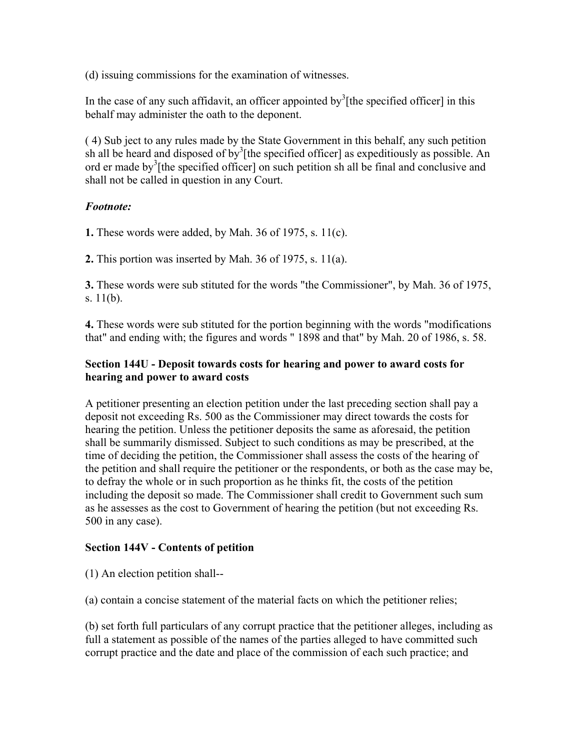(d) issuing commissions for the examination of witnesses.

In the case of any such affidavit, an officer appointed by  $\frac{3}{1}$  [the specified officer] in this behalf may administer the oath to the deponent.

( 4) Sub ject to any rules made by the State Government in this behalf, any such petition sh all be heard and disposed of by<sup>3</sup>[the specified officer] as expeditiously as possible. An ord er made by<sup>3</sup>[the specified officer] on such petition sh all be final and conclusive and shall not be called in question in any Court.

### *Footnote:*

**1.** These words were added, by Mah. 36 of 1975, s. 11(c).

**2.** This portion was inserted by Mah. 36 of 1975, s. 11(a).

**3.** These words were sub stituted for the words "the Commissioner", by Mah. 36 of 1975, s. 11(b).

**4.** These words were sub stituted for the portion beginning with the words "modifications that" and ending with; the figures and words " 1898 and that" by Mah. 20 of 1986, s. 58.

### **Section 144U - Deposit towards costs for hearing and power to award costs for hearing and power to award costs**

A petitioner presenting an election petition under the last preceding section shall pay a deposit not exceeding Rs. 500 as the Commissioner may direct towards the costs for hearing the petition. Unless the petitioner deposits the same as aforesaid, the petition shall be summarily dismissed. Subject to such conditions as may be prescribed, at the time of deciding the petition, the Commissioner shall assess the costs of the hearing of the petition and shall require the petitioner or the respondents, or both as the case may be, to defray the whole or in such proportion as he thinks fit, the costs of the petition including the deposit so made. The Commissioner shall credit to Government such sum as he assesses as the cost to Government of hearing the petition (but not exceeding Rs. 500 in any case).

### **Section 144V - Contents of petition**

(1) An election petition shall--

(a) contain a concise statement of the material facts on which the petitioner relies;

(b) set forth full particulars of any corrupt practice that the petitioner alleges, including as full a statement as possible of the names of the parties alleged to have committed such corrupt practice and the date and place of the commission of each such practice; and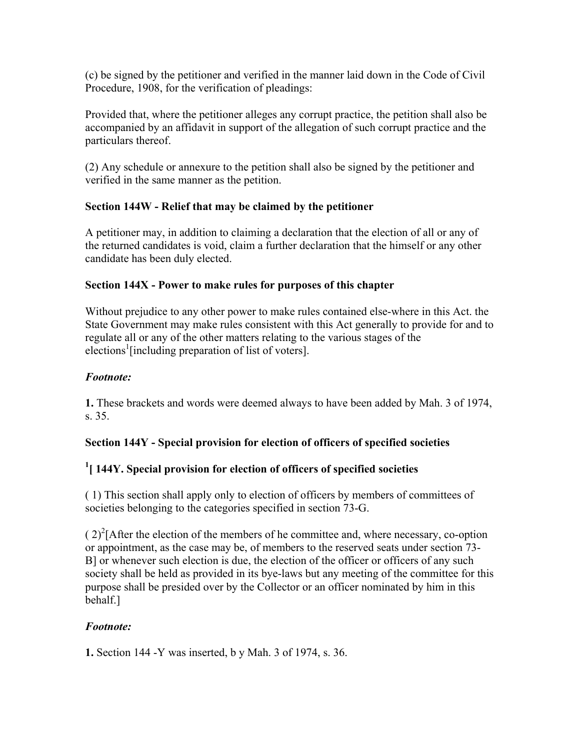(c) be signed by the petitioner and verified in the manner laid down in the Code of Civil Procedure, 1908, for the verification of pleadings:

Provided that, where the petitioner alleges any corrupt practice, the petition shall also be accompanied by an affidavit in support of the allegation of such corrupt practice and the particulars thereof.

(2) Any schedule or annexure to the petition shall also be signed by the petitioner and verified in the same manner as the petition.

## **Section 144W - Relief that may be claimed by the petitioner**

A petitioner may, in addition to claiming a declaration that the election of all or any of the returned candidates is void, claim a further declaration that the himself or any other candidate has been duly elected.

### **Section 144X - Power to make rules for purposes of this chapter**

Without prejudice to any other power to make rules contained else-where in this Act. the State Government may make rules consistent with this Act generally to provide for and to regulate all or any of the other matters relating to the various stages of the elections<sup>1</sup> [including preparation of list of voters].

## *Footnote:*

**1.** These brackets and words were deemed always to have been added by Mah. 3 of 1974, s. 35.

# **Section 144Y - Special provision for election of officers of specified societies**

# **1 [ 144Y. Special provision for election of officers of specified societies**

( 1) This section shall apply only to election of officers by members of committees of societies belonging to the categories specified in section 73-G.

 $(2)^{2}$ [After the election of the members of he committee and, where necessary, co-option or appointment, as the case may be, of members to the reserved seats under section 73- B] or whenever such election is due, the election of the officer or officers of any such society shall be held as provided in its bye-laws but any meeting of the committee for this purpose shall be presided over by the Collector or an officer nominated by him in this behalf.]

# *Footnote:*

**1.** Section 144 -Y was inserted, b y Mah. 3 of 1974, s. 36.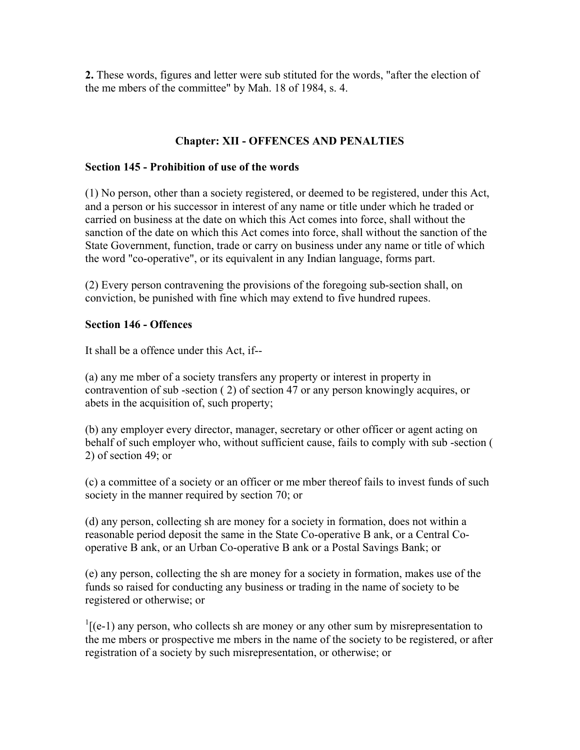**2.** These words, figures and letter were sub stituted for the words, "after the election of the me mbers of the committee" by Mah. 18 of 1984, s. 4.

### **Chapter: XII - OFFENCES AND PENALTIES**

#### **Section 145 - Prohibition of use of the words**

(1) No person, other than a society registered, or deemed to be registered, under this Act, and a person or his successor in interest of any name or title under which he traded or carried on business at the date on which this Act comes into force, shall without the sanction of the date on which this Act comes into force, shall without the sanction of the State Government, function, trade or carry on business under any name or title of which the word "co-operative", or its equivalent in any Indian language, forms part.

(2) Every person contravening the provisions of the foregoing sub-section shall, on conviction, be punished with fine which may extend to five hundred rupees.

### **Section 146 - Offences**

It shall be a offence under this Act, if--

(a) any me mber of a society transfers any property or interest in property in contravention of sub -section ( 2) of section 47 or any person knowingly acquires, or abets in the acquisition of, such property;

(b) any employer every director, manager, secretary or other officer or agent acting on behalf of such employer who, without sufficient cause, fails to comply with sub -section ( 2) of section 49; or

(c) a committee of a society or an officer or me mber thereof fails to invest funds of such society in the manner required by section 70; or

(d) any person, collecting sh are money for a society in formation, does not within a reasonable period deposit the same in the State Co-operative B ank, or a Central Cooperative B ank, or an Urban Co-operative B ank or a Postal Savings Bank; or

(e) any person, collecting the sh are money for a society in formation, makes use of the funds so raised for conducting any business or trading in the name of society to be registered or otherwise; or

 $\frac{1}{1}$ [(e-1) any person, who collects sh are money or any other sum by misrepresentation to the me mbers or prospective me mbers in the name of the society to be registered, or after registration of a society by such misrepresentation, or otherwise; or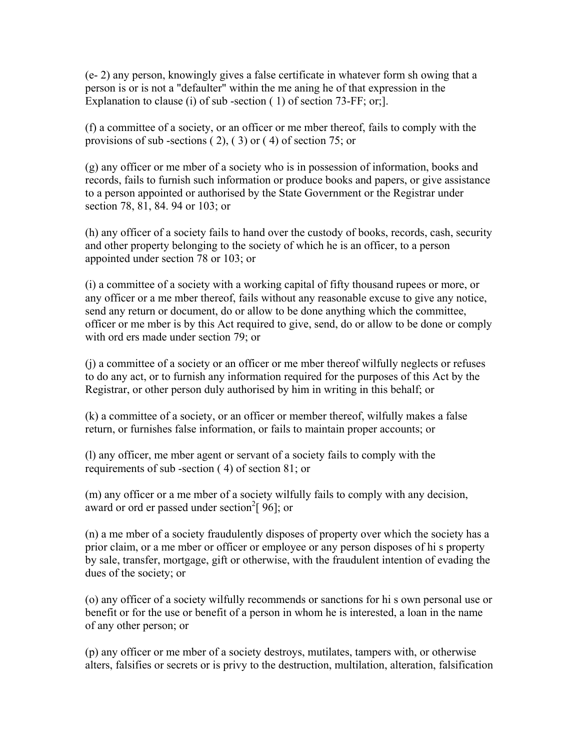(e- 2) any person, knowingly gives a false certificate in whatever form sh owing that a person is or is not a "defaulter" within the me aning he of that expression in the Explanation to clause (i) of sub-section (1) of section 73-FF; or; l.

(f) a committee of a society, or an officer or me mber thereof, fails to comply with the provisions of sub -sections ( 2), ( 3) or ( 4) of section 75; or

(g) any officer or me mber of a society who is in possession of information, books and records, fails to furnish such information or produce books and papers, or give assistance to a person appointed or authorised by the State Government or the Registrar under section 78, 81, 84. 94 or 103; or

(h) any officer of a society fails to hand over the custody of books, records, cash, security and other property belonging to the society of which he is an officer, to a person appointed under section 78 or 103; or

(i) a committee of a society with a working capital of fifty thousand rupees or more, or any officer or a me mber thereof, fails without any reasonable excuse to give any notice, send any return or document, do or allow to be done anything which the committee, officer or me mber is by this Act required to give, send, do or allow to be done or comply with ord ers made under section 79; or

(j) a committee of a society or an officer or me mber thereof wilfully neglects or refuses to do any act, or to furnish any information required for the purposes of this Act by the Registrar, or other person duly authorised by him in writing in this behalf; or

(k) a committee of a society, or an officer or member thereof, wilfully makes a false return, or furnishes false information, or fails to maintain proper accounts; or

(l) any officer, me mber agent or servant of a society fails to comply with the requirements of sub -section ( 4) of section 81; or

(m) any officer or a me mber of a society wilfully fails to comply with any decision, award or ord er passed under section<sup>2</sup>[ $96$ ]; or

(n) a me mber of a society fraudulently disposes of property over which the society has a prior claim, or a me mber or officer or employee or any person disposes of hi s property by sale, transfer, mortgage, gift or otherwise, with the fraudulent intention of evading the dues of the society; or

(o) any officer of a society wilfully recommends or sanctions for hi s own personal use or benefit or for the use or benefit of a person in whom he is interested, a loan in the name of any other person; or

(p) any officer or me mber of a society destroys, mutilates, tampers with, or otherwise alters, falsifies or secrets or is privy to the destruction, multilation, alteration, falsification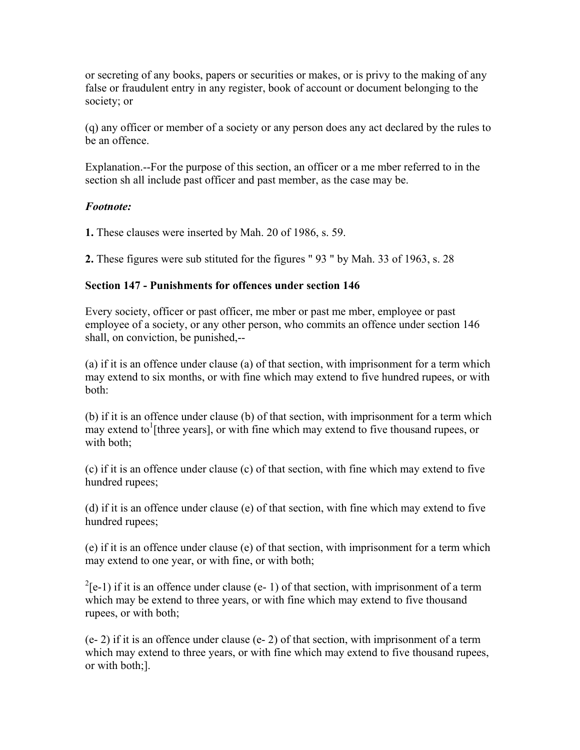or secreting of any books, papers or securities or makes, or is privy to the making of any false or fraudulent entry in any register, book of account or document belonging to the society; or

(q) any officer or member of a society or any person does any act declared by the rules to be an offence.

Explanation.--For the purpose of this section, an officer or a me mber referred to in the section sh all include past officer and past member, as the case may be.

### *Footnote:*

**1.** These clauses were inserted by Mah. 20 of 1986, s. 59.

**2.** These figures were sub stituted for the figures " 93 " by Mah. 33 of 1963, s. 28

### **Section 147 - Punishments for offences under section 146**

Every society, officer or past officer, me mber or past me mber, employee or past employee of a society, or any other person, who commits an offence under section 146 shall, on conviction, be punished,--

(a) if it is an offence under clause (a) of that section, with imprisonment for a term which may extend to six months, or with fine which may extend to five hundred rupees, or with both:

(b) if it is an offence under clause (b) of that section, with imprisonment for a term which  $\frac{1}{2}$  may extend to  $\frac{1}{2}$  [three years], or with fine which may extend to five thousand rupees, or with both;

(c) if it is an offence under clause (c) of that section, with fine which may extend to five hundred rupees;

(d) if it is an offence under clause (e) of that section, with fine which may extend to five hundred rupees;

(e) if it is an offence under clause (e) of that section, with imprisonment for a term which may extend to one year, or with fine, or with both;

 $^{2}$ [e-1) if it is an offence under clause (e- 1) of that section, with imprisonment of a term which may be extend to three years, or with fine which may extend to five thousand rupees, or with both;

 $(e- 2)$  if it is an offence under clause  $(e- 2)$  of that section, with imprisonment of a term which may extend to three years, or with fine which may extend to five thousand rupees, or with both;].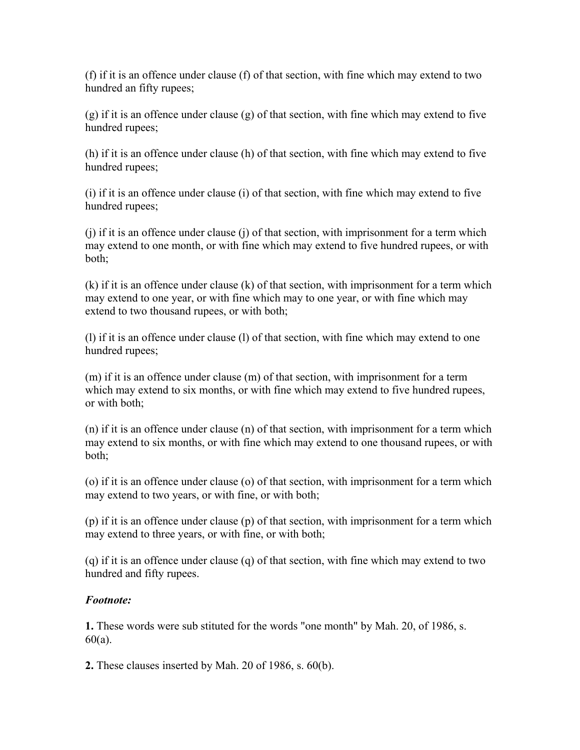(f) if it is an offence under clause (f) of that section, with fine which may extend to two hundred an fifty rupees;

(g) if it is an offence under clause (g) of that section, with fine which may extend to five hundred rupees;

(h) if it is an offence under clause (h) of that section, with fine which may extend to five hundred rupees;

(i) if it is an offence under clause (i) of that section, with fine which may extend to five hundred rupees;

(j) if it is an offence under clause (j) of that section, with imprisonment for a term which may extend to one month, or with fine which may extend to five hundred rupees, or with both;

(k) if it is an offence under clause (k) of that section, with imprisonment for a term which may extend to one year, or with fine which may to one year, or with fine which may extend to two thousand rupees, or with both;

(l) if it is an offence under clause (l) of that section, with fine which may extend to one hundred rupees;

(m) if it is an offence under clause (m) of that section, with imprisonment for a term which may extend to six months, or with fine which may extend to five hundred rupees, or with both;

(n) if it is an offence under clause (n) of that section, with imprisonment for a term which may extend to six months, or with fine which may extend to one thousand rupees, or with both;

(o) if it is an offence under clause (o) of that section, with imprisonment for a term which may extend to two years, or with fine, or with both;

(p) if it is an offence under clause (p) of that section, with imprisonment for a term which may extend to three years, or with fine, or with both;

(q) if it is an offence under clause (q) of that section, with fine which may extend to two hundred and fifty rupees.

### *Footnote:*

**1.** These words were sub stituted for the words "one month" by Mah. 20, of 1986, s. 60(a).

**2.** These clauses inserted by Mah. 20 of 1986, s. 60(b).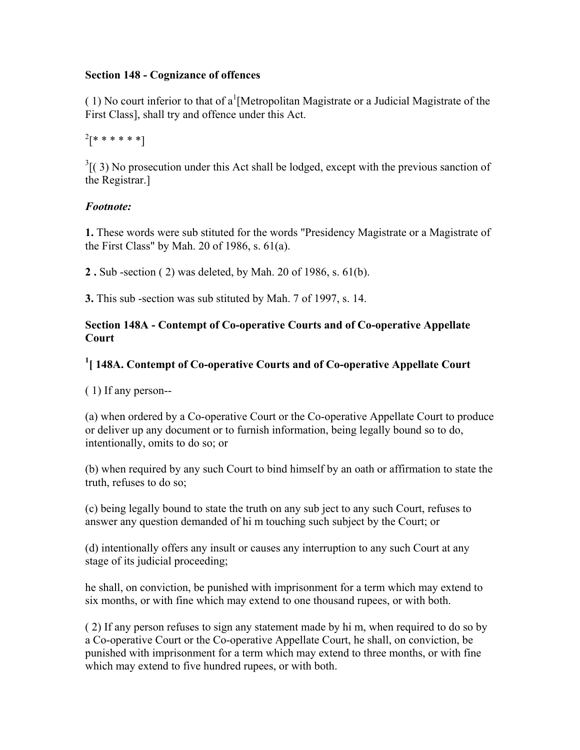### **Section 148 - Cognizance of offences**

(1) No court inferior to that of a<sup>1</sup> [Metropolitan Magistrate or a Judicial Magistrate of the First Class], shall try and offence under this Act.

 $^{2}[********]$ 

 $3(3)$  No prosecution under this Act shall be lodged, except with the previous sanction of the Registrar.]

# *Footnote:*

**1.** These words were sub stituted for the words "Presidency Magistrate or a Magistrate of the First Class" by Mah. 20 of 1986, s. 61(a).

**2 .** Sub -section ( 2) was deleted, by Mah. 20 of 1986, s. 61(b).

**3.** This sub -section was sub stituted by Mah. 7 of 1997, s. 14.

## **Section 148A - Contempt of Co-operative Courts and of Co-operative Appellate Court**

# <sup>1</sup> [148A. Contempt of Co-operative Courts and of Co-operative Appellate Court

( 1) If any person--

(a) when ordered by a Co-operative Court or the Co-operative Appellate Court to produce or deliver up any document or to furnish information, being legally bound so to do, intentionally, omits to do so; or

(b) when required by any such Court to bind himself by an oath or affirmation to state the truth, refuses to do so;

(c) being legally bound to state the truth on any sub ject to any such Court, refuses to answer any question demanded of hi m touching such subject by the Court; or

(d) intentionally offers any insult or causes any interruption to any such Court at any stage of its judicial proceeding;

he shall, on conviction, be punished with imprisonment for a term which may extend to six months, or with fine which may extend to one thousand rupees, or with both.

( 2) If any person refuses to sign any statement made by hi m, when required to do so by a Co-operative Court or the Co-operative Appellate Court, he shall, on conviction, be punished with imprisonment for a term which may extend to three months, or with fine which may extend to five hundred rupees, or with both.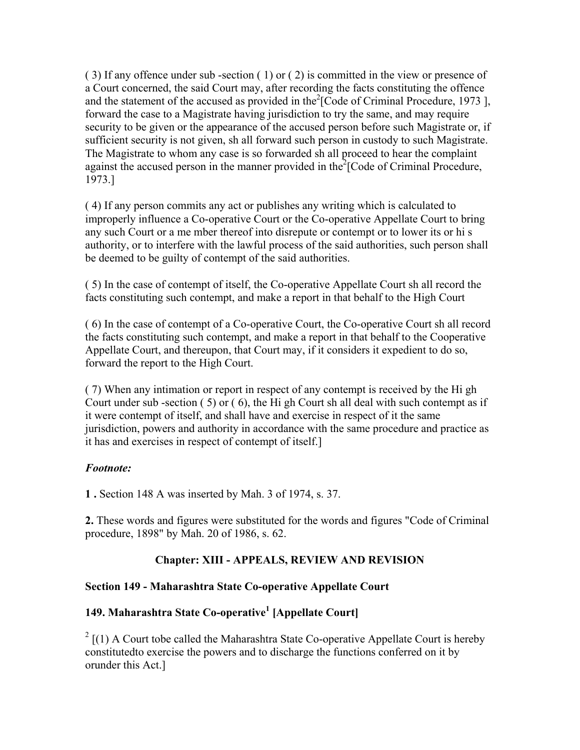( 3) If any offence under sub -section ( 1) or ( 2) is committed in the view or presence of a Court concerned, the said Court may, after recording the facts constituting the offence and the statement of the accused as provided in the  $2$ [Code of Criminal Procedure, 1973], forward the case to a Magistrate having jurisdiction to try the same, and may require security to be given or the appearance of the accused person before such Magistrate or, if sufficient security is not given, sh all forward such person in custody to such Magistrate. The Magistrate to whom any case is so forwarded sh all proceed to hear the complaint against the accused person in the manner provided in the $2$ [Code of Criminal Procedure, 1973.]

( 4) If any person commits any act or publishes any writing which is calculated to improperly influence a Co-operative Court or the Co-operative Appellate Court to bring any such Court or a me mber thereof into disrepute or contempt or to lower its or hi s authority, or to interfere with the lawful process of the said authorities, such person shall be deemed to be guilty of contempt of the said authorities.

( 5) In the case of contempt of itself, the Co-operative Appellate Court sh all record the facts constituting such contempt, and make a report in that behalf to the High Court

( 6) In the case of contempt of a Co-operative Court, the Co-operative Court sh all record the facts constituting such contempt, and make a report in that behalf to the Cooperative Appellate Court, and thereupon, that Court may, if it considers it expedient to do so, forward the report to the High Court.

( 7) When any intimation or report in respect of any contempt is received by the Hi gh Court under sub-section  $(5)$  or  $(6)$ , the Hi gh Court sh all deal with such contempt as if it were contempt of itself, and shall have and exercise in respect of it the same jurisdiction, powers and authority in accordance with the same procedure and practice as it has and exercises in respect of contempt of itself.]

### *Footnote:*

**1 .** Section 148 A was inserted by Mah. 3 of 1974, s. 37.

**2.** These words and figures were substituted for the words and figures "Code of Criminal procedure, 1898" by Mah. 20 of 1986, s. 62.

# **Chapter: XIII - APPEALS, REVIEW AND REVISION**

### **Section 149 - Maharashtra State Co-operative Appellate Court**

# **149. Maharashtra State Co-operative<sup>1</sup> [Appellate Court]**

 $2 \left[ (1)$  A Court tobe called the Maharashtra State Co-operative Appellate Court is hereby constitutedto exercise the powers and to discharge the functions conferred on it by orunder this Act.]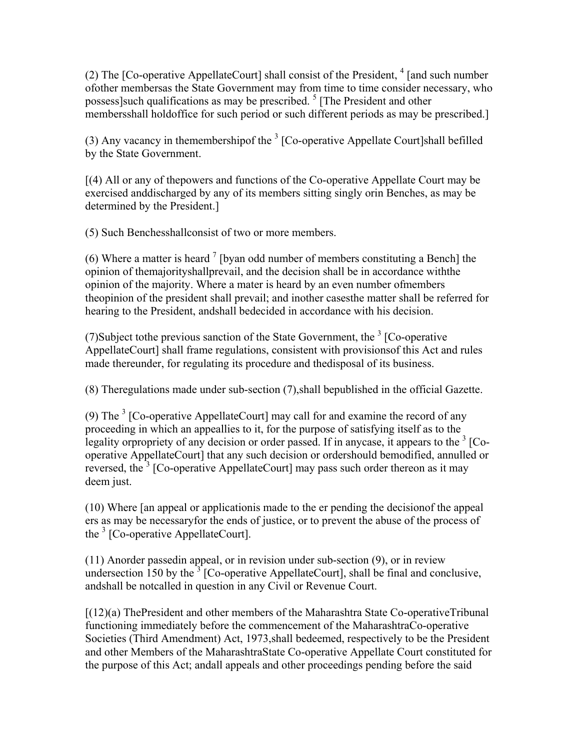(2) The [Co-operative AppellateCourt] shall consist of the President,  $4$  [and such number ofother membersas the State Government may from time to time consider necessary, who possess] such qualifications as may be prescribed.<sup>5</sup> [The President and other membersshall holdoffice for such period or such different periods as may be prescribed.]

(3) Any vacancy in themembershipof the  $3$  [Co-operative Appellate Court]shall befilled by the State Government.

[(4) All or any of thepowers and functions of the Co-operative Appellate Court may be exercised anddischarged by any of its members sitting singly orin Benches, as may be determined by the President.]

(5) Such Benchesshallconsist of two or more members.

(6) Where a matter is heard  $\frac{7}{1}$  [byan odd number of members constituting a Bench] the opinion of themajorityshallprevail, and the decision shall be in accordance withthe opinion of the majority. Where a mater is heard by an even number ofmembers theopinion of the president shall prevail; and inother casesthe matter shall be referred for hearing to the President, andshall bedecided in accordance with his decision.

(7) Subject to the previous sanction of the State Government, the  $3$  [Co-operative AppellateCourt] shall frame regulations, consistent with provisionsof this Act and rules made thereunder, for regulating its procedure and thedisposal of its business.

(8) Theregulations made under sub-section (7),shall bepublished in the official Gazette.

(9) The  $3$  [Co-operative AppellateCourt] may call for and examine the record of any proceeding in which an appeallies to it, for the purpose of satisfying itself as to the legality or propriety of any decision or order passed. If in any case, it appears to the  $3$  [Cooperative AppellateCourt] that any such decision or ordershould bemodified, annulled or reversed, the<sup>3</sup> [Co-operative AppellateCourt] may pass such order thereon as it may deem just.

(10) Where [an appeal or applicationis made to the er pending the decisionof the appeal ers as may be necessaryfor the ends of justice, or to prevent the abuse of the process of the <sup>3</sup> [Co-operative AppellateCourt].

(11) Anorder passedin appeal, or in revision under sub-section (9), or in review undersection 150 by the  $3^{\circ}$  [Co-operative AppellateCourt], shall be final and conclusive, andshall be notcalled in question in any Civil or Revenue Court.

 $[(12)(a)$  ThePresident and other members of the Maharashtra State Co-operativeTribunal functioning immediately before the commencement of the MaharashtraCo-operative Societies (Third Amendment) Act, 1973,shall bedeemed, respectively to be the President and other Members of the MaharashtraState Co-operative Appellate Court constituted for the purpose of this Act; andall appeals and other proceedings pending before the said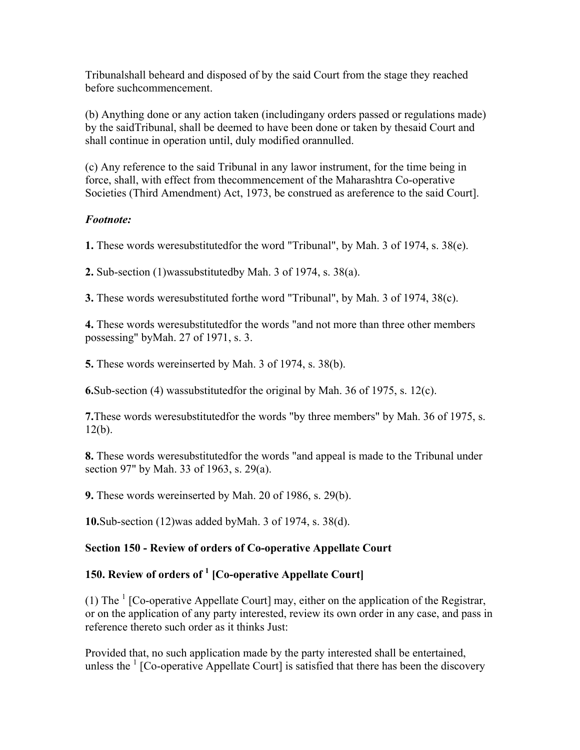Tribunalshall beheard and disposed of by the said Court from the stage they reached before suchcommencement.

(b) Anything done or any action taken (includingany orders passed or regulations made) by the saidTribunal, shall be deemed to have been done or taken by thesaid Court and shall continue in operation until, duly modified orannulled.

(c) Any reference to the said Tribunal in any lawor instrument, for the time being in force, shall, with effect from thecommencement of the Maharashtra Co-operative Societies (Third Amendment) Act, 1973, be construed as areference to the said Court].

## *Footnote:*

**1.** These words weresubstitutedfor the word "Tribunal", by Mah. 3 of 1974, s. 38(e).

**2.** Sub-section (1)wassubstitutedby Mah. 3 of 1974, s. 38(a).

**3.** These words weresubstituted forthe word "Tribunal", by Mah. 3 of 1974, 38(c).

**4.** These words weresubstitutedfor the words "and not more than three other members possessing" byMah. 27 of 1971, s. 3.

**5.** These words wereinserted by Mah. 3 of 1974, s. 38(b).

**6.**Sub-section (4) wassubstitutedfor the original by Mah. 36 of 1975, s. 12(c).

**7.**These words weresubstitutedfor the words "by three members" by Mah. 36 of 1975, s.  $12(b)$ .

**8.** These words weresubstitutedfor the words "and appeal is made to the Tribunal under section 97" by Mah. 33 of 1963, s. 29(a).

**9.** These words wereinserted by Mah. 20 of 1986, s. 29(b).

**10.**Sub-section (12)was added byMah. 3 of 1974, s. 38(d).

# **Section 150 - Review of orders of Co-operative Appellate Court**

# **150. Review of orders of 1 [Co-operative Appellate Court]**

(1) The  $<sup>1</sup>$  [Co-operative Appellate Court] may, either on the application of the Registrar,</sup> or on the application of any party interested, review its own order in any case, and pass in reference thereto such order as it thinks Just:

Provided that, no such application made by the party interested shall be entertained, unless the  $\frac{1}{1}$  [Co-operative Appellate Court] is satisfied that there has been the discovery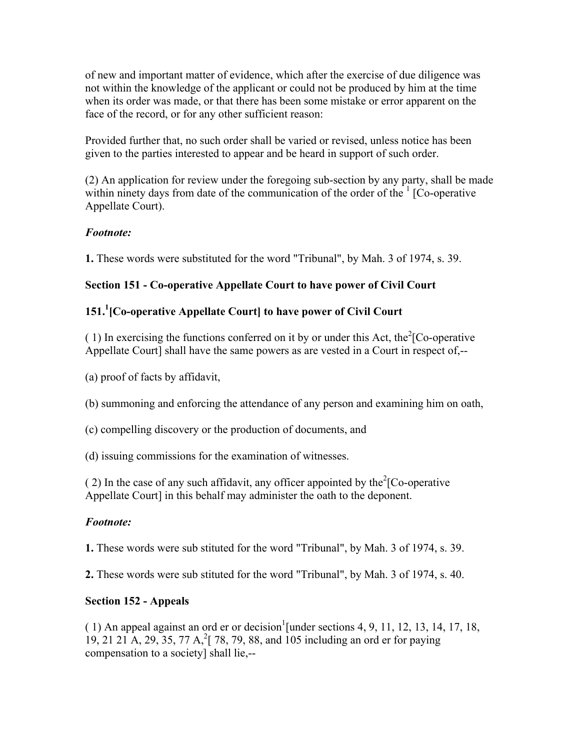of new and important matter of evidence, which after the exercise of due diligence was not within the knowledge of the applicant or could not be produced by him at the time when its order was made, or that there has been some mistake or error apparent on the face of the record, or for any other sufficient reason:

Provided further that, no such order shall be varied or revised, unless notice has been given to the parties interested to appear and be heard in support of such order.

(2) An application for review under the foregoing sub-section by any party, shall be made within ninety days from date of the communication of the order of the  $1$  [Co-operative Appellate Court).

## *Footnote:*

**1.** These words were substituted for the word "Tribunal", by Mah. 3 of 1974, s. 39.

## **Section 151 - Co-operative Appellate Court to have power of Civil Court**

# **151.1 [Co-operative Appellate Court] to have power of Civil Court**

(1) In exercising the functions conferred on it by or under this Act, the<sup>2</sup>[Co-operative Appellate Court] shall have the same powers as are vested in a Court in respect of,--

(a) proof of facts by affidavit,

(b) summoning and enforcing the attendance of any person and examining him on oath,

(c) compelling discovery or the production of documents, and

(d) issuing commissions for the examination of witnesses.

(2) In the case of any such affidavit, any officer appointed by the  ${}^{2}$ [Co-operative Appellate Court] in this behalf may administer the oath to the deponent.

### *Footnote:*

**1.** These words were sub stituted for the word "Tribunal", by Mah. 3 of 1974, s. 39.

**2.** These words were sub stituted for the word "Tribunal", by Mah. 3 of 1974, s. 40.

### **Section 152 - Appeals**

 $(1)$  An appeal against an ord er or decision<sup>1</sup> [under sections 4, 9, 11, 12, 13, 14, 17, 18, 19, 21 21 A, 29, 35, 77 A, <sup>2</sup>[ 78, 79, 88, and 105 including an ord er for paying compensation to a society] shall lie,--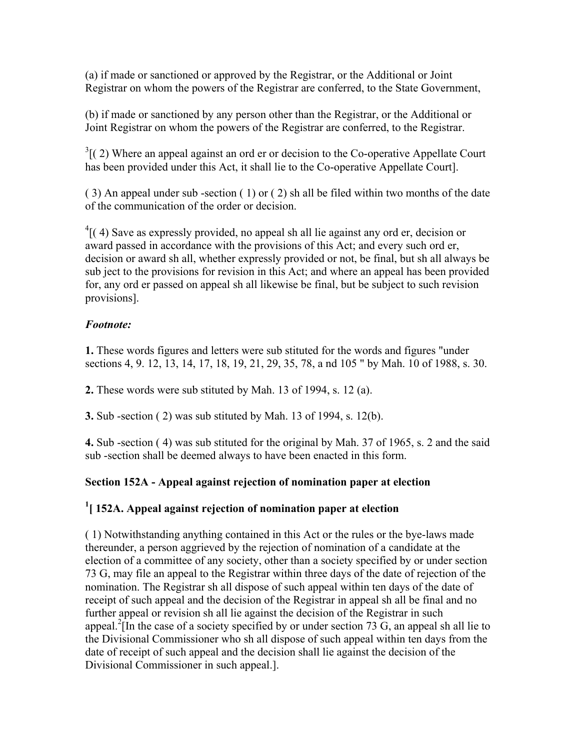(a) if made or sanctioned or approved by the Registrar, or the Additional or Joint Registrar on whom the powers of the Registrar are conferred, to the State Government,

(b) if made or sanctioned by any person other than the Registrar, or the Additional or Joint Registrar on whom the powers of the Registrar are conferred, to the Registrar.

 $3(2)$  Where an appeal against an ord er or decision to the Co-operative Appellate Court has been provided under this Act, it shall lie to the Co-operative Appellate Court].

( 3) An appeal under sub -section ( 1) or ( 2) sh all be filed within two months of the date of the communication of the order or decision.

 $^{4}$ [(4) Save as expressly provided, no appeal sh all lie against any ord er, decision or award passed in accordance with the provisions of this Act; and every such ord er, decision or award sh all, whether expressly provided or not, be final, but sh all always be sub ject to the provisions for revision in this Act; and where an appeal has been provided for, any ord er passed on appeal sh all likewise be final, but be subject to such revision provisions].

# *Footnote:*

**1.** These words figures and letters were sub stituted for the words and figures "under sections 4, 9. 12, 13, 14, 17, 18, 19, 21, 29, 35, 78, a nd 105 " by Mah. 10 of 1988, s. 30.

**2.** These words were sub stituted by Mah. 13 of 1994, s. 12 (a).

**3.** Sub -section ( 2) was sub stituted by Mah. 13 of 1994, s. 12(b).

**4.** Sub -section ( 4) was sub stituted for the original by Mah. 37 of 1965, s. 2 and the said sub -section shall be deemed always to have been enacted in this form.

# **Section 152A - Appeal against rejection of nomination paper at election**

# **1 [ 152A. Appeal against rejection of nomination paper at election**

( 1) Notwithstanding anything contained in this Act or the rules or the bye-laws made thereunder, a person aggrieved by the rejection of nomination of a candidate at the election of a committee of any society, other than a society specified by or under section 73 G, may file an appeal to the Registrar within three days of the date of rejection of the nomination. The Registrar sh all dispose of such appeal within ten days of the date of receipt of such appeal and the decision of the Registrar in appeal sh all be final and no further appeal or revision sh all lie against the decision of the Registrar in such appeal.<sup>2</sup>[In the case of a society specified by or under section 73 G, an appeal sh all lie to the Divisional Commissioner who sh all dispose of such appeal within ten days from the date of receipt of such appeal and the decision shall lie against the decision of the Divisional Commissioner in such appeal.].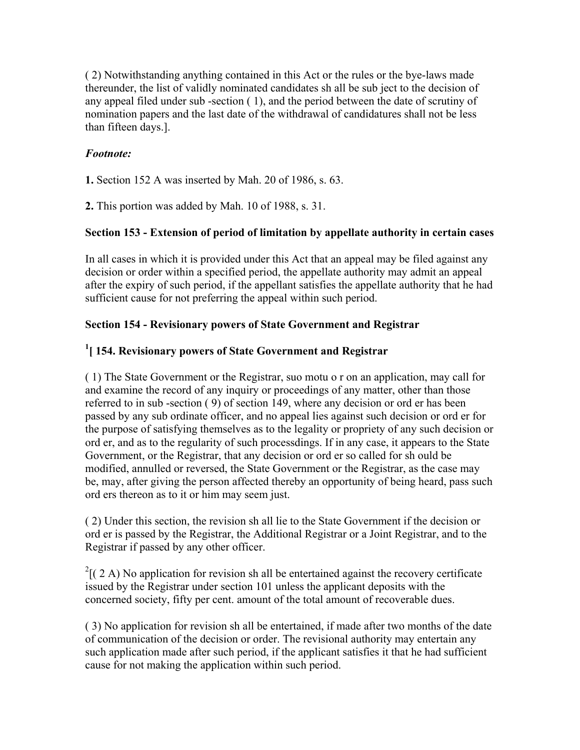( 2) Notwithstanding anything contained in this Act or the rules or the bye-laws made thereunder, the list of validly nominated candidates sh all be sub ject to the decision of any appeal filed under sub -section ( 1), and the period between the date of scrutiny of nomination papers and the last date of the withdrawal of candidatures shall not be less than fifteen days.].

## *Footnote:*

**1.** Section 152 A was inserted by Mah. 20 of 1986, s. 63.

**2.** This portion was added by Mah. 10 of 1988, s. 31.

### **Section 153 - Extension of period of limitation by appellate authority in certain cases**

In all cases in which it is provided under this Act that an appeal may be filed against any decision or order within a specified period, the appellate authority may admit an appeal after the expiry of such period, if the appellant satisfies the appellate authority that he had sufficient cause for not preferring the appeal within such period.

### **Section 154 - Revisionary powers of State Government and Registrar**

## **1 [ 154. Revisionary powers of State Government and Registrar**

( 1) The State Government or the Registrar, suo motu o r on an application, may call for and examine the record of any inquiry or proceedings of any matter, other than those referred to in sub -section ( 9) of section 149, where any decision or ord er has been passed by any sub ordinate officer, and no appeal lies against such decision or ord er for the purpose of satisfying themselves as to the legality or propriety of any such decision or ord er, and as to the regularity of such processdings. If in any case, it appears to the State Government, or the Registrar, that any decision or ord er so called for sh ould be modified, annulled or reversed, the State Government or the Registrar, as the case may be, may, after giving the person affected thereby an opportunity of being heard, pass such ord ers thereon as to it or him may seem just.

( 2) Under this section, the revision sh all lie to the State Government if the decision or ord er is passed by the Registrar, the Additional Registrar or a Joint Registrar, and to the Registrar if passed by any other officer.

 $2$ [(2 A) No application for revision sh all be entertained against the recovery certificate issued by the Registrar under section 101 unless the applicant deposits with the concerned society, fifty per cent. amount of the total amount of recoverable dues.

( 3) No application for revision sh all be entertained, if made after two months of the date of communication of the decision or order. The revisional authority may entertain any such application made after such period, if the applicant satisfies it that he had sufficient cause for not making the application within such period.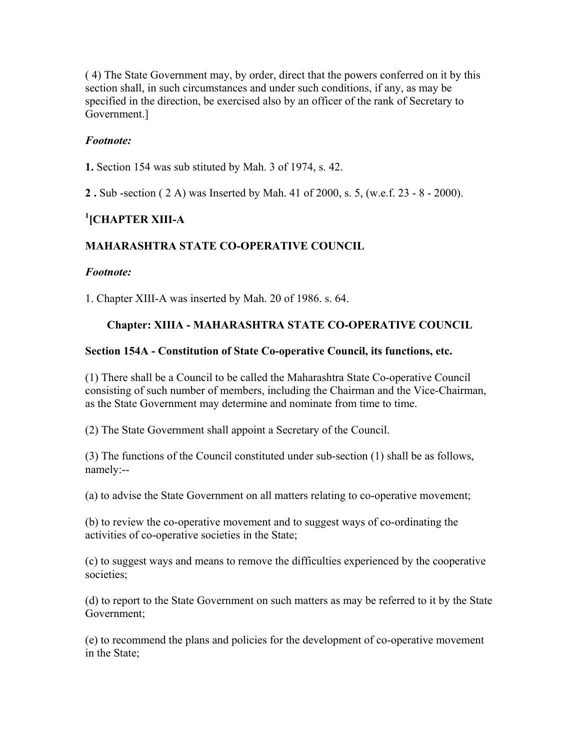( 4) The State Government may, by order, direct that the powers conferred on it by this section shall, in such circumstances and under such conditions, if any, as may be specified in the direction, be exercised also by an officer of the rank of Secretary to Government.]

### *Footnote:*

**1.** Section 154 was sub stituted by Mah. 3 of 1974, s. 42.

**2 .** Sub -section ( 2 A) was Inserted by Mah. 41 of 2000, s. 5, (w.e.f. 23 - 8 - 2000).

# **1 [CHAPTER XIII-A**

## **MAHARASHTRA STATE CO-OPERATIVE COUNCIL**

### *Footnote:*

1. Chapter XIII-A was inserted by Mah. 20 of 1986. s. 64.

### **Chapter: XIIIA - MAHARASHTRA STATE CO-OPERATIVE COUNCIL**

### **Section 154A - Constitution of State Co-operative Council, its functions, etc.**

(1) There shall be a Council to be called the Maharashtra State Co-operative Council consisting of such number of members, including the Chairman and the Vice-Chairman, as the State Government may determine and nominate from time to time.

(2) The State Government shall appoint a Secretary of the Council.

(3) The functions of the Council constituted under sub-section (1) shall be as follows, namely:--

(a) to advise the State Government on all matters relating to co-operative movement;

(b) to review the co-operative movement and to suggest ways of co-ordinating the activities of co-operative societies in the State;

(c) to suggest ways and means to remove the difficulties experienced by the cooperative societies;

(d) to report to the State Government on such matters as may be referred to it by the State Government;

(e) to recommend the plans and policies for the development of co-operative movement in the State;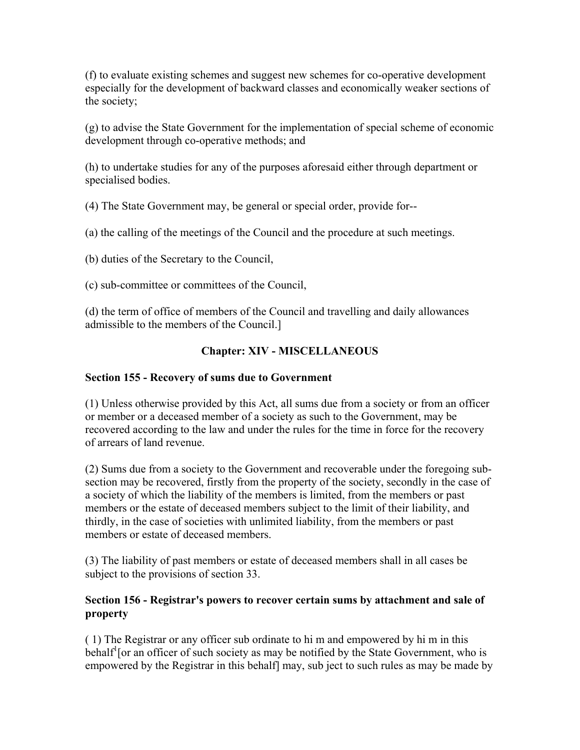(f) to evaluate existing schemes and suggest new schemes for co-operative development especially for the development of backward classes and economically weaker sections of the society;

(g) to advise the State Government for the implementation of special scheme of economic development through co-operative methods; and

(h) to undertake studies for any of the purposes aforesaid either through department or specialised bodies.

(4) The State Government may, be general or special order, provide for--

(a) the calling of the meetings of the Council and the procedure at such meetings.

(b) duties of the Secretary to the Council,

(c) sub-committee or committees of the Council,

(d) the term of office of members of the Council and travelling and daily allowances admissible to the members of the Council.]

## **Chapter: XIV - MISCELLANEOUS**

### **Section 155 - Recovery of sums due to Government**

(1) Unless otherwise provided by this Act, all sums due from a society or from an officer or member or a deceased member of a society as such to the Government, may be recovered according to the law and under the rules for the time in force for the recovery of arrears of land revenue.

(2) Sums due from a society to the Government and recoverable under the foregoing subsection may be recovered, firstly from the property of the society, secondly in the case of a society of which the liability of the members is limited, from the members or past members or the estate of deceased members subject to the limit of their liability, and thirdly, in the case of societies with unlimited liability, from the members or past members or estate of deceased members.

(3) The liability of past members or estate of deceased members shall in all cases be subject to the provisions of section 33.

### **Section 156 - Registrar's powers to recover certain sums by attachment and sale of property**

( 1) The Registrar or any officer sub ordinate to hi m and empowered by hi m in this behalf<sup>1</sup> [or an officer of such society as may be notified by the State Government, who is empowered by the Registrar in this behalf] may, sub ject to such rules as may be made by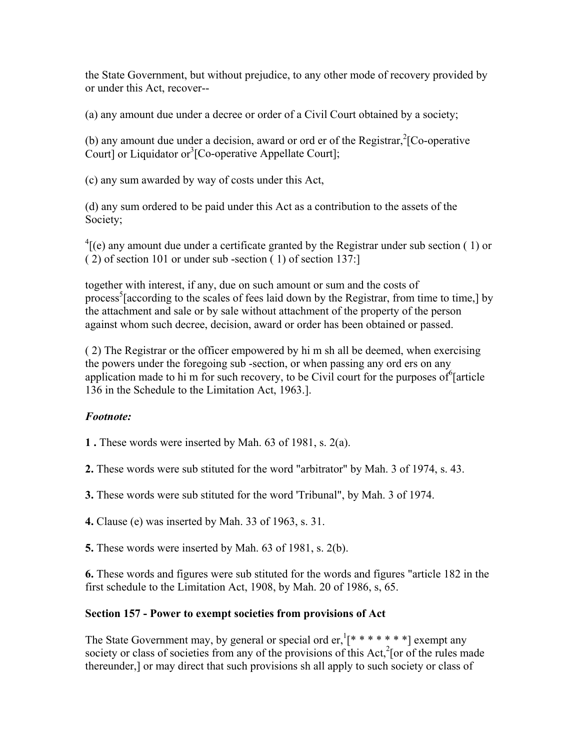the State Government, but without prejudice, to any other mode of recovery provided by or under this Act, recover--

(a) any amount due under a decree or order of a Civil Court obtained by a society;

(b) any amount due under a decision, award or ord er of the Registrar,  ${}^{2}$ [Co-operative Court] or Liquidator or<sup>3</sup>[Co-operative Appellate Court];

(c) any sum awarded by way of costs under this Act,

(d) any sum ordered to be paid under this Act as a contribution to the assets of the Society;

 ${}^{4}$ [(e) any amount due under a certificate granted by the Registrar under sub section (1) or ( 2) of section 101 or under sub -section ( 1) of section 137:]

together with interest, if any, due on such amount or sum and the costs of process<sup>5</sup> [according to the scales of fees laid down by the Registrar, from time to time,] by the attachment and sale or by sale without attachment of the property of the person against whom such decree, decision, award or order has been obtained or passed.

( 2) The Registrar or the officer empowered by hi m sh all be deemed, when exercising the powers under the foregoing sub -section, or when passing any ord ers on any application made to hi m for such recovery, to be Civil court for the purposes of  $6$  article 136 in the Schedule to the Limitation Act, 1963.].

# *Footnote:*

**1 .** These words were inserted by Mah. 63 of 1981, s. 2(a).

**2.** These words were sub stituted for the word "arbitrator" by Mah. 3 of 1974, s. 43.

**3.** These words were sub stituted for the word 'Tribunal", by Mah. 3 of 1974.

**4.** Clause (e) was inserted by Mah. 33 of 1963, s. 31.

**5.** These words were inserted by Mah. 63 of 1981, s. 2(b).

**6.** These words and figures were sub stituted for the words and figures "article 182 in the first schedule to the Limitation Act, 1908, by Mah. 20 of 1986, s, 65.

### **Section 157 - Power to exempt societies from provisions of Act**

The State Government may, by general or special ord er,  $[$ \* \* \* \* \* \* \* ] exempt any society or class of societies from any of the provisions of this  $Act$ <sup>2</sup> [or of the rules made thereunder,] or may direct that such provisions sh all apply to such society or class of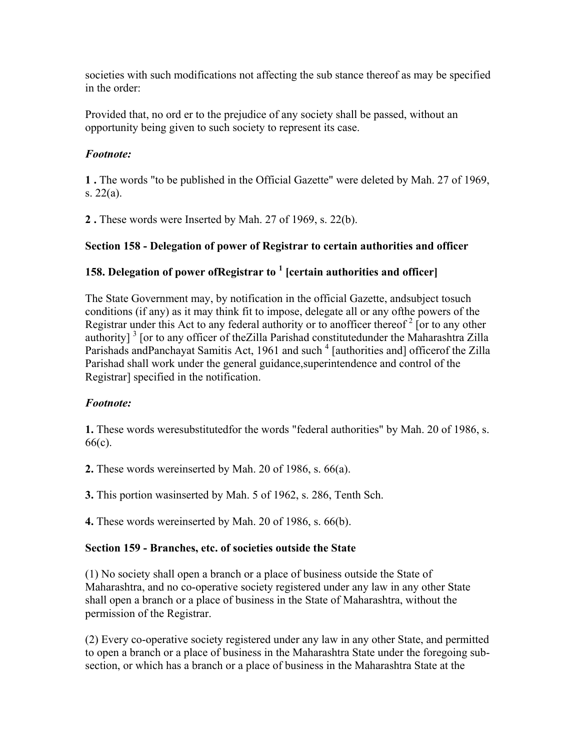societies with such modifications not affecting the sub stance thereof as may be specified in the order:

Provided that, no ord er to the prejudice of any society shall be passed, without an opportunity being given to such society to represent its case.

## *Footnote:*

**1 .** The words "to be published in the Official Gazette" were deleted by Mah. 27 of 1969, s. 22(a).

**2 .** These words were Inserted by Mah. 27 of 1969, s. 22(b).

# **Section 158 - Delegation of power of Registrar to certain authorities and officer**

# **158. Delegation of power ofRegistrar to 1 [certain authorities and officer]**

The State Government may, by notification in the official Gazette, andsubject tosuch conditions (if any) as it may think fit to impose, delegate all or any ofthe powers of the Registrar under this Act to any federal authority or to anofficer thereof<sup>2</sup> [or to any other authority]<sup>3</sup> [or to any officer of the Zilla Parishad constitutedunder the Maharashtra Zilla Parishads andPanchayat Samitis Act, 1961 and such <sup>4</sup> [authorities and] officerof the Zilla Parishad shall work under the general guidance,superintendence and control of the Registrar] specified in the notification.

# *Footnote:*

**1.** These words weresubstitutedfor the words "federal authorities" by Mah. 20 of 1986, s. 66(c).

**2.** These words wereinserted by Mah. 20 of 1986, s. 66(a).

**3.** This portion wasinserted by Mah. 5 of 1962, s. 286, Tenth Sch.

**4.** These words wereinserted by Mah. 20 of 1986, s. 66(b).

### **Section 159 - Branches, etc. of societies outside the State**

(1) No society shall open a branch or a place of business outside the State of Maharashtra, and no co-operative society registered under any law in any other State shall open a branch or a place of business in the State of Maharashtra, without the permission of the Registrar.

(2) Every co-operative society registered under any law in any other State, and permitted to open a branch or a place of business in the Maharashtra State under the foregoing subsection, or which has a branch or a place of business in the Maharashtra State at the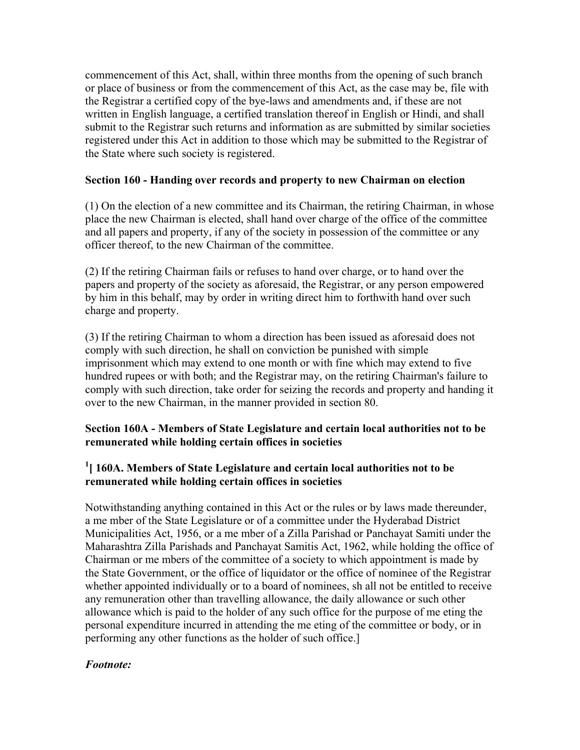commencement of this Act, shall, within three months from the opening of such branch or place of business or from the commencement of this Act, as the case may be, file with the Registrar a certified copy of the bye-laws and amendments and, if these are not written in English language, a certified translation thereof in English or Hindi, and shall submit to the Registrar such returns and information as are submitted by similar societies registered under this Act in addition to those which may be submitted to the Registrar of the State where such society is registered.

### **Section 160 - Handing over records and property to new Chairman on election**

(1) On the election of a new committee and its Chairman, the retiring Chairman, in whose place the new Chairman is elected, shall hand over charge of the office of the committee and all papers and property, if any of the society in possession of the committee or any officer thereof, to the new Chairman of the committee.

(2) If the retiring Chairman fails or refuses to hand over charge, or to hand over the papers and property of the society as aforesaid, the Registrar, or any person empowered by him in this behalf, may by order in writing direct him to forthwith hand over such charge and property.

(3) If the retiring Chairman to whom a direction has been issued as aforesaid does not comply with such direction, he shall on conviction be punished with simple imprisonment which may extend to one month or with fine which may extend to five hundred rupees or with both; and the Registrar may, on the retiring Chairman's failure to comply with such direction, take order for seizing the records and property and handing it over to the new Chairman, in the manner provided in section 80.

### **Section 160A - Members of State Legislature and certain local authorities not to be remunerated while holding certain offices in societies**

## <sup>1</sup> [ 160A. Members of State Legislature and certain local authorities not to be **remunerated while holding certain offices in societies**

Notwithstanding anything contained in this Act or the rules or by laws made thereunder, a me mber of the State Legislature or of a committee under the Hyderabad District Municipalities Act, 1956, or a me mber of a Zilla Parishad or Panchayat Samiti under the Maharashtra Zilla Parishads and Panchayat Samitis Act, 1962, while holding the office of Chairman or me mbers of the committee of a society to which appointment is made by the State Government, or the office of liquidator or the office of nominee of the Registrar whether appointed individually or to a board of nominees, sh all not be entitled to receive any remuneration other than travelling allowance, the daily allowance or such other allowance which is paid to the holder of any such office for the purpose of me eting the personal expenditure incurred in attending the me eting of the committee or body, or in performing any other functions as the holder of such office.]

### *Footnote:*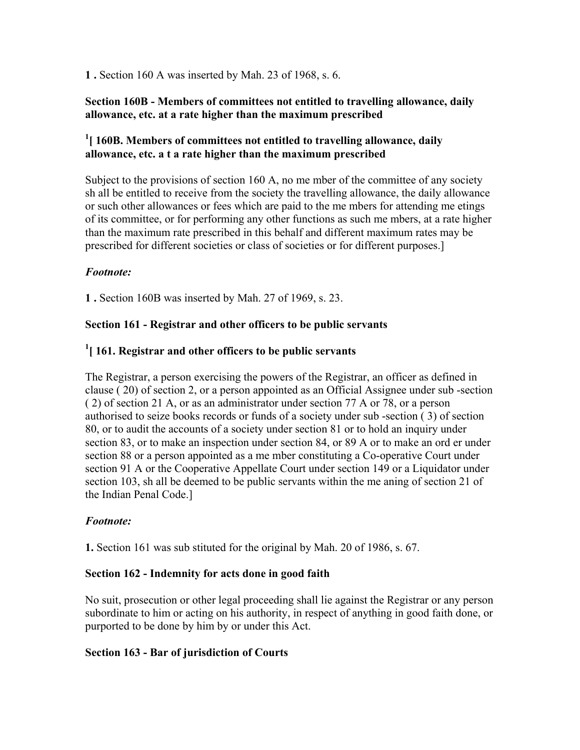**1 .** Section 160 A was inserted by Mah. 23 of 1968, s. 6.

### **Section 160B - Members of committees not entitled to travelling allowance, daily allowance, etc. at a rate higher than the maximum prescribed**

### <sup>1</sup>[ 160B. Members of committees not entitled to travelling allowance, daily **allowance, etc. a t a rate higher than the maximum prescribed**

Subject to the provisions of section 160 A, no me mber of the committee of any society sh all be entitled to receive from the society the travelling allowance, the daily allowance or such other allowances or fees which are paid to the me mbers for attending me etings of its committee, or for performing any other functions as such me mbers, at a rate higher than the maximum rate prescribed in this behalf and different maximum rates may be prescribed for different societies or class of societies or for different purposes.]

### *Footnote:*

**1 .** Section 160B was inserted by Mah. 27 of 1969, s. 23.

## **Section 161 - Registrar and other officers to be public servants**

# **1 [ 161. Registrar and other officers to be public servants**

The Registrar, a person exercising the powers of the Registrar, an officer as defined in clause ( 20) of section 2, or a person appointed as an Official Assignee under sub -section ( 2) of section 21 A, or as an administrator under section 77 A or 78, or a person authorised to seize books records or funds of a society under sub -section ( 3) of section 80, or to audit the accounts of a society under section 81 or to hold an inquiry under section 83, or to make an inspection under section 84, or 89 A or to make an ord er under section 88 or a person appointed as a me mber constituting a Co-operative Court under section 91 A or the Cooperative Appellate Court under section 149 or a Liquidator under section 103, sh all be deemed to be public servants within the me aning of section 21 of the Indian Penal Code.]

### *Footnote:*

**1.** Section 161 was sub stituted for the original by Mah. 20 of 1986, s. 67.

### **Section 162 - Indemnity for acts done in good faith**

No suit, prosecution or other legal proceeding shall lie against the Registrar or any person subordinate to him or acting on his authority, in respect of anything in good faith done, or purported to be done by him by or under this Act.

### **Section 163 - Bar of jurisdiction of Courts**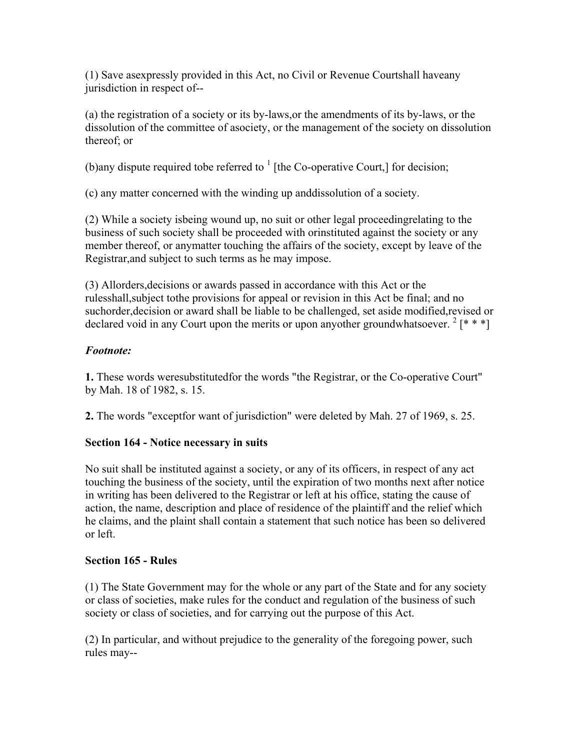(1) Save asexpressly provided in this Act, no Civil or Revenue Courtshall haveany jurisdiction in respect of--

(a) the registration of a society or its by-laws,or the amendments of its by-laws, or the dissolution of the committee of asociety, or the management of the society on dissolution thereof; or

(b)any dispute required to be referred to  $<sup>1</sup>$  [the Co-operative Court,] for decision;</sup>

(c) any matter concerned with the winding up anddissolution of a society.

(2) While a society isbeing wound up, no suit or other legal proceedingrelating to the business of such society shall be proceeded with orinstituted against the society or any member thereof, or anymatter touching the affairs of the society, except by leave of the Registrar,and subject to such terms as he may impose.

(3) Allorders,decisions or awards passed in accordance with this Act or the rulesshall,subject tothe provisions for appeal or revision in this Act be final; and no suchorder,decision or award shall be liable to be challenged, set aside modified,revised or declared void in any Court upon the merits or upon anyother groundwhatsoever.<sup>2</sup> [\* \* \*]

# *Footnote:*

**1.** These words weresubstitutedfor the words "the Registrar, or the Co-operative Court" by Mah. 18 of 1982, s. 15.

**2.** The words "exceptfor want of jurisdiction" were deleted by Mah. 27 of 1969, s. 25.

# **Section 164 - Notice necessary in suits**

No suit shall be instituted against a society, or any of its officers, in respect of any act touching the business of the society, until the expiration of two months next after notice in writing has been delivered to the Registrar or left at his office, stating the cause of action, the name, description and place of residence of the plaintiff and the relief which he claims, and the plaint shall contain a statement that such notice has been so delivered or left.

# **Section 165 - Rules**

(1) The State Government may for the whole or any part of the State and for any society or class of societies, make rules for the conduct and regulation of the business of such society or class of societies, and for carrying out the purpose of this Act.

(2) In particular, and without prejudice to the generality of the foregoing power, such rules may--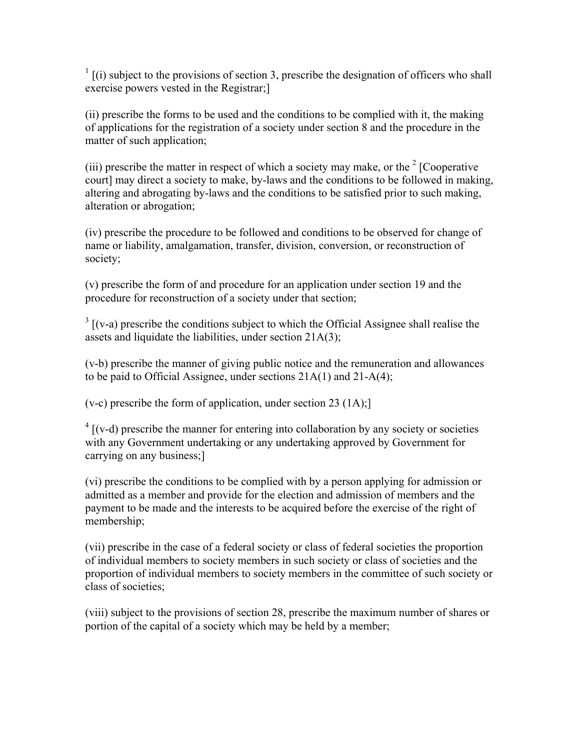$\frac{1}{1}$  [(i) subject to the provisions of section 3, prescribe the designation of officers who shall exercise powers vested in the Registrar;]

(ii) prescribe the forms to be used and the conditions to be complied with it, the making of applications for the registration of a society under section 8 and the procedure in the matter of such application;

(iii) prescribe the matter in respect of which a society may make, or the  $2^2$  [Cooperative court] may direct a society to make, by-laws and the conditions to be followed in making, altering and abrogating by-laws and the conditions to be satisfied prior to such making, alteration or abrogation;

(iv) prescribe the procedure to be followed and conditions to be observed for change of name or liability, amalgamation, transfer, division, conversion, or reconstruction of society;

(v) prescribe the form of and procedure for an application under section 19 and the procedure for reconstruction of a society under that section;

 $3$  [(v-a) prescribe the conditions subject to which the Official Assignee shall realise the assets and liquidate the liabilities, under section 21A(3);

(v-b) prescribe the manner of giving public notice and the remuneration and allowances to be paid to Official Assignee, under sections 21A(1) and 21-A(4);

 $(v-c)$  prescribe the form of application, under section 23 (1A);

 $4$  [(v-d) prescribe the manner for entering into collaboration by any society or societies with any Government undertaking or any undertaking approved by Government for carrying on any business;]

(vi) prescribe the conditions to be complied with by a person applying for admission or admitted as a member and provide for the election and admission of members and the payment to be made and the interests to be acquired before the exercise of the right of membership;

(vii) prescribe in the case of a federal society or class of federal societies the proportion of individual members to society members in such society or class of societies and the proportion of individual members to society members in the committee of such society or class of societies;

(viii) subject to the provisions of section 28, prescribe the maximum number of shares or portion of the capital of a society which may be held by a member;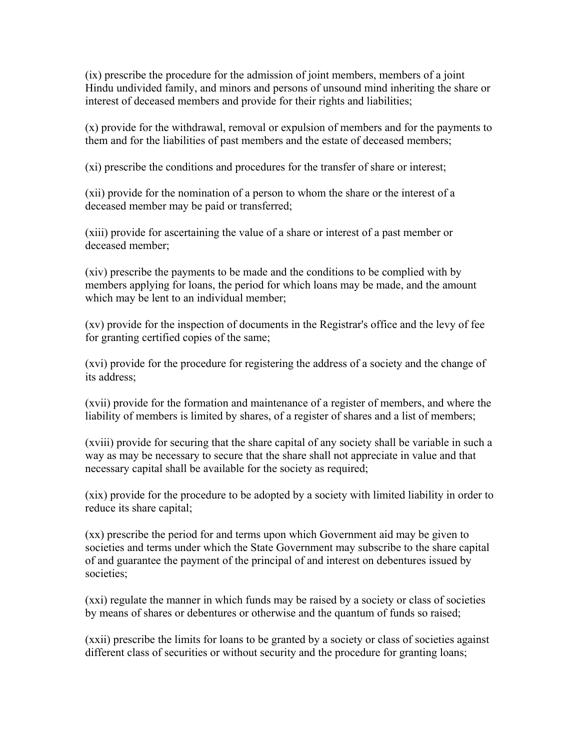(ix) prescribe the procedure for the admission of joint members, members of a joint Hindu undivided family, and minors and persons of unsound mind inheriting the share or interest of deceased members and provide for their rights and liabilities;

(x) provide for the withdrawal, removal or expulsion of members and for the payments to them and for the liabilities of past members and the estate of deceased members;

(xi) prescribe the conditions and procedures for the transfer of share or interest;

(xii) provide for the nomination of a person to whom the share or the interest of a deceased member may be paid or transferred;

(xiii) provide for ascertaining the value of a share or interest of a past member or deceased member;

(xiv) prescribe the payments to be made and the conditions to be complied with by members applying for loans, the period for which loans may be made, and the amount which may be lent to an individual member;

(xv) provide for the inspection of documents in the Registrar's office and the levy of fee for granting certified copies of the same;

(xvi) provide for the procedure for registering the address of a society and the change of its address;

(xvii) provide for the formation and maintenance of a register of members, and where the liability of members is limited by shares, of a register of shares and a list of members;

(xviii) provide for securing that the share capital of any society shall be variable in such a way as may be necessary to secure that the share shall not appreciate in value and that necessary capital shall be available for the society as required;

(xix) provide for the procedure to be adopted by a society with limited liability in order to reduce its share capital;

(xx) prescribe the period for and terms upon which Government aid may be given to societies and terms under which the State Government may subscribe to the share capital of and guarantee the payment of the principal of and interest on debentures issued by societies;

(xxi) regulate the manner in which funds may be raised by a society or class of societies by means of shares or debentures or otherwise and the quantum of funds so raised;

(xxii) prescribe the limits for loans to be granted by a society or class of societies against different class of securities or without security and the procedure for granting loans;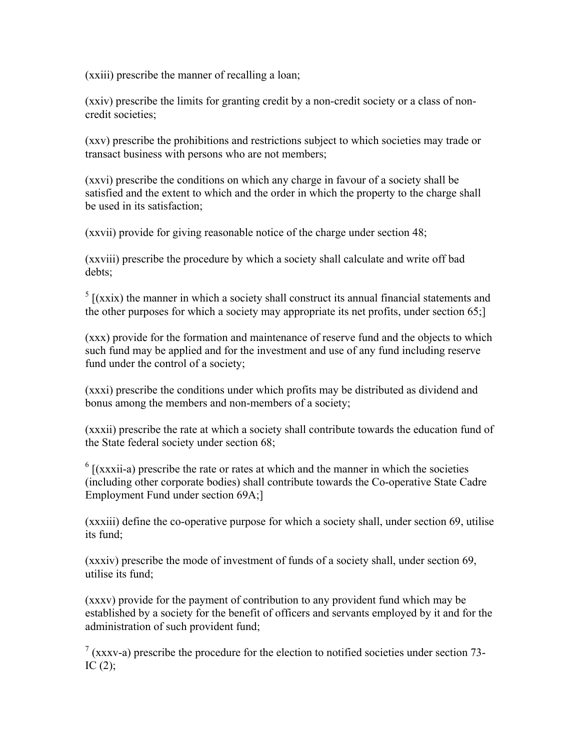(xxiii) prescribe the manner of recalling a loan;

(xxiv) prescribe the limits for granting credit by a non-credit society or a class of noncredit societies;

(xxv) prescribe the prohibitions and restrictions subject to which societies may trade or transact business with persons who are not members;

(xxvi) prescribe the conditions on which any charge in favour of a society shall be satisfied and the extent to which and the order in which the property to the charge shall be used in its satisfaction;

(xxvii) provide for giving reasonable notice of the charge under section 48;

(xxviii) prescribe the procedure by which a society shall calculate and write off bad debts;

 $<sup>5</sup>$  [(xxix) the manner in which a society shall construct its annual financial statements and</sup> the other purposes for which a society may appropriate its net profits, under section 65;]

(xxx) provide for the formation and maintenance of reserve fund and the objects to which such fund may be applied and for the investment and use of any fund including reserve fund under the control of a society;

(xxxi) prescribe the conditions under which profits may be distributed as dividend and bonus among the members and non-members of a society;

(xxxii) prescribe the rate at which a society shall contribute towards the education fund of the State federal society under section 68;

 $<sup>6</sup>$  [(xxxii-a) prescribe the rate or rates at which and the manner in which the societies</sup> (including other corporate bodies) shall contribute towards the Co-operative State Cadre Employment Fund under section 69A;]

(xxxiii) define the co-operative purpose for which a society shall, under section 69, utilise its fund;

(xxxiv) prescribe the mode of investment of funds of a society shall, under section 69, utilise its fund;

(xxxv) provide for the payment of contribution to any provident fund which may be established by a society for the benefit of officers and servants employed by it and for the administration of such provident fund;

 $7$  (xxxv-a) prescribe the procedure for the election to notified societies under section 73-IC  $(2)$ ;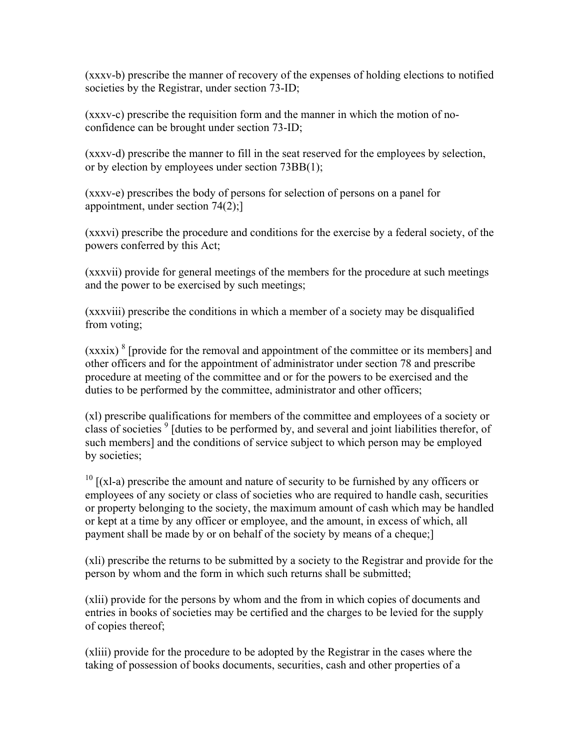(xxxv-b) prescribe the manner of recovery of the expenses of holding elections to notified societies by the Registrar, under section 73-ID;

(xxxv-c) prescribe the requisition form and the manner in which the motion of noconfidence can be brought under section 73-ID;

(xxxv-d) prescribe the manner to fill in the seat reserved for the employees by selection, or by election by employees under section 73BB(1);

(xxxv-e) prescribes the body of persons for selection of persons on a panel for appointment, under section 74(2);]

(xxxvi) prescribe the procedure and conditions for the exercise by a federal society, of the powers conferred by this Act;

(xxxvii) provide for general meetings of the members for the procedure at such meetings and the power to be exercised by such meetings;

(xxxviii) prescribe the conditions in which a member of a society may be disqualified from voting;

 $(xxxix)^{8}$  [provide for the removal and appointment of the committee or its members] and other officers and for the appointment of administrator under section 78 and prescribe procedure at meeting of the committee and or for the powers to be exercised and the duties to be performed by the committee, administrator and other officers;

(xl) prescribe qualifications for members of the committee and employees of a society or class of societies <sup>9</sup> [duties to be performed by, and several and joint liabilities therefor, of such members] and the conditions of service subject to which person may be employed by societies;

 $10$  [(xl-a) prescribe the amount and nature of security to be furnished by any officers or employees of any society or class of societies who are required to handle cash, securities or property belonging to the society, the maximum amount of cash which may be handled or kept at a time by any officer or employee, and the amount, in excess of which, all payment shall be made by or on behalf of the society by means of a cheque;]

(xli) prescribe the returns to be submitted by a society to the Registrar and provide for the person by whom and the form in which such returns shall be submitted;

(xlii) provide for the persons by whom and the from in which copies of documents and entries in books of societies may be certified and the charges to be levied for the supply of copies thereof;

(xliii) provide for the procedure to be adopted by the Registrar in the cases where the taking of possession of books documents, securities, cash and other properties of a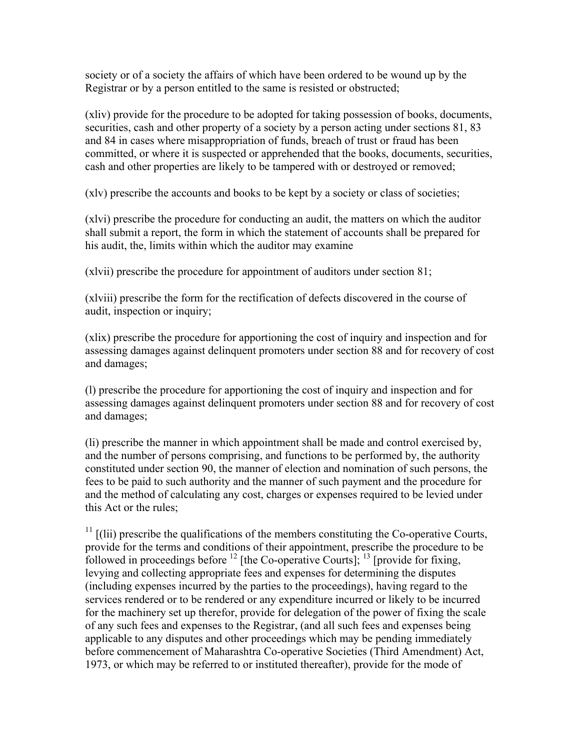society or of a society the affairs of which have been ordered to be wound up by the Registrar or by a person entitled to the same is resisted or obstructed;

(xliv) provide for the procedure to be adopted for taking possession of books, documents, securities, cash and other property of a society by a person acting under sections 81, 83 and 84 in cases where misappropriation of funds, breach of trust or fraud has been committed, or where it is suspected or apprehended that the books, documents, securities, cash and other properties are likely to be tampered with or destroyed or removed;

(xlv) prescribe the accounts and books to be kept by a society or class of societies;

(xlvi) prescribe the procedure for conducting an audit, the matters on which the auditor shall submit a report, the form in which the statement of accounts shall be prepared for his audit, the, limits within which the auditor may examine

(xlvii) prescribe the procedure for appointment of auditors under section 81;

(xlviii) prescribe the form for the rectification of defects discovered in the course of audit, inspection or inquiry;

(xlix) prescribe the procedure for apportioning the cost of inquiry and inspection and for assessing damages against delinquent promoters under section 88 and for recovery of cost and damages;

(l) prescribe the procedure for apportioning the cost of inquiry and inspection and for assessing damages against delinquent promoters under section 88 and for recovery of cost and damages;

(li) prescribe the manner in which appointment shall be made and control exercised by, and the number of persons comprising, and functions to be performed by, the authority constituted under section 90, the manner of election and nomination of such persons, the fees to be paid to such authority and the manner of such payment and the procedure for and the method of calculating any cost, charges or expenses required to be levied under this Act or the rules;

 $11$   $\lbrack$  ((lii) prescribe the qualifications of the members constituting the Co-operative Courts, provide for the terms and conditions of their appointment, prescribe the procedure to be followed in proceedings before  $^{12}$  [the Co-operative Courts];  $^{13}$  [provide for fixing, levying and collecting appropriate fees and expenses for determining the disputes (including expenses incurred by the parties to the proceedings), having regard to the services rendered or to be rendered or any expenditure incurred or likely to be incurred for the machinery set up therefor, provide for delegation of the power of fixing the scale of any such fees and expenses to the Registrar, (and all such fees and expenses being applicable to any disputes and other proceedings which may be pending immediately before commencement of Maharashtra Co-operative Societies (Third Amendment) Act, 1973, or which may be referred to or instituted thereafter), provide for the mode of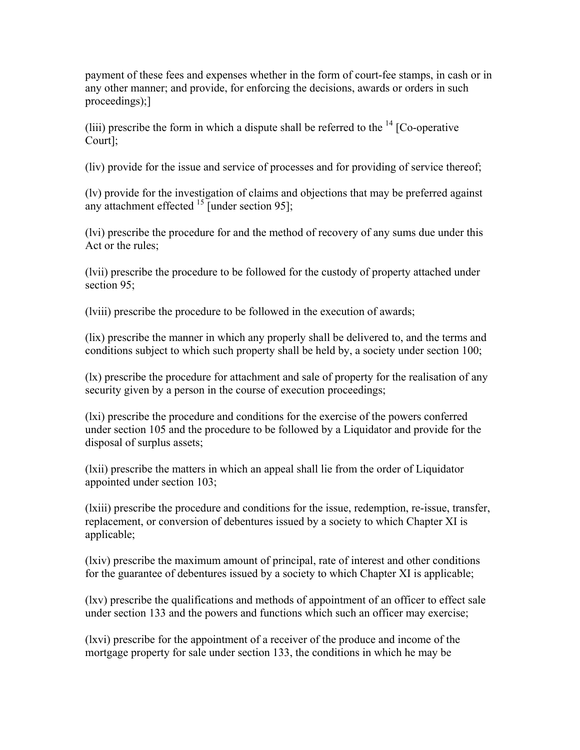payment of these fees and expenses whether in the form of court-fee stamps, in cash or in any other manner; and provide, for enforcing the decisions, awards or orders in such proceedings);]

(liii) prescribe the form in which a dispute shall be referred to the  $14$  [Co-operative Court];

(liv) provide for the issue and service of processes and for providing of service thereof;

(lv) provide for the investigation of claims and objections that may be preferred against any attachment effected  $^{15}$  [under section 95];

(lvi) prescribe the procedure for and the method of recovery of any sums due under this Act or the rules;

(lvii) prescribe the procedure to be followed for the custody of property attached under section 95;

(lviii) prescribe the procedure to be followed in the execution of awards;

(lix) prescribe the manner in which any properly shall be delivered to, and the terms and conditions subject to which such property shall be held by, a society under section 100;

(lx) prescribe the procedure for attachment and sale of property for the realisation of any security given by a person in the course of execution proceedings;

(lxi) prescribe the procedure and conditions for the exercise of the powers conferred under section 105 and the procedure to be followed by a Liquidator and provide for the disposal of surplus assets;

(lxii) prescribe the matters in which an appeal shall lie from the order of Liquidator appointed under section 103;

(lxiii) prescribe the procedure and conditions for the issue, redemption, re-issue, transfer, replacement, or conversion of debentures issued by a society to which Chapter XI is applicable;

(lxiv) prescribe the maximum amount of principal, rate of interest and other conditions for the guarantee of debentures issued by a society to which Chapter XI is applicable;

(lxv) prescribe the qualifications and methods of appointment of an officer to effect sale under section 133 and the powers and functions which such an officer may exercise;

(lxvi) prescribe for the appointment of a receiver of the produce and income of the mortgage property for sale under section 133, the conditions in which he may be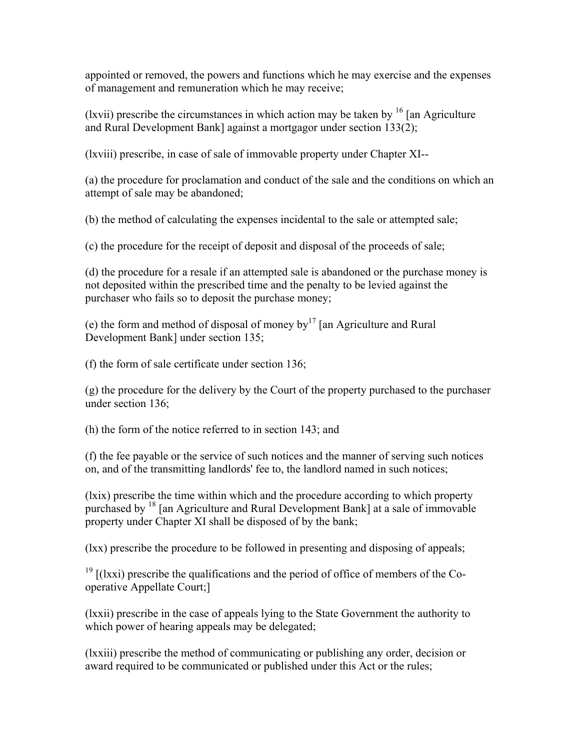appointed or removed, the powers and functions which he may exercise and the expenses of management and remuneration which he may receive;

(lxvii) prescribe the circumstances in which action may be taken by  $^{16}$  [an Agriculture and Rural Development Bank] against a mortgagor under section 133(2);

(lxviii) prescribe, in case of sale of immovable property under Chapter XI--

(a) the procedure for proclamation and conduct of the sale and the conditions on which an attempt of sale may be abandoned;

(b) the method of calculating the expenses incidental to the sale or attempted sale;

(c) the procedure for the receipt of deposit and disposal of the proceeds of sale;

(d) the procedure for a resale if an attempted sale is abandoned or the purchase money is not deposited within the prescribed time and the penalty to be levied against the purchaser who fails so to deposit the purchase money;

(e) the form and method of disposal of money by  $17 \text{ [an Agriculture and Rural]}$ Development Bank] under section 135;

(f) the form of sale certificate under section 136;

(g) the procedure for the delivery by the Court of the property purchased to the purchaser under section 136;

(h) the form of the notice referred to in section 143; and

(f) the fee payable or the service of such notices and the manner of serving such notices on, and of the transmitting landlords' fee to, the landlord named in such notices;

(lxix) prescribe the time within which and the procedure according to which property purchased by <sup>18</sup> [an Agriculture and Rural Development Bank] at a sale of immovable property under Chapter XI shall be disposed of by the bank;

(lxx) prescribe the procedure to be followed in presenting and disposing of appeals;

 $19$  [(lxxi) prescribe the qualifications and the period of office of members of the Cooperative Appellate Court;]

(lxxii) prescribe in the case of appeals lying to the State Government the authority to which power of hearing appeals may be delegated;

(lxxiii) prescribe the method of communicating or publishing any order, decision or award required to be communicated or published under this Act or the rules;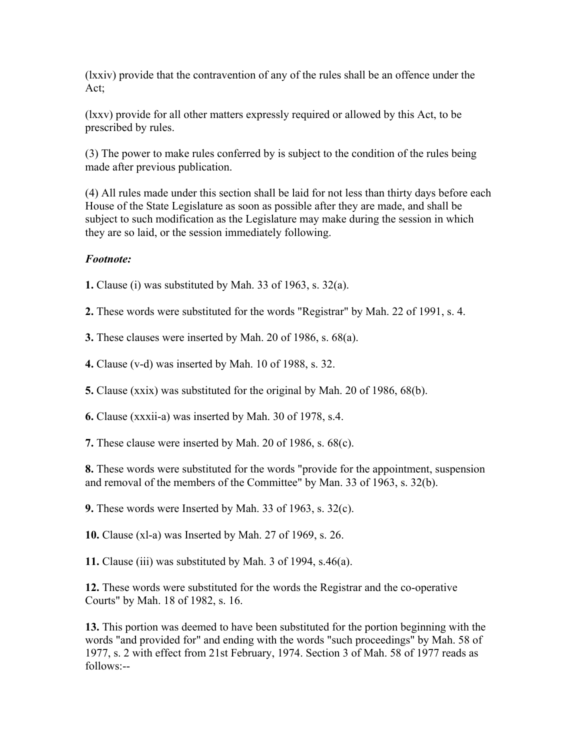(lxxiv) provide that the contravention of any of the rules shall be an offence under the Act;

(lxxv) provide for all other matters expressly required or allowed by this Act, to be prescribed by rules.

(3) The power to make rules conferred by is subject to the condition of the rules being made after previous publication.

(4) All rules made under this section shall be laid for not less than thirty days before each House of the State Legislature as soon as possible after they are made, and shall be subject to such modification as the Legislature may make during the session in which they are so laid, or the session immediately following.

## *Footnote:*

**1.** Clause (i) was substituted by Mah. 33 of 1963, s. 32(a).

**2.** These words were substituted for the words "Registrar" by Mah. 22 of 1991, s. 4.

**3.** These clauses were inserted by Mah. 20 of 1986, s. 68(a).

**4.** Clause (v-d) was inserted by Mah. 10 of 1988, s. 32.

**5.** Clause (xxix) was substituted for the original by Mah. 20 of 1986, 68(b).

**6.** Clause (xxxii-a) was inserted by Mah. 30 of 1978, s.4.

**7.** These clause were inserted by Mah. 20 of 1986, s. 68(c).

**8.** These words were substituted for the words "provide for the appointment, suspension and removal of the members of the Committee" by Man. 33 of 1963, s. 32(b).

**9.** These words were Inserted by Mah. 33 of 1963, s. 32(c).

**10.** Clause (xl-a) was Inserted by Mah. 27 of 1969, s. 26.

**11.** Clause (iii) was substituted by Mah. 3 of 1994, s.46(a).

**12.** These words were substituted for the words the Registrar and the co-operative Courts" by Mah. 18 of 1982, s. 16.

**13.** This portion was deemed to have been substituted for the portion beginning with the words "and provided for" and ending with the words "such proceedings" by Mah. 58 of 1977, s. 2 with effect from 21st February, 1974. Section 3 of Mah. 58 of 1977 reads as follows:--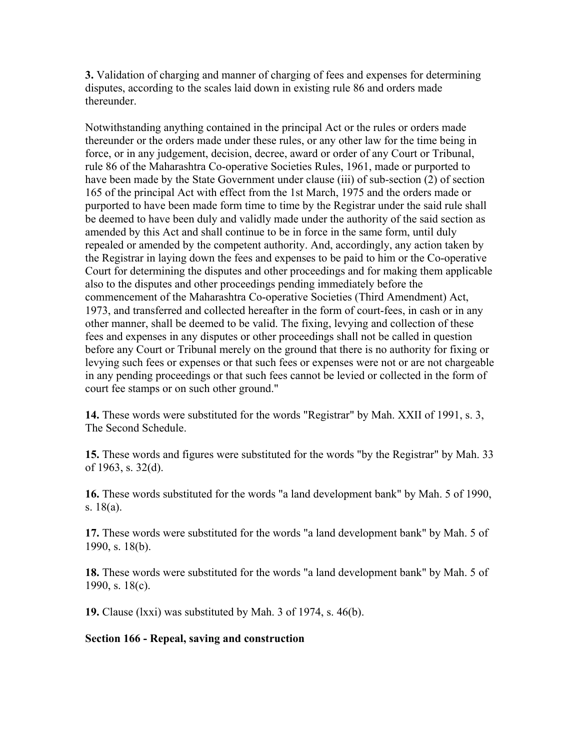**3.** Validation of charging and manner of charging of fees and expenses for determining disputes, according to the scales laid down in existing rule 86 and orders made thereunder.

Notwithstanding anything contained in the principal Act or the rules or orders made thereunder or the orders made under these rules, or any other law for the time being in force, or in any judgement, decision, decree, award or order of any Court or Tribunal, rule 86 of the Maharashtra Co-operative Societies Rules, 1961, made or purported to have been made by the State Government under clause (iii) of sub-section (2) of section 165 of the principal Act with effect from the 1st March, 1975 and the orders made or purported to have been made form time to time by the Registrar under the said rule shall be deemed to have been duly and validly made under the authority of the said section as amended by this Act and shall continue to be in force in the same form, until duly repealed or amended by the competent authority. And, accordingly, any action taken by the Registrar in laying down the fees and expenses to be paid to him or the Co-operative Court for determining the disputes and other proceedings and for making them applicable also to the disputes and other proceedings pending immediately before the commencement of the Maharashtra Co-operative Societies (Third Amendment) Act, 1973, and transferred and collected hereafter in the form of court-fees, in cash or in any other manner, shall be deemed to be valid. The fixing, levying and collection of these fees and expenses in any disputes or other proceedings shall not be called in question before any Court or Tribunal merely on the ground that there is no authority for fixing or levying such fees or expenses or that such fees or expenses were not or are not chargeable in any pending proceedings or that such fees cannot be levied or collected in the form of court fee stamps or on such other ground."

**14.** These words were substituted for the words "Registrar" by Mah. XXII of 1991, s. 3, The Second Schedule.

**15.** These words and figures were substituted for the words "by the Registrar" by Mah. 33 of 1963, s. 32(d).

**16.** These words substituted for the words "a land development bank" by Mah. 5 of 1990, s. 18(a).

**17.** These words were substituted for the words "a land development bank" by Mah. 5 of 1990, s. 18(b).

**18.** These words were substituted for the words "a land development bank" by Mah. 5 of 1990, s. 18(c).

**19.** Clause (lxxi) was substituted by Mah. 3 of 1974, s. 46(b).

## **Section 166 - Repeal, saving and construction**